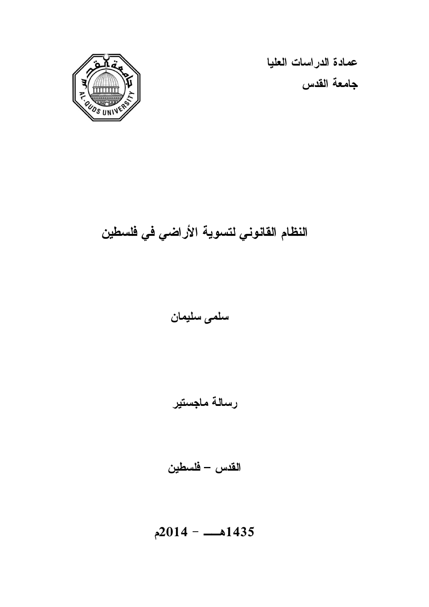

عمادة الدراسات العليا جامعة القدس

# النظام القانوني لتسوية الأراضي في فلسطين

سلمى سليمان

رسالة ماجستير

القدس – فلسطين

1435هــ - 2014 م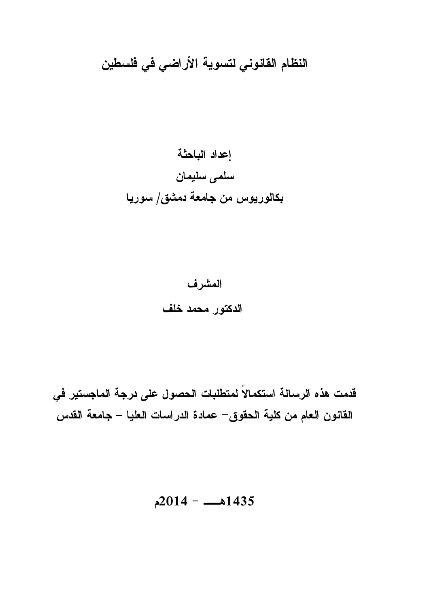النظام القانوني لتسوية الأراضي في فلسطين

إعداد الباحثة سلمى سليمان بكالوريوس من جامعة دمشق/ سوريا

> المشرف الدكتور محمد خلف

قدمت هذه الرسالة استكمالاً لمتطلبات الحصول على درجة الماجستير في القانون العام من كلية الحقوق - عمادة الدراسات العليا – جامعة القدس

 $2014 - 1435$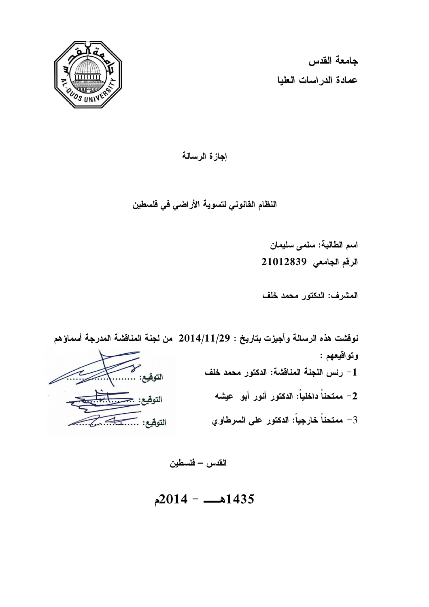

جامعة القدس عمادة الدراسات العليا

إجازة الرسالة

النظام القانوني لتسوية الأراضي في فلسطين

اسم الطالبة: سلمى سليمان الرقم الجامعي: 21012839

المشرف: الدكتور محمد خلف

نوقشت هذه الرسالة وأجيزت بتاريخ : 29/ 11/ 2014 من لجنة المناقشة المدرجة أسماؤهم وتواقيعهم : -1 رئس اللجنة المناقشة : الدكتور محمد خلف -2 ممتحناً داخلياً: الدكتور أنور أبو عيشه -3 ممتحناً خارجياً: الدكتور علي السرطاوي

القدس – فلسطين

 $2014 - 1435$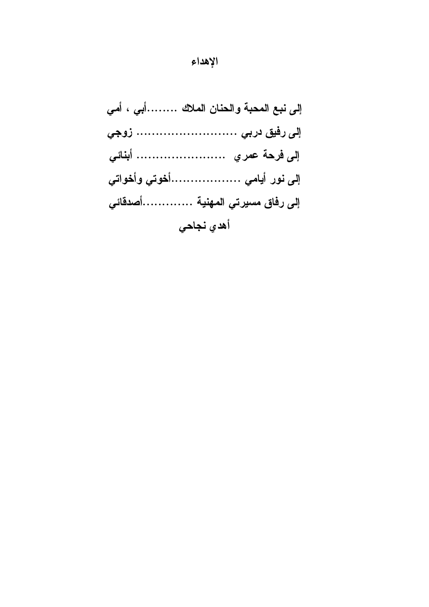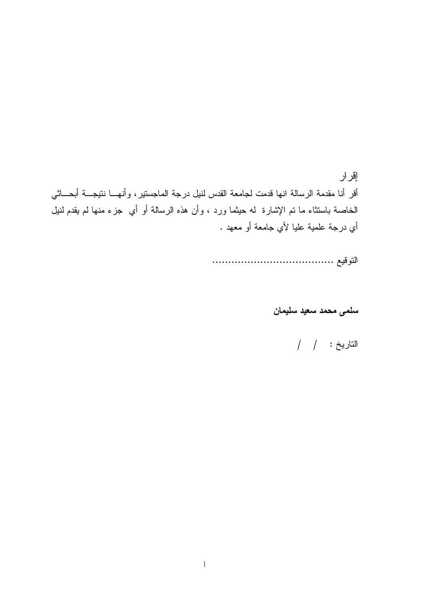إقرار أقر أنا مقدمة الرسالة انها قدمت لجامعة القدس لنيل درجة الماجستير، وأنهـا نتيجـة أبحـ اثي الخاصة باستثاء ما تم الإشارة له حيثما ورد ، وأن هذه الرسالة أو أي جزء منها لم يقدم لنيل أي درجة علمية عليا لأي جامعة أو معهد .

التوقيع ......................................

سلمى محمد سعيد سليمان

# التاريخ : / /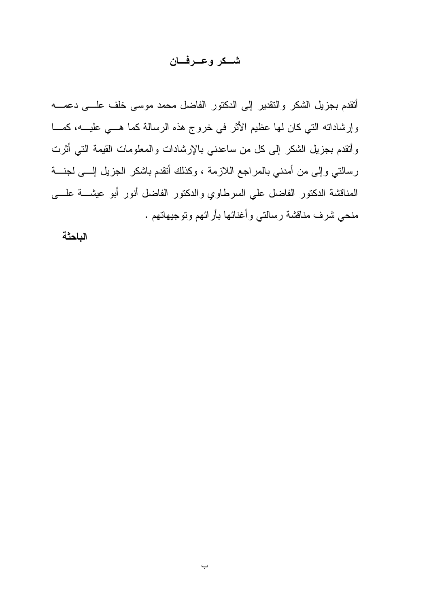### شــكر وعــرفـــان

أتقدم بجزيل الشكر والتقدير إلى الدكتور الفاضل محمد موسى خلف علـى دعمـه وإرشاداته التي كان لها عظيم الأثر في خروج هذه الرسالة كما هـي عليـه ، كمـا وأتقدم بجزيل الشكر إلى كل من ساعدني بالإرشادات والمعلومات القيمة التي أثرت رسالتي وإلى من أمدني بالمراجع اللازمة ، وكذلك أتقدم باشكر الجزيل إلـى لجنـة المناقشة الدكتور الفاضل علي السرطاوي والدكتور الفاضل أنور أبو عيشـة علـى منحي شرف مناقشة رسالتي وأغنائها بأرائهم وتوجيهاتهم .

الباحثة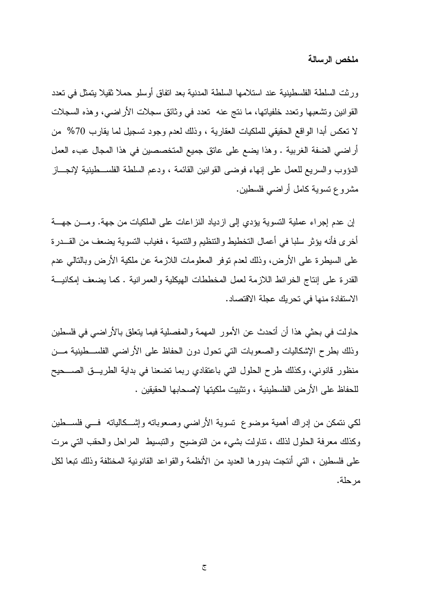ملخص الرسالة

ورثت السلطة الفلسطينية عند استلامها السلطة المدنية بعد اتفاق أوسلو حملا ثقيلا يتمثل في تعدد القوانين وتشعبها وتعدد خلفياتها، ما نتج عنه تعدد في وثائق سجلات الأراضي، وهذه السجلات لا تعكس أبدا الواقع الحقيقي للملكيات العقارية ، وذلك لعدم وجود تسجيل لما يقارب %70 من أراضي الضفة الغربية . وهذا يضع على عاتق جميع المتخصصين في هذا المجال عبء العمل الدؤوب والسريع للعمل على إنهاء فوضى القوانين القائمة ، ودعم السلطة الفلسـطينية لإنجـاز مشروع تسوية كامل أراضي فلسطين .

إن عدم إجراء عملية التسوية يؤدي إلى ازدياد النزاعات على الملكيات من جهة. ومـن جهـة أخرى فأنه يؤثر سلبا في أعمال التخطيط والتنظيم والتنمية ، فغياب التسوية يضعف من القـدرة على السيطرة على الأرض، وذلك لعدم توفر المعلومات اللازمة عن ملكية الأرض وبالتالي عدم القدرة على إنتاج الخرائط اللازمة لعمل المخططات الهيكلية والعمرانية . كما يضعف إمكانيـة الاستفادة منها في تحريك عجلة الاقتصاد .

حاولت في بحثي هذا أن أتحدث عن الأمور المهمة والمفصلية فيما يتعلق بالأراضي في فلسطين وذلك بطرح الإشكاليات والصعوبات التي تحول دون الحفاظ على الأراضي الفلسـطينية مـن منظور قانوني، وكذلك طرح الحلول التي باعتقادي ربما تضعنا في بداية الطريـق الصـحيح للحفاظ على الأرض الفلسطينية ، وتثبيت ملكيتها لإصحابها الحقيقين .

لكي نتمكن من إدراك أهمية موضوع تسوية الأراضي وصعوباته وإشـكالياته فـي فلسـطين وكذلك معرفة الحلول لذلك ، تناولت بشيء من التوضيح والتبسيط المراحل والحقب التي مرت على فلسطين ، التي أنتجت بدورها العديد من الأنظمة والقواعد القانونية المختلفة وذلك تبعا لكل مرحلة .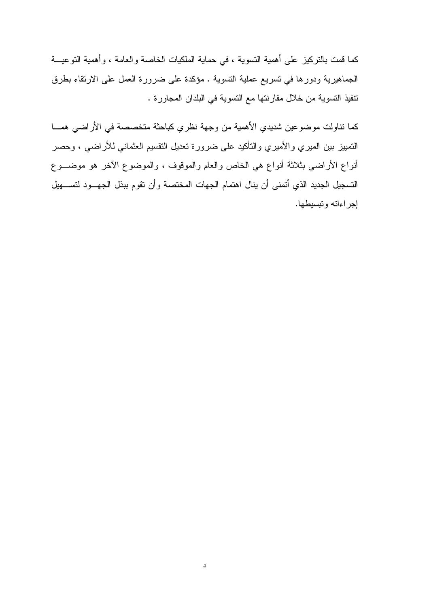كما قمت بالتركيز على أهمية التسوية ، في حماية الملكيات الخاصة والعامة ، وأهمية التوعيـة الجماهيرية ودورها في تسريع عملية التسوية . مؤكدة على ضرورة العمل على الارتقاء بطرق تنفيذ التسوية من خلال مقارنتها مع التسوية في البلدان المجاورة .

كما تناولت موضوعين شديدي الأهمية من وجهة نظري كباحثة متخصصة في الأراضي همـا التمييز بين الميري والأميري والتأكيد على ضرورة تعديل التقسيم العثماني للأراضي ، وحصر أنواع الأراضي بثلاثة أنواع هي الخاص والعام والموقوف ، والموضوع الآخر هو موضـوع التسجيل الجديد الذي أتمنى أن ينال اهتمام الجهات المختصة وأن تقوم ببذل الجهـود لتسـهيل إجراءاته وتبسيطها .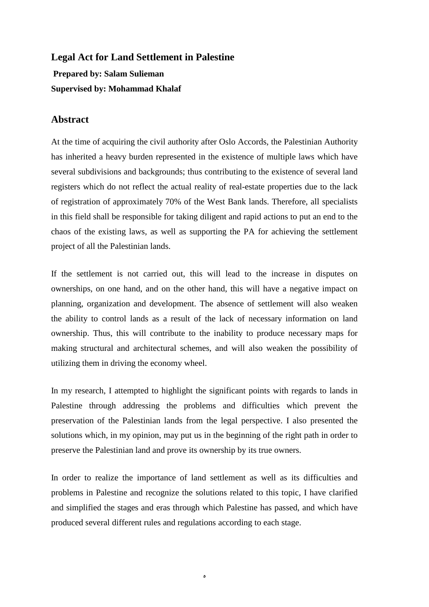## **Legal Act for Land Settlement in Palestine Prepared by: Salam Sulieman Supervised by: Mohammad Khalaf**

### **Abstract**

At the time of acquiring the civil authority after Oslo Accords, the Palestinian Authority has inherited a heavy burden represented in the existence of multiple laws which have several subdivisions and backgrounds; thus contributing to the existence of several land registers which do not reflect the actual reality of real-estate properties due to the lack of registration of approximately 70% of the West Bank lands. Therefore, all specialists in this field shall be responsible for taking diligent and rapid actions to put an end to the chaos of the existing laws, as well as supporting the PA for achieving the settlement project of all the Palestinian lands.

If the settlement is not carried out, this will lead to the increase in disputes on ownerships, on one hand, and on the other hand, this will have a negative impact on planning, organization and development. The absence of settlement will also weaken the ability to control lands as a result of the lack of necessary information on land ownership. Thus, this will contribute to the inability to produce necessary maps for making structural and architectural schemes, and will also weaken the possibility of utilizing them in driving the economy wheel.

In my research, I attempted to highlight the significant points with regards to lands in Palestine through addressing the problems and difficulties which prevent the preservation of the Palestinian lands from the legal perspective. I also presented the solutions which, in my opinion, may put us in the beginning of the right path in order to preserve the Palestinian land and prove its ownership by its true owners.

In order to realize the importance of land settlement as well as its difficulties and problems in Palestine and recognize the solutions related to this topic, I have clarified and simplified the stages and eras through which Palestine has passed, and which have produced several different rules and regulations according to each stage.

ە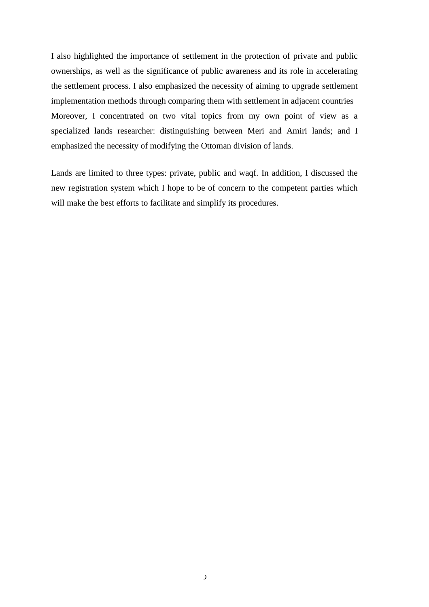I also highlighted the importance of settlement in the protection of private and public ownerships, as well as the significance of public awareness and its role in accelerating the settlement process. I also emphasized the necessity of aiming to upgrade settlement implementation methods through comparing them with settlement in adjacent countries Moreover, I concentrated on two vital topics from my own point of view as a specialized lands researcher: distinguishing between Meri and Amiri lands; and I emphasized the necessity of modifying the Ottoman division of lands.

Lands are limited to three types: private, public and waqf. In addition, I discussed the new registration system which I hope to be of concern to the competent parties which will make the best efforts to facilitate and simplify its procedures.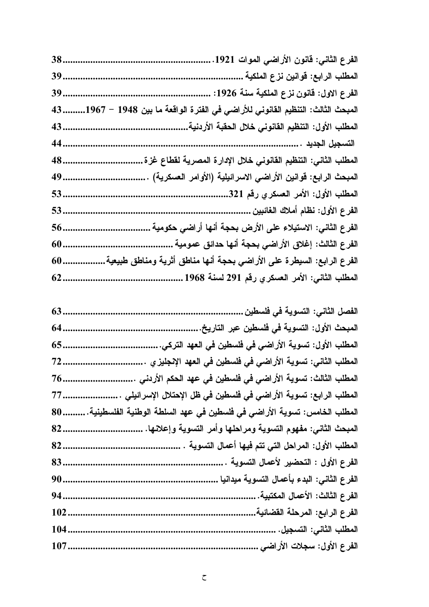| 38. | الفرع الثاني: قانون الأراضي الموات 1921.                                     |
|-----|------------------------------------------------------------------------------|
| 39. | المطلب الرابع: قوانين نزع الملكية                                            |
| 39. | الفرع الاول: قانون نزع الملكية سنة 1926:                                     |
| 43  | المبحث الثالث: التنظيم القانوني للأراضي في الفترة الواقعة ما بين 1948 – 1967 |
| 43  | المطلب الأول: التنظيم القانوني خلال الحقبة الأردنية.                         |
| 44  |                                                                              |
| 48. | المطلب الثاني: التنظيم القانوني خلال الإدارة المصرية لقطاع غزة               |
| 49. | المبحث الرابع: قوانين الأراضي الاسرائيلية (الأوامر العسكرية)                 |
| 53. | المطلب الأول: الأمر العسكري رقم 321.                                         |
| 53. | الفرع الأول: نظام أملاك الغائبين                                             |
| 56. | الفرع الثاني: الاستيلاء على الأرض بحجة أنها أراضي حكومية                     |
| 60. | الفرع الثالث: إغلاق الأراضي بحجة أنها حدائق عمومية .                         |
| 60  | الفرع الرابع: السبطرة على الأراضي بحجة أنـها مناطق أثرية ومناطق طبيعية       |
| 62  | المطلب الثاني: الأمر العسكري رفم 291 لسنة 1968                               |

| الفصل الثاني: التسوية في فلسطين                                          |
|--------------------------------------------------------------------------|
| المبحث الأول: التسوية في فلسطين عبر التاريخ.                             |
| المطلب الأول: تسوية الأراضى فى فلسطين فى العهد التركى.                   |
| المطلب الثاني: تسوية الأراضي في فلسطين في العهد الإنجليز ي               |
| المطلب الثالث: تسوية الأراضي في فلسطين في عهد الحكم الأردني              |
| المطلب الرابع: تسوية الأراضى في فلسطين في ظل الإحتلال الإسرائيلي         |
| المطلب الخامس: تسوية الأراضى في فلسطين في عهد السلطة الوطنية الفلسطينية. |
| المبحث الثانى: مفهوم التسوية ومراحلها وأمر التسوية وإعلانها.             |
| المطلب الأول: المراحل التي تتم فيها أعمال التسوية                        |
| الفرع الأول : التحضير لأعمال التسوية .                                   |
| الفرع الثانى: البدء بأعمال التسوية ميدانيا .                             |
| الفرع الثالث: الأعمال المكتبية.                                          |
| الفرع الرابع: المرحلة القضائية.                                          |
| <br>المطلب الثاني: التسجيل.                                              |
| الفرع الأول: سجلات الأراضى                                               |
|                                                                          |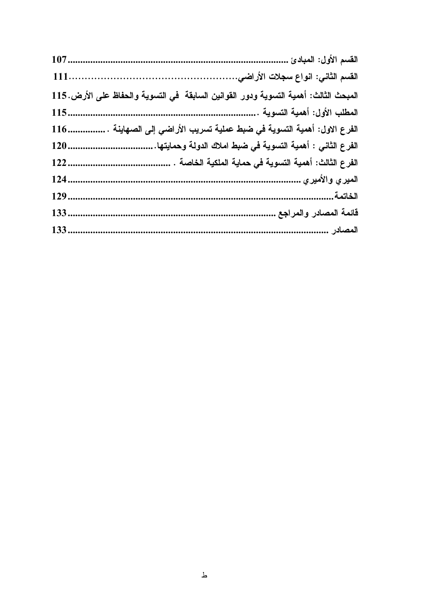|      | المبحث الثالث: أهمية التسوية ودور القوانين السابقة في التسوية والحفاظ على الأرض. 115 |
|------|--------------------------------------------------------------------------------------|
| 115  |                                                                                      |
| 116. | الفرع الاول: أهمية التسوية في ضبط عملية تسريب الأراضي إلى الصهاينة                   |
| 120  | الفرع الثانى : أهمية التسوية فى ضبط املاك الدولة وحمايتها.                           |
| 122  | الفرع الثالث: أهمية التسوية في حماية الملكية الخاصة                                  |
| 124. |                                                                                      |
| 129. |                                                                                      |
| 133. | قائمة المصادر والمراجع .                                                             |
| 133. | المصادر                                                                              |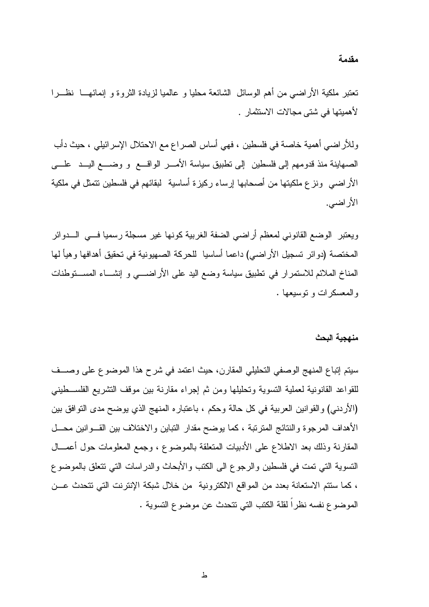تعتبر ملكية الأراضي من أهم الوسائل الشائعة محليا و عالميا لزيادة الثروة و إنمائهـا نظـرا لأهميتها في شتى مجالات الاستثمار .

وللأراضي أهمية خاصة في فلسطين ، فهي أساس الصراع مع الاحتلال الإسرائيلي ، حيث دأب الصهاينة منذ قدومهم إلى فلسطين إلى تطبيق سياسة الأمـر الواقـع و وضـع اليـد علـى الأراضي ونزع ملكيتها من أصحابها إرساء ركيزة أساسية لبقائهم في فلسطين تتمثل في ملكية الأراضي .

ويعتبر الوضع القانوني لمعظم أراضي الضفة الغربية كونها غير مسجلة رسميا فـي الـدوائر المختصة (دوائر تسجيل الأراضي) داعما أساسيا للحركة الصهيونية في تحقيق أهدافها وهيأ لها المناخ الملائم للاستمرار في تطبيق سياسة وضع اليد على الأراضـي و إنشـاء المسـتوطنات والمعسكرات و توسيعها .

#### منهجية البحث

سيتم إتباع المنهج الوصفي التحليلي المقارن، حيث اعتمد في شرح هذا الموضوع على وصـف للقواعد القانونية لعملية التسوية وتحليلها ومن ثم إجراء مقارنة بين موقف التشريع الفلسـطيني (الأردني) والقوانين العربية في كل حالة وحكم ، باعتباره المنهج الذي يوضح مدى التوافق بين الأهداف المرجوة والنتائج المترتبة ، كما يوضح مقدار التباين والاختلاف بين القـوانين محـل المقارنة وذلك بعد الاطلاع على الأدبيات المتعلقة بالموضوع ، وجمع المعلومات حول أعمـال التسوية التي تمت في فلسطين والرجوع الى الكتب والأبحاث والدراسات التي تتعلق بالموضوع ، كما ستتم الاستعانة بعدد من المواقع الالكترونية من خلال شبكة الإنترنت التي تتحدث عـن الموضوع نفسه نظراً لقلة الكتب التي تتحدث عن موضوع التسوية .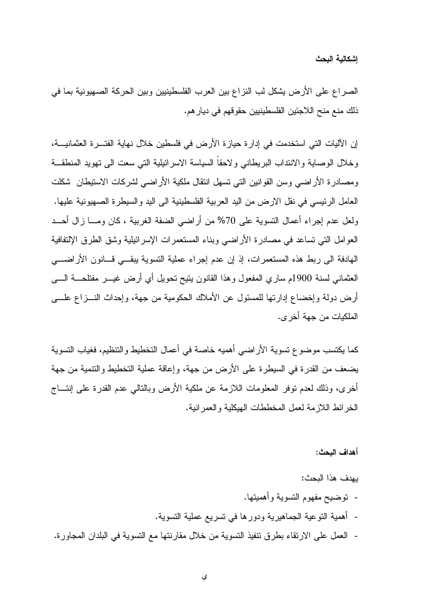الصراع على الأرض يشكل لب النزاع بين العرب الفلسطينيين وبين الحركة الصهيونية بما في ذلك منع منح اللاجئين الفلسطينيين حقوقهم في ديارهم .

إن الآليات التي استخدمت في إدارة حيازة الأرض في فلسطين خلال نهاية الفتـرة العثمانيـة ، وخلال الوصاية والانتداب البريطاني ولاحقاً السياسة الاسرائيلية التي سعت الى تهويد المنطقـة ومصادرة الأراضي وسن القوانين التي تسهل انتقال ملكية الأراضي لشركات الاستيطان شكلت العامل الرئيسي في نقل الارض من اليد العربية الفلسطينية الى اليد والسيطرة الصهيونية عليها. ولعل عدم إجراء أعمال التسوية على %70 من أراضي الضفة الغربية ، كان ومـا زال أحـد العوامل التي تساعد في مصادرة الأراضي وبناء المستعمرات الإسرائيلية وشق الطرق الإلتفافية الهادفة الى ربط هذه المستعمرات، إذ إن عدم إجراء عملية التسوية يبقـي قـانون الأراضـي العثماني لسنة 1900م ساري المفعول وهذا القانون يتيح تحويل أي أرض غيـر مفتلحـة الـى أرض دولة وإخضاع إدارتها للمسئول عن الأملاك الحكومية من جهة، وإحداث النـزاع علـى الملكيات من جهة أخرى.

كما يكتسب موضوع تسوية الأراضي أهميه خاصة في أعمال التخطيط والتنظيم، فغياب التسوية يضعف من القدرة في السيطرة على الأرض من جهة، وإعاقة عملية التخطيط والتنمية من جهة أخرى، وذلك لعدم توفر المعلومات اللازمة عن ملكية الأرض وبالتالي عدم القدرة على إنتـاج الخر ائط اللاز مة لعمل المخططات الهيكلية والعمر انية.

أهداف البحث :

يهدف هذا البحث : - توضيح مفهوم التسوية وأهميتها . - أهمية التوعية الجماهيرية ودورها في تسريع عملية التسوية . - العمل على الارتقاء بطرق تنفيذ التسوية من خلال مقارنتها مع التسوية في البلدان المجاورة .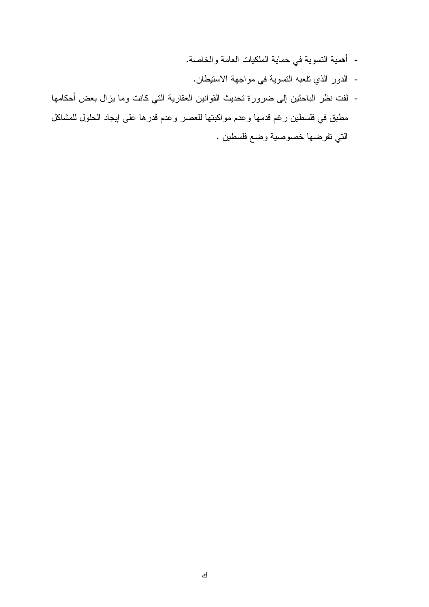- أهمية التسوية في حماية الملكيات العامة والخاصة.
	- الدور الذي تلعبه التسوية في مواجهة الاستيطان .
- لفت نظر الباحثين إلى ضرورة تحديث القوانين العقارية التي كانت وما يزال بعض أحكامها مطبق في فلسطين رغم قدمها وعدم مواكبتها للعصر وعدم قدرها على إيجاد الحلول للمشاكل التي تفرضها خصوصية وضع فلسطين .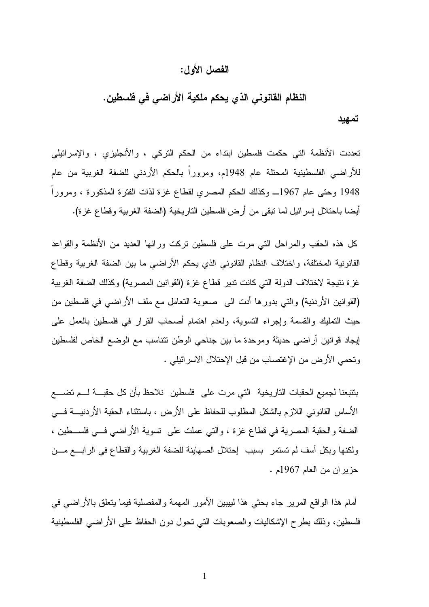### الفصل الأول :

# النظام القانوني الذي يحكم ملكية الأراضي في فلسطين .

#### تمهيد

تعددت الأنظمة التي حكمت فلسطين ابتداء من الحكم التركي ، والأنجليزي ، والإسرائيلي للأراضي الفلسطينية المحتلة عام 1948م، ومروراً بالحكم الأردني للضفة الغربية من عام 1948 وحتى عام 1967ـ وكذلك الحكم المصري لقطاع غزة لذات الفترة المذكورة ، ومروراً أيضا باحتلال إسرائيل لما تبقى من أرض فلسطين التاريخية (الضفة الغربية وقطاع غزة ).

كل هذه الحقب والمراحل التي مرت على فلسطين تركت ورائها العديد من الأنظمة والقواعد القانونية المختلفة، واختلاف النظام القانوني الذي يحكم الأراضي ما بين الضفة الغربية وقطاع غزة نتيجة لاختلاف الدولة التي كانت تدير قطاع غزة (القوانين المصرية) وكذلك الضفة الغربية (القوانين الأردنية) والتي بدورها أدت الى صعوبة التعامل مع ملف الأراضي في فلسطين من حيث التمليك والقسمة وإجراء التسوية، ولعدم اهتمام أصحاب القرار في فلسطين بالعمل على إيجاد قوانين أراضي حديثة وموحدة ما بين جناحي الوطن تتناسب مع الوضع الخاص لفلسطين وتحمي الأرض من الإغتصاب من قبل الإحتلال الاسرائيلي .

بتتبعنا لجميع الحقبات التاريخية التي مرت على فلسطين نلاحظ بأن كل حقبـة لـم تضـع الأساس القانوني اللازم بالشكل المطلوب للحفاظ على الأرض ، باستثناء الحقبة الأردنيـة فـي الضفة والحقبة المصرية في قطاع غزة ، والتي عملت على تسوية الأراضي فـي فلسـطين ، ولكنها وبكل أسف لم تستمر بسبب إحتلال الصهاينة للضفة الغربية والقطاع في الرابـع مـن حزيران من العام 1967م .

أمام هذا الواقع المرير جاء بحثي هذا لييبين الأمور المهمة والمفصلية فيما يتعلق بالأراضي في فلسطين، وذلك بطرح الإشكاليات والصعوبات التي تحول دون الحفاظ على الأراضي الفلسطينية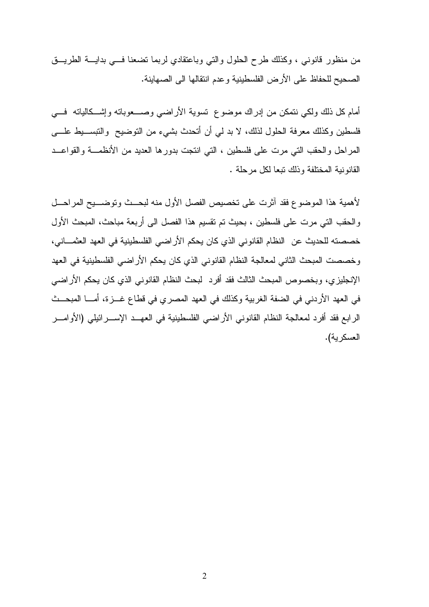من منظور قانوني ، وكذلك طرح الحلول والتي وباعتقادي لربما تضعنا فـي بدايـة الطريـق الصحيح للحفاظ على الأرض الفلسطينية وعدم انتقالها الى الصهاينة .

أمام كل ذلك ولكي نتمكن من إدراك موضوع تسوية الأراضي وصـعوباته وإشـكالياته فـي فلسطين وكذلك معرفة الحلول لذلك، لا بد لي أن أتحدث بشيء من التوضيح والتبسـيط علـى المراحل والحقب التي مرت على فلسطين ، التي انتجت بدورها العديد من الأنظمـة والقواعـد القانونية المختلفة وذلك تبعا لكل مرحلة .

لأهمية هذا الموضوع فقد آثرت على تخصيص الفصل الأول منه لبحـث وتوضـيح المراحـل والحقب التي مرت على فلسطين ، بحيث تم تقسيم هذا الفصل الى أربعة مباحث، المبحث الأول خصصته للحديث عن النظام القانوني الذي كان يحكم الأراضي الفلسطينية في العهد العثمـاني، وخصصت المبحث الثاني لمعالجة النظام القانوني الذي كان يحكم الأراضي الفلسطينية في العهد الإنجليزي، وبخصوص المبحث الثالث فقد أفرد لبحث النظام القانوني الذي كان يحكم الأراضي في العهد الأردني في الضفة الغربية وكذلك في العهد المصري في قطاع غـزة، أمـا المبحـث الرابع فقد أفرد لمعالجة النظام القانوني الأراضي الفلسطينية في العهـد الإسـرائيلي (الأوامـر العسكرية ).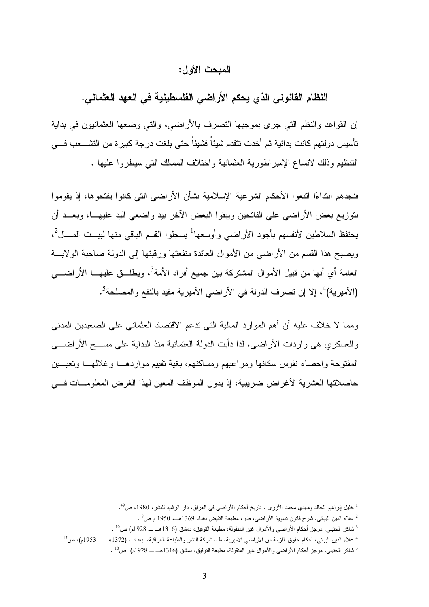### المبحث الأول :

النظام القانوني الذي يحكم الأراضي الفلسطينية في العهد العثماني .

إن القواعد والنظم التي جرى بموجبها التصرف بالأراضي، والتي وضعها العثمانيون في بداية تأسيس دولتهم كانت بدائية ثم أخذت تتقدم شيئاً فشيئاً حتى بلغت درجة كبيرة من التشـعب فـي التنظيم وذلك لاتساع الإمبراطورية العثمانية واختلاف الممالك التي سيطروا عليها .

فنجدهم ابتداءًا اتبعوا الأحكام الشرعية الإسلامية بشأن الأراضيي التي كانوا يفتحوها، إذ يقوموا بتوزيع بعض الأراضي على الفاتحين ويبقوا البعض الآخر بيد واضعي اليد عليهـا، وبعـد أن يحتفظ السلاطين لأنفسهم بأجود الأراضيي وأوسعها<sup>1</sup> يسجلوا القسم الباقي منها لبيــت المـــال<sup>2</sup>، ويصبح هذا القسم من الأراضي من الأموال العائدة منفعتها ورقبتها إلى الدولة صاحبة الولايـة العامة أي أنها من قبيل الأموال المشتركة بين جميع أفراد الأمة<sup>3</sup>، ويطلـــق عليهــــا الأراضــــي (الأميرية) 4 5 ، إلا إن تصرف الدولة في الأراضي الأميرية مقيد بالنفع والمصلحة .

ومما لا خلاف عليه أن أهم الموارد المالية التي تدعم الاقتصاد العثماني على الصعيدين المدني والعسكري هي واردات الأراضي، لذا دأبت الدولة العثمانية منذ البداية على مسـح الأراضـي المفتوحة واحصاء نفوس سكانها ومراعيهم ومساكنهم، بغية تقييم مواردهـا وغلالهـا وتعيـين حاصلاتها العشرية لأغراض ضريبية، إذ يدون الموظف المعين لهذا الغرض المعلومـات فـي

<sup>&</sup>lt;sup>1</sup> خليل إبراهيم الخالد ومهدي محمد الأزري . تاريخ أحكام الأراضـي في العراق، دار الرشيد للنشر، 1980، ص<sup>49</sup>.

 $^2$  علاء الدين البياتي. شرح قانون تسوية الأراضي، ط $_1$  ، مطبعة التفيض بغداد 1369هــ، 1950 م ص $^2$  .

 $^3$  شاكر الحنبلي. موجز أحكام الأراضـي والأموال غير المنقولة، مطبعة التوفيق، دمشق (1316هــ ـــ 1928م) ص $^{\rm 10}$  .

 $^1$  علاء الدين البياتي، أحكام حقوق اللزمة من الأراضي الأميرية، طم، شركة النشر والطباعة العراقية، بغداد ، (1372هــــــــ 1953م)، ص $^{11}$  .

 $^5$  شاكر الحنبلي، موجز أحكام الأراضـي والأموال غير المنقولة، مطبعة التوفيق، دمشق (1316هـــــــ 1928م) ص $^{10}$  .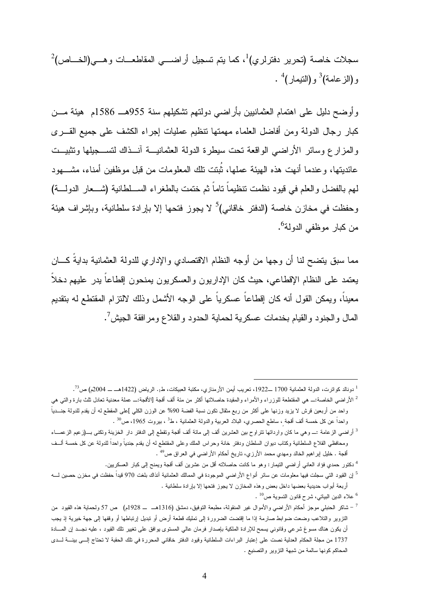$^2$ سجلات خاصة (تحرير دفترلري) $^1$ ، كما يتم تسجيل أراضــــي المقاطعـــات وهـــي(الخــــاص) و(الزعامة)<sup>3</sup> و(التيمار)<sup>4</sup> .

وأوضح دليل على اهتمام العثمانيين بأراضي دولتهم تشكيلهم سنة 955هـ 1586م هيئة مـن كبار رجال الدولة ومن أفاضل العلماء مهمتها تنظيم عمليات إجراء الكشف على جميع القـرى والمزارع وسائر الأراضي الواقعة تحت سيطرة الدولة العثمانيـة آنـذاك لتسـجيلها وتثبيـت عائديتها، وعندما أنهت هذه الهيئة عملها، ثُبتت تلك المعلومات من قبل موظفين أمناء، مشـهود لهم بالفضل والعلم في قيود نظمت تنظيماً تاماً ثم ختمت بالطغراء السـلطانية (شـعار الدولـة ) وحفظت في مخازن خاصة (الدفتر خاقاني)<sup>5</sup> لا يجوز فتحها إلا بإرادة سلطانية، وبإشراف هيئة من كبار موظفي الدولة<sup>6</sup>.

مما سبق يتضح لنا أن وجها من أوجه النظام الاقتصادي والإداري للدولة العثمانية بدايةً كـــان يعتمد على النظام الإقطاعي، حيث كان الإداريون والعسكريون يمنحون إقطاعاً يدر عليهم دخلاً معيناً، ويمكن القول أنه كان إقطاعاً عسكرياً على الوجه الأشمل وذلك لالتزام المقتطع له بتقديم المال والجنود والقيام بخدمات عسكرية لحماية الحدود والقلاع ومرافقة الجيش<sup>7</sup>.

 $^1$  دونالد كواترت، الدولة العثمانية 1700 ــ1922، تعريب أيمن الأرمنازي، مكتبة العبيكات، ط1. الرياض (1422هــ ـــ 2004م) ص $^5$ .

 $\overline{a}$ 

 $^{10}$  علاء الدين البياتي، شرح قانون التسوية ص $^{01}$  .

<sup>2</sup> الأراضي الخاصة:ـ هي المقتطعة للوزراء والأمراء والمقيدة حاصلاتها أكثر من مئة ألف أقجة [الأقجة:ـ عملة معدنية تعادل ثلث بارة والتي هي واحد من أربعين قرش لا يزيد وزنها على أكثر من ربع مثقال تكون نسبة الفضة %90 عن الوزن الكلي ]على المقطع له أن يقدم للدولة جنـدياً واحداً عن كل خمسة ألف أقجة ، ساطع الحصري، البلاد العربية والدولة العثمانية ، ط<sup>3</sup> ، بيروت 1965، ص<sup>30</sup> .

<sup>&</sup>lt;sup>3</sup> أراضي الزعامة :ــــ وهي ما كان وارداتها نتراوح بين العشرين ألف إلى مائة ألف أقجة وتقطع إلى الدفتر دار الخزينة وتكنى بـــ(زعيم الزعمـــاء ومحافظي القلاع السلطانية وكتاب ديوان السلطان ودفتر خانة وحراس الملك وعلى المقتطع له أن يقدم جندياً واحداً للدولة عن كل خمسة ألـف أقجة . خليل إبر اهيم الخالد ومهدي محمد الأرزي، تاريخ أحكام الأراضي في العراق ص<sup>49</sup> .

<sup>4</sup> دكتور حمدي فؤاد العاني أراضي التيمار: وهو ما كانت حاصلاته أقل من عشرين ألف أقجة ويمنح إلى كبار العسكريين.

<sup>5</sup> إن القيود التي سجلت فيها معلومات عن سائر أنواع الأراضي الموجودة في الممالك العثمانية آنذاك بلغت 970 قيداً حفظت في مخزن حصين لـه أربعة أبواب حديدية بعضها داخل بعض وهذه المخازن لا يجوز فتحها إلا بإرادة سلطانية .

<sup>&</sup>lt;sup>7</sup> – شاكر الحنبلي موجز أحكام الأراضـي والأموال غير المنقولة، مطبعة التوفيق، دمشق (1316هـ ـــ 1928م) ص 57 ولحماية هذه القيود من التزوير والتلاعب وضعت ضوابط صارمة إذا ما إقتضت الضرورة إلى تمليك قطعة أرض أو تبديل إرتباطها أو وقفها إلى جهة خيرية إذ يجب أن يكون هناك مسوغ شرعي وقانوني يسمح للإرادة الملكية بإصدار فرمان عالي المستوى يوافق على تغيير تلك القيود ، عليه نجـد إن المـادة 1737 من مجلة الحكام العدلية نصت على إعتبار البراءات السلطانية وقيود الدفتر خاقاني المحررة في تلك الحقبة لا تحتاج إلـى بينـة لـدى المحاكم كونها سالمة من شبهة التزوير والتصنيع .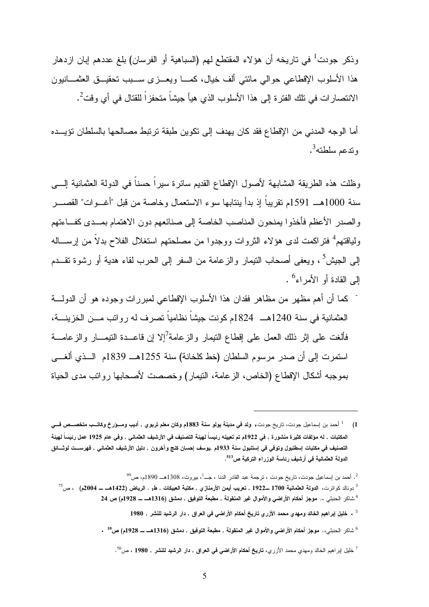وذكر جودت<sup>1</sup> في تاريخه أن هؤلاء المقتطع لهم (السباهية أو الفرسان) بلغ عددهم إبان ازدهار هذا الأسلوب الإقطاعي حوالي مائتي ألف خيال، كمـا ويعـزى سـبب تحقيـق العثمـانيون الانتصـار ات في تلك الفترة إلى هذا الأسلوب الذي هيأ جيشاً متحفزاً للقتال في أي وقت<sup>2</sup>.

أما الوجه المدني من الإقطاع فقد كان يهدف إلى تكوين طبقة ترتبط مصالحها بالسلطان تؤيـده وتدعم سلطته<sup>3</sup>.

وظلت هذه الطريقة المشابهة لأصول الإقطاع القديم سائرة سيراً حسناً في الدولة العثمانية إلـى سنة 1000هـ 1591م تقريباً إذ بدأ ينتابها سوء الاستعمال وخاصة من قبل "أغـوات " القصـر والصدر الأعظم فأخذوا يمنحون المناصب الخاصة إلى صنائعهم دون الاهتمام بمـدى كفـاء تهم ولياقتهم<sup>4</sup> فتراكمت لدى هؤلاء الثروات ووجدوا من مصلحتهم استغلال الفلاح بدلاً من إرســـاله 5 إلى الجيش ، ويعفى أصحاب التيمار والزعامة من السفر إلى الحرب لقاء هدية أو رشوة تقـدم 6 إلى القادة أو الأمراء .

- كما أن أهم مظهر من مظاهر فقدان هذا الأسلوب الإقطاعي لمبررات وجوده هو أن الدولـة العثمانية في سنة 1240هـ 1824م كونت جيشاً نظامياً تصرف له رواتب مـن الخزينـة، فألغت على إثر ذلك العمل على إقطاع النيمار والزعامة<sup>7</sup>إلا إن فاعــدة النيمـــار والزعامـــة استمرت إلى أن صدر مرسوم السلطان (خط كلخانة ) سنة 1255هـ 1839 م الـذي ألغـى بموجبه أشكال الإقطاع (الخاص، الزعامة، التيمار) وخصصت لأصحابها رواتب مدى الحياة

 $^9$ . أحمد بن إسماعيل جودت، تاريخ جودت ، ترجمة عبد القادر الدنا ، جـــ  $^1$ ، بيروت، 1308هـــ 1890م، ص $^9$ 

 $\overline{a}$ 

 $^6$  شاكر الحنبلي،. موجز أحكام الأراضي والأموال غير المنقولة , مطبعة التوفيق , دمشق (1316هـــــــ 1928م) ص $^6$  .

<sup>(</sup>1 1 أحمد بن إسماعيل جودت ، تاريخ جودت, ولد في مدينة يولو سنة 1883م وكان معلم تربوي , أديب ومـؤرخ وكاتـب متخصـص فـي المكتبات , له مؤلفات كثيرة منشورة , في 1922م تم تعيينه رئيساً لهيئة التصنيف في الأرشيف العثماني , وفي عام 1925 عمل رئيساً لهيئة التصنيف في مكتبات إسطنبول وتوفي في إستنبول سنة 1933 ,م يوسف إحسان كنج وآخرون , دليل الأرشيف العثماني , فهرسـت لوثـائق الدولة العثمانية ف*ي* أرشيف رئاسة الوزراء التركية ص<sup>513</sup>.

 $^{3}$ دونالد كواترت، ال**دولة العثمانية 1**700 ــ1922 , تعريب أيمن الأرم**نازي , مكتبة العبيكات , ط1 . الرياض (1422هــ ـــ 2004م)**  $\sim$  **ص** $^{3}$ <sup>4</sup>.شاكر الحنبلي ،. م**وجز أحكام الأراض***ي* **والأموال غير المنقولة , مطبعة التوفيق , دمشق (1316هــ ــ 1928م) ص 24** 

<sup>5</sup> . خليل إبراهيم الخالد ومهدي محمد الأزري تاريخ أحكام الأراضي في العراق , دار الرشيد للنشر , <sup>1980</sup>

 $^7$ خليل اپراهيم الخالد ومهدي محمد الأزري، **تاريخ أحكام الأراضي في العراق , دار الرشيد للنشر , 1980 ، ص** $^7$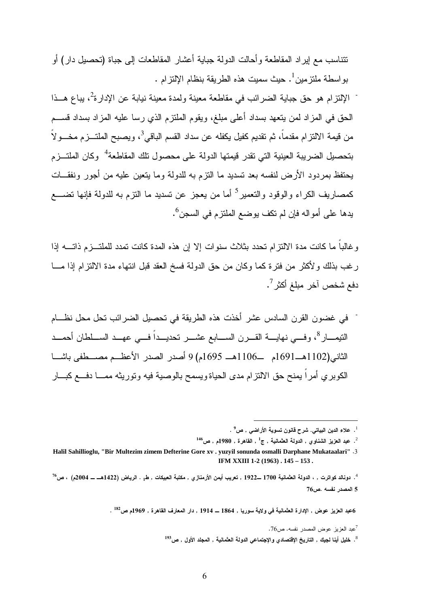تتناسب مع إيراد المقاطعة وأحالت الدولة جباية أعشار المقاطعات إلى جباة (تحصيل دار) أو 1 بواسطة ملتزمين . حيث سميت هذه الطريقة بنظام الإلتزام .

- الإلتزام هو حق جباية الضرائب في مقاطعة معينة ولمدة معينة نيابة عن الإدارة<sup>2</sup>، يباع هــذا الحق في المزاد لمن يتعهد بسداد أعلى مبلغ، ويقوم الملتزم الذي رسا عليه المزاد بسداد قسـم من قيمة الالتزام مقدماً، ثم نقديم كفيل يكفله عن سداد القسم الباقي<sup>3</sup>، ويصبح الملتـــزم مخـــولاً بتحصيل الضريبة العينية التي تقدر قيمتها الدولة على محصول نلك المقاطعة<sup>4</sup> وكان الملتـــزم يحتفظ بمردود الأرض لنفسه بعد تسديد ما التزم به للدولة وما يتعين عليه من أجور ونفقـات كمصاريف الكراء والوقود والتعمير<sup>5</sup> أما من يعجز عن تسديد ما النزم به للدولة فإنها تضـــع يدها على أمواله فإن لم تكف يوضع الملتزم في السجن<sup>6</sup>.

وغالباً ما كانت مدة الالتزام تحدد بثلاث سنوات إلا إن هذه المدة كانت تمدد للملتـزم ذاتـه إذا رغب بذلك ولأكثر من فترة كما وكان من حق الدولة فسخ العقد قبل انتهاء مدة الالتزام إذا مـا دفع شخص آخر مبلغ أكثر <sup>7</sup>.

في غضون القرن السادس عشر أخذت هذه الطريقة في تحصيل الضرائب تحل محل نظـام التيمـــار<sup>8</sup>، وفـــي نـهايـــــة القــــرن الســــابـع عشــــر تحديــــداً فــــي عـهـــد الســــلطـان أحمـــد الثاني(1102هـ1691م ـ 1106هـ 1695 )م 9 أصدر الصدر الأعظـم مصـطفى باشـا الكوبري أمراً يمنح حق الالتزام مدى الحياة ويسمح بالوصية فيه وتوريثه ممـا دفـع كبـار

 $^{146}$ ب عبد العزيز الشناوي , الدولة العثمانية , ج $^1$  , القاهرة , 1980م , ص $^2$ 

 $\overline{a}$ 

. <sup>182</sup> العزيز عوض , الإدارة العثمانية ف*ي* ولاية سوريا , 1864 ـــ 1914 , دار المعارف القاهرة , 1969م ص<sup>182</sup>.

<sup>7</sup>عبد العزيز عوض المصدر نفسه . ص76 .

-

 $^1$ . علاء الدين البياتي. شرح قانون تسوية الأراضي , ص $^1$ 

**Halil Sahillioglu, "Bir Multezim zimem Defterine Gore xv . yuzyil sonunda osmalli Darphane Mukataalari"** .3 **IFM XXIII 1-2 (1963) . 145 – 153 .** 

<sup>.</sup> دونالد كواترت , ، الدولة العثمانية 1700 ــ1922 , تعريب أيمن الأرمنازي , مكتبة العبيكات , ط1 . الرياض (1422هــ = 2004م) ، ص<sup>76</sup> 5 المصدر نفسه .ص76

 $^{193}$ . خليل أينا لجيك , التاريخ الإقتصادي والإجتماعي الدولة العثمانية , المجلد الأول , ص $^{\rm 8}$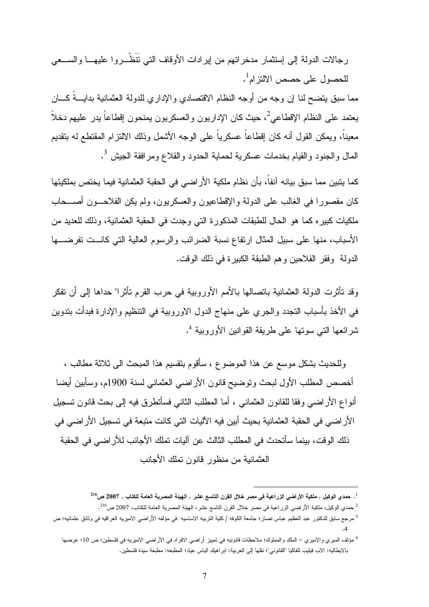رجالات الدولة إلى إستثمار مدخراتهم من إيرادات الأوقاف التي تَنَظْـروا عليهـا والسـعي للحصول على حصص الالتزام<sup>1</sup>.

مما سبق يتضح لنا إن وجه من أوجه النظام الاقتصادي والإداري للدولة العثمانية بدايـةً كـان يعتمد على النظام الإقطاعي<sup>2</sup>، حيث كان الإداريون والعسكريون يمنحون إقطاعاً يدر عليهم دخلاً معيناً، ويمكن القول أنه كان إقطاعاً عسكرياً على الوجه الأشمل وذلك الالتزام المقتطع له بتقديم المال والجنود والقيام بخدمات عسكرية لحماية الحدود والقلاع ومرافقة الجيش <sup>3</sup>.

كما يتبين مما سبق بيانه آنفاً، بأن نظام ملكية الأراضي في الحقبة العثمانية فيما يختص بملكيتها كان مقصور ا في الغالب على الدولة والإقطاعيون والعسكريون، ولم يكن الفلاحـون أصـحاب ملكيات كبيره كما هو الحال للطبقات المذكورة التي وجدت في الحقبة العثمانية، وذلك للعديد من الأسباب، منها على سبيل المثال ارتفاع نسبة الضرائب والرسوم العالية التي كانـت تفرضـها الدولة وفقر الفلاحين وهم الطبقة الكبيرة في ذلك الوقت.

وقد تأثرت الدولة العثمانية باتصالها بالأمم الأوروبية في حرب القرم تأثرا" حداها إلى أن تفكر في الأخذ بأسباب التجدد والجري على منهاج الدول الاوروبية في التنظيم والإدارة فبدأت بتدوين شرائعها التي سوتها على طريقة القوانين الأوروبية <sup>4</sup>.

وللحديث بشكل موسع عن هذا الموضوع ، سأقوم بتقسيم هذا المبحث الى ثلاثة مطالب ، أخصص المطلب الأول لبحث وتوضيح قانون الأراضي العثماني لسنة 1900م، وسأبين أيضا أنواع الأراضي وفقا للقانون العثماني ، أما المطلب الثاني فسأتطرق فيه إلى بحث قانون تسجيل الأراضي في الحقبة العثمانية بحيث أبين فيه الآليات التي كانت متبعة في تسجيل الأراضي في ذلك الوقت، بينما سأتحدث في المطلب الثالث عن آليات تملك الأجانب للأراضي في الحقبة العثمانية من منظور قانون تملك الأجانب

 $^{\rm 11}$ . حمدي الوكيل , ملكية الأراضي الزراعية في مصر خلال القرن التاسع عشر , الهيئة المصرية العامة للكتاب , 2007 ص $^{\rm 11}$ 

 $^2$  حمدي الوكيل، ملكية الأراضي الزراعية في مصر خلال القرن التاسع عشر، الهيئة المصرية العامة للكتاب، 2007 ص $^{216}$ 

<sup>3</sup> مرجع سابق للدكتور عبد العظيم عباس نصار؛ جامعة الكوفه / كلية التربيه الاساسيه في مؤلفه الأراضي الاميريه العراقيه في وثائق عثمانيه؛ ص .4

<sup>4</sup> مؤلف الميري والاميري – الملك والمملوك؛ ملاحظات قانونيه في تمييز أراضي الافراد في الأراضي الاميريه في فلسطين؛ ص 10؛ عرضها بالايطاليه: الاب فيليب تلفاكيا "القانوني"؛ نقلها إلى العربية: ابراهيك الياس عياد؛ المطبعه: مطبعة سيدة فلسطين .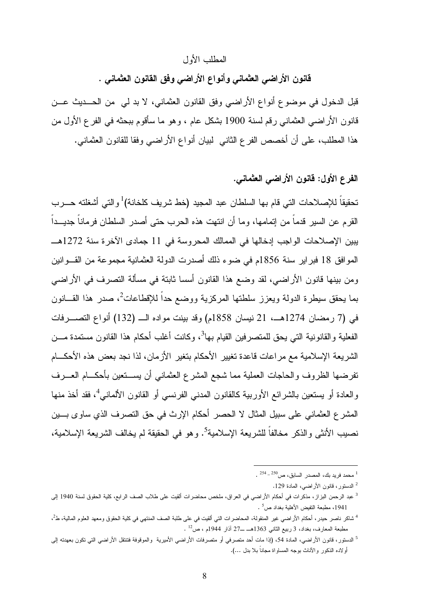#### المطلب الأول

قانون الأراضي العثماني وأنواع الأراضي وفق القانون العثماني .

قبل الدخول في موضوع أنواع الأراضي وفق القانون العثماني، لا بد لي من الحـديث عـن قانون الأراضي العثماني رقم لسنة 1900 بشكل عام ، وهو ما سأقوم ببحثه في الفرع الأول من هذا المطلب، على أن أخصص الفرع الثاني لبيان أنواع الأراضي وفقا للقانون العثماني .

### الفرع الأول: قانون الأراضي العثماني .

تحقيقاً للإصلاحات التي قام بها السلطان عبد المجيد (خط شريف كلخانة)<sup>1</sup>والتي أشغلته حـــرب القرم عن السير قدماً من إتمامها، وما أن انتهت هذه الحرب حتى أصدر السلطان فرماناً جديـداً يبين الإصلاحات الواجب إدخالها في الممالك المحروسة في 11 جمادى الآخرة سنة 1272هـ الموافق 18 فبراير سنة 1856م في ضوء ذلك أصدرت الدولة العثمانية مجموعة من القـوانين ومن بينها قانون الأراضي، لقد وضع هذا القانون أسسا ثابتة في مسألة التصرف في الأراضي بما يحقق سيطرة الدولة ويعزز سلطتها المركزية ووضع حداً للإقطاعات<sup>2</sup>، صدر هذا القـــانون في (7 رمضان 1274هـ، 21 نيسان 1858 ) م وقد بينت مواده الـ (132) أنواع التصـرفات الفعلية والقانونية التي يحق للمتصرفين القيام بها<sup>3</sup>، وكانت أغلب أحكام هذا القانون مستمدة مـــن الشريعة الإسلامية مع مراعات قاعدة تغيير الأحكام بتغير الأزمان، لذا نجد بعض هذه الأحكـام تفرضها الظروف والحاجات العملية مما شجع المشرع العثماني أن يسـتعين بأحكـام العـرف والعادة أو يستعين بالشرائع الأوربية كالقانون المدني الفرنسي أو القانون الألماني<sup>4</sup>، فقد أخذ منها المشرع العثماني على سبيل المثال لا الحصر أحكام الإرث في حق التصرف الذي ساوى بـين نصيب الأنثـى والذكر مخالفاً للشريعة الإسلامية<sup>5</sup>. وهو في الحقيقة لم يخالف الشريعة الإسلامية،

 $\overline{a}$ 

2 الدستور، قانون الأراضي، المادة .129

 $\sim \frac{254-250}{\pi}$ محمد فريد بك، المصدر السابق، ص

<sup>3</sup> عبد الرحمن البزاز، مذكرات في أحكام الأراضي في العراق، ملخص محاضرات ألقيت على طلاب الصف الرابع، كلية الحقوق لسنة 1940 إلى . مطبعة التفيض الأهلية بغداد ص $^{\rm 5}$  .

<sup>&</sup>lt;sup>4</sup> شاكر ناصر حيدر، أحكام الأراضـي غير المنقولـة، المحاضرات التي ألقيت في على طلبة الصف المنتهي في كلية الحقوق ومعهد العلوم المالية، ط<sup>2</sup>،  $\cdot$   $^{12}$ مطبعة المعارف، بغداد، 3 ربيع الثاني 1363هـــ ـ27 آذار 1944م ، ص

<sup>&</sup>lt;sup>5</sup> الدستور ، قانون الأراضي، المادة 54، (إذا مات أحد متصرفي أو متصرفات الأراضي الأميرية والموقوفة فتنتقل الأراضي التي تكون بعهدته إلى أولاده الذكور والآناث بوجه المساواة مجاناً بلا بدل ...).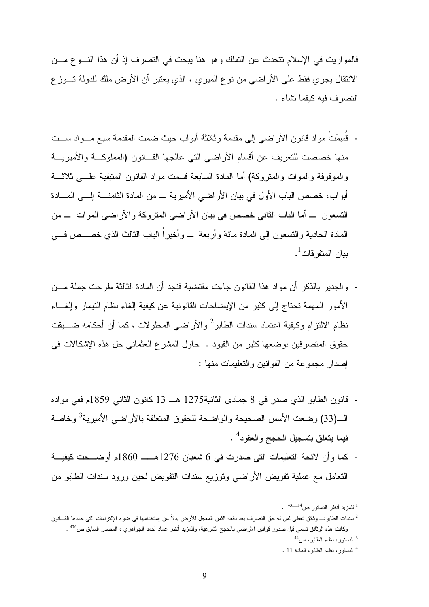فالمواريث في الإسلام تتحدث عن التملك وهو هنا يبحث في التصرف إذ أن هذا النـوع مـن الانتقال يجري فقط على الأراضي من نوع الميري ، الذي يعتبر أن الأرض ملك للدولة تـوزع التصرف فيه كيفما تشاء .

- قُسمتْ مواد قانون الأراضي إلى مقدمة وثلاثة أبواب حيث ضمت المقدمة سبع مـواد سـت منها خصصت للتعريف عن أقسام الأراضي التي عالجها القـانون (المملوكـة والأميريـة والموقوفة والموات والمتروكة) أما المادة السابعة قسمت مواد القانون المتبقية علـى ثلاثـة أبواب، خصص الباب الأول في بيان الأراضي الأميرية ـ من المادة الثامنـة إلـى المـادة التسعون ـ أما الباب الثاني خصص في بيان الأراضي المتروكة والأراضي الموات ـ من المادة الحادية والتسعون إلى المادة مائة وأربعة ـ و أخيراً الباب الثالث الذي خصـص فـي ببان المتفرقات<sup>1</sup>.
- والجدير بالذكر أن مواد هذا القانون جاءت مقتضبة فنجد أن المادة الثالثة طرحت جملة مـن الأمور المهمة تحتاج إلى كثير من الإيضاحات القانونية عن كيفية إلغاء نظام التيمار وإلغـاء نظام الالتزام وكيفية اعتماد سندات الطابو<sup>2</sup> والأراضي المحلولات ، كما أن أحكامه ضــــيقت حقوق المتصرفين بوضعها كثير من القيود . حاول المشرع العثماني حل هذه الإشكالات في إصدار مجموعة من القوانين والتعليمات منها :
- قانون الطابو الذي صدر في 8 جمادى الثانية1275 هـ 13 كانون الثاني 1859م ففي مواده 3 الـ(33) وضعت الأسس الصحيحة والواضحة للحقوق المتعلقة بالأراضي الأميرية وخاصة فيما يتعلق بتسجيل الحجج والعقود<sup>4</sup> .
- كما وأن لائحة التعليمات التي صدرت في 6 شعبان 1276هــ 1860م أوضـحت كيفيـة التعامل مع عملية تفويض الأراضي وتوزيع سندات التفويض لحين ورود سندات الطابو من

 $\overline{a}$ 

4 الدستور، نظام الطابو، المادة 11 .

<sup>&</sup>lt;sup>1</sup> للمزيد أنظر الدستور ص<sup>14ـــــــ<sup>43</sup> .</sup>

<sup>2</sup> سندات الطابو:ـ وثائق تعطي لمن له حق التصرف بعد دفعه الثمن المعجل للأرض بدلاً عن إستخدامها في ضوء الإلتزامات التي حددها القـانون وكانت هذه الوثائق تسمى قبل صدور قوانين الأراضي بالحجج الشرعية، وللمزيد أنظر عماد أحمد الجواهري ، المصدر السابق ص<sup>476</sup> . <sup>3</sup> الدستور، نظام الطابو، ص<sup>44</sup> .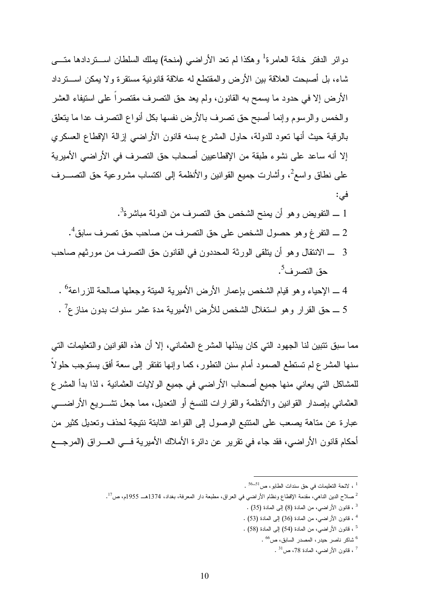دوائر الدفتر خانة العامرة<sup>1</sup> وهكذا لم تعد الأراضي (منحة) يملك السلطان اســـتردادها متــــى شاء، بل أصبحت العلاقة بين الأرض والمقتطع له علاقة قانونية مستقرة ولا يمكن اسـترداد الأرض إلا في حدود ما يسمح به القانون، ولم يعد حق التصرف مقتصراً على استيفاء العشر والخمس والرسوم وإنما أصبح حق تصرف بالأرض نفسها بكل أنواع التصرف عدا ما يتعلق بالرقبة حيث أنها تعود للدولة، حاول المشرع بسنه قانون الأراضي إزالة الإقطاع العسكري إلا أنه ساعد على نشوء طبقة من الإقطاعيين أصحاب حق التصرف في الأراضي الأميرية على نطاق واسع<sup>2</sup>، وأشارت جميع القوانين والأنظمة إلى اكتساب مشروعية حق التصــــرف :في

- $^3$  ـ التفويض وهو أن يمنح الشخص حق التصرف من الدولة مباشرة $^3$ .  $^4$  ـ التفرغ و هو حصول الشخص على حق التصرف من صاحب حق تصرف سابق $^4$ . 3 ـ الانتقال وهو أن يتلقى الورثة المحددون في القانون حق التصرف من مورثهم صاحب
- 4 ــ الإحياء وهو قيام الشخص بإعمار الأرض الأميرية الميتة وجعلها صالحة للزراعة<sup>6</sup> . 5 ـــ حق القرار وهو استغلال الشخص للأرض الأميرية مدة عشر سنوات بدون منازع<sup>7</sup> .

مما سبق تتبين لنا الجهود التي كان يبذلها المشرع العثماني، إلا أن هذه القوانين والتعليمات التي سنها المشرع لم تستطع الصمود أمام سنن التطور، كما وإنها تفتقر إلى سعة أفق يستوجب حلولاً للمشاكل التي يعاني منها جميع أصحاب الأراضي في جميع الولايات العثمانية ، لذا بدأ المشرع العثماني بإصدار القوانين والأنظمة والقرارات للنسخ أو التعديل، مما جعل تشـــريع الأراضــــي عبارة عن متاهة يصعب على المتتبع الوصول إلى القواعد الثابتة نتيجة لحذف وتعديل كثير من أحكام قانون الأراضي، فقد جاء في تقرير عن دائرة الأملاك الأميرية فـي العـراق (المرجـع

حق التصرف<sup>5</sup>.

- 4 ، قانون الأراضي، من المادة (36) إلى المادة (53) .
- 5 ، قانون الأراضي، من المادة (54) إلى المادة (58) .
	- $\cdot$  شاكر ناصر حيدر ، المصدر السابق، ص $^6$  .

 $\cdot$  1 لائحة التعليمات في حق سندات الطابو ، ص $^{-56}$  .

صلاح الدين الناهي، مقدمة الإقطاع ونظام الأراضي في العراق، مطبعة دار المعرفة، بغداد، 1374هـــ 1955م، ص<sup>17</sup>.

<sup>3</sup> ، قانون الأراضي، من المادة (8) إلى المادة (35) .

<sup>،</sup> قانون الأراضي، المادة 78، ص<sup>31</sup> .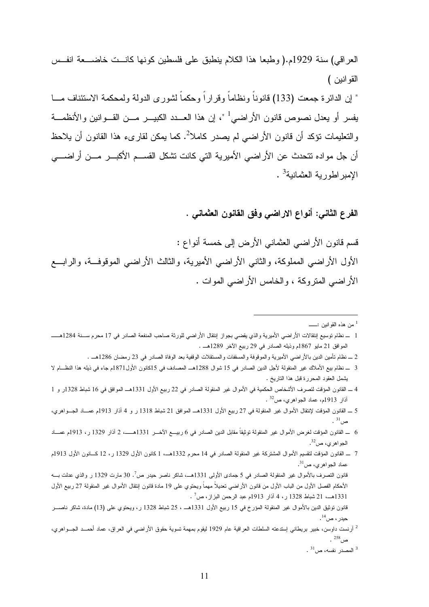العراقي) سنة 1929م.( وطبعا هذا الكلام ينطبق على فلسطين كونها كانــت خاضـــعة انفــس القوانين )

 " إن الدائرة جمعت (133) قانوناً ونظاماً وقراراً وحكماً لشورى الدولة ولمحكمة الاستئناف مـا يفسر أو يعدل نصوص قانون الأراضي<sup>1</sup> "، إن هذا العـــدد الكبيـــر مـــن القـــوانين والأنظمـــة والتعليمات نؤكد أن قانون الأراضي لم يصدر كاملا<sup>2</sup>. كما يمكن لقارىء هذا القانون أن يلاحظ أن جل مواده تتحدث عن الأراضي الأميرية التي كانت تشكل القسـم الأكبـر مـن أراضـي الإمبراطورية العثمانية<sup>3</sup> .

الفرع الثاني: أنواع الاراضي وفق القانون العثماني .

 $\overline{a}$ 

قسم قانون الأراضي العثماني الأرض إلى خمسة أنواع : الأول الأراضي المملوكة ، والثاني الأراضي الأميرية، والثالث الأراضي الموقوفـة ، والرابـع الأراضي المتروكة ، والخامس الأراضي الموات .

- من هذه القوانين :ــ <sup>1</sup>
- 1 ـ نظام توسيع إنتقالات الأراضي الأميرية والذي يقضي بجواز إنتقال الأراضي للورثة صاحب المنفعة الصادر في 17 محرم سـنة 1284هــ الموافق 21 مايو 1867م وذيله الصادر في 29 ربيع الآخر 1289هـ .
	- 2 ـ نظام تأمين الدين بالأراضي الأميرية والموقوفة والمسقفات والمستقلات الوقفية بعد الوفاة الصادر في 23 رمضان 1286هـ .
- 3 ـ نظام بيع الأملاك غير المنقولة لأجل الدين الصادر في 15 شوال 1288هـ المصادف في 15كانون الأول1871م جاء في ذيله هذا النظـام لا يشمل العقود المحررة قبل هذا التاريخ .
- 4 ـ القانون المؤقت لتصرف الأشخاص الحكمية في الأموال غير المنقولة الصادر في 22 ربيع الأول 1331هـ الموافق في 16 شباط 1328ر و 1 32 آذار 1913م، عماد الجواهري، ص .
- 5 ـ القانون المؤقت لإنتقال الأموال غير المنقولة في 27 ربيع الأول 1331هـ الموافق 21 شباط 1318 ر و 4 آذار 1913م عمـاد الجـواهري ، . ص<sup>31</sup>
- 6 ـ القانون المؤقت لغرض الأموال غير المنقولة توثيقاً مقابل الدين الصادر في 6 ربيـع الآخـر 1331هــ، 2 آذار 1329 ،ر 1913م عمـاد الجو اهري، ص<sup>32</sup>.
- 7 ـ القانون المؤقت لتقسيم الأموال المشتركة غير المنقولة الصادر في 14 محرم 1332هـ، 1 كانون الأول 1329 ر ، 12 كـانون الأول 1913م عماد الجواهري، ص<sup>31</sup>.

قانون التصرف بالأموال غير المنقولة الصادر في 5 جمادى الأولى 1331هــ، شاكر ناصر حيدر ص<sup>7</sup>. 30 مارت 1329 ر والذي عدلت بـــه الأحكام الفصل الأول من الباب الأول من قانون الأراضي تعديلاً مهماً ويحتوي على 19 مادة قانون إنتقال الأموال غير المنقولة 27 ربيع الأول 1331هــ، 21 شباط 1328 ر ، 4 آذار 1913م عبد الرحمن البزاز ، ص<sup>7</sup> .

 قانون توثيق الدين بالأموال غير المنقولة المؤرخ في 15 ربيع الأول 1331هـ ، 25 شباط 1328 ر ، ويحتوي على (13) مادة، شاكر ناصـر حيدر ، ص<sup>14</sup> .

<sup>2</sup> أرنست داوسن، خبير بريطاني إستدعته السلطات العراقية عام 1929 ليقوم بمهمة تسوية حقوق الأراضـي في العراق، عماد أحمــد الـجــواهري، . ص<sup>258</sup>

 $^3$  المصدر نفسه، ص $^3$  .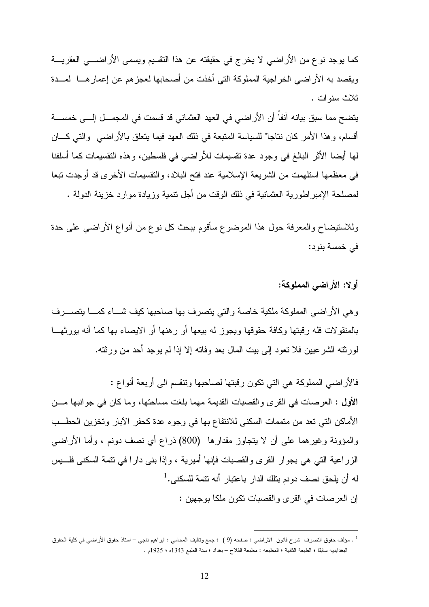كما يوجد نوع من الأراضي لا يخرج في حقيقته عن هذا التقسيم ويسمى الأراضـي العقريـة ويقصد به الأراضي الخراجية المملوكة التي أخذت من أصحابها لعجزهم عن إعمارهـا لمـدة ثلاث سنوات .

يتضح مما سبق بيانه آنفاً أن الأراضي في العهد العثماني قد قسمت في المجمـل إلـى خمسـة أقسام، وهذا الأمر كان نتاجا" للسياسة المتبعة في ذلك العهد فيما يتعلق بالأراضـي والتـي كــــان لها أيضا الأثر البالغ في وجود عدة تقسيمات للأراضي في فلسطين، وهذه التقسيمات كما أسلفنا في معظمها استلهمت من الشريعة الإسلامية عند فتح البلاد، والتقسيمات الأخرى قد أوجدت تبعا لمصلحة الإمبراطورية العثمانية في ذلك الوقت من أجل تنمية وزيادة موارد خزينة الدولة .

وللاستيضاح والمعرفة حول هذا الموضوع سأقوم ببحث كل نوع من أنواع الأراضي على حدة في خمسة بنود :

أولا: الأراضي المملوكة :

وهي الأراضي المملوكة ملكية خاصة والتي يتصرف بها صاحبها كيف شـاء كمـا يتصـرف بالمنقولات فله رقبتها وكافة حقوقها ويجوز له بيعها أو رهنها أو الايصاء بها كما أنه يورثهـا لورثته الشرعيين فلا تعود إلى بيت المال بعد وفاته إلا إذا لم يوجد أحد من ورثته .

فالأراضي المملوكة هي التي تكون رقبتها لصاحبها وتنقسم الى أربعة أنواع : الأول : العرصات في القرى والقصبات القديمة مهما بلغت مساحتها، وما كان في جوانبها مـن الأماكن التي تعد من متممات السكنى للانتفاع بها في وجوه عدة كحفر الآبار وتخزين الحطـب والمؤونة وغيرهما على أن لا يتجاوز مقدارها (800) ذراع أي نصف دونم ، وأما الأراضي الزراعية التي هي بجوار القرى والقصبات فإنها أميرية ، وإذا بنى دارا في تتمة السكنى فلـيس له أن يلحق نصف دونم بتلك الدار باعتبار أنه تتمة للسكنى.<sup>1</sup> إن العرصات في القرى والقصبات تكون ملكا بوجهين :

<sup>1</sup> . مؤلف حقوق التصرف شرح قانون الاراضي ؛ صفحه (9 ) ؛ جمع وتاليف المحامي : ابراهيم ناجي – استاذ حقوق الأراضي في كلية الحقوق البغدايديه سابقا ؛ الطبعة الثانية ؛ المطبعه : مطبعة الفلاح – بغداد ؛ سنة الطبع 1343ه ؛ 1925 .م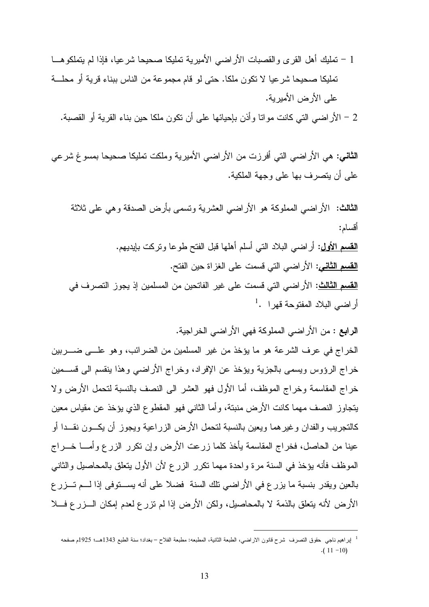1 - تمليك أهل القرى والقصبات الأراضي الأميرية تمليكا صحيحا شرعيا، فإذا لم يتملكوهـا تمليكا صحيحا شرعيا لا تكون ملكا. حتى لو قام مجموعة من الناس ببناء قرية أو محلـة على الأرض الأميرية .

2 - الأراضي التي كانت مواتا وأذن بإحيائها على أن تكون ملكا حين بناء القرية أو القصبة .

الثاني: هي الأراضي التي أفرزت من الأراضي الأميرية وملكت تمليكا صحيحا بمسوغ شرعي على أن يتصرف بها على وجهة الملكية .

الثالث : الأراضي المملوكة هو الأراضي العشرية وتسمى بأرض الصدقة وهي على ثلاثة أقسام :

القسم الأول: أراضي البلاد التي أسلم أهلها قبل الفتح طوعا وتركت بإيديهم . <mark>القسم الثاني</mark>: الأراضي التي قسمت على الغزاة حين الفتح. <mark>القسم الثالث</mark>: الأراضي التي قسمت على غير الفاتحين من المسلمين إذ يجوز التصرف في  $^1$ . أراضي البلاد المفتوحة قهرا

الرابع : من الأراضي المملوكة فهي الأراضي الخراجية .

 $\overline{a}$ 

الخراج في عرف الشرعة هو ما يؤخذ من غير المسلمين من الضرائب، وهو علـى ضـربين خراج الرؤوس ويسمى بالجزية ويؤخذ عن الإفراد، وخراج الأراضي وهذا ينقسم الى قسـمين خراج المقاسمة وخراج الموظف، أما الأول فهو العشر الى النصف بالنسبة لتحمل الأرض ولا يتجاوز النصف مهما كانت الأرض منبتة، وأما الثاني فهو المقطوع الذي يؤخذ عن مقياس معين كالتجريب والفدان وغيرهما ويعين بالنسبة لتحمل الأرض الزراعية ويجوز أن يكـون نقـدا أو عينا من الحاصل، فخراج المقاسمة يأخذ كلما زرعت الأرض وإن تكرر الزرع وأمـا خـراج الموظف فأنه يؤخذ في السنة مرة واحدة مهما تكرر الزرع لأن الأول يتعلق بالمحاصيل والثاني بالعين ويقدر بنسبة ما يزرع في الأراضي تلك السنة فضلا على أنه يسـتوفى إذا لـم تـزرع الأرض لأنه يتعلق بالذمة لا بالمحاصيل، ولكن الأرض إذا لم تزرع لعدم إمكان الـزرع فـلا

<sup>1</sup> إبراهيم ناجي حقوق التصرف شرح قانون الاراضي، الطبعة الثانية، المطبعه: مطبعة الفلاح – بغداد؛ سنة الطبع 1343هـ؛ 1925م صفحه  $(11 - 10)$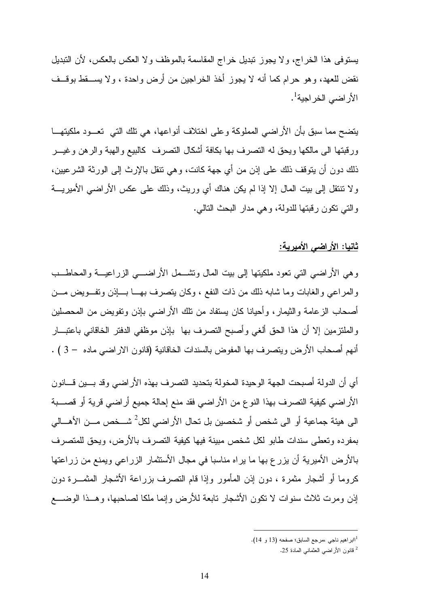يستوفى هذا الخراج، ولا يجوز تبديل خراج المقاسمة بالموظف ولا العكس بالعكس، لأن التبديل نقض للعهد، وهو حرام كما أنه لا يجوز أخذ الخراجين من أرض واحدة ، ولا يسـقط بوقـف الأراضي الخراجية<sup>1</sup>.

يتضح مما سبق بأن الأراضي المملوكة وعلى اختلاف أنواعها، هي تلك التي تعـود ملكيتهـا ورقبتها الى مالكها ويحق له التصرف بها بكافة أشكال التصرف كالبيع والهبة والرهن وغيـر ذلك دون أن يتوقف ذلك على إذن من أي جهة كانت، وهي تنقل بالإرث إلى الورثة الشرعيين، ولا تنتقل إلى بيت المال إلا إذا لم يكن هناك أي وريث، وذلك على عكس الأراضي الأميريـة والتي تكون رقبتها للدولة، وهي مدار البحث التالي .

### ثانيا: الأراضي الأميرية:

وهي الأراضي التي تعود ملكيتها إلى بيت المال وتشـمل الأراضـي الزراعيـة والمحاطـب والمراعي والغابات وما شابه ذلك من ذات النفع ، وكان يتصرف بهـا بـإذن وتفـويض مـن أصحاب الزعامة والثيمار، وأحيانا كان يستفاد من تلك الأراضي بإذن وتفويض من المحصلين والملتزمين إلا أن هذا الحق ألغي وأصبح التصرف بها بإذن موظفي الدفتر الخاقاني باعتبـار أنهم أصحاب الأرض ويتصرف بها المفوض بالسندات الخاقانية (قانون الاراضي ماده – 3 ) .

أي أن الدولة أصبحت الجهة الوحيدة المخولة بتحديد التصرف بهذه الأراضي وقد بـين قـانون الأراضي كيفية التصرف بهذا النوع من الأراضي فقد منع إحالة جميع أراضي قرية أو قصـبة الى هيئة جماعية أو الى شخص أو شخصين بل تحال الأراضي لكل<sup>2</sup> شــخص مـــن الأهــــالي بمفرده وتعطى سندات طابو لكل شخص مبينة فيها كيفية التصرف بالأرض، ويحق للمتصرف بالأرض الأميرية أن يزرع بها ما يراه مناسبا في مجال الأستثمار الزراعي ويمنع من زراعتها كروما أو أشجار مثمرة ، دون إذن المأمور وإذا قام التصرف بزراعة الأشجار المثمـرة دون إذن ومرت ثلاث سنوات لا تكون الأشجار تابعة للأرض وإنما ملكا لصاحبها، وهـذا الوضـع

<sup>1</sup> اابراهيم ناجي ،مرجع السابق؛ صفحه (13 و 14 .)

<sup>2</sup> قانون الأراضي العثماني المادة 25 .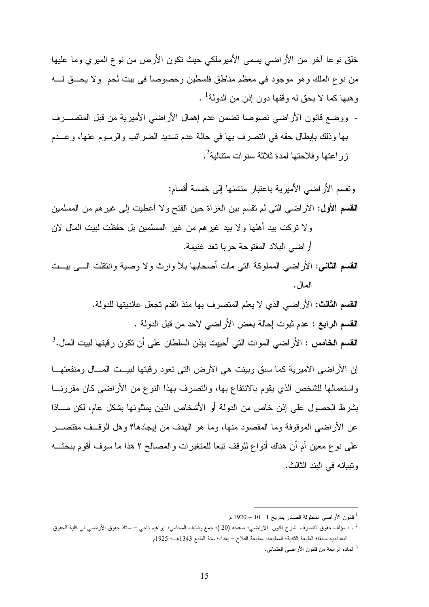خلق نوعا آخر من الأراضي يسمى الأميرملكي حيث تكون الأرض من نوع الميري وما عليها من نوع الملك وهو موجود في معظم مناطق فلسطين وخصوصا في بيت لحم ولا يحـق لـه وهبها كما لا يحق له وقفها دون إذن من الدولة<sup>1</sup> .

- ووضع قانون الأراضي نصوصا تضمن عدم إهمال الأراضي الأميرية من قبل المتصـرف بها وذلك بإبطال حقه في التصرف بها في حالة عدم تسديد الضرائب والرسوم عنها، وعـدم زراعتها وفلاحتها لمدة ثلاثة سنوات متتالية<sup>2</sup>.

وتقسم الأراضي الأميرية باعتبار منشئها إلى خمسة أقسام : القسم الأول: الأراضي التي لم تقسم بين الغزاة حين الفتح ولا أعطيت إلى غيرهم من المسلمين ولا تركت بيد أهلها ولا بيد غيرهم من غير المسلمين بل حفظت لبيت المال لان أراضي البلاد المفتوحة حربا تعد غنيمة .

- القسم الثاني: الأراضي المملوكة التي مات أصحابها بلا وارث ولا وصية وانتقلت الـى بيـت المال .
	- القسم الثالث: الأراضي الذي لا يعلم المتصرف بها منذ القدم تجعل عائديتها للدولة . القسم الرابع : عدم ثبوت إحالة بعض الأراضي لاحد من قبل الدولة .

 $^3.$  القسم الخامس : الأراضي الموات التي أحييت بإذن السلطان على أن تكون رقبتها لبيت المال

إن الأراضي الأميرية كما سبق وبينت هي الأرض التي تعود رقبتها لبيــت المـــال ومنفعتهـــا واستعمالها للشخص الذي يقوم بالانتفاع بها، والتصرف بهذا النوع من الأراضي كان مقرونـا بشرط الحصول على إذن خاص من الدولة أو الأشخاص الذين يمثلونها بشكل عام، لكن مـاذا عن الأراضي الموقوفة وما المقصود منها، وما هو الهدف من إيجادها؟ وهل الوقـف مقتصـر على نوع معين أم أن هناك أنواع للوقف تبعا للمتغير ات والمصالح ؟ هذا ما سوف أقوم ببحثــه وتبيانه في البند الثالث .

<sup>1</sup> قانون الأراضي المحلولة الصادر بتاريخ 1 - 10 – 1920 م

<sup>2</sup> . : مؤلف حقوق التصرف شرح قانون الاراضي؛ صفحه (20 ) ؛ جمع وتاليف المحامي: ابراهيم ناجي – استاذ حقوق الأراضي في كلية الحقوق البغدايديه سابقا؛ الطبعة الثانية؛ المطبعه: مطبعة الفلا –ح بغداد؛ سنة الطبع 1343هـ؛ 1925 م

<sup>3</sup> المادة الرابعة من قانون الأراضي العثماني .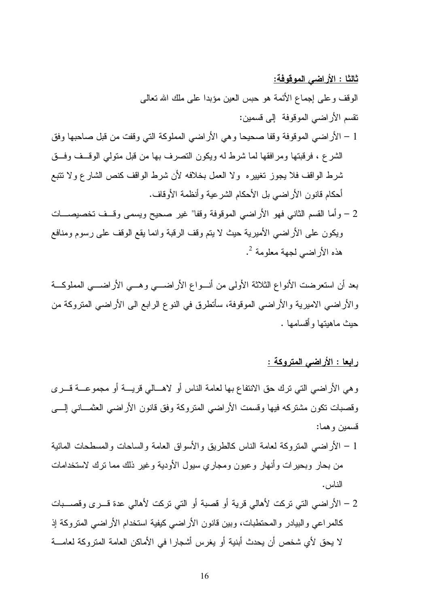ثالثا : الأراضي الموقوفة:

الوقف وعلى إجماع الأئمة هو حبس العين مؤبدا على ملك االله تعالى تقسم الأراضي الموقوفة إلى قسمين :

- 1 الأراضي الموقوفة وقفا صحيحا وهي الأراضي المملوكة التي وقفت من قبل صاحبها وفق الشرع ، فرقبتها ومرافقها لما شرط له ويكون التصرف بها من قبل متولي الوقـف وفـق شرط الواقف فلا يجوز تغييره ولا العمل بخلافه لأن شرط الواقف كنص الشارع ولا تتبع أحكام قانون الأراضي بل الأحكام الشرعية وأنظمة الأوقاف .
- 2 وأما القسم الثاني فهو الأراضي الموقوفة وقفا" غير صحيح ويسمى وقـف تخصيصـــات ويكون على الأراضي الأميرية حيث لا يتم وقف الرقبة وانما يقع الوقف على رسوم ومنافع 2 هذه الأراضي لجهة معلومة .

بعد أن استعرضت الأنواع الثلاثة الأولى من أنـواع الأراضـي وهـي الأراضـي المملوكـة والأراضي الاميرية والأراضي الموقوفة، سأتطرق في النوع الرابع الى الأراضي المتروكة من حيث ماهيتها وأقسامها .

رابعا : الأراضي المتروكة :

وهي الأراضي التي ترك حق الانتفاع بها لعامة الناس أو لاهـالي قريـة أو مجموعـة قـرى وقصبات تكون مشتركه فيها وقسمت الأراضي المتروكة وفق قانون الأراضي العثمـاني إلـى قسمين وهما :

- 1 الأراضي المتروكة لعامة الناس كالطريق والأسواق العامة والساحات والمسطحات المائية من بحار وبحيرات وأنهار وعيون ومجاري سيول الأودية وغير ذلك مما ترك لاستخدامات الناس .
- 2 الأراضي التي تركت لأهالي قرية أو قصبة أو التي تركت لأهالي عدة قـرى وقصـبات كالمراعي والبيادر والمحتطبات، وبين قانون الأراضي كيفية استخدام الأراضي المتروكة إذ لا يحق لأي شخص أن يحدث أبنية أو يغرس أشجارا في الأماكن العامة المتروكة لعامـة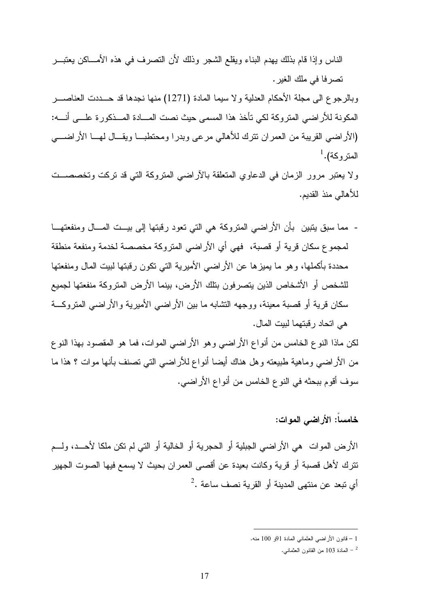الناس وإذا قام بذلك يهدم البناء ويقلع الشجر وذلك لأن التصرف في هذه الأمـاكن يعتبـر تصرفا في ملك الغير.

وبالرجوع الى مجلة الأحكام العدلية ولا سيما المادة (1271) منها نجدها قد حـددت العناصـر المكونة للأراضي المتروكة لكي تأخذ هذا المسمى حيث نصت المـادة المـذكورة علـى أنـه : (الأراضي القريبة من العمران تترك للأهالي مرعى وبدرا ومحتطبـا ويقـال لهـا الأراضـي  $^{1}.$ المتروكة

ولا يعتبر مرور الزمان في الدعاوي المتعلقة بالآراضي المتروكة التي قد تركت وتخصصـت للأهالي منذ القديم .

- مما سبق يتبين بأن الأراضي المتروكة هي التي تعود رقبتها إلى بيـت المـال ومنفعتهـا لمجموع سكان قرية أو قصبة، فهي أي الأراضي المتروكة مخصصة لخدمة ومنفعة منطقة محددة بأكملها، وهو ما يميزها عن الأراضي الأميرية التي تكون رقبتها لبيت المال ومنفعتها للشخص أو الأشخاص الذين يتصرفون بتلك الأرض، بينما الأرض المتروكة منفعتها لجميع سكان قرية أو قصبة معينة، ووجهه التشابه ما بين الأراضي الأميرية والأراضي المتروكـة هي اتحاد رقبتهما لبيت المال .

لكن ماذا النوع الخامس من أنواع الأراضي وهو الأراضي الموات، فما هو المقصود بهذا النوع من الأراضي وماهية طبيعته وهل هناك أيضا أنواع للأراضي التي تصنف بأنها موات ؟ هذا ما سوف أقوم ببحثه في النوع الخامس من أنواع الأراضي .

### خامساً: الأراضي الموات :

الأرض الموات هي الأراضي الجبلية أو الحجرية أو الخالية أو التي لم تكن ملكا لأحـد، ولـم تترك لأهل قصبة أو قرية وكانت بعيدة عن أقصى العمران بحيث لا يسمع فيها الصوت الجهير  $^2$ . أي تبعد عن منتهى المدينة أو القرية نصف ساعة

<sup>1</sup> – قانون الأراضي العثماني المادة 91و 100 .منه

<sup>-</sup> المادة 103 من القانون العثمانـي  $\sim$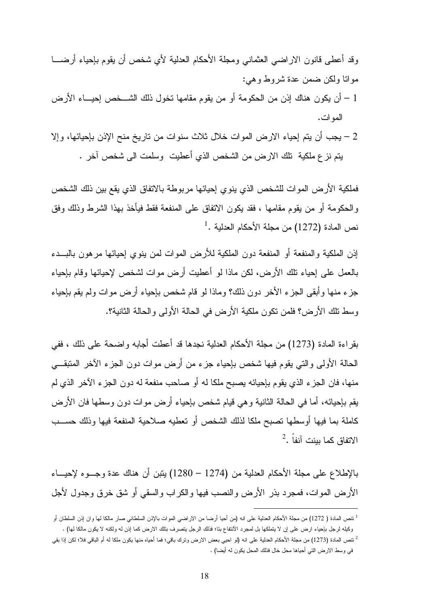وقد أعطى قانون الاراضي العثماني ومجلة الأحكام العدلية لأي شخص أن يقوم بإحياء أرضـا مواتا ولكن ضمن عدة شروط وهي :

- 1 أن يكون هناك إذن من الحكومة أو من يقوم مقامها تخول ذلك الشـــخص إحيـــاء الأرض الموات .
- 2 يجب أن يتم إحياء الارض الموات خلال ثلاث سنوات من تاريخ منح الإذن بإحيائها، وإلا يتم نزع ملكية تلك الارض من الشخص الذي أعطيت وسلمت الى شخص آخر .

فملكية الأرض الموات للشخص الذي ينوي إحيائها مربوطة بالاتفاق الذي يقع بين ذلك الشخص والحكومة أو من يقوم مقامها ، فقد يكون الاتفاق على المنفعة فقط فيأخذ بهذا الشرط وذلك وفق  $^1.$  نص المادة (1272) من مجلة الأحكام العدلية

إذن الملكية والمنفعة أو المنفعة دون الملكية للأرض الموات لمن ينوي إحيائها مرهون بالبـدء بالعمل على إحياء تلك الأرض، لكن ماذا لو أعطيت أرض موات لشخص لإحيائها وقام بإحياء جزء منها وأبقى الجزء الأخر دون ذلك؟ وماذا لو قام شخص بإحياء أرض موات ولم يقم بإحياء وسط تلك الأرض؟ فلمن تكون ملكية الأرض في الحالة الأولى والحالة الثانية؟ .

بقراءة المادة (1273) من مجلة الأحكام العدلية نجدها قد أعطت أجابه واضحة على ذلك ، ففي الحالة الأولى والتي يقوم فيها شخص بإحياء جزء من أرض موات دون الجزء الآخر المتبقـي منها، فان الجزء الذي يقوم بإحيائه يصبح ملكا له أو صاحب منفعة له دون الجزء الآخر الذي لم يقم بإحيائه، أما في الحالة الثانية وهي قيام شخص بإحياء أرض موات دون وسطها فان الأرض كاملة بما فيها أوسطها تصبح ملكا لذلك الشخص أو تعطيه صلاحية المنفعة فيها وذلك حسـب  $^2$ . الاتفاق كما بينت آنفاً

بالإطلاع على مجلة الأحكام العدلية من (1274 – 1280) يتبن أن هناك عدة وجـوه لإحيـاء الأرض الموات، فمجرد بذر الأرض والنصب فيها والكراب والسقي أو شق خرق وجدول لأجل

<sup>1</sup> تنص المادة ( 1272) من مجلة الأحكام العدلية على انه (من أحيا أرضا من الاراضي الموات بالإذن السلطاني صار مالكا لها وان إذن السلطان أو وكيله لرجل بإحياء ارض على إن لا يتملكها بل لمجرد الآنتفاع بتا؛ فذلك الرجل يتصرف بتلك الارض كما إذن له ولكنه لا يكون مالكا لها) .

<sup>2</sup> تنص المادة (1273) من مجلة الأحكام العدلية على انه (لو احيي بعض الارض وترك باقي؛ فما أحياه منها يكون ملكا له أم الباقي فلا؛ لكن إذا بقي في وسط الارض التي أحياها محل خال فذلك المحل يكون له أيضا) .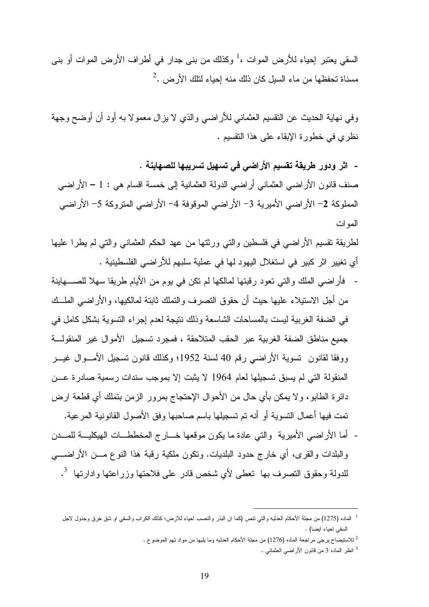السقي يعتبر إحياء للأرض الموات ،<sup>1</sup> وكذلك من بنى جدار في أطراف الأرض الموات أو بنى  $^2$ . مسناة تحفظها من ماء السيل كان ذلك منه إحياء لنلك الأرض

وفي نهاية الحديث عن التقسيم العثماني للأراضي والذي لا يزال معمولا به أود أن أوضح وجهة نظري في خطورة الإبقاء على هذا التقسيم .

- اثر ودور طريقة تقسيم الأراضي في تسهيل تسريبها للصهاينة . صنف قانون الأراضي العثماني أراضي الدولة العثمانية إلى خمسة اقسام هي : 1 – الأراضي المملوكة 2 - الأراضي الأميرية 3 - الأراضي الموقوفة 4 - الأراضي المتروكة 5 - الأراضي الموات

لطريقة تقسيم الأراضي في فلسطين والتي ورثتها من عهد الحكم العثماني والتي لم يطرا عليها أي تغيير اثر كبير في استغلال اليهود لها في عملية سلبهم للأراضي الفلسطينية .

- فأراضي الملك والتي تعود رقبتها لمالكها لم تكن في يوم من الأيام طريقا سهلا للصـهاينة من أجل الاستيلاء عليها حيث أن حقوق التصرف والتملك ثابتة لمالكيها، والأراضي الملـك في الضفة الغربية ليست بالمساحات الشاسعة وذلك نتيجة لعدم إجراء التسوية بشكل كامل في جميع مناطق الضفة الغربية عبر الحقب المتلاحقة ، فمجرد تسجيل الأموال غير المنقولـة ووفقا لقانون تسوية الأراضي رقم 40 لسنة 1952؛ وكذلك قانون تسجيل الأمـوال غيـر المنقولة التي لم يسبق تسجيلها لعام 1964 لا يثبت إلا بموجب سندات رسمية صادرة عـن دائرة الطابو ، ولا يمكن بأي حال من الأحوال الإحتجاج بمرور الزمن بتملك أي قطعة ارض تمت فيها أعمال التسوية أو أنه تم تسجيلها باسم صاحبها وفق الأصول القانونية المرعية.
- أما الأراضي الأميرية والتي عادة ما يكون موقعها خـارج المخططـات الهيكليـة للمـدن والبلدات والقرى، أي خارج حدود البلديات. وتكون ملكية رقبة هذا النوع مـن الأراضـي 3 للدولة وحقوق التصرف بها تعطى لأي شخص قادر على فلاحتها وزراعتها وادارتها .

<sup>1</sup> الماده (1275) من مجلة الأحكام العدليه والتي تنص (كما ان البذر والنصب احياء للارض؛ كذلك الكراب والسقي او شق خرق وجدول لاجل السقي احياء ايضا .)

<sup>2</sup> للاستيضاح يرجى مراجعة الماده (1276) من مجلة الأحكام العدليه وما يليها من مواد تهم الموضوع .

<sup>3</sup> انظر الماده 3 من قانون الأراضي العثماني .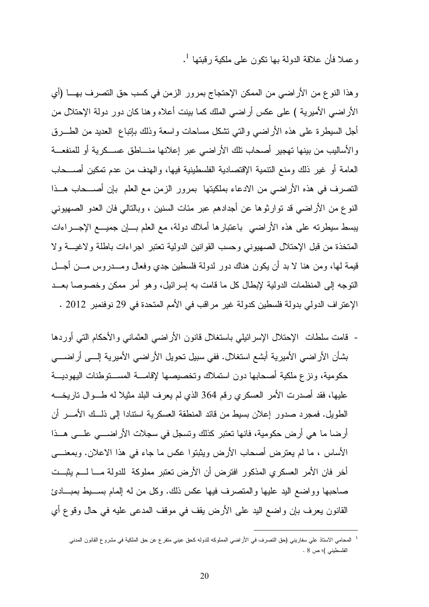1 وعملا فأن علاقة الدولة بها تكون على ملكية رقبتها .

وهذا النوع من الأراضي من الممكن الإحتجاج بمرور الزمن في كسب حق التصرف بهـا (أي الأراضي الأميرية ) على عكس أراضي الملك كما بينت أعلاه وهنا كان دور دولة الإحتلال من أجل السيطرة على هذه الأراضي والتي تشكل مساحات واسعة وذلك بإتباع العديد من الطـرق والأساليب من بينها تهجير أصحاب تلك الأراضي عبر إعلانها منـاطق عسـكرية أو للمنفعـة العامة أو غير ذلك ومنع التنمية الإقتصادية الفلسطينية فيها، والهدف من عدم تمكين أصـــحاب التصرف في هذه الأراضي من الادعاء بملكيتها بمرور الزمن مع العلم بإن أصـحاب هـذا النوع من الأراضي قد توارثوها عن أجدادهم عبر مئات السنين ، وبالتالي فان العدو الصهيوني يبسط سيطرته على هذه الأراضي باعتبارها أملاك دولة، مع العلم بـإن جميـع الإجـراءات المتخذة من قبل الإحتلال الصهيوني وحسب القوانين الدولية تعتبر اجراءات باطلة ولاغيـة ولا قيمة لها، ومن هنا لا بد أن يكون هناك دور لدولة فلسطين جدي وفعال ومـدروس مـن أجـل التوجه إلى المنظمات الدولية لإبطال كل ما قامت به إسرائيل، وهو أمر ممكن وخصوصا بعـد الإعتراف الدولي بدولة فلسطين كدولة غير مراقب في الأمم المتحدة في 29 نوفنمبر 2012 .

- قامت سلطات الإحتلال الإسرائيلي باستغلال قانون الأراضي العثماني والأحكام التي أوردها بشأن الأراضي الأميرية أبشع استغلال. ففي سبيل تحويل الأراضي الأميرية إلـى أراضـي حكومية، ونزع ملكية أصحابها دون استملاك وتخصيصها لإقامـة المسـتوطنات اليهوديـة عليها، فقد أصدرت الأمر العسكري رقم 364 الذي لم يعرف البلد مثيلا له طـوال تاريخـه الطويل. فمجرد صدور إعلان بسيط من قائد المنطقة العسكرية استنادا إلى ذلـك الأمـر أن أرضا ما هي أرض حكومية، فانها تعتبر كذلك وتسجل في سجلات الأراضـي علـى هـذا الأساس ، ما لم يعترض أصحاب الأرض ويثبتوا عكس ما جاء في هذا الاعلان. وبمعنـى أخر فان الأمر العسكري المذكور افترض أن الأرض تعتبر مملوكة للدولة مـا لـم يثبـت صاحبها وواضع اليد عليها والمتصرف فيها عكس ذلك. وكل من له إلمام بسـيط بمبـادئ القانون يعرف بإن واضع اليد على الأرض يقف في موقف المدعى عليه في حال وقوع أي

<sup>1</sup> المحامي الاستاذ علي سفاريني (حق التصرف في الأراضي المملوكه للدوله كحق عيني متفرع عن حق الملكية في مشروع القانون المدني الفلسطيني )؛ ص 8 .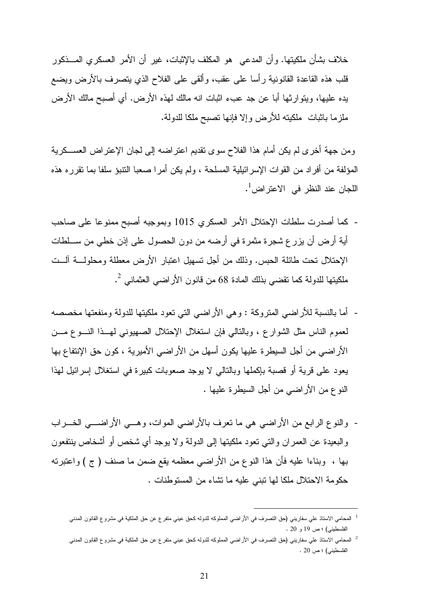خلاف بشأن ملكيتها. وأن المدعي هو المكلف بالإثبات، غير أن الأمر العسكري المـذكور قلب هذه القاعدة القانونية رأسا على عقب، وألقى على الفلاح الذي يتصرف بالأرض ويضع يده عليها، ويتوارثها أبا عن جد عبء اثبات انه مالك لهذه الأرض. أي أصبح مالك الأرض ملزما باثبات ملكيته للأرض وإلا فإنها تصبح ملكا للدولة .

ومن جهة أخرى لم يكن أمام هذا الفلاح سوى تقديم اعتراضه إلى لجان الإعتراض العسـكرية المؤلفة من أفراد من القوات الإسرائيلية المسلحة ، ولم يكن أمرا صعبا التنبؤ سلفا بما تقرره هذه اللجان عند النظر في الاعتر اض<sup>1</sup>.

- كما أصدرت سلطات الإحتلال الأمر العسكري 1015 وبموجبه أصبح ممنوعا على صاحب أية أرض أن يزرع شجرة مثمرة في أرضه من دون الحصول على إذن خطي من سـلطات الإحتلال تحت طائلة الحبس. وذلك من أجل تسهيل اعتبار الأرض معطلة ومحلولـة آلـت ملكيتها للدولة كما تقضي بذلك المادة 68 من قانون الأراضـي العثمانـي <sup>2</sup>.
- أما بالنسبة للأراضي المتروكة : وهي الأراضي التي تعود ملكيتها للدولة ومنفعتها مخصصه لعموم الناس مثل الشوارع ، وبالتالي فإن استغلال الإحتلال الصهيوني لهـذا النـوع مـن الأراضي من أجل السيطرة عليها يكون أسهل من الأراضي الأميرية ، كون حق الإنتفاع بها يعود على قرية أو قصبة بإكملها وبالتالي لا يوجد صعوبات كبيرة في استغلال إسرائيل لهذا النوع من الأراضي من أجل السيطرة عليها .
- والنوع الرابع من الأراضي هي ما تعرف بالأراضي الموات، وهـي الأراضـي الخـراب والبعيدة عن العمران والتي تعود ملكيتها إلى الدولة ولا يوجد أي شخص أو أشخاص ينتفعون بها ، وبناءا عليه فأن هذا النوع من الأراضي معظمه يقع ضمن ما صنف ( ج ) واعتبرته حكومة الاحتلال ملكا لها تبني عليه ما تشاء من المستوطنات .

<sup>1</sup> المحامي الاستاذ علي سفاريني (حق التصرف في الأراضي المملوكه للدوله كحق عيني متفرع عن حق الملكية في مشروع القانون المدني الفلسطيني) ؛ ص 19 و 20 .

<sup>2</sup> المحامي الاستاذ علي سفاريني (حق التصرف في الأراضي المملوكه للدوله كحق عيني متفرع عن حق الملكية في مشروع القانون المدني الفلسطيني) ؛ ص 20 .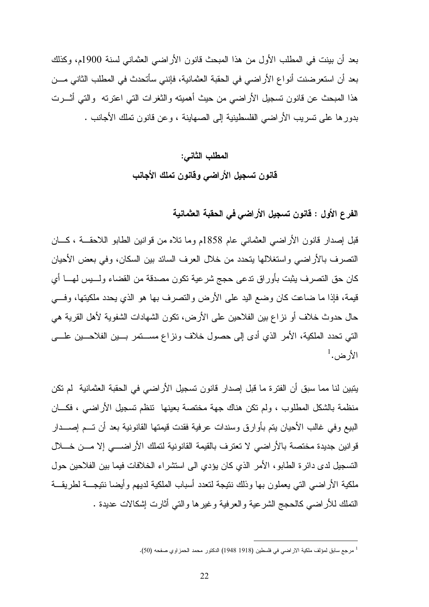بعد أن بينت في المطلب الأول من هذا المبحث قانون الأراضي العثماني لسنة 1900م، وكذلك بعد أن استعرضنت أنواع الأراضي في الحقبة العثمانية، فإنني س أتحدث في المطلب الثاني مـن هذا المبحث عن قانون تسجيل الأراضـي من حيث أهميته والثغرات التـي اعترته ۖ والتـي أثـــرت بدورها على تسريب الأراضي الفلسطينية إلى الصهاينة ، وعن قانون تملك الأجانب .

# المطلب الثاني : قانون تسجيل الأراضي وقانون تملك الأجانب

الفرع الأول : قانون تسجيل الأراضي في الحقبة العثمانية

قبل إصدار قانون الأراضي العثماني عام 1858م وما تلاه من قوانين الطابو اللاحقـة ، كـان التصرف بالأراضي واستغلالها يتحدد من خلال العرف السائد بين السكان، وفي بعض الأحيان كان حق التصرف يثبت بأوراق تدعى حجج شرعية تكون مصدقة من القضاء ولـيس لهـا أي قيمة، فإذا ما ضاعت كان وضع اليد على الأرض والتصرف بها هو الذي يحدد ملكيتها، وفـي حال حدوث خلاف أو نزاع بين الفلاحين على الأرض، تكون الشهادات الشفوية لأهل القرية هي التي تحدد الملكية، الأمر الذي أدى إلى حصول خلاف ونزاع مسـتمر بـين الفلاحـين علـى  $^1$ الأرض.

يتبين لنا مما سبق أن الفترة ما قبل إصدار قانون تسجيل الأراضي في الحقبة العثمانية لم تكن منظمة بالشكل المطلوب ، ولم تكن هناك جهة مختصة بعينها تنظم تسجيل الأراضي ، فكـان البيع وفي غالب الأحيان يتم بأوارق وسندات عرفية فقدت قيمتها القانونية بعد أن تـم إصـدار قوانين جديدة مختصة بالأراضي لا تعترف بالقيمة القانونية لتملك الأراضـي إلا مـن خـلال التسجيل لدى دائرة الطابو، الأمر الذي كان يؤدي الى استشراء الخلافات فيما بين الفلاحين حول ملكية الأراضي التي يعملون بها وذلك نتيجة لتعدد أسباب الملكية لديهم وأيضا نتيجـة لطريقـة التملك للأراضي كالحجج الشرعية والعرفية وغيرها والتي أثارت إشكالات عديدة .

<sup>&</sup>lt;sup>1</sup> مرجع سابق لمؤلف ملكية الاراضي في فلسطين (1918 1948) الدكتور محمد الحمزاوي صفحه (50).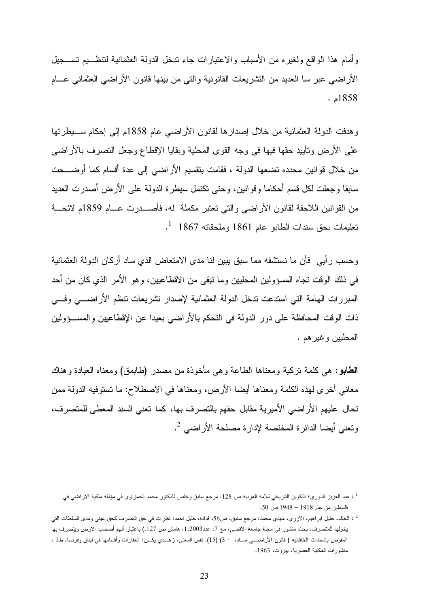وأمام هذا الواقع ولغيره من الأسباب والاعتبارات جاء تدخل الدولة العثمانية لتنظـيم تسـجيل الأراضي عبر سا العديد من التشريعات القانونية والتي من بينها قانون الأراضي العثماني عـام 1858 .م

وهدفت الدولة العثمانية من خلال إصدارها لقانون الأراضي عام 1858م إلى إحكام سـيطرتها على الأرض وتأييد حقها فيها في وجه القوى المحلية وبقايا الإقطاع وجعل التصرف بالأراضي من خلال قوانين محدده تضعها الدولة ، فقامت بتقسيم الأراضي إلى عدة أقسام كما أوضـحت سابقا وجعلت لكل قسم أحكاما وقوانين، وحتى تكتمل سيطرة الدولة على الأرض أصدرت العديد من القوانين اللاحقة لقانون الأراضي والتي تعتبر مكملة له، فأصـدرت عـام 1859م لائحـة  $^{-1}$   $\,$  1867 تعليمات بحق سندات الطابو عام  $1861$  وملحقاته  $^{-1}$ 

وحسب رأيي فأن ما نستشفه مما سبق يبين لنا مدى الامتعاض الذي ساد أركان الدولة العثمانية في ذلك الوقت تجاه المسؤولين المحليين وما تبقى من الاقطاعيين، وهو الأمر الذي كان من أحد المبررات الهامة التي استدعت تدخل الدولة العثمانية لإصدار تشريعات تنظم الأراضـي وفـي ذات الوقت المحافظة على دور الدولة في التحكم بالأراضي بعيدا عن الإقطاعيين والمسـؤولين المحليين وغيرهم .

الطابو: هي كلمة تركية ومعناها الطاعة وهي مأخوذة من مصدر (طابمق) ومعناه العبادة وهناك معاني أخرى لهذه الكلمة ومعناها أيضا الأرض، ومعناها في الاصطلاح: ما تستوفيه الدولة ممن تحال عليهم الأراضي الأميرية مقابل حقهم بالتصرف بها، كما تعني السند المعطى للمتصرف، 2 وتعني أيضا الدائرة المختصة لإدارة مصلحة الأراضي .

عبد العزيز الدوري؛ التكوين التاريخي للامه العربيه ص 128. مرجع سابق وخاص للدكتور محمد الحمزاوي في مؤلفه ملكية الاراضي في 1 فلسطين من عام 1918 – 1948 ص 50 .

<sup>2</sup> : الخالد، خليل ابراهيم، الازري، مهدي محمد: مرجع سابق ، ص،56 قدادة، خليل احمد: نظرات في حق التصرف كحق عيني ومدى السلطات التي يخولها للمتصرف، بحث منشور في مجلة جامعة الاقصى، مج 7، عدد2003،1، هامش ص 127.) باعتبار أنهم أصحاب الارض ويتصرف بها المفوض بالسندات الخاقانيه ( قانون الأراضــــي مـــاده – 3) (15). نفس المعنى، زهـــدي يكـــن: العقارات وأقسامها في لبنان وفرنسا، ط1 ، منشورات المكتبة العصرية، بيروت، 1963 .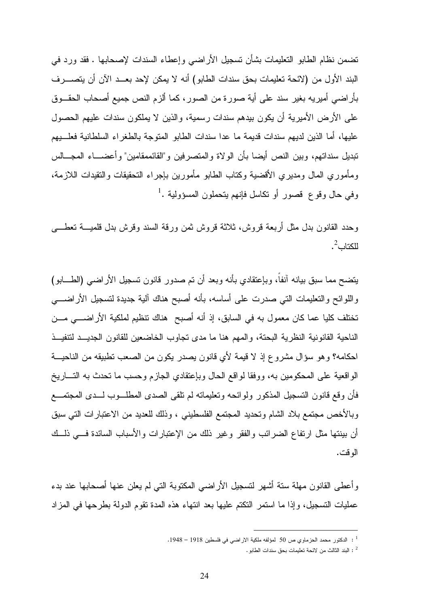تضمن نظام الطابو التعليمات بشأن تسجيل الأراضي وإعطاء السندات لإصحابها . فقد ورد في البند الأول من (لائحة تعليمات بحق سندات الطابو) أنه لا يمكن لإحد بعـد الآن أن يتصـرف بأراضي أميريه بغير سند على أية صورة من الصور، كما ألزم النص جميع أصحاب الحقـوق على الأرض الأميرية أن يكون بيدهم سندات رسمية، والذين لا يملكون سندات عليهم الحصول عليها، أما الذين لديهم سندات قديمة ما عدا سندات الطابو المتوجة بالطغراء السلطانية فعلـيهم تبديل سنداتهم، وبين النص أيضا بأن الولاة والمتصرفين و"القائممقامين" وأعضـاء المجـالس ومأموري المال ومديري الأقضية وكتاب الطابو مأمورين بإجراء التحقيقات والتقيدات اللازمة،  $^1$ . وفي حال وقو ع قصور أو نكاسل فإنهم يتحملون المسؤولية

وحدد القانون بدل مثل أربعة قروش، ثلاثة قروش ثمن ورقة السند وقرش بدل قلميـة تعطـى للكتاب $^2$ .

يتضح مما سبق بيانه آنفاً، وبإعتقادي بأنه وبعد أن تم صدور قانون تسجيل الأراضي (الطـابو ) واللوائح والتعليمات التي صدرت على أساسه، بأنه أصبح هناك آلية جديدة لتسجيل الأراضـي تختلف كليا عما كان معمول به في السابق، إذ أنه أصبح هناك تنظيم لملكية الأراضـي مـن الناحية القانونية النظرية البحتة، والمهم هنا ما مدى تجاوب الخاضعين للقانون الجديـد لتنفيـذ احكامه؟ وهو سؤال مشروع إذ لا قيمة لأي قانون يصدر يكون من الصعب تطبيقه من الناحيـة الواقعية على المحكومين به، ووفقا لواقع الحال وبإعتقادي الجازم وحسب ما تحدث به التـاريخ فأن وقع قانون التسجيل المذكور ولوائحه وتعليماته لم تلقى الصدى المطلـوب لـدى المجتمـع وبالأخص مجتمع بلاد الشام وتحديد المجتمع الفلسطيني ، وذلك للعديد من الاعتبارات التي سبق أن بينتها مثل ارتفاع الضرائب والفقر وغير ذلك من الإعتبارات والأسباب السائدة فـي ذلـك الوقت .

وأعطى القانون مهلة ستة أشهر لتسجيل الأراضي المكتوبة التي لم يعلن عنها أصحابها عند بدء عمليات التسجيل، وإذا ما استمر التكتم عليها بعد انتهاء هذه المدة تقوم الدولة بطرحها في المزاد

<sup>1</sup> : الدكتور محمد الحزماوي ص 50 لمؤلفه ملكية الاراضي في فلسطين 1918 – 1948 .

<sup>2</sup> : البند الثالث من لائحة تعليمات بحق سندات الطابو .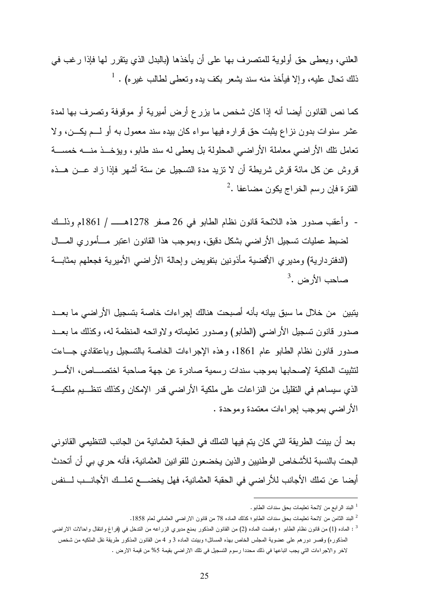العلني، ويعطى حق أولوية للمتصرف بها على أن يأخذها (بالبدل الذي يتقرر لها فإذا رغب في  $^1$  . ذلك تحال عليه، وإلا فيأخذ منه سند يشعر بكف يده وتعطى لطالب غيره)

كما نص القانون أيضا أنه إذا كان شخص ما يزرع أرض أميرية أو موقوفة وتصرف بها لمدة عشر سنوات بدون نزاع يثبت حق قراره فيها سواء كان بيده سند معمول به أو لـم يكـن، ولا تعامل تلك الأراضي معاملة الأراضي المحلولة بل يعطى له سند طابو، ويؤخـذ منـه خمسـة قروش عن كل مائة قرش شريطة أن لا تزيد مدة التسجيل عن ستة أشهر فإذا زاد عـن هـذه  $^2$ . الفترة فإن رسم الخراج يكون مضاعفا

- وأعقب صدور هذه اللائحة قانون نظام الطابو في 26 صفر 1278هــ / 1861م وذلـك لضبط عمليات تسجيل الأراضي بشكل دقيق، وبموجب هذا القانون اعتبر مـأموري المـال (الدفتردارية) ومديري الأقضية مأذونين بتفويض وإحالة الأراضي الأميرية فجعلهم بمثابـة  $^3$ . صاحب الأرض

يتبين من خلال ما سبق بيانه بأنه أصبحت هنالك إجراءات خاصة بتسجيل الأراضي ما بعـد صدور قانون تسجيل الأراضي (الطابو) وصدور تعليماته ولاوائحه المنظمة له، وكذلك ما بعـد صدور قانون نظام الطابو عام ،1861 وهذه الإجراءات الخاصة بالتسجيل وباعتقادي جـاءت لتثبيت الملكية لإصحابها بموجب سندات رسمية صادرة عن جهة صاحبة اختصـاص، الأمـر الذي سيساهم في التقليل من النزاعات على ملكية الأراضي قدر الإمكان وكذلك تنظـيم ملكيـة الأراضي بموجب إجراءات معتمدة وموحدة .

بعد أن بينت الطريقة التي كان يتم فيها التملك في الحقبة العثمانية من الجانب التنظيمي القانوني البحت بالنسبة للأشخاص الوطنيين والذين يخضعون للقوانين العثمانية، فأنه حري بي أن أتحدث أيضا عن تملك الأجانب للأراضي في الحقبة العثمانية، فهل يخضـع تملـك الأجانـب لـنفس

<sup>1</sup> البند الرابع من لائحة تعليمات بحق سندات الطابو .

<sup>2</sup> البند الثامن من لائحة تعليمات بحق سندات الطابو؛ كذلك الماده 78 من قانون الاراضي العثماني لعام 1858 .

<sup>3</sup> : الماده (1) من قانون نظام الطابو ؛ وقضت الماده (2) من القانون المذكور بمنع مديري الزراعه من التدخل في (فراغ وانتقال واحالات الاراضي المذكوره) وقصر دورهم على عضوية المجلس الخاص بهذه المسائل؛ وبينت الماده 3 و 4 من القانون المذكور طريقة نقل الملكيه من شخص لاخر والاجراءات التي يجب اتباعها في ذلك محددا رسوم التسجيل في تلك الاراضـي بقيمة 5% من قيمة الارض .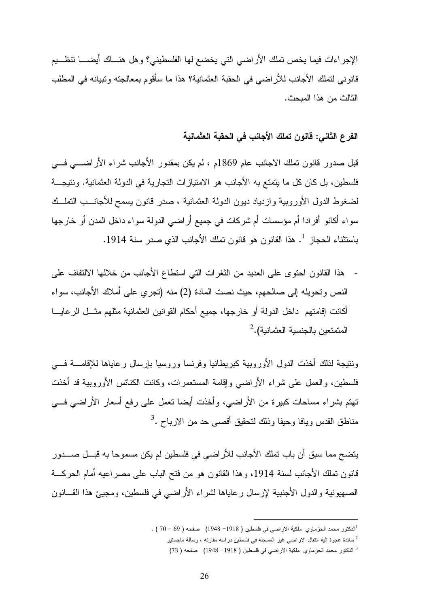الإجراءات فيما يخص تملك الأراضبي التي يخضع لها الفلسطيني؟ وهل هنـــاك أيضـــــا تنظـــيم قانوني لتملك الأجانب للأراضي في الحقبة العثمانية؟ هذا ما سأقوم بمعالجته وتبيانه في المطلب الثالث من هذا المبحث .

## الفرع الثاني : قانون تملك الأجانب في الحقبة العثمانية

قبل صدور قانون تملك الاجانب عام 1869 م ، لم يكن بمقدور الأجانب شراء الأراضـي فـي فلسطين، بل كان كل ما يتمتع به الأجانب هو الامتيازات التجارية في الدولة العثمانية. ونتيجـ ة لضغوط الدول الأوروبية وازدياد ديون الدولة العثمانية ، صدر قانون يسمح للأجانـب التملـك سواء أكانو أفرادا أم مؤسسات أم شركات في جميع أراضي الدولة سواء داخل المدن أو خارجها 1 باستثناء الحجاز . هذا القانون هو قانون تملك الأجانب الذي صدر سنة 1914 .

- هذا القانون احتوى على العديد من الثغرات التي استطاع الأجانب من خلالها الالتفاف على النص وتحويله إلى صالحهم، حيث نصت المادة (2) منه (تجري على أملاك الأجانب، سواء أكانت إقامتهم داخل الدولة أو خارجها، جميع أحكام القوانين العثمانية مثلهم مثـل الرعايـا  $^2$  المتمتعين بالجنسية العثمانية).

ونتيجة لذلك أخذت الدول الأوروبية كبريطانيا وفرنسا وروسيا بإرسال رعاياها للإقامـة فـي فلسطين، والعمل على شراء الأراضي وإقامة المستعمرات، وكانت الكنائس الأوروبية قد أخذت تهتم بشراء مساحات كبيرة من الأراضي، وأخذت أيضا تعمل على رفع أسعار الأراضي فـي مناطق القدس ويافا وحيفا وذلك لتحقيق أقصى حد من الارباح .<sup>3</sup>

يتضح مما سبق أن باب تملك الأجانب للأراضي في فلسطين لم يكن مسموحا به قبـل صـدور قانون تملك الأجانب لسنة 1914، وهذا القانون هو من فتح الباب على مصراعيه أمام الحركــة الصهيونية والدول الأجنبية لإرسال رعاياها لشراء الأراضي في فلسطين، ومجيئ هذا القـانون

 $\overline{a}$ 1 الدكتور محمد الحزماوي ملكية الاراضي في فلسطين ( 1918 - 1948) صفحه ( 69 – 70 ) .

<sup>2</sup> سائدة عجوة الية انتقال الاراضي غير المسجله في فلسطين دراسه مقارنه ، رسالة ماجستير

<sup>3</sup> الدكتور محمد الحزماوي ملكية الاراضي في فلسطين ( 1918 - 1948) صفحه ( 73 )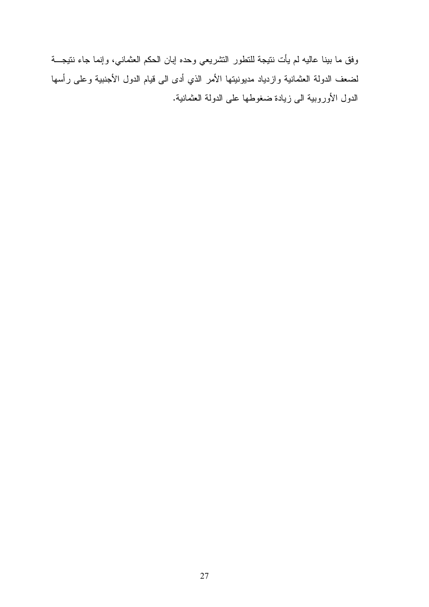وفق ما بينا عاليه لم يأت نتيجة للتطور التشريعي وحده إبان الحكم العثماني، وإنما جاء نتيجـة لضعف الدولة العثمانية وازدياد مديونيتها الأمر الذي أدى الى قيام الدول الأجنبية وعلى رأسها الدول الأوروبية الى زيادة ضغوطها على الدولة العثمانية .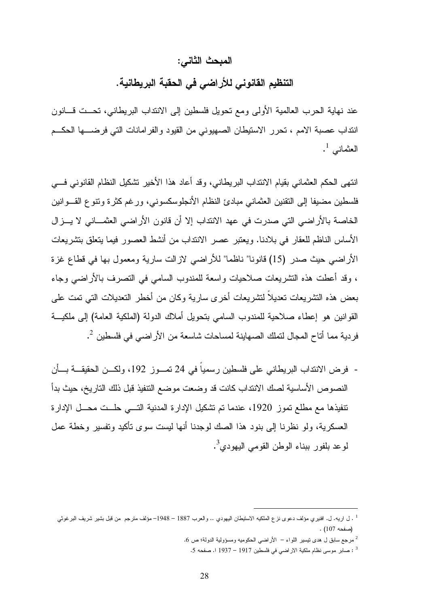### المبحث الثاني :

التنظيم القانوني للأراضي في الحقبة البريطانية .

عند نهاية الحرب العالمية الأولى ومع تحويل فلسطين إلى الانتداب البريطاني، تحـت قـانون انتداب عصبة الامم ، تحرر الاستيطان الصهيوني من القيود والفرامانات التي فرضـها الحكـم العثماني  $^{\rm l}$  .

انتهى الحكم العثماني بقيام الانتداب البريطاني، وقد أعاد هذا الأخير تشكيل النظام القانوني فـي فلسطين مضيفا إلى التقنين العثماني مبادئ النظام الأنجلوسكسوني، ورغم كثرة وتنوع القـوانين الخاصة بالأراضي التي صدرت في عهد الانتداب إلا أن قانون الأراضي العثمـاني لا يـزال الأساس الناظم للعقار في بلادنا. ويعتبر عصر الانتداب من أنشط العصور فيما يتعلق بتشريعات الأراضي حيث صدر (15) قانونا" ناظما" للأراضي لازالت سارية ومعمول بها في قطاع غزة ، وقد أعطت هذه التشريعات صلاحيات واسعة للمندوب السامي في التصرف بالأراضي وجاء بعض هذه التشريعات تعديلاً لتشريعات أخرى سارية وكان من أخطر التعديلات التي تمت على القوانين هو إعطاء صلاحية للمندوب السامي بتحويل أملاك الدولة ( الملكية العامة) إلى ملكيـة فردية مما أتاح المجال لتملك الصهاينة لمساحات شاسعة من الأراضي في فلسطين <sup>2</sup>.

- فرض الانتداب البريطاني على فلسطين رسمياً في 24 تمـوز ،192 ولكـن الحقيقـة بـأن النصوص الأساسية لصك الانتداب كانت قد وضعت موضع التنفيذ قبل ذلك التاريخ، حيث بدأ نتفيذها مع مطلع تموز 1920، عندما تم تشكيل الإدارة المدنية التــي حلــت محــل الإدارة العسكرية، ولو نظرنا إلى بنود هذا الصك لوجدنا أنها ليست سوى تأكيد وتفسير وخطة عمل لوعد بلفور ببناء الوطن القومي اليهودي<sup>3</sup>.

<sup>1</sup> . ل اريه ل. . افنيري مؤلف دعوى نزع الملكيه الاستيطان اليهودي .. والعرب 1887 – 1948 – مؤلف مترجم من قبل بشير شريف البرغوثي (صفحه 107) .

مرجع سابق ل هدى نيسير اللواء – الأراضي الحكوميه ومسؤولية الدولة؛ ص 6.  $\,$ 

<sup>3</sup> : صابر موسى نظام ملكية الاراضي في فلسطين 1917 – 1937 . ا صفحه 5 .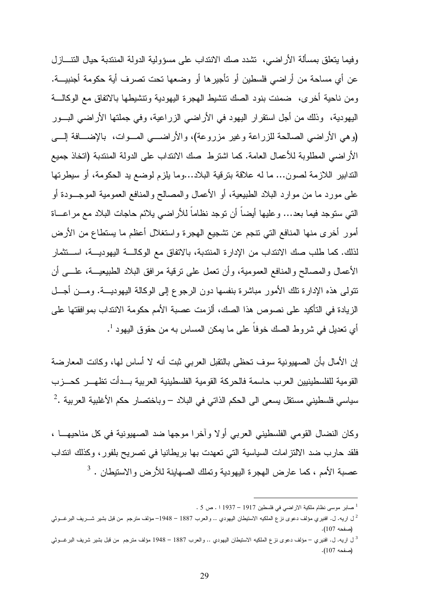وفيما يتعلق بمسألة الأراضي، تشدد صك الانتداب على مسؤولية الدولة المنتدبة حيال التنـازل عن أي مساحة من أراضي فلسطين أو تأجيرها أو وضعها تحت تصرف أية حكومة أجنبيـة . ومن ناحية أخرى، ضمنت بنود الصك تنشيط الهجرة اليهودية وتنشيطها بالاتفاق مع الوكالـة اليهودية، وذلك من أجل استقرار اليهود في الأراضي الزراعية، وفي جملتها الأراضي البـور (وهي الأراضي الصالحة للزراعة وغير مزروعة)، والأراضـي المـوات، بالإضـافة إلـى الأراضي المطلوبة للأعمال العامة. كما اشترط صك الانتداب على الدولة المنتدبة (اتخاذ جميع التدابير اللازمة لصون... ما له علاقة بترقية البلاد...وما يلزم لوضع يد الحكومة، أو سيطرتها على مورد ما من موارد البلاد الطبيعية، أو الأعمال والمصالح والمنافع العمومية الموجـودة أو التي ستوجد فيما بعد... وعليها أيضاً أن توجد نظاماً للأراضي يلائم حاجات البلاد مع مراعـاة أمور أخرى منها المنافع التي تنجم عن تشجيع الهجرة واستغلال أعظم ما يستطاع من الأرض لذلك. كما طلب صك الانتداب من الإدارة المنتدبة، بالاتفاق مع الوكالـة اليهوديـة، اسـتثمار الأعمال والمصالح والمنافع العمومية، وأن تعمل على ترقية مرافق البلاد الطبيعيـة، علـى أن تتولى هذه الإدارة تلك الأمور مباشرة بنفسها دون الرجوع إلى الوكالة اليهوديـة . ومـن أجـل الزيادة في التأكيد على نصوص هذا الصك، ألزمت عصبة الأمم حكومة الانتداب بموافقتها على أي تعديل في شروط الصك خوفا على ما يمكن المساس به من حقوق اليهود <sup>1</sup>.

إن الأمال بأن الصهيونية سوف تحظى بالتقبل العربي ثبت أنه لا أساس لها، وكانت المعارضة القومية للفلسطينيين العرب حاسمة فالحركة القومية الفلسطينية العربية بـدأت تظهـر كحـزب سياسي فلسطيني مستقل يسعى الى الحكم الذاتي في البلاد – وباختصار حكم الأغلبية العربية  $^2$ 

وكان النضال القومي الفلسطيني العربي أولا وآخرا موجها ضد الصهيونية في كل مناحيهـا ، فلقد حارب ضد الالتزامات السياسية التي تعهدت بها بريطانيا في تصريح بلفور، وكذلك انتداب 3 - عصبة الأمم ، كما عارض الهجرة اليهودية وتملك الصهاينة للأرض والاستيطان

<sup>1</sup> صابر موسى نظام ملكية الاراضي في فلسطين 1917 – 1937 . ا ص 5 .

<sup>2</sup> ل اريه ل. . افنيري مؤلف دعوى نزع الملكيه الاستيطان اليهودي .. والعرب 1887 – 1948 – مؤلف مترجم من قبل بشير شـريف البرغـوثي (صفحه 107 ).

<sup>3</sup> ل اريه ل. . افنيري – مؤلف دعوى نزع الملكيه الاستيطان اليهودي .. والعرب 1887 – 1948 مؤلف مترجم من قبل بشير شريف البرغـوثي (صفحه 107 .)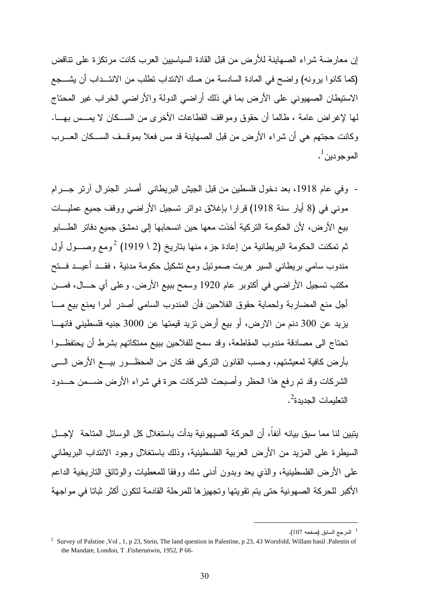إن معارضة شراء الصهاينة للأرض من قبل القادة السياسيين العرب كانت مرتكزة على تناقض (كما كانوا يرونه) واضح في المادة السادسة من صك الانتداب تطلب من الانتـداب أن يشـجع الاستيطان الصهيوني على الأرض بما في ذلك أراضي الدولة والأراضي الخراب غير المحتاج لها لإغراض عامة ، طالما أن حقوق ومواقف القطاعات الأخرى من السـكان لا يمـس بهـا . وكانت حجتهم هي أن شراء الأرض من قبل الصهاينة قد مس فعلا بموقـف السـكان العـرب الموجودين<sup>1</sup>.

- وفي عام ،1918 بعد دخول فلسطين من قبل الجيش البريطاني أصدر الجنرال آرتر جـرام موني في (8 أيار سنة 1918) قرارا بإغلاق دوائر تسجيل الأراضي ووقف جميع عمليـات بيع الأرض، لأن الحكومة التركية أخذت معها حين انسحابها إلى دمشق جميع دفاتر الطـابو ثم تمكنت الحكومة البريطانية من إعادة جزء منها بتاريخ (2 \ 1919) <sup>2</sup>ومع وصـــول أول مندوب سامي بريطاني السير هربت صموئيل ومع تشكيل حكومة مدنية ، فقـد أعيـد فـتح مكتب تسجيل الأراضي في أكتوبر عام 1920 وسمح ببيع الأرض. وعلى أي حـال، فمـن أجل منع المضاربة ولحماية حقوق الفلاحين فأن المندوب السامي أصدر أمرا يمنع بيع مـا يزيد عن 300 دنم من الارض، أو بيع أرض تزيد قيمتها عن 3000 جنيه فلسطيني فانهـا تحتاج الى مصادقة مندوب المقاطعة، وقد سمح للفلاحين ببيع ممتكاتهم بشرط أن يحتفظـوا بأرض كافية لمعيشتهم، وحسب القانون التركي فقد كان من المحظـور بيـع الأرض الـى الشركات وقد تم رفع هذا الحظر وأصبحت الشركات حرة في شراء الأرض ضـمن حـدود التعليمات الجديدة<sup>2</sup>.

يتبين لنا مما سبق بيانه آنفاً، أن الحركة الصيهونية بدأت باستغلال كل الوسائل المتاحة لإجـل السيطرة على المزيد من الأرض العربية الفلسطينية، وذلك باستغلال وجود الانتداب البريطاني على الأرض الفلسطينية، والذي يعد وبدون أدنى شك ووفقا للمعطيات والوثائق التاريخية الداعم الأكبر للحركة الصهونية حتى يتم تقويتها وتجهيزها للمرحلة القادمة لتكون أكثر ثباتا في مواجهة

<sup>1</sup> المرجع السابق (صفحه 107 .)

<sup>&</sup>lt;sup>2</sup> Survey of Palstine ,Vol , 1, p 23, Stein, The land question in Palestine, p 23, 43 Worsfold, Willam basil .Palestin of the Mandate, London, T. Fisherunwin, 1952, P 66.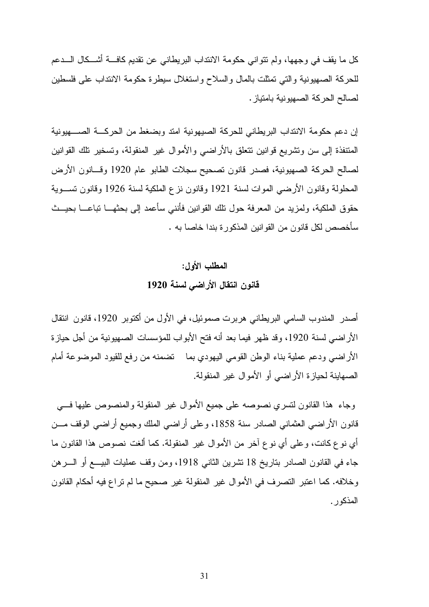كل ما يقف في وجهها، ولم تتواني حكومة الانتداب البريطاني عن تقديم كافـة أشـكال الـدعم للحركة الصهيونية والتي تمثلت بالمال والسلاح واستغلال سيطرة حكومة الانتداب على فلسطين لصالح الحركة الصهيونية بامتياز .

إن دعم حكومة الانتداب البريطاني للحركة الصيهونية امتد وبضغط من الحركـة الصـهيونية المتنفذة إلى سن وتشريع قوانين تتعلق بالأراضي والأموال غير المنقولة، وتسخير تلك القوانين لصالح الحركة الصهيونية، فصدر قانون تصحيح سجلات الطابو عام 1920 وقـانون الأرض المحلولة وقانون الأرضي الموات لسنة 1921 وقانون نزع الملكية لسنة 1926 وقانون تسـوية حقوق الملكية، ولمزيد من المعرفة حول تلك القوانين فأنني سأعمد إلى بحثهـا تباعـا بحيـث سأخصص لكل قانون من القوانين المذكورة بندا خاصا به .

# المطلب الأول : قانون انتقال الأراضي لسنة 1920

أصدر المندوب السامي البريطاني هربرت صموئيل، في الأول من أكتوبر ،1920 قانون انتقال الأراضي لسنة 1920، وقد ظهر فيما بعد أنه فتح الأبواب للمؤسسات الصهيونية من أجل حيازة الأراضي ودعم عملية بناء الوطن القومي اليهودي بما تضمنه من رفع للقيود الموضوعة أمام الصهاينة لحيازة الأراضي أو الأموال غير المنقولة.

وجاء هذا القانون لتسري نصوصه على جميع الأموال غير المنقولة والمنصوص عليها فـي قانون الأراضيي العثماني الصادر سنة 1858، وعلى أراضي الملك وجميع أراضي الوقف مــن أي نوع كانت، وعلى أي نوع آخر من الأموال غير المنقولة. كما ألغت نصوص هذا القانون ما جاء في القانون الصادر بتاريخ 18 تشرين الثاني ،1918 ومن وقف عمليات البيـع أو الـرهن وخلافه. كما اعتبر التصرف في الأموال غير المنقولة غير صحيح ما لم تراع فيه أحكام القانون المذكور.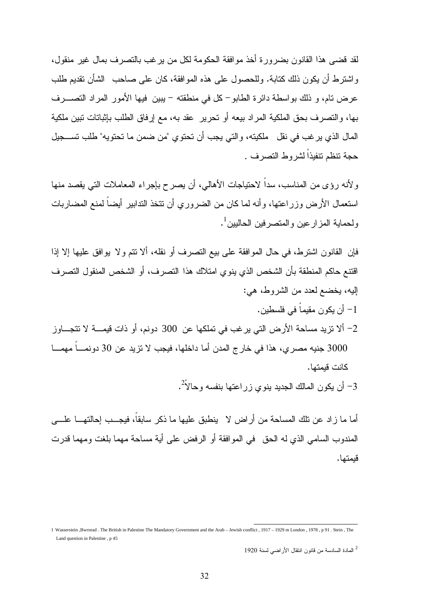لقد قضى هذا القانون بضرورة أخذ موافقة الحكومة لكل من يرغب بالتصرف بمال غير منقول، واشترط أن يكون ذلك كتابة. وللحصول على هذه الموافقة، كان على صاحب الشأن تقديم طلب عرض تام، و ذلك بواسطة دائرة الطابو - كل في منطقته - يبين فيها الأمور المراد التصـرف بها، والتصرف بحق الملكية المراد بيعه أو تحرير عقد به، مع إرفاق الطلب بإثباتات تبين ملكية المال الذي يرغب في نقل ملكيته، والتي يجب أن تحتوي "من ضمن ما تحتويه" طلب تسـجيل حجة تنظم تنفيذاً لشروط التصرف .

ولأنه رؤى من المناسب، سداً لاحتياجات الأهالي، أن يصرح بإجراء المعاملات التي يقصد منها استعمال الأرض وزراعتها، وأنه لما كان من الضروري أن تتخذ التدابير أيضاً لمنع المضاربات ولحماية المزارعين والمتصرفين الحاليين<sup>1</sup>.

فإن القانون اشترط، في حال الموافقة على بيع التصرف أو نقله، ألا تتم ولا يوافق عليها إلا إذا اقتنع حاكم المنطقة بأن الشخص الذي ينوي امتلاك هذا التصرف، أو الشخص المنقول التصرف إليه، يخضع لعدد من الشروط، هي:

- 1 أن يكون مقيماً في فلسطين . 2 - ألا تزيد مساحة الأرض التي يرغب في تملكها عن 300 دونم، أو ذات قيمـة لا تتجـاوز 3000 جنيه مصري، هذا في خارج المدن أما داخلها، فيجب لا تزيد عن 30 دونمـاً مهمـا كانت قيمتها .
	- 3– أن يكون المالك الجديد ينوي زراعتها بنفسه وحالاً<sup>2</sup>.

أما ما زاد عن تلك المساحة من أراض لا ينطبق عليها ما ذكر سابقاً، فيجـب إحالتهـا علـى المندوب السامي الذي له الحق في الموافقة أو الرفض على أية مساحة مهما بلغت ومهما قدرت قيمتها .

 1 Wasserstein ,Bwrnrad . The British in Palestine The Mandatory Government and the Arab – Jewish conflict , 1917 – 1929 m London , 1978 , p 91 . Stein , The Land question in Palestine , p 45

<sup>2</sup> المادة السادسة من قانون انتقال الأراضي لسنة 1920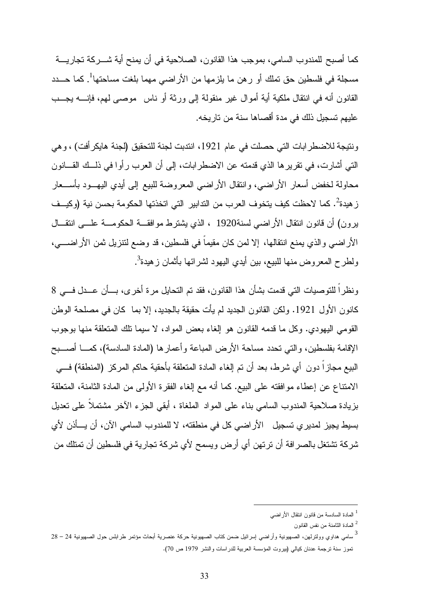كما أصبح للمندوب السامي، بموجب هذا القانون، الصلاحية في أن يمنح أية شـركة تجاريـة مسجلة في فلسطين حق تملك أو رهن ما يلزمها من الأراضي مهما بلغت مساحتها<sup>1</sup>. كما حـــدد القانون أنه في انتقال ملكية أية أموال غير منقولة إلى ورثة أو ناس موصى لهم، فإنـه يجـب عليهم تسجيل ذلك في مدة أقصاها سنة من تاريخه.

ونتيجة للاضطرابات التي حصلت في عام ،1921 انتدبت لجنة للتحقيق (لجنة هايكرأفت) ، وهي التي أشارت، في تقريرها الذي قدمته عن الاضطرابات، إلى أن العرب رأوا في ذلـك القـانون محاولة لخفض أسعار الأراضي، وانتقال الأراضي المعروضة للبيع إلى أيدي اليهـود بأسـعار ز هيدة<sup>2</sup>. كما لاحظت كيف يتخوف العرب من الندابير التي اتخذتها الحكومة بحسن نية (وكيــف يرون) أن قانون انتقال الأراضي لسنة1920 ، الذي يشترط موافقـة الحكومـة علـى انتقـال الأراضي والذي يمنع انتقالها، إلا لمن كان مقيماً في فلسطين، قد وضع لتنزيل ثمن الأراضـي، ولطرح المعروض منها للبيع، بين أيدي اليهود لشرائها بأثمان زهيدة<sup>3</sup>.

ونظراً للتوصيات التي قدمت بشأن هذا القانون، فقد تم التحايل مرة أخرى، بـأن عـدل فـي 8 كانون الأول .1921 ولكن القانون الجديد لم يأت حقيقة بالجديد، إلا بما كان في مصلحة الوطن القومي اليهودي. وكل ما قدمه القانون هو إلغاء بعض المواد، لا سيما تلك المتعلقة منها بوجوب الإقامة بفلسطين، والتي تحدد مساحة الأرض المباعة وأعمارها (المادة السادسة)، كمـا أصـبح البيع مجازاً دون أي شرط، بعد أن تم إلغاء المادة المتعلقة بأحقية حاكم المركز (المنطقة) فـي الامتناع عن إعطاء موافقته على البيع. كما أنه مع إلغاء الفقرة الأولى من المادة الثامنة، المتعلقة بزيادة صلاحية المندوب السامي بناء على المواد الملغاة ، أبقي الجزء الآخر مشتملاً على تعديل بسيط يجيز لمديري تسجيل الأراضي كل في منطقته، لا للمندوب السامي الآن، أن يـأذن لأي شركة تشتغل بالصرافة أن ترتهن أي أرض ويسمح لأي شركة تجارية في فلسطين أن تمتلك من

<sup>1</sup> المادة السادسة من قانون انتقال الأراضي

المادة الثامنة من نفس القانون  $^2$ 

<sup>3</sup> سامي هداوي وولترلهن، الصهيونية وأراضي إسرائيل ضمن كتاب الصهيونية حركة عنصرية أبحاث مؤتمر طرابلس حول الصهيونية 24 – 28 تموز سنة ترجمة عدنان كيالي (بيروت المؤسسة العربية للدراسات والنشر 1979 ص 70).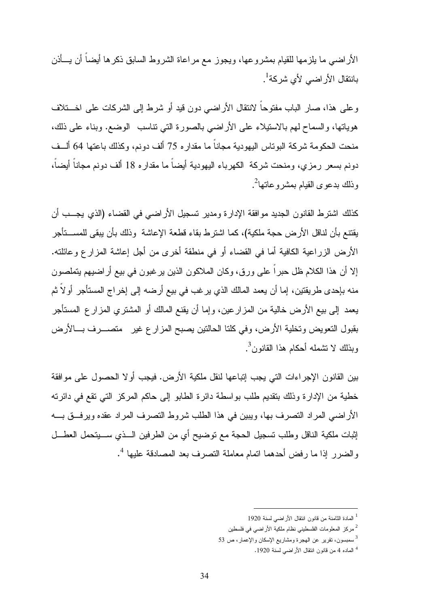الأراضي ما يلزمها للقيام بمشروعها، ويجوز مع مراعاة الشروط السابق ذكرها أيضاً أن يـأذن بانتقال الأراضي لأي شركة<sup>1</sup>.

وعلى هذا، صار الباب مفتوحاً لانتقال الأراضي دون قيد أو شرط إلى الشركات على اخـتلاف هوياتها، والسماح لهم بالاستيلاء على الأراضي بالصورة التي تناسب الوضع. وبناء على ذلك، منحت الحكومة شركة البوتاس اليهودية مجاناً ما مقداره 75 ألف دونم، وكذلك باعتها 64 ألـف دونم بسعر رمزي، ومنحت شركة الكهرباء اليهودية أيضاً ما مقداره 18 ألف دونم مجاناً أيضاً، وذلك بدعوى القيام بمشروعاتها<sup>2</sup>.

كذلك اشترط القانون الجديد موافقة الإدارة ومدير تسجيل الأراضي في القضاء (الذي يجـب أن يقتنع بأن لناقل الأرض حجة ملكية)، كما اشترط بقاء قطعة الإعاشة وذلك بأن يبقى للمسـتأجر الأرض الزراعية الكافية أما في القضاء أو في منطقة أخرى من أجل إعاشة المزارع وعائلته. إلا أن هذا الكلام ظل حبراً على ورق، وكان الملاكون الذين يرغبون في بيع أراضيهم يتملصون منه بإحدى طريقتين، إما أن يعمد المالك الذي يرغب في بيع أرضه إلى إخراج المستأجر أولاً ثم يعمد إلى بيع الأرض خالية من المزارعين، وإما أن يقنع المالك أو المشتري المزارع المستأجر بقبول التعويض وتخلية الأرض، وفي كلتا الحالتين يصبح المزارع غير متصـرف بـالأرض وبذلك لا تشمله أحكام هذا القانون<sup>3</sup>.

بين القانون الإجراءات التي يجب إتباعها لنقل ملكية الأرض. فيجب أولا الحصول على موافقة خطية من الإدارة وذلك بتقديم طلب بواسطة دائرة الطابو إلى حاكم المركز التي تقع في دائرته الأراضي المراد التصرف بها، ويبين في هذا الطلب شروط التصرف المراد عقده ويرفـق بـه إثبات ملكية الناقل وطلب تسجيل الحجة مع توضيح أي من الطرفين الـذي سـيتحمل العطـل 4 والضرر إذا ما رفض أحدهما اتمام معاملة التصرف بعد المصادقة عليها .

<sup>1</sup> المادة الثامنة من قانون انتقال الأراضي لسنة 1920

<sup>2</sup> مركز المعلومات الفلسطيني نظام ملكية الأراضي في فلسطين

<sup>3</sup> سمبسون، تقرير عن الهجرة ومشاريع الإسكان والإعمار، ص 53

<sup>4</sup> الماده 4 من قانون انتقال الأراضي لسنة 1920 .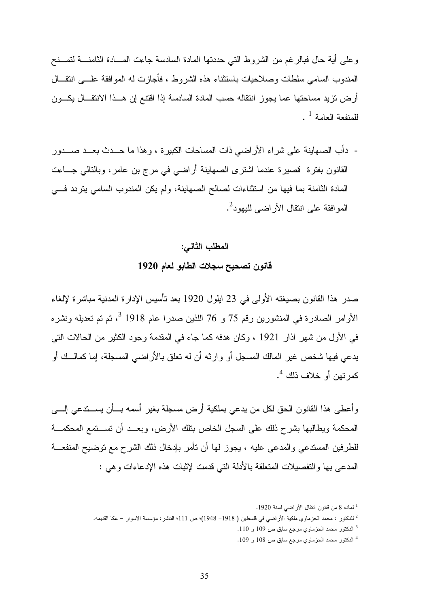وعلى أية حال فبالرغم من الشروط التي حددتها المادة السادسة جاءت المـادة الثامنـة لتمـنح المندوب السامي سلطات وصلاحيات باستثناء هذه الشروط ، فأجازت له الموافقة علـى انتقـال أرض تزيد مساحتها عما يجوز انتقاله حسب المادة السادسة إذا اقتنع إن هـذا الانتقـال يكـون  $^{\rm 1}$  للمنفعة العامة $^{\rm 1}$ 

- دأب الصهاينة على شراء الأراضي ذات المساحات الكبيرة ، وهذا ما حـدث بعـد صـدور القانون بفترة قصيرة عندما اشترى الصهاينة أراضي في مرج بن عامر، وبالتالي جـاءت المادة الثامنة بما فيها من استثناءات لصالح الصهاينة، ولم يكن المندوب السامي يتردد فـي المو افقة على انتقال الأر اضي لليهود<sup>2</sup>.

#### المطلب الثاني :

#### قانون تصحيح سجلات الطابو لعام 1920

صدر هذا القانون بصيغته الأولى في 23 ايلول 1920 بعد تأسيس الإدارة المدنية مباشرة لإلغاء 3 الأوامر الصادرة في المنشورين رقم 75 و 76 اللذين صدرا عام 1918 ، ثم تم تعديله ونشره في الأول من شهر اذار 1921 ، وكان هدفه كما جاء في المقدمة وجود الكثير من الحالات التي يدعي فيها شخص غير المالك المسجل أو وارثه أن له تعلق بالأراضي المسجلة، إما كمالـك أو 4 كمرتهن أو خلاف ذلك .

وأعطى هذا القانون الحق لكل من يدعي بملكية أرض مسجلة بغير أسمه بـأن يسـتدعي إلـى المحكمة ويطالبها بشرح ذلك على السجل الخاص بتلك الأرض، وبعـد أن تسـتمع المحكمـة للطرفين المستدعي والمدعى عليه ، يجوز لها أن تأمر بإدخال ذلك الشرح مع توضيح المنفعـة المدعى بها والتفصيلات المتعلقة بالأدلة التي قدمت لإثبات هذه الإدعاءات وهي :

1 لماده 8 من قانون انتقال الأراضي لسنة 1920 .

 $\overline{a}$ 

4 الدكتور محمد الحزماوي مرجع سابق ص 108 و 109 .

<sup>2</sup> للدكتور : محمد الحزماوي ملكية الأراضي في فلسطين ( 1918 - 1948)؛ ص 111؛ الناشر: مؤسسة الاسوار – عكا القديمه .

<sup>3</sup> الدكتور محمد الحزماوي مرجع سابق ص 109 و 110 .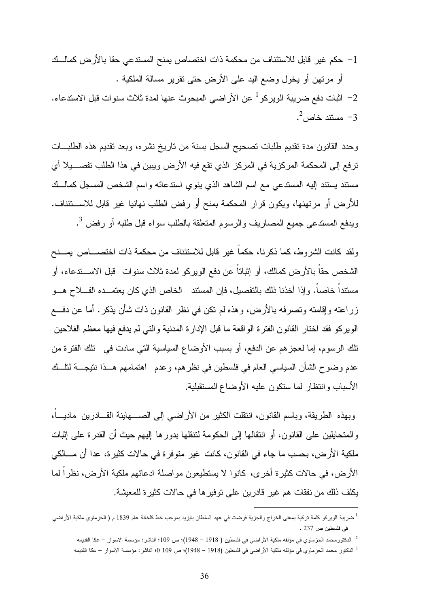-1 حكم غير قابل للاستئناف من محكمة ذات اختصاص يمنح المستدعي حقا بالأرض كمالـك أو مرتهن أو يخول وضع اليد على الأرض حتى تقرير مسالة الملكية .

– اثبات دفع ضريبة الويركو  $^{-1}$  عن الأراضي المبحوث عنها لمدة ثلاث سنوات قبل الاستدعاء.  $\, -2\,$ - مستند خاص $^2$ .  $\,$ 

وحدد القانون مدة تقديم طلبات تصحيح السجل بسنة من تاريخ نشره، وبعد تقديم هذه الطلبـات ترفع إلى المحكمة المركزية في المركز الذي تقع فيه الأرض ويبين في هذا الطلب تفصـيلا أي مستند يستند إليه المستدعي مع اسم الشاهد الذي ينوي استدعائه واسم الشخص المسجل كمالـك للأرض أو مرتهنها، ويكون قرار المحكمة بمنح أو رفض الطلب نهائيا غير قابل للاسـتئناف . ويدفع المستدعي جميع المصاريف والرسوم المتعلقة بالطلب سواء قبل طلبه أو رفض <sup>3</sup>.

ولقد كانت الشروط، كما ذكرنا، حكماً غير قابل للاستئناف من محكمة ذات اختصـاص يمـنح الشخص حقاً بالأرض كمالك، أو إثباتاً عن دفع الويركو لمدة ثلاث سنوات قبل الاسـتدعاء، أو مستنداً خاصاً. وإذا أخذنا ذلك بالتفصيل، فإن المستند الخاص الذي كان يعتمـده الفـلاح هـو زراعته وإقامته وتصرفه بالأرض، وهذه لم تكن في نظر القانون ذات شأن يذكر. أما عن دفـع الويركو فقد اختار القانون الفترة الواقعة ما قبل الإدارة المدنية والتي لم يدفع فيها معظم الفلاحين تلك الرسوم، إما لعجزهم عن الدفع، أو بسبب الأوضاع السياسية التي سادت في تلك الفترة من عدم وضوح الشأن السياسي العام في فلسطين في نظرهم، وعدم اهتمامهم هـذا نتيجـة لتلـك الأسباب وانتظار لما ستكون عليه الأوضاع المستقبلية .

وبهذه الطريقة، وباسم القانون، انتقلت الكثير من الأراضي إلى الصـهاينة القـادرين ماديـاً، والمتحايلين على القانون، أو انتقالها إلى الحكومة لتنقلها بدورها إليهم حيث أن القدرة على إثبات ملكية الأرض، بحسب ما جاء في القانون، كانت غير متوفرة في حالات كثيرة، عدا أن مـالكي الأرض، في حالات كثيرة أخرى، كانوا لا يستطيعون مواصلة ادعائهم ملكية الأرض، نظراً لما يكلف ذلك من نفقات هم غير قادرين على توفيرها في حالات كثيرة للمعيشة.

<sup>&</sup>lt;sup>1</sup> ضريبة الويركو كلمة تركية بمعنى الخراج والجزية فرضت في عهد السلطان بايزيد بموجب خط كلخانة عام 1839 م ( الحزماوي ملكية الأراضي في فلسطين ص 237 .

<sup>2</sup> الدكتورمحمد الحزماوي في مؤلفه ملكية الأراضي في فلسطين ( 1918 – 1948)؛ ص 109؛ الناشر: مؤسسة الاسوار – عكا القديمه

<sup>3</sup> ا لدكتور محمد الحزماوي في مؤلفه ملكية الأراضي في فلسطين (1918 – 1948)؛ ص 109 0؛ الناشر: مؤسسة الاسوار – عكا القديمه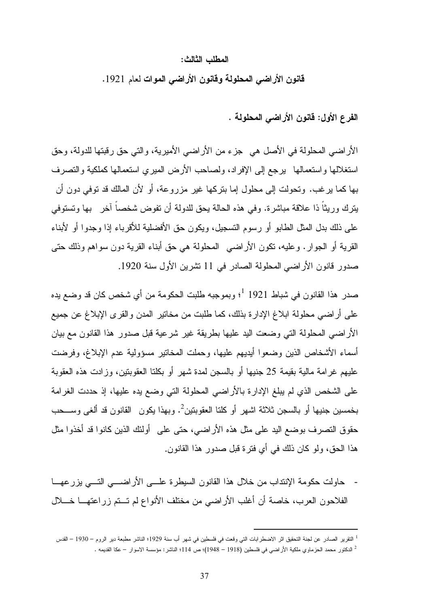#### المطلب الثالث :

قانون الأراضي المحلولة وقانون الأراضي الموات لعام 1921 .

الفرع الأول: قانون الأراضي المحلولة .

الأراضي المحلولة في الأصل هي جزء من الأراضي الأميرية، والتي حق رقبتها للدولة، وحق استغلالها واستعمالها يرجع إلى الإفراد، ولصاحب الأرض الميري استعمالها كملكية والتصرف بها كما يرغب. وتحولت إلى محلول إما بتركها غير مزروعة، أو لأن المالك قد توفي دون أن يترك وريثاً ذا علاقة مباشرة. وفي هذه الحالة يحق للدولة أن تفوض شخصاً آخر بها وتستوفي على ذلك بدل المثل الطابو أو رسوم التسجيل، ويكون حق الأفضلية للأقرباء إذا وجدوا أو لأبناء القرية أو الجوار. وعليه، تكون الأراضي المحلولة هي حق أبناء القرية دون سواهم وذلك حتى صدور قانون الأراضي المحلولة الصادر في 11 تشرين الأول سنة .1920

1 صدر هذا القانون في شباط 1921 ؛ وبموجبه طلبت الحكومة من أي شخص كان قد وضع يده على أراضي محلولة ابلاغ الإدارة بذلك، كما طلبت من مخاتير المدن والقرى الإبلاغ عن جميع الأراضي المحلولة التي وضعت اليد عليها بطريقة غير شرعية قبل صدور هذا القانون مع بيان أسماء الأشخاص الذين وضعوا أيديهم عليها، وحملت المخاتير مسؤولية عدم الإبلاغ، وفرضت عليهم غرامة مالية بقيمة 25 جنيها أو بالسجن لمدة شهر أو بكلتا العقوبتين، وزادت هذه العقوبة على الشخص الذي لم يبلغ الإدارة بالأراضي المحلولة التي وضع يده عليها، إذ حددت الغرامة بخمسين جنيها أو بالسجن ثلاثة اشهر أو كلتا العقوبتين<sup>2</sup>. وبهذا يكون القانون قد ألغى وســحب حقوق التصرف بوضع اليد على مثل هذه الأراضي، حتى على أولئك الذين كانوا قد أخذوا مثل هذا الحق، ولو كان ذلك في أي فترة قبل صدور هذا القانون .

- حاولت حكومة الإنتداب من خلال هذا القانون السيطرة علـى الأراضـي التـي يزرعهـا الفلاحون العرب، خاصة أن أغلب الأراضي من مختلف الأنواع لم تـتم زراعتهـا خـلال

<sup>1</sup> التقرير الصادر عن لجنة التحقيق اثر الاضطرابات التي وقعت في فلسطين في شهر أب سنة 1929؛ الناشر مطبعة دير الروم – 1930 – القدس 2 الدكتور محمد الحزماوي ملكية الأراضي في فلسطين (1918 – 1948)؛ ص 114؛ الناشر: مؤسسة الاسوار – عكا القديمه .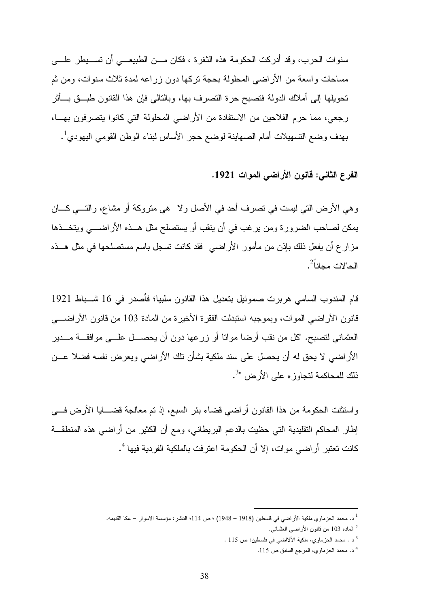سنوات الحرب، وقد أدركت الحكومة هذه الثغرة ، فكان مـن الطبيعـي أن تسـيطر علـى مساحات واسعة من الأراضي المحلولة بحجة تركها دون زراعه لمدة ثلاث سنوات، ومن ثم تحويلها إلى أملاك الدولة فتصبح حرة التصرف بها، وبالتالي فإن هذا القانون طبـق بـأثر رجعي، مما حرم الفلاحين من الاستفادة من الأراضي المحلولة التي كانوا يتصرفون بهـا، بهدف وضع التسهيلات أمام الصهاينة لوضع حجر الأساس لبناء الوطن القومي اليهودي<sup>1</sup>.

الفرع الثاني: قانون الأراضي الموات .1921

وهي الأرض التي ليست في تصرف أحد في الأصل ولا هي متروكة أو مشاع، والتـي كـان يمكن لصاحب الضرورة ومن يرغب في أن ينقب أو يستصلح مثل هـذه الأراضـي ويتخـذها مزارع أن يفعل ذلك بإذن من مأمور الأراضي فقد كانت تسجل باسم مستصلحها في مثل هـذه الحالات مجانا<sup>ً2</sup>.

قام المندوب السامي هربرت صموئيل بتعديل هذا القانون سلبيا؛ فأصدر في 16 شـباط 1921 قانون الأراضي الموات، وبموجبه استبدلت الفقرة الأخيرة من المادة 103 من قانون الأراضـي العثماني لتصبح. "كل من نقب أرضا مواتا أو زرعها دون أن يحصـل علـى موافقـة مـدير الأراضي لا يحق له أن يحصل على سند ملكية بشأن تلك الأراضي ويعرض نفسه فضلا عـن ذلك للمحاكمة لتجاوزه على الأرض "<sup>3</sup>.

واستثنت الحكومة من هذا القانون أراضي قضاء بئر السبع، إذ تم معالجة قضـايا الأرض فـي إطار المحاكم التقليدية التي حظيت بالدعم البريطاني، ومع أن الكثير من أراضي هذه المنطقـة كانت تعتبر أراضي موات، إلا أن الحكومة اعترفت بالملكية الفردية فيها <sup>4</sup>.

<sup>1</sup> .د محمد الحزماوي ملكية الأراضي في فلسطين (1918 – 1948) ؛ ص 114؛ الناشر: مؤسسة الاسوار – عكا القديمه.

 $^2$  الماده 103 من قانون الأراضـي العثمانـي.

<sup>3</sup> . د محمد الحزماوي، ملكية الألااضي في فلسطين؛ ص 115 .

<sup>4</sup> . د محمد الحزماوي، المرجع السابق ص 115 .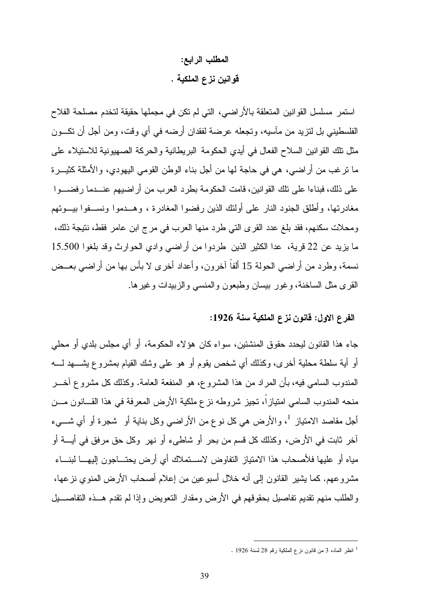## المطلب الرابع : قوانين نزع الملكية .

استمر مسلسل القوانين المتعلقة بالأراضي، التي لم تكن في مجملها حقيقة لتخدم مصلحة الفلاح الفلسطيني بل لتزيد من مآسيه، وتجعله عرضة لفقدان أرضه في أي وقت، ومن أجل أن تكـون مثل تلك القوانين السلاح الفعال في أيدي الحكومة البريطانية والحركة الصهيونية للاستيلاء على ما ترغب من أراضي، هي في حاجة لها من أجل بناء الوطن القومي اليهودي، والأمثلة كثيـرة على ذلك، فبناءا على تلك القوانين، قامت الحكومة بطرد العرب من أراضيهم عنـدما رفضـوا مغادرتها، وأطلق الجنود النار على أولئك الذين رفضوا المغادرة ، وهـدموا ونسـفوا بيـوتهم ومحلات سكنهم، فقد بلغ عدد القرى التي طرد منها العرب في مرج ابن عامر فقط، نتيجة ذلك، ما يزيد عن 22 قرية، عدا الكثير الذين طردوا من أراضي وادي الحوارث وقد بلغوا 15.500 نسمة، وطرد من أراضي الحولة 15 ألفاً آخرون، وأعداد أخرى لا بأس بها من أراضي بعـض القرى مثل الساخنة، وغور بيسان وطبعون والمنسي والزبيدات وغيرها .

## الفرع الاول: قانون نزع الملكية سنة 1926:

جاء هذا القانون ليحدد حقوق المنشئين، سواء كان هؤلاء الحكومة، أو أي مجلس بلدي أو محلي أو أية سلطة محلية أخرى، وكذلك أي شخص يقوم أو هو على وشك القيام بمشروع يشـهد لـه المندوب السامي فيه، بأن المراد من هذا المشروع، هو المنفعة العامة. وكذلك كل مشروع آخـر منحه المندوب السامي امتيازاً، تجيز شروطه نزع ملكية الأرض المعرفة في هذا القـانون مـن أجل مقاصد الامتياز <sup>1</sup>، والأرض هي كل نوع من الأراضي وكل بناية أو شجرة أو أي شـــيء آخر ثابت في الأرض، وكذلك كل قسم من بحر أو شاطىء أو نهر وكل حق مرفق في أيـة أو مياه أو عليها فلأصحاب هذا الامتياز التفاوض لاسـتملاك أي أرض يحتـاجون إليهـا لبنـاء مشروعهم. كما يشير القانون إلى أنه خلال أسبوعين من إعلام أصحاب الأرض المنوي نزعها، والطلب منهم تقديم تفاصيل بحقوقهم في الأرض ومقدار التعويض وإذا لم تقدم هـذه التفاصـيل

<sup>1</sup> انظر الماده 3 من قانون نزع الملكية رقم 28 لسنة 1926 .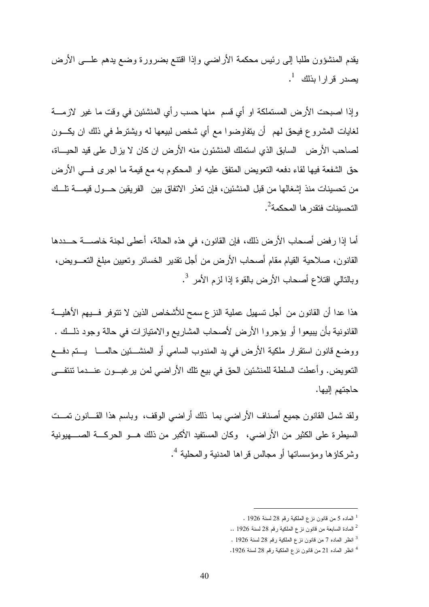يقدم المنشؤون طلبا إلى رئيس محكمة الأراضي وإذا اقتنع بضرورة وضع يدهم علـى الأرض يصدر قرارا بذلك <sup>1</sup> .

وإذا اصبحت الأرض المستملكة او أي قسم منها حسب رأي المنشئين في وقت ما غير لازمـة لغايات المشروع فيحق لهم أن يتفاوضوا مع أي شخص لبيعها له ويشترط في ذلك ان يكـون لصاحب الأرض السابق الذي استملك المنشئون منه الأرض ان كان لا يزال على قيد الحيـاة، حق الشفعة فيها لقاء دفعه التعويض المتفق عليه او المحكوم به مع قيمة ما اجرى فـي الأرض من تحسينات منذ إشغالها من قبل المنشئين، فإن تعذر الاتفاق بين الفريقين حـول قيمـة تلـك التحسينات فتقدر ها المحكمة<sup>2</sup>.

أما إذا رفض أصحاب الأرض ذلك، فإن القانون، في هذه الحالة، أعطى لجنة خاصـة حـددها القانون، صلاحية القيام مقام أصحاب الأرض من أجل تقدير الخسائر وتعيين مبلغ التعـويض، وبالنالي اقتلاع أصحاب الأرض بالقوة إذا لزم الأمر <sup>3</sup>.

هذا عدا أن القانون من أجل تسهيل عملية النزع سمح للأشخاص الذين لا تتوفر فــيهم الأهليـــة القانونية بأن يبيعوا أو يؤجروا الأرض لأصحاب المشاريع والامتيازات في حالة وجود ذلـك . ووضع قانون استقرار ملكية الأرض في يد المندوب السامي أو المنشـئين حالمـا يـتم دفـع التعويض. وأعطت السلطة للمنشئين الحق في بيع تلك الأراضي لمن يرغبـون عنـدما تنتفـى حاجتهم إليها.

ولقد شمل القانون جميع أصناف الأراضي بما ذلك أراضي الوقف، وباسم هذا القـانون تمـت السيطرة على الكثير من الأراضي، وكان المستفيد الأكبر من ذلك هـو الحركـة الصـهيونية 4 وشركاؤها ومؤسساتها أو مجالس قراها المدنية والمحلية .

<sup>1</sup> الماده 5 من قانون نزع الملكية رقم 28 لسنة 1926 .

<sup>.</sup>  $^2$  المادة السابعة من قانون نزع الملكية رقم 28 لسنة 1926  $^2$ 

<sup>3</sup> انظر الماده 7 من قانون نزع الملكية رقم 28 لسنة 1926 .

<sup>4</sup> انظر الماده 21 من قانون نزع الملكية رقم 28 لسنة 1926 .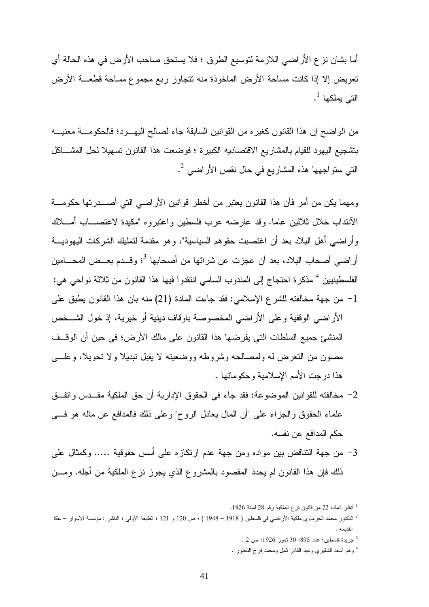أما بشان نزع الأراضي اللازمة لتوسيع الطرق ؛ فلا يستحق صاحب الأرض في هذه الحالة أي تعويض إلا إذا كانت مساحة الأرض الماخوذة منه تتجاوز ربع مجموع مساحة قطعـة الأرض التي يملكها <sup>1</sup> .

من الواضح إن هذا القانون كغيره من القوانين السابقة جاء لصالح اليهـود؛ فالحكومـة معنيـه بتشجيع اليهود للقيام بالمشاريع الاقتصاديه الكبيرة ؛ فوضعت هذا القانون تسهيلا لحل المشـاكل التي ستو لجهها هذه المشاريع في حال نقص الأر اضي <sup>2</sup>.

ومهما يكن من أمر فأن هذا القانون يعتبر من أخطر قوانين الأراضي التي أصـدرتها حكومـة الآنتداب خلال ثلاثين عاما. وقد عارضه عرب فلسطين واعتبروه "مكيدة لاغتصـاب أمـلاك وأراضي أهل البلاد بعد أن اغتصبت حقوهم السياسية"، وهو مقدمة لتمليك الشركات اليهوديـة أراضي أصحاب البلاد، بعد أن عجزت عن شرائها من أصحابها 3 ؛ وقـدم بعـض المحـامين الفلسطينيين <sup>4</sup> مذكرة احتجاج إلى المندوب السامي انتقدوا فيها هذا القانون من ثلاثة نواحي هي: -1 من جهة مخالفته للشرع الإسلامي: فقد جاءت المادة (21) منه بان هذا القانون يطبق على الأراضي الوقفية وعلى الأراضي المخصوصة باوقاف دينية أو خيرية، إذ خول الشـخص المنشئ جميع السلطات التي يفرضها هذا القانون على مالك الأرض؛ في حين أن الوقـف مصون من التعرض له ولمصالحه وشروطه ووضعيته لا يقبل تبديلا ولا تحويلا، وعلـى هذا درجت الأمم الإسلامية وحكوماتها .

- -2 مخالفته للقوانين الموضوعة: فقد جاء في الحقوق الإدارية أن حق الملكية مقـدس واتفـق علماء الحقوق والجزاء على "أن المال يعادل الروح" وعلى ذلك فالمدافع عن ماله هو فـي حكم المدافع عن نفسه .
- -3 من جهة التناقض بين مواده ومن جهة عدم ارتكازه على أسس حقوقية ..... وكمثال على ذلك فإن هذا القانون لم يحدد المقصود بالمشروع الذي يجوز نزع الملكية من أجله. ومـن

 $\overline{a}$ 

3 جريدة فلسطين؛ عدد 895؛ 30 تموز 1926؛ ص 2 .

<sup>1</sup> انظر الماده 22 من قانون نزع الملكية رقم 28 لسنة 1926 .

<sup>2</sup> الدكتور محمد الحزماوي ملكية الأراضي في فلسطين ( 1918 – 1948 ) ؛ ص 120 و 121 ؛ الطبعة الأولى ؛ الناشر : مؤسسة الاسوار – عكا القديمه .

<sup>4</sup> وهم اسعد الشقيري وعبد القادر شبل ومحمد فرج الناطور .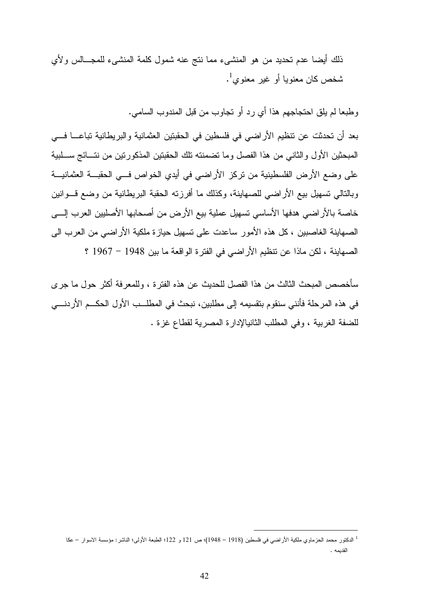ذلك أيضا عدم تحديد من هو المنشىء مما نتج عنه شمول كلمة المنشىء للمجـالس ولأي ثىخص كان معنويا أو غير معنوي<sup>1</sup>.

وطبعا لم يلق احتجاجهم هذا أي رد أو تجاوب من قبل المندوب السامي.

بعد أن تحدثت عن تنظيم الأراضي في فلسطين في الحقبتين العثمانية والبريطانية تباعـــا فـــي المبحثين الأول والثاني من هذا الفصل وما تضمنته تلك الحقبتين المذكورتين من نتـائج سـلبية على وضع الأرض الفلسطينية من تركز الأراضي في أيدي الخواص فـي الحقبـة العثمانيـة وبالتالي تسهيل بيع الأراضي للصهاينة، وكذلك ما أفرزته الحقبة البريطانية من وضع قـوانين خاصة بالأراضي هدفها الأساسي تسهيل عملية بيع الأرض من أصحابها الأصليين العرب إلـى الصهاينة الغاصبين ، كل هذه الأمور ساعدت على تسهيل حيازة ملكية الأراضي من العرب الى الصهاينة ، لكن ماذا عن تنظيم الأراضي في الفترة الواقعة ما بين 1948 - 1967 ؟

سأخصص المبحث الثالث من هذا الفصل للحديث عن هذه الفترة ، وللمعرفة أكثر حول ما جرى في هذه المرحلة فأنني سنقوم بتقسيمه إلى مطلبين، نبحث في المطلــب الأول الحكـــم الأردنــــي للضفة الغربية ، وفي المطلب الثانيالإدارة المصرية لقطاع غزة .

<sup>1</sup> الدكتور محمد الحزماوي ملكية الأراضي في فلسطين (1918 – 1948)؛ ص 121 و 122 ؛ الطبعة الأولى؛ الناشر: مؤسسة الاسوار – عكا القديمه .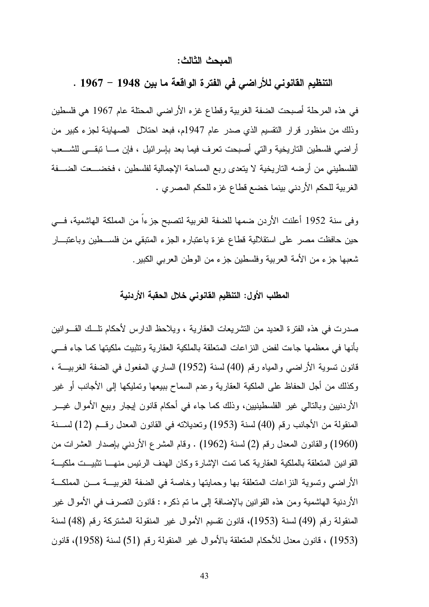#### المبحث الثالث :

التنظيم القانوني للأراضي في الفترة الواقعة ما بين 1948 - 1967 .

في هذه المرحلة أصبحت الضفة الغربية وقطاع غزه الأراضي المحتلة عام 1967 هي فلسطين وذلك من منظور قرار التقسيم الذي صدر عام 1947م، فبعد احتلال الصهاينة لجزء كبير من أراضي فلسطين التاريخية والتي أصبحت تعرف فيما بعد بإسرائيل ، فإن مـا تبقـى للشـعب الفلسطيني من أرضه التاريخية لا يتعدى ربع المساحة الإجمالية لفلسطين ، فخضـعت الضـفة الغربية للحكم الأردني بينما خضع قطاع غزه للحكم المصري .

وفى سنة 1952 أعلنت الأردن ضمها للضفة الغربية لتصبح جزءاً من المملكة الهاشمية، فـي حين حافظت مصر على استقلالية قطاع غزة باعتباره الجزء المتبقي من فلسـطين وباعتبـار شعبها جزء من الأمة العربية وفلسطين جزء من الوطن العربي الكبير.

#### المطلب الأول: التنظيم القانوني خلال الحقبة الأردنية

صدرت في هذه الفترة العديد من التشريعات العقارية ، ويلاحظ الدارس لأحكام تلـك القـوانين بأنها في معظمها جاءت لفض النزاعات المتعلقة بالملكية العقارية وتثبيت ملكيتها كما جاء فـي قانون تسوية الأراضي والمياه رقم (40) لسنة (1952) الساري المفعول في الضفة الغربيـة ، وكذلك من أجل الحفاظ على الملكية العقارية وعدم السماح ببيعها وتمليكها إلى الأجانب أو غير الأردنيين وبالتالي غير الفلسطينيين، وذلك كما جاء في أحكام قانون إيجار وبيع الأموال غيـ ر المنقولة من الأجانب رقم (40) لسنة (1953) وتعديلاته في القانون المعدل رقـم (12) لسـنة (1960) والقانون المعدل رقم 2( ) لسنة (1962) . وقام المشرع الأردني بإصدار العشرات من القوانين المتعلقة بالملكية العقارية كما تمت الإشارة وكان الهدف الرئيس منهـا تثبيـت ملكيـة الأراضي وتسوية النزاعات المتعلقة بها وحمايتها وخاصة في الضفة الغربيـة مـن المملكـة الأردنية الهاشمية ومن هذه القوانين بالإضافة إلى ما تم ذكره : قانون التصرف في الأموال غير المنقولة رقم (49) لسنة (1953)، قانون تقسيم الأموال غير المنقولة المشتركة رقم (48) لسنة (1953) ، قانون معدل للأحكام المتعلقة بالأموال غير المنقولة رقم (51) لسنة (1958)، قانون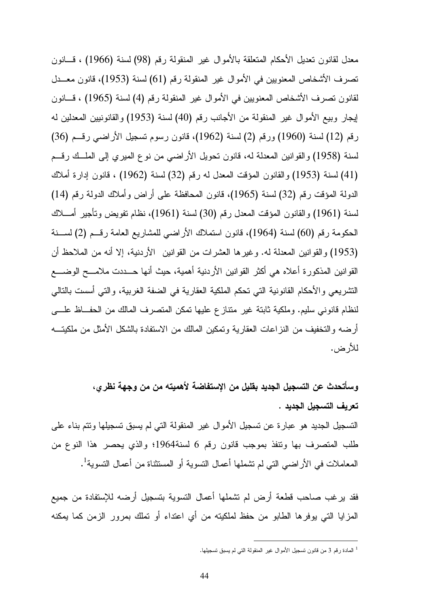معدل لقانون تعديل الأحكام المتعلقة بالأموال غير المنقولة رقم (98) لسنة (1966) ، قـانون تصرف الأشخاص المعنويين في الأموال غير المنقولة رقم (61) لسنة (1953)، قانون معـدل لقانون تصرف الأشخاص المعنويين في الأموال غير المنقولة رقم 4( ) لسنة (1965) ، قـانون إيجار وبيع الأموال غير المنقولة من الأجانب رقم (40) لسنة (1953) والقانونيين المعدلين له رقم (12) لسنة (1960) ورقم 2( ) لسنة (1962)، قانون رسوم تسجيل الأراضي رقـم (36) لسنة (1958 و) القوانين المعدلة له، قانون تحويل الأراضي من نوع الميري إلى الملـك رقـم (41) لسنة (1953) والقانون المؤقت المعدل له رقم (32) لسنة (1962) ، قانون إدارة أملاك الدولة المؤقت رقم (32) لسنة (1965)، قانون المحافظة على أراض وأملاك الدولة رقم (14) لسنة (1961) والقانون المؤقت المعدل رقم (30) لسنة (1961)، نظام تفويض وتأجير أمــــلاك الحكومة رقم (60) لسنة (1964)، قانون استملاك الأراضي للمشاريع العامة رقـم 2( ل) سـنة (1953) والقوانين المعدلة له. وغيرها العشرات من القوانين الأردنية، إلا أنه من الملاحظ أن القوانين المذكورة أعلاه هي أكثر القوانين الأردنية أهمية، حيث أنها حـددت ملامـح الوضـع التشريعي والأحكام القانونية التي تحكم الملكية العقارية في الضفة الغربية، والتي أسست بالتالي لنظام قانوني سليم. وملكية ثابتة غير متنازع عليها تمكن المتصرف المالك من الحفـاظ علـى أرضه والتخفيف من النزاعات العقارية وتمكين المالك من الاستفادة بالشكل الأمثل من ملكيتـه للأرض .

وسأتحدث عن التسجيل الجديد بقليل من الإستفاضة لأهميته من من وجهة نظري، تعريف التسجيل الجديد . التسجيل الجديد هو عبارة عن تسجيل الأموال غير المنقولة التي لم يسبق تسجيلها وتتم بناء على طلب المتصرف بها وتنفذ بموجب قانون رقم 6 لسنة1964؛ والذي يحصر هذا النوع من المعاملات في الأراضـي التي لم تشملها أعمال التسوية أو المستثناة من أعمال التسوية<sup>1</sup>.

فقد يرغب صاحب قطعة أرض لم تشملها أعمال التسوية بتسجيل أرضه للإستفادة من جميع المزايا التي يوفرها الطابو من حفظ لملكيته من أي اعتداء أو تملك بمرور الزمن كما يمكنه

<sup>1</sup> المادة رقم 3 من قانون تسجيل الأموال غير المنقولة التي لم يسبق تسجيلها .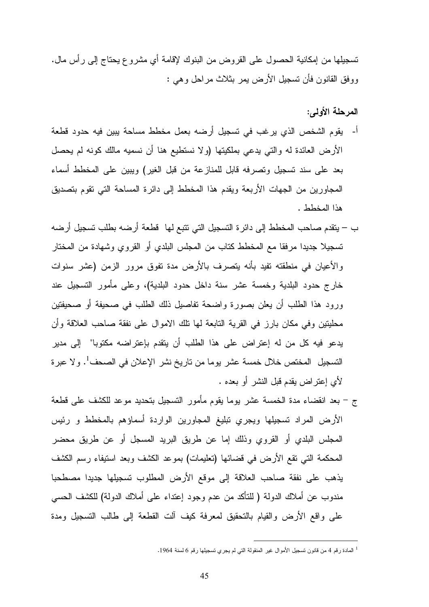تسجيلها من إمكانية الحصول على القروض من البنوك لإقامة أي مشروع يحتاج إلى رأس مال. ووفق القانون فأن تسجيل الأرض يمر بثلاث مراحل وهي :

المرحلة الأولى :

- أ يقوم الشخص الذي يرغب في تسجيل أرضه بعمل مخطط مساحة يبين فيه حدود قطعة الأرض العائدة له والتي يدعي بملكيتها (ولا نستطيع هنا أن نسميه مالك كونه لم يحصل بعد على سند تسجيل وتصرفه قابل للمنازعة من قبل الغير) ويبين على المخطط أسماء المجاورين من الجهات الأربعة ويقدم هذا المخطط إلى دائرة المساحة التي تقوم بتصديق هذا المخطط .
- –ب يتقدم صاحب المخطط إلى دائرة التسجيل التي تتبع لها قطعة أرضه بطلب تسجيل أرضه تسجيلا جديدا مرفقا مع المخطط كتاب من المجلس البلدي أو القروي وشهادة من المختار والأعيان في منطقته تفيد بأنه يتصرف بالأرض مدة تفوق مرور الزمن (عشر سنوات خارج حدود البلدية وخمسة عشر سنة داخل حدود البلدية)، وعلى مأمور التسجيل عند ورود هذا الطلب أن يعلن بصورة واضحة تفاصيل ذلك الطلب في صحيفة أو صحيفتين محليتين وفي مكان بارز في القرية التابعة لها تلك الاموال على نفقة صاحب العلاقة وأن يدعو فيه كل من له إعتراض على هذا الطلب أن يتقدم بإعتراضه مكتوبا" إلى مدير التسجيل المختص خلال خمسة عشر يوما من تاريخ نشر الإعلان في الصحف<sup>1</sup>. و لا عبرة لأي إعتراض يقدم قبل النشر أو بعده .
- -ج بعد انقضاء مدة الخمسة عشر يوما يقوم مأمور التسجيل بتحديد موعد للكشف على قطعة الأرض المراد تسجيلها ويجري تبليغ المجاورين الواردة أسماؤهم بالمخطط و رئيس المجلس البلدي أو القروي وذلك إما عن طريق البريد المسجل أو عن طريق محضر المحكمة التي تقع الأرض في قضائها (تعليمات) بموعد الكشف وبعد استيفاء رسم الكشف يذهب على نفقة صاحب العلاقة إلى موقع الأرض المطلوب تسجيلها جديدا مصطحبا مندوب عن أملاك الدولة ( للتأكد من عدم وجود إعتداء على أملاك الدولة) للكشف الحسي على واقع الأرض والقيام بالتحقيق لمعرفة كيف آلت القطعة إلى طالب التسجيل ومدة

 $\overline{a}$ 1 المادة رقم 4 من قانون تسجيل الأموال غير المنقولة التي لم يجري تسجيلها رقم 6 لسنة 1964 .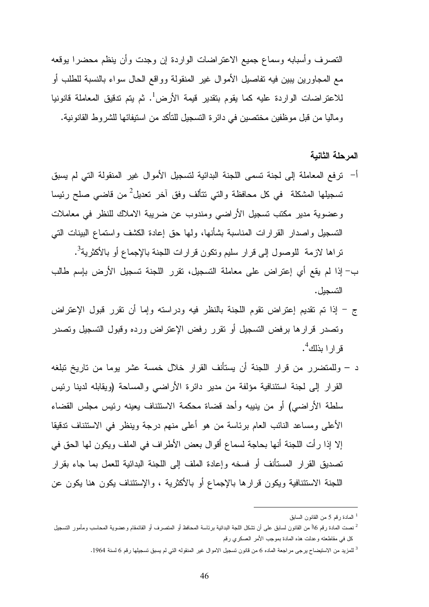التصرف وأسبابه وسماع جميع الاعتراضات الواردة إن وجدت وأن ينظم محضرا يوقعه مع المجاورين يبين فيه تفاصيل الأموال غير المنقولة وواقع الحال سواء بالنسبة للطلب أو للاعتراضات الواردة عليه كما يقوم بتقدير قيمة الأرض<sup>1</sup>. ثم يتم تدقيق المعاملة قانونيا وماليا من قبل موظفين مختصين في دائرة التسجيل للتأكد من استيفائها للشروط القانونية .

#### المرحلة الثانية

- أ ترفع المعاملة إلى لجنة تسمى اللجنة البدائية لتسجيل الأموال غير المنقولة التي لم يسبق تسجيلها المشكلة في كل محافظة والتي تتألف وفق آخر تعديل<sup>2</sup> من قاضـي صلح رئيسا وعضوية مدير مكتب تسجيل الأراضي ومندوب عن ضريبة الاملاك للنظر في معاملات التسجيل واصدار القرارات المناسبة بشأنها، ولها حق إعادة الكشف واستماع البينات التي تراها لازمة للوصول إلى قرار سليم ونكون قرارات اللجنة بالإجماع أو بالأكثرية<sup>3</sup>.
- ب– إذا لم يقع أي إعتراض على معاملة التسجيل، تقرر اللجنة تسجيل الأرض بإسم طالب التسجيل .
- ج إذا تم تقديم إعتراض تقوم اللجنة بالنظر فيه ودراسته وإما أن تقرر قبول الإعتراض وتصدر قرارها برفض التسجيل أو تقرر رفض الإعتراض ورده وقبول التسجيل وتصدر قر ار ا بذلك<sup>4</sup>.
- –د وللمتضرر من قرار اللجنة أن يستأنف القرار خلال خمسة عشر يوما من تاريخ تبلغه القرار إلى لجنة استئنافية مؤلفة من مدير دائرة الأراضي والمساحة (ويقابله لدينا رئيس سلطة الأراضي) أو من ينيبه وأحد قضاة محكمة الاستئناف يعينه رئيس مجلس القضاء الأعلى ومساعد النائب العام برئاسة من هو أعلى منهم درجة وينظر في الاستئناف تدقيقا إلا إذا رأت اللجنة أنها بحاجة لسماع أقوال بعض الأطراف في الملف ويكون لها الحق في تصديق القرار المستأنف أو فسخه وإعادة الملف إلى اللجنة البدائية للعمل بما جاء بقرار اللجنة الاستئنافية ويكون قرارها بالإجماع أو بالأكثرية ، والإستئناف يكون هنا يكون عن

<sup>1</sup> المادة رقم 5 من القانون السابق

<sup>2</sup> نصت المادة رقم 6\أ من القانون لسابق على أن تشكل اللجة البدائية برئاسة المحافظ أو المتصرف أو القائمقام وعضوية المحاسب ومأمور التسجيل كل في مقاطعته وعدلت هذه المادة بموجب الأمر العسكري رقم

<sup>&</sup>lt;sup>3</sup> للمزيد من الاستيضاح يرجى مراجعة الماده 6 من قانون تسجيل الاموال غير المنقوله التي لم يسبق تسجيلها رقم 6 لسنة 1964.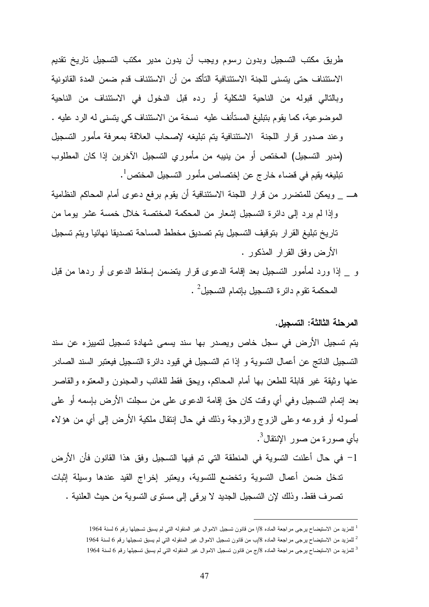طريق مكتب التسجيل وبدون رسوم ويجب أن يدون مدير مكتب التسجيل تاريخ تقديم الاستئناف حتى يتسنى للجنة الاستئنافية التأكد من أن الاستئناف قدم ضمن المدة القانونية وبالتالي قبوله من الناحية الشكلية أو رده قبل الدخول في الاستئناف من الناحية الموضوعية، كما يقوم بتبليغ المستأنف عليه نسخة من الاستئناف كي يتسنى له الرد عليه . وعند صدور قرار اللجنة الاستئنافية يتم تبليغه لإصحاب العلاقة بمعرفة مأمور التسجيل (مدير التسجيل) المختص أو من ينيبه من مأموري التسجيل الآخرين إذا كان المطلوب  $\cdot^1$ نبليغه يقيم في قضاء خارج عن إختصاص مأمور التسجيل المختص

- هـ \_ ويمكن للمتضرر من قرار اللجنة الاستئنافية أن يقوم برفع دعوى أمام المحاكم النظامية وإذا لم يرد إلى دائرة التسجيل إشعار من المحكمة المختصة خلال خمسة عشر يوما من تاريخ تبليغ القرار بتوقيف التسجيل يتم تصديق مخطط المساحة تصديقا نهائيا ويتم تسجيل الأرض وفق القرار المذكور .
- و \_ إذا ورد لمأمور التسجيل بعد إقامة الدعوى قرار يتضمن إسقاط الدعوى أو ردها من قبل  $\,$  المحكمة تقوم دائرة التسجيل بإتمام التسجيل $\,$

### المرحلة الثالثة: التسجيل.

يتم تسجيل الأرض في سجل خاص ويصدر بها سند يسمى شهادة تسجيل لتمييزه عن سند التسجيل الناتج عن أعمال التسوية و إذا تم التسجيل في قيود دائرة التسجيل فيعتبر السند الصادر عنها وثيقة غير قابلة للطعن بها أمام المحاكم، ويحق فقط للغائب والمجنون والمعتوه والقاصر بعد إتمام التسجيل وفي أي وقت كان حق إقامة الدعوى على من سجلت الأرض بإسمه أو على أصوله أو فروعه وعلى الزوج والزوجة وذلك في حال إنتقال ملكية الأرض إلى أي من هؤلاء بأي صورة من صور الإنتقال<sup>3</sup>.

-1 في حال أعلنت التسوية في المنطقة التي تم فيها التسجيل وفق هذا القانون فأن الأرض تدخل ضمن أعمال التسوية وتخضع للتسوية، ويعتبر إخراج القيد عندها وسيلة إثبات تصرف فقط. وذلك لإن التسجيل الجديد لا يرقى إلى مستوى التسوية من حيث العلنية .

<sup>&</sup>lt;sup>1</sup> للمزيد من الاستيضاح يرجى مراجعة الماده 8/ا من قانون تسجيل الاموال غير المنقوله التي لم يسبق تسجيلها رقم 6 لسنة 1964

<sup>2</sup> للمزيد من الاستيضاح يرجى مراجعة الماده /8ب من قانون تسجيل الاموال غير المنقوله التي لم يسبق تسجيلها رقم 6 لسنة 1964

<sup>&</sup>lt;sup>3</sup> للمزيد من الاستيضاح يرجى مراجعة الماده 8/ج من قانون تسجيل الاموال غير المنقوله التي لم يسبق تسجيلها رقم 6 لسنة 1964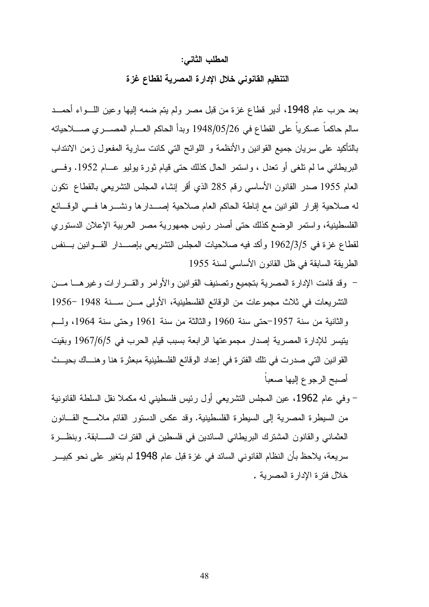#### المطلب الثاني :

#### التنظيم القانوني خلال الإدارة المصرية لقطاع غزة

بعد حرب عام 1948، أدير قطاع غزة من قبل مصر ولم يتم ضمه إليها وعين اللــواء أحمــد سالم حاكماً عسكرياً على القطاع في 1948/05/26 وبدأ الحاكم العـام المصـري صـلاحياته بالتأكيد على سريان جميع القوانين والأنظمة و اللوائح التي كانت سارية المفعول زمن الانتداب البريطاني ما لم تلغى أو تعدل ، واستمر الحال كذلك حتى قيام ثورة يوليو عـام .1952 وفـى العام 1955 صدر القانون الأساسي رقم 285 الذي أقر إنشاء المجلس التشريعي بالقطاع تكون له صلاحية إقرار القوانين مع إناطة الحاكم العام صلاحية إصـدارها ونشـرها فـي الوقـائع الفلسطينية، واستمر الوضع كذلك حتى أصدر رئيس جمهورية مصر العربية الإعلان الدستوري لقطاع غزة في 1962/3/5 وأكد فيه صلاحيات المجلس التشريعي بإصـدار القـوانين بـنفس الطريقة السابقة في ظل القانون الأساسي لسنة 1955

- وقد قامت الإدارة المصرية بتجميع وتصنيف القوانين والأوامر والقـرارات وغيرهـا مـن التشريعات في ثلاث مجموعات من الوقائع الفلسطينية، الأولى مـن سـنة 1948 - 1956 والثانية من سنة 1957حتى سنة 1960 والثالثة من سنة 1961 وحتى سنة 1964، ولـم يتيسر للإدارة المصرية إصدار مجموعتها الرابعة بسبب قيام الحرب في 1967/6/5 وبقيت القوانين التي صدرت في تلك الفترة في إعداد الوقائع الفلسطينية مبعثرة هنا وهنـاك بحيـث أصبح الرجوع إليها صعباً
- وفي عام ،1962 عين المجلس التشريعي أول رئيس فلسطيني له مكملا نقل السلطة القانونية من السيطرة المصرية إلى السيطرة الفلسطينية. وقد عكس الدستور القائم ملامـح القـانون العثماني والقانون المشترك البريطاني السائدين في فلسطين في الفترات السـابقة . وبنظـرة سريعة، يلاحظ بأن النظام القانوني السائد في غزة قبل عام 1948 لم يتغير على نحو كبيـر خلال فترة الإدارة المصرية .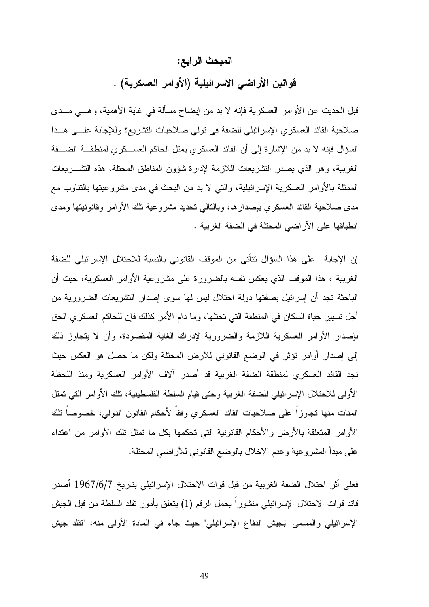#### المبحث الرابع:

قوانين الأراضي الاسرائيلية (الأوامر العسكرية) .

قبل الحديث عن الأوامر العسكرية فإنه لا بد من إيضاح مسألة في غاية الأهمية، وهـي مـدى صلاحية القائد العسكري الإسرائيلي للضفة في تولي صلاحيات التشريع؟ وللإجابة علـى هـذا السؤال فإنه لا بد من الإشارة إلى أن القائد العسكري يمثل الحاكم العسـكري لمنطقـة الضـفة الغربية، وهو الذي يصدر التشريعات اللازمة لإدارة شؤون المناطق المحتلة، هذه التشـريعات الممثلة بالأوامر العسكرية الإسرائيلية، والتي لا بد من البحث في مدى مشروعيتها بالتناوب مع مدى صلاحية القائد العسكري بإصدارها، وبالتالي تحديد مشروعية تلك الأوامر وقانونيتها ومدى انطباقها على الأراضي المحتلة في الضفة الغربية .

إن الإجابة على هذا السؤال تتأتى من الموقف القانوني بالنسبة للاحتلال الإسرائيلي للضفة الغربية ، هذا الموقف الذي يعكس نفسه بالضرورة على مشروعية الأوامر العسكرية، حيث أن الباحثة تجد أن إسرائيل بصفتها دولة احتلال ليس لها سوى إصدار التشريعات الضرورية من أجل تسيير حياة السكان في المنطقة التي تحتلها، وما دام الأمر كذلك فإن للحاكم العسكري الحق بإصدار الأوامر العسكرية اللازمة والضرورية لإدراك الغاية المقصودة، وأن لا يتجاوز ذلك إلى إصدار أوامر تؤثر في الوضع القانوني للأرض المحتلة ولكن ما حصل هو العكس حيث نجد القائد العسكري لمنطقة الضفة الغربية قد أصدر آلاف الأوامر العسكرية ومنذ اللحظة الأولى للاحتلال الإسرائيلي للضفة الغربية وحتى قيام السلطة الفلسطينية، تلك الأوامر التي تمثل المئات منها تجاوزاً على صلاحيات القائد العسكري وفقاً لأحكام القانون الدولي، خصوصاً تلك الأوامر المتعلقة بالأرض والأحكام القانونية التي تحكمها بكل ما تمثل تلك الأوامر من اعتداء على مبدأ المشروعية وعدم الإخلال بالوضع القانوني للأراضي المحتلة .

فعلى أثر احتلال الضفة الغربية من قبل قوات الاحتلال الإسرائيلي بتاريخ 7/6/ 1967 أصدر قائد قوات الاحتلال الإسرائيلي منشوراً يحمل الرقم 1( ) يتعلق بأمور تقلد السلطة من قبل الجيش الإسرائيلي والمسمى "بجيش الدفاع الإسرائيلي" حيث جاء في المادة الأولى منه: "تقلد جيش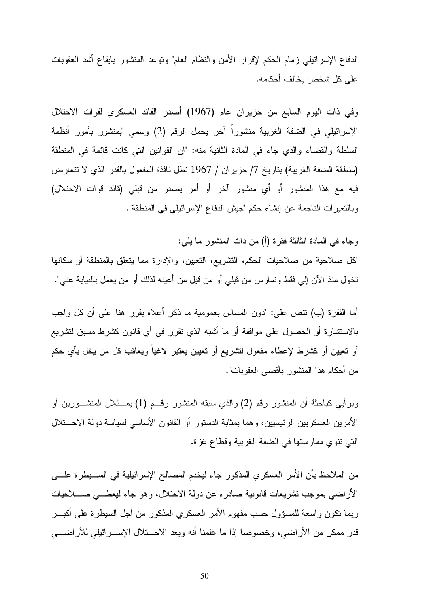الدفاع الإسرائيلي زمام الحكم لإقرار الأمن والنظام العام" وتوعد المنشور بايقاع أشد العقوبات على كل شخص يخالف أحكامه .

وفي ذات اليوم السابع من حزيران عام (1967) أصدر القائد العسكري لقوات الاحتلال الإسرائيلي في الضفة الغربية منشوراً آخر يحمل الرقم 2( ) وسمي "بمنشور بأمور أنظمة السلطة والقضاء والذي جاء في المادة الثانية منه: "إن القوانين التي كانت قائمة في المنطقة (منطقة الضفة الغربية) بتاريخ /7 حزيران / 1967 تظل نافذة المفعول بالقدر الذي لا تتعارض فيه مع هذا المنشور أو أي منشور آخر أو أمر يصدر من قبلي (قائد قوات الاحتلال) وبالتغيرات الناجمة عن إنشاء حكم "جيش الدفاع الإسرائيلي في المنطقة".

وجاء في المادة الثالثة فقرة (أ) من ذات المنشور ما يلي:

"كل صلاحية من صلاحيات الحكم، التشريع، التعيين، والإدارة مما يتعلق بالمنطقة أو سكانها تخول منذ الآن إلي فقط وتمارس من قبلي أو من قبل من أعينه لذلك أو من يعمل بالنيابة عني".

أما الفقرة (ب) تنص على: "دون المساس بعمومية ما ذكر أعلاه يقرر هنا على أن كل واجب بالاستشارة أو الحصول على موافقة أو ما أشبه الذي تقرر في أي قانون كشرط مسبق لتشريع أو تعيين أو كشرط لإعطاء مفعول لتشريع أو تعيين يعتبر لاغياً ويعاقب كل من يخل بأي حكم من أحكام هذا المنشور بأقصى العقوبات ".

وبرأيي كباحثة أن المنشور رقم 2( ) والذي سبقه المنشور رقـم 1( ) يمـثلان المنشـورين أو الأمرين العسكريين الرئيسيين، وهما بمثابة الدستور أو القانون الأساسي لسياسة دولة الاحـتلال التي تنوي ممارستها في الضفة الغربية وقطاع غزة .

من الملاحظ بأن الأمر العسكري المذكور جاء ليخدم المصالح الإسرائيلية في السـيطرة علـى الأراضي بموجب تشريعات قانونية صادره عن دولة الاحتلال، وهو جاء ليعطـي صـلاحيات ربما تكون واسعة للمسؤول حسب مفهوم الأمر العسكري المذكور من أجل السيطرة على أكبـر قدر ممكن من الأراضي، وخصوصا إذا ما علمنا أنه وبعد الاحـتلال الإسـرائيلي للأراضـي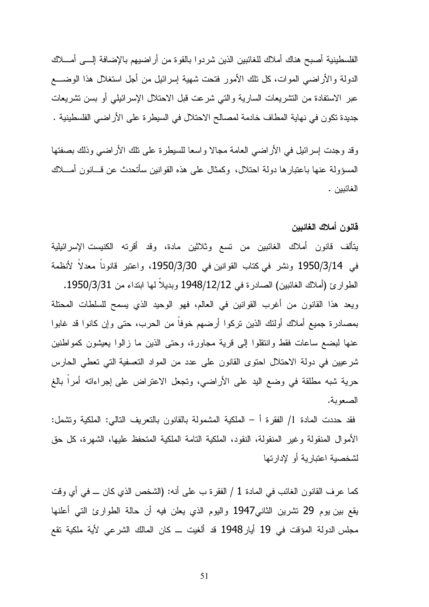الفلسطينية أصبح هناك أملاك للغائبين الذين شردوا بالقوة من أراضيهم بالإضافة إلـى أمـلاك الدولة والأراضـي الموات، كل تلك الأمور فتحت شهية إسرائيل من أجل استغلال هذا الوضــــع عبر الاستفادة من التشريعات السارية والتي شرعت قبل الاحتلال الإسرائيلي أو بسن تشريعات جديدة تكون في نهاية المطاف خادمة لمصالح الاحتلال في السيطرة على الأراضي الفلسطينية .

وقد وجدت إسرائيل في الأراضي العامة مجالا واسعا للسيطرة على تلك الأراضي وذلك بصفتها المسؤولة عنها باعتبارها دولة احتلال، وكمثال على هذه القوانين سأتحدث عن قـانون أمـلاك الغائبين .

#### قانون أملاك الغائبين

يتألف قانون أملاك الغائبين من تسع وثلاثين مادة، وقد أقرته الكنيست الإسرائيلية في 1950/3/14 ونشر في كتاب القوانين في ،1950/3/30 واعتبر قانوناً معدلاً لأنظمة الطوارئ (أملاك الغائبين) الصادرة في 1948/12/12 وبديلاً لها ابتداء من 1950/3/31 . ويعد هذا القانون من أغرب القوانين في العالم، فهو الوحيد الذي يسمح للسلطات المحتلة بمصادرة جميع أملاك أولئك الذين تركوا أرضهم خوفاً من الحرب، حتى وإن كانوا قد غابوا عنها لبضع ساعات فقط وانتقلوا إلى قرية مجاورة، وحتى الذين ما زالوا يعيشون كمواطنين شرعيين في دولة الاحتلال احتوى القانون على عدد من المواد التعسفية التي تعطي الحارس حرية شبه مطلقة في وضع اليد على الأراضي، وتجعل الاعتراض على إجراءاته أمراً بالغ الصعوبة.

فقد حددت المادة /1 الفقرة أ – الملكية المشمولة بالقانون بالتعريف التالي: الملكية وتشمل: الأموال المنقولة وغير المنقولة، النقود، الملكية التامة الملكية المتحفظ عليها، الشهرة، كل حق لشخصية اعتبارية أو لإدارتها

كما عرف القانون الغائب في المادة 1 / الفقرة ب على أنه: (الشخص الذي كان ـــ في أي وقت يقع بين يوم 29 تشرين الثاني1947 واليوم الذي يعلن فيه أن حالة الطوارئ التي أعلنها مجلس الدولة المؤقت في 19 أيار1948 قد ألغيت ـ كان المالك الشرعي لأية ملكية تقع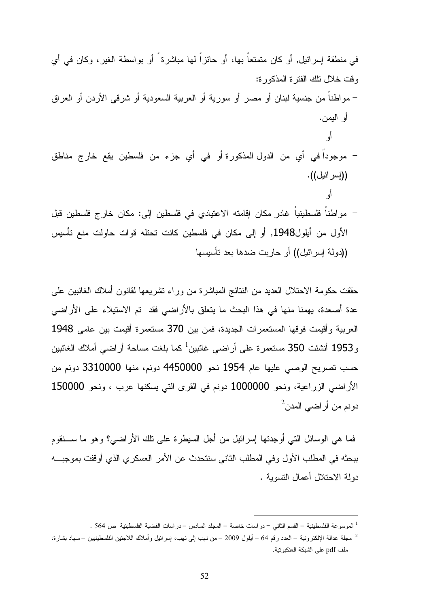في منطقة إسرائيل , أو كان متمتعاً بها ، أو حائزاً لها مباشرة ً أو بواسطة الغير، وكان في أي وقت خلال تلك الفترة المذكورة: - مواطناً من جنسية لبنان أو مصر أو سورية أو العربية السعودية أو شرقي الأردن أو العراق أو اليمن . أو - موجوداً في أي من الدول المذكورة أو في أي جزء من فلسطين يقع خارج مناطق ((إسرائيل)). أو - مواطناً فلسطينياً غادر مكان إقامته الاعتيادي في فلسطين إلى: مكان خارج فلسطين قبل الأول من أيلول1948 وأ, إلى مكان في فلسطين كانت تحتله قوات حاولت منع تأسيس ((دولة إسرائيل)) أو حاربت ضدها بعد تأسيسها

حققت حكومة الاحتلال العديد من النتائج المباشرة من وراء تشريعها لقانون أملاك الغائبين على عدة أصعدة، يهمنا منها في هذا البحث ما يتعلق بالأراضي فقد تم الاستيلاء على الأراضي العربية وأقيمت فوقها المستعمرات الجديدة، فمن بين 370 مستعمرة أقيمت بين عامي 1948 و1953 أنشئت 350 مستعمرة على أراضي غائبين<sup>1</sup> كما بلغت مساحة أراضي أملاك الغائبين حسب تصريح الوصي عليها عام 1954 نحو 4450000 دونم، منها 3310000 دونم من الأراضي الزراعية، ونحو 1000000 دونم في القرى التي يسكنها عرب ، ونحو 150000  $^2$ دونم من أراضيي المدن

فما هي الوسائل التي أوجدتها إسرائيل من أجل السيطرة على تلك الأراضي؟ وهو ما سـنقوم ببحثه في المطلب الأول وفي المطلب الثاني سنتحدث عن الأمر العسكري الذي أوقفت بموجبـه دولة الاحتلال أعمال التسوية .

<sup>1</sup> الموسوعة الفلسطينية – القسم الثاني - دراسات خاصة – المجلد السادس – دراسات القضية الفلسطينية ص 564 .

<sup>2</sup> مجلة عدالة الإلكترونية – العدد رقم 64 – أيلول 2009 – من نهب إلى نهب، إسرائيل وأملاك اللاجئين الفلسطينيين – سهاد بشارة، ملف pdf على الشبكة العنكبوتية .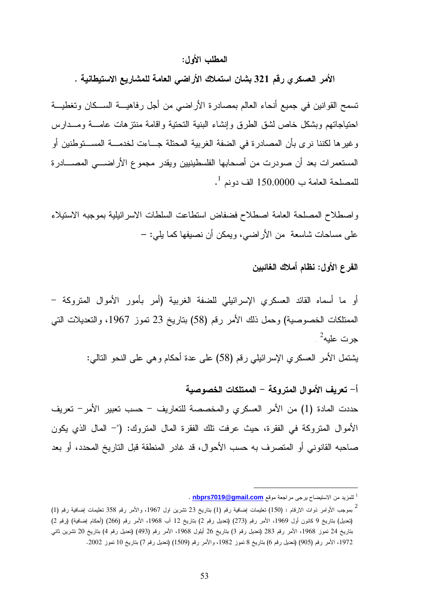#### المطلب الأول :

الأمر العسكري رقم 321 بشان استملاك الأراضي العامة للمشاريع الاستيطانية .

تسمح القوانين في جميع أنحاء العالم بمصادرة الأراضي من أجل رفاهيـة السـكان وتغطيـة احتياجاتهم وبشكل خاص لشق الطرق وإنشاء البنية التحتية واقامة منتزهات عامـة ومـدارس وغيرها لكننا نرى بأن المصادرة في الضفة الغربية المحتلة جـاءت لخدمـة المسـتوطنين أو المستعمرات بعد أن صودرت من أصحابها الفلسطينيين ويقدر مجموع الأراضـي المصـادرة  $^{-1}$  للمصلحة العامة ب $150.0000$  الف دونم

واصطلاح المصلحة العامة اصطلاح فضفاض استطاعت السلطات الاسرائيلية بموجبه الاستيلاء على مساحات شاسعة من الأراضي، ويمكن أن نصيفها كما يلي –:

### الفرع الأول : نظام أملاك الغائبين

أو ما أسماه القائد العسكري الإسرائيلي للضفة الغربية (أمر بأمور الأموال المتروكة - الممتلكات الخصوصية) وحمل ذلك الأمر رقم (58) بتاريخ 23 تموز ،1967 والتعديلات التي جرت عليه<sup>2</sup> .

يشتمل الأمر العسكري الإسرائيلي رقم (58) على عدة أحكام وهي على النحو التالي :

 -أ تعريف الأموال المتروكة - الممتلكات الخصوصية حددت المادة 1( ) من الأمر العسكري والمخصصة للتعاريف - حسب تعبير الأمر - تعريف الأموال المتروكة في الفقرة، حيث عرفت تلك الفقرة المال المتروك: (" - المال الذي يكون صاحبه القانوني أو المتصرف به حسب الأحوال، قد غادر المنطقة قبل التاريخ المحدد، أو بعد

<sup>&</sup>lt;sup>1</sup> للمزيد من الاستيضاح يرجى مراجعة موقع <mark>nbprs7019@gmail.com</mark> .

<sup>.&</sup>lt;br>بموجب الأوامر ذوات الارقام : (150) تعليمات إضافية رقم (1) بتاريخ 23 تشرين اول 1967، والأمر رقم 358 تعليمات إضافية رقم (1) (تعديل) بتاريخ 9 كانون أول 1969، الأمر رقم (273) (تعديل رقم 2) بتاريخ 12 آب 1968، الأمر رقم (266) (أحكام إضافية) (رقم 2) بتاريخ 24 تموز ،1968 الأمر رقم 283 ( تعديل رقم 3) بتاريخ 26 أيلول ،1968 الأمر رقم (493) (تعديل رقم 4) بتاريخ 20 تشرين ثاني ،1972 الأمر رقم (905) (تعديل رقم 6) بتاريخ 8 تموز ،1982 والأمر رقم (1509) (تعديل رقم 7) بتاريخ 10 تموز 2002 .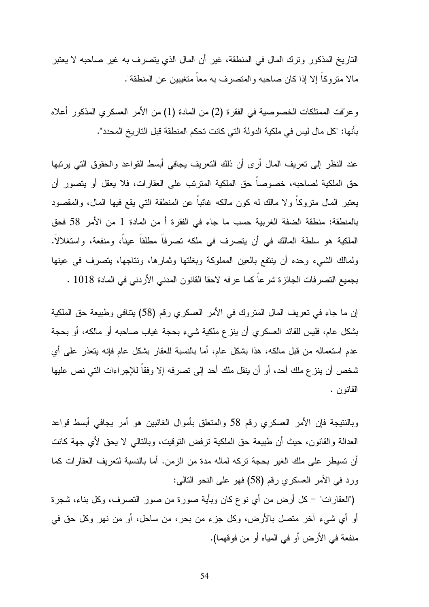التاريخ المذكور وترك المال في المنطقة، غير أن المال الذي يتصرف به غير صاحبه لا يعتبر مالا متروكاً إلا إذا كان صاحبه والمتصرف به معاً متغيبين عن المنطقة ".

وعرفت الممتلكات الخصوصية في الفقرة 2( ) من المادة 1( ) من الأمر العسكري المذكور أعلاه بأنها: "كل مال ليس في ملكية الدولة التي كانت تحكم المنطقة قبل التاريخ المحدد ".

عند النظر إلى تعريف المال أرى أن ذلك التعريف يجافي أبسط القواعد والحقوق التي يرتبها حق الملكية لصاحبه، خصوصاً حق الملكية المترتب على العقارات، فلا يعقل أو يتصور أن يعتبر المال متروكاً ولا مالك له كون مالكه غائباً عن المنطقة التي يقع فيها المال، والمقصود بالمنطقة: منطقة الضفة الغربية حسب ما جاء في الفقرة أ من المادة 1 من الأمر 58 فحق الملكية هو سلطة المالك في أن يتصرف في ملكه تصرفاً مطلقاً عيناً، ومنفعة، واستغلالاً. ولمالك الشيء وحده أن ينتفع بالعين المملوكة وبغلتها وثمارها، ونتاجها، يتصرف في عينها بجميع التصرفات الجائزة شرعاً كما عرفه لاحقا القانون المدني الأردني في المادة 1018 .

إن ما جاء في تعريف المال المتروك في الأمر العسكري رقم (58) يتنافى وطبيعة حق الملكية بشكل عام، فليس للقائد العسكري أن ينزع ملكية شيء بحجة غياب صاحبه أو مالكه، أو بحجة عدم استعماله من قبل مالكه، هذا بشكل عام، أما بالنسبة للعقار بشكل عام فإنه يتعذر على أي شخص أن ينزع ملك أحد، أو أن ينقل ملك أحد إلى تصرفه إلا وفقاً للإجراءات التي نص عليها القانون .

وبالنتيجة فإن الأمر العسكري رقم 58 والمتعلق بأموال الغائبين هو أمر يجافي أبسط قواعد العدالة والقانون، حيث أن طبيعة حق الملكية ترفض التوقيت، وبالتالي لا يحق لأي جهة كانت أن تسيطر على ملك الغير بحجة تركه لماله مدة من الزمن. أما بالنسبة لتعريف العقارات كما ورد في الأمر العسكري رقم (58) فهو على النحو التالي :

(" العقارات -" كل أرض من أي نوع كان وبأية صورة من صور التصرف، وكل بناء، شجرة أو أي شيء آخر متصل بالأرض، وكل جزء من بحر، من ساحل، أو من نهر وكل حق في منفعة في الأرض أو في المياه أو من فوقهما ).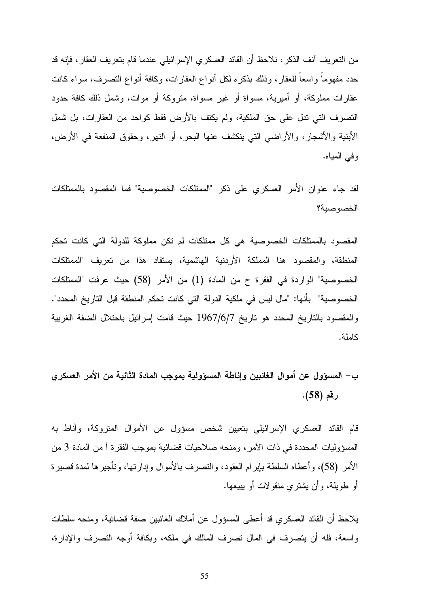من التعريف آنف الذكر، نلاحظ أن القائد العسكري الإسرائيلي عندما قام بتعريف العقار، فإنه قد حدد مفهوماً واسعاً للعقار، وذلك بذكره لكل أنواع العقارات، وكافة أنواع التصرف، سواء كانت عقارات مملوكة، أو أميرية، مسواة أو غير مسواة، متروكة أو موات، وشمل ذلك كافة حدود التصرف التي تدل على حق الملكية، ولم يكتف بالأرض فقط كواحد من العقارات، بل شمل الأبنية والأشجار، والأراضي التي ينكشف عنها البحر، أو النهر، وحقوق المنفعة في الأرض، وفي المياه .

لقد جاء عنوان الأمر العسكري على ذكر "الممتلكات الخصوصية" فما المقصود بالممتلكات الخصوصية؟

المقصود بالممتلكات الخصوصية هي كل ممتلكات لم تكن مملوكة للدولة التي كانت تحكم المنطقة، والمقصود هنا المملكة الأردنية الهاشمية، يستفاد هذا من تعريف "الممتلكات الخصوصية" الواردة في الفقرة ح من المادة 1( ) من الأمر (58) حيث عرفت "الممتلكات الخصوصية" بأنها: "مال ليس في ملكية الدولة التي كانت تحكم المنطقة قبل التاريخ المحدد". والمقصود بالتاريخ المحدد هو تاريخ 7/6/ 1967 حيث قامت إسرائيل باحتلال الضفة الغربية كاملة .

ب - المسؤول عن أموال الغائبين وإناطة المسؤولية بموجب المادة الثانية من الأمر العسكري رقم (58 ).

قام القائد العسكري الإسرائيلي بتعيين شخص مسؤول عن الأموال المتروكة، وأناط به المسؤوليات المحددة في ذات الأمر، ومنحه صلاحيات قضائية بموجب الفقرة أ من المادة 3 من الأمر ( )58 ، وأعطاه السلطة بإبرام العقود، والتصرف بالأموال وإدارتها، وتأجيرها لمدة قصيرة أو طويلة، وأن يشتري منقولات أو يبيعها .

يلاحظ أن القائد العسكري قد أعطى المسؤول عن أملاك الغائبين صفة قضائية، ومنحه سلطات واسعة، فله أن يتصرف في المال تصرف المالك في ملكه، وبكافة أوجه التصرف والإدارة،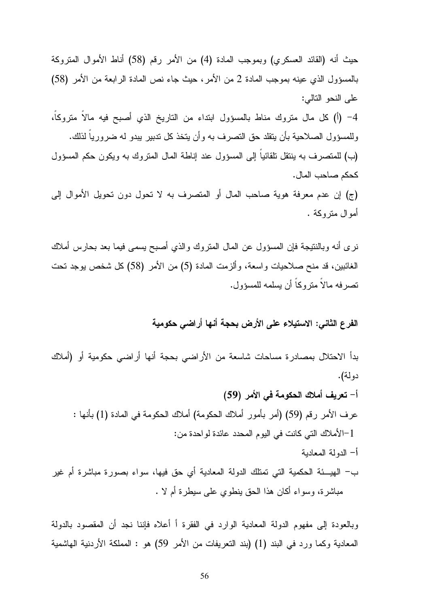حيث أنه (القائد العسكري) وبموجب المادة 4( ) من الأمر رقم (58) أناط الأموال المتروكة بالمسؤول الذي عينه بموجب المادة 2 من الأمر، حيث جاء نص المادة الرابعة من الأمر (58) على النحو التالي : -4 أ( ) كل مال متروك مناط بالمسؤول ابتداء من التاريخ الذي أصبح فيه مالاً متروكاً، وللمسؤول الصلاحية بأن يتقلد حق التصرف به وأن يتخذ كل تدبير يبدو له ضرورياً لذلك . (ب) للمتصرف به ينتقل تلقائياً إلى المسؤول عند إناطة المال المتروك به ويكون حكم المسؤول كحكم صاحب المال . ج( ) إن عدم معرفة هوية صاحب المال أو المتصرف به لا تحول دون تحويل الأموال إلى أموال متروكة .

نرى أنه وبالنتيجة فإن المسؤول عن المال المتروك والذي أصبح يسمى فيما بعد بحارس أملاك الغائبين، قد منح صلاحيات واسعة، وألزمت المادة 5( ) من الأمر (58) كل شخص يوجد تحت تصرفه مالاً متروكاً أن يسلمه للمسؤول .

الفرع الثاني : الاستيلاء على الأرض بحجة أنها أراضي حكومية

بدأ الاحتلال بمصادرة مساحات شاسعة من الأراضي بحجة أنها أراضي حكومية أو (أملاك دولة).

- -أ تعريف أملاك الحكومة في الأمر (59 ) عرف الأمر رقم (59) (أمر بأمور أملاك الحكومة) أملاك الحكومة في المادة 1( ) بأنها : 1 -الأملاك التي كانت في اليوم المحدد عائدة لواحدة من :
	- -أ الدولة المعادية
- ب الهيـئة الحكمية التي تمتلك الدولة المعادية أي حق فيها، سواء بصورة مباشرة أم غير مباشرة، وسواء أكان هذا الحق ينطوي على سيطرة أم لا .

وبالعودة إلى مفهوم الدولة المعادية الوارد في الفقرة أ أعلاه فإننا نجد أن المقصود بالدولة المعادية وكما ورد في البند 1( ) (بند التعريفات من الأمر 59) هو : المملكة الأردنية الهاشمية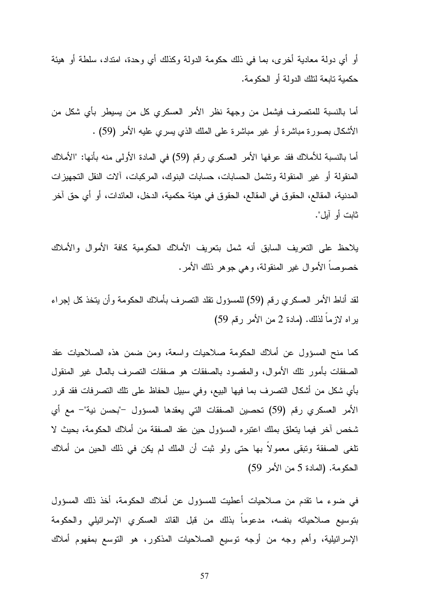أو أي دولة معادية أخرى، بما في ذلك حكومة الدولة وكذلك أي وحدة، امتداد، سلطة أو هيئة حكمية تابعة لتلك الدولة أو الحكومة .

أما بالنسبة للمتصرف فيشمل من وجهة نظر الأمر العسكري كل من يسيطر بأي شكل من الأشكال بصورة مباشرة أو غير مباشرة على الملك الذي يسري عليه الأمر (59) .

أما بالنسبة للأملاك فقد عرفها الأمر العسكري رقم (59) في المادة الأولى منه بأنها: "الأملاك المنقولة أو غير المنقولة وتشمل الحسابات، حسابات البنوك، المركبات، آلات النقل التجهيزات المدنية، المقالع، الحقوق في المقالع، الحقوق في هيئة حكمية، الدخل، العائدات، أو أي حق آخر ثابت أو آيل ".

يلاحظ على التعريف السابق أنه شمل بتعريف الأملاك الحكومية كافة الأموال والأملاك خصوصاً الأموال غير المنقولة، وهي جوهر ذلك الأمر .

لقد أناط الأمر العسكري رقم (59) للمسؤول تقلد التصرف بأملاك الحكومة وأن يتخذ كل إجراء يراه لازماً لذلك. (مادة 2 من الأمر رقم 59 )

كما منح المسؤول عن أملاك الحكومة صلاحيات واسعة، ومن ضمن هذه الصلاحيات عقد الصفقات بأمور تلك الأموال، والمقصود بالصفقات هو صفقات التصرف بالمال غير المنقول بأي شكل من أشكال التصرف بما فيها البيع، وفي سبيل الحفاظ على تلك التصرفات فقد قرر الأمر العسكري رقم (59) تحصين الصفقات التي يعقدها المسؤول –"بحسن نية"– مع أي شخص آخر فيما يتعلق بملك اعتبره المسؤول حين عقد الصفقة من أملاك الحكومة، بحيث لا تلغى الصفقة وتبقى معمولاً بها حتى ولو ثبت أن الملك لم يكن في ذلك الحين من أملاك الحكومة. (المادة 5 من الأمر 59 )

في ضوء ما تقدم من صلاحيات أعطيت للمسؤول عن أملاك الحكومة، أخذ ذلك المسؤول بتوسيع صلاحياته بنفسه، مدعوماً بذلك من قبل القائد العسكري الإسرائيلي والحكومة الإسرائيلية، وأهم وجه من أوجه توسيع الصلاحيات المذكور، هو التوسع بمفهوم أملاك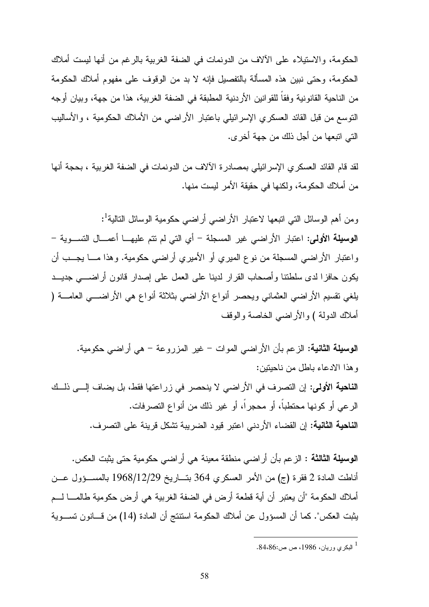الحكومة، والاستيلاء على الآلاف من الدونمات في الضفة الغربية بالرغم من أنها ليست أملاك الحكومة، وحتى نبين هذه المسألة بالتفصيل فإنه لا بد من الوقوف على مفهوم أملاك الحكومة من الناحية القانونية وفقاً للقوانين الأردنية المطبقة في الضفة الغربية، هذا من جهة، وبيان أوجه التوسع من قبل القائد العسكري الإسرائيلي باعتبار الأراضي من الأملاك الحكومية ، والأساليب التي اتبعها من أجل ذلك من جهة أخرى .

لقد قام القائد العسكري الإسرائيلي بمصادرة الآلاف من الدونمات في الضفة الغربية ، بحجة أنها من أملاك الحكومة، ولكنها في حقيقة الأمر ليست منها .

ومن أهم الوسائل التي اتبعها لاعتبار الأراضـي أراضـي حكومية الوسائل التالية<sup>1</sup>: الوسيلة الأولى: اعتبار الأراضي غير المسجلة – أي التي لم نتم عليهــا أعمـــال التســـوية – واعتبار الأراضي المسجلة من نوع الميري أو الأميري أراضي حكومية. وهذا مـا يجـب أن يكون حافزا لدى سلطتنا وأصحاب القرار لدينا على العمل على إصدار قانون أراضـي جديـد يلغي تقسيم الأراضي العثماني ويحصر أنواع الأراضي بثلاثة أنواع هي الأراضـي العامـة ( أملاك الدولة ) والأراضي الخاصة والوقف

الوسيلة الثانية: الزعم بأن الأراضي الموات - غير المزروعة - هي أراضي حكومية . وهذا الادعاء باطل من ناحيتين : الناحية الأولى: إن التصرف في الأراضي لا ينحصر في زراعتها فقط، بل يضاف إلـى ذلـك الرعي أو كونها محتطباً، أو محجراً، أو غير ذلك من أنواع التصرفات . الناحية الثانية: إن القضاء الأردني اعتبر قيود الضريبة تشكل قرينة على التصرف .

الوسيلة الثالثة : الزعم بأن أراضي منطقة معينة هي أراضي حكومية حتى يثبت العكس . أناطت المادة 2 فقرة ج( ) من الأمر العسكري 364 بتـاريخ 29/ 12/ 1968 بالمسـؤول عـن أملاك الحكومة "أن يعتبر أن أية قطعة أرض في الضفة الغربية هي أرض حكومية طالمـا لـم يثبت العكس". كما أن المسؤول عن أملاك الحكومة استنتج أن المادة (14) من قـانون تسـوية

<sup>1</sup> البكري وريان، ،1986 ص ص.84،86: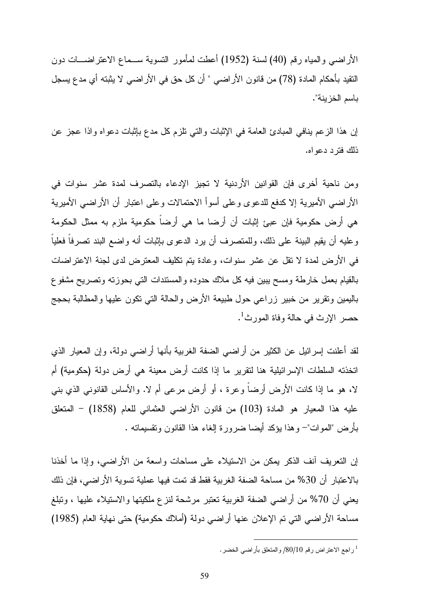الأراضي والمياه رقم (40) لسنة (1952) أعطت لمأمور التسوية سـماع الاعتراضـات دون التقيد بأحكام المادة ( 78) من قانون الأراضي " أن كل حق في الأراضي لا يثبته أي مدع يسجل باسم الخزينة ".

إن هذا الزعم ينافي المبادئ العامة في الإثبات والتي تلزم كل مدع بإثبات دعواه واذا عجز عن ذلك فترد دعواه .

ومن ناحية أخرى فإن القوانين الأردنية لا تجيز الإدعاء بالتصرف لمدة عشر سنوات في الأراضي الأميرية إلا كدفع للدعوى وعلى أسوأ الاحتمالات وعلى اعتبار أن الأراضي الأميرية هي أرض حكومية فإن عبئ إثبات أن أرضا ما هي أرضاً حكومية ملزم به ممثل الحكومة وعليه أن يقيم البينة على ذلك، وللمتصرف أن يرد الدعوى بإثبات أنه واضع البند تصرفاً فعلياً في الأرض لمدة لا تقل عن عشر سنوات، وعادة يتم تكليف المعترض لدى لجنة الاعتراضات بالقيام بعمل خارطة ومسح يبين فيه كل ملاك حدوده والمستندات التي بحوزته وتصريح مشفوع باليمين وتقرير من خبير زراعي حول طبيعة الأرض والحالة التي تكون عليها والمطالبة بحجج حصر الإرث في حالة وفاة المورث<sup>1</sup>.

لقد أعلنت إسرائيل عن الكثير من أراضي الضفة الغربية بأنها أراضي دولة، وإن المعيار الذي اتخذته السلطات الإسرائيلية هنا لتقرير ما إذا كانت أرض معينة هي أرض دولة (حكومية) أم لا، هو ما إذا كانت الأرض أرضاً وعرة ، أو أرض مرعى أم لا. والأساس القانوني الذي بني عليه هذا المعيار هو المادة (103) من قانون الأراضي العثماني للعام (1858) - المتعلق بأرض "الموات"– وهذا يؤكد أيضا ضرورة إلغاء هذا القانون وتقسيماته .

إن التعريف آنف الذكر يمكن من الاستيلاء على مساحات واسعة من الأراضي، وإذا ما أخذنا بالاعتبار أن %30 من مساحة الضفة الغربية فقط قد تمت فيها عملية تسوية الأراضي، فإن ذلك يعني أن %70 من أراضي الضفة الغربية تعتبر مرشحة لنزع ملكيتها والاستيلاء عليها ، وتبلغ مساحة الأراضي التي تم الإعلان عنها أراضي دولة (أملاك حكومية) حتى نهاية العام (1985 )

راجع الاعتراض رقم 80/10/ والمتعلق بأراضي الخضر .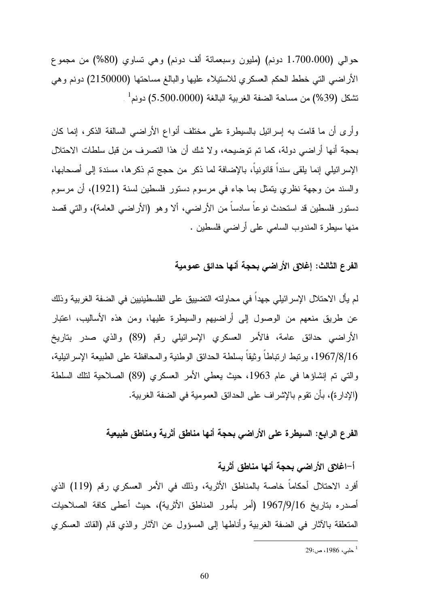حوالي (1.700.000 دونم) (مليون وسبعمائة ألف دونم) وهي تساوي (%80) من مجموع الأراضي التي خطط الحكم العسكري للاستيلاء عليها والبالغ مساحتها (2150000) دونم وهي  $^{-1}$ تشكل (39%) من مساحة الضفة الغربية البالغة (5.500.0000) دونم

وأرى أن ما قامت به إسرائيل بالسيطرة على مختلف أنواع الأراضي السالفة الذكر، إنما كان بحجة أنها أراضي دولة، كما تم توضيحه، ولا شك أن هذا التصرف من قبل سلطات الاحتلال الإسرائيلي إنما يلقى سنداً قانونياً، بالإضافة لما ذكر من حجج تم ذكرها، مسندة إلى أصحابها، والسند من وجهة نظري يتمثل بما جاء في مرسوم دستور فلسطين لسنة (1921)، أن مرسوم دستور فلسطين قد استحدث نوعاً سادساً من الأراضي، ألا وهو (الأراضي العامة)، والتي قصد منها سيطرة المندوب السامي على أراضي فلسطين .

### الفرع الثالث : إغلاق الأراضي بحجة أنها حدائق عمومية

لم يأل الاحتلال الإسرائيلي جهداً في محاولته التضييق على الفلسطينيين في الضفة الغربية وذلك عن طريق منعهم من الوصول إلى أراضيهم والسيطرة عليها، ومن هذه الأساليب، اعتبار الأراضي حدائق عامة، فالأمر العسكري الإسرائيلي رقم (89) والذي صدر بتاريخ 16/8/ ،1967 يرتبط ارتباطاً وثيقاً بسلطة الحدائق الوطنية والمحافظة على الطبيعة الإسرائيلية، والتي تم إنشاؤها في عام 1963، حيث يعطي الأمر العسكري (89) الصلاحية لتلك السلطة (الإدارة)، بأن تقوم بالإشراف على الحدائق العمومية في الضفة الغربية .

### الفرع الرابع: السيطرة على الأراضي بحجة أنها مناطق أثرية ومناطق طبيعية

 $\overline{a}$ 

#### -أ اغلاق الأراضي بحجة أنها مناطق أثرية

أفرد الاحتلال أحكاماً خاصة بالمناطق الأثرية، وذلك في الأمر العسكري رقم (119) الذي أصدره بتاريخ 16/9/ 1967 ( أمر بأمور المناطق الأثرية)، حيث أعطى كافة الصلاحيات المتعلقة بالآثار في الضفة الغربية وأناطها إلى المسؤول عن الآثار والذي قام (القائد العسكري

<sup>1</sup> حلبي، ،1986 ص29: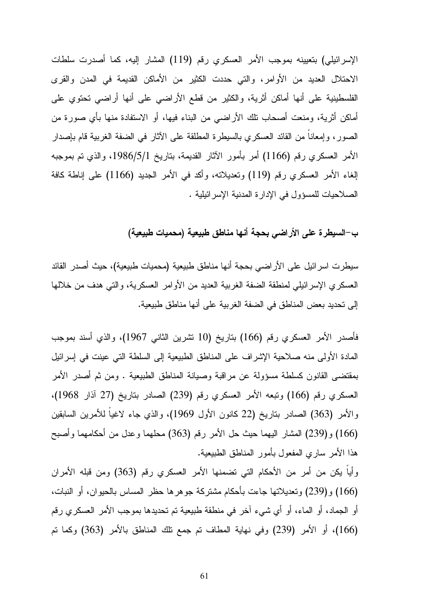الإسرائيلي) بتعيينه بموجب الأمر العسكري رقم (119) المشار إليه، كما أصدرت سلطات الاحتلال العديد من الأوامر، والتي حددت الكثير من الأماكن القديمة في المدن والقرى الفلسطينية على أنها أماكن أثرية، والكثير من قطع الأراضي على أنها أراضي تحتوي على أماكن أثرية، ومنعت أصحاب تلك الأراضي من البناء فيها، أو الاستفادة منها بأي صورة من الصور، وإمعاناً من القائد العسكري بالسيطرة المطلقة على الآثار في الضفة الغربية قام بإصدار الأمر العسكري رقم (1166) أمر بأمور الآثار القديمة، بتاريخ 1/5/ ،1986 والذي تم بموجبه إلغاء الأمر العسكري رقم (119) وتعديلاته، وأكد في الأمر الجديد (1166) على إناطة كافة الصلاحيات للمسؤول في الإدارة المدنية الإسرائيلية .

ب- السيطرة على الأراضي بحجة أنها مناطق طبيعية (محميات طبيعية)

سيطرت اسرائيل على الأراضي بحجة أنها مناطق طبيعية (محميات طبيعية)، حيث أصدر القائد العسكري الإسرائيلي لمنطقة الضفة الغربية العديد من الأوامر العسكرية، والتي هدف من خلالها إلى تحديد بعض المناطق في الضفة الغربية على أنها مناطق طبيعية .

فأصدر الأمر العسكري رقم (166) بتاريخ ( 10 تشرين الثاني 1967)، والذي أسند بموجب المادة الأولى منه صلاحية الإشراف على المناطق الطبيعية إلى السلطة التي عينت في إسرائيل بمقتضى القانون كسلطة مسؤولة عن مراقبة وصيانة المناطق الطبيعية . ومن ثم أصدر الأمر العسكري رقم (166) وتبعه الأمر العسكري رقم (239) الصادر بتاريخ ( 27 آذار 1968 ، ) والأمر (363) الصادر بتاريخ ( 22 كانون الأول 1969)، والذي جاء لاغياً للأمرين السابقين (166 (و) 239) المشار اليهما حيث حل الأمر رقم (363) محلهما وعدل من أحكامهما وأصبح هذا الأمر ساري المفعول بأمور المناطق الطبيعية .

وأياً يكن من أمر من الأحكام التي تضمنها الأمر العسكري رقم (363) ومن قبله الأمران (166 (و) 239) وتعديلاتها جاءت بأحكام مشتركة جوهرها حظر المساس بالحيوان، أو النبات، أو الجماد، أو الماء، أو أي شيء آخر في منطقة طبيعية تم تحديدها بموجب الأمر العسكري رقم (166)، أو الأمر (239) وفي نهاية المطاف تم جمع تلك المناطق بالأمر (363) وكما تم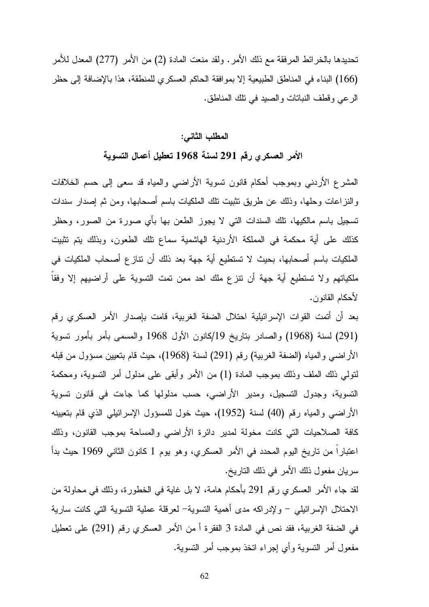تحديدها بالخرائط المرفقة مع ذلك الأمر. ولقد منعت المادة 2( ) من الأمر (277) المعدل للأمر (166) البناء في المناطق الطبيعية إلا بموافقة الحاكم العسكري للمنطقة، هذا بالإضافة إلى حظر الرعي وقطف النباتات والصيد في تلك المناطق .

#### المطلب الثاني :

### الأمر العسكري رقم 291 لسنة 1968 تعطيل أعمال التسوية

المشرع الأردني وبموجب أحكام قانون تسوية الأراضي والمياه قد سعى إلى حسم الخلافات والنزاعات وحلها، وذلك عن طريق تثبيت تلك الملكيات باسم أصحابها، ومن ثم إصدار سندات تسجيل باسم مالكيها، تلك السندات التي لا يجوز الطعن بها بأي صورة من الصور، وحظر كذلك على أية محكمة في المملكة الأردنية الهاشمية سماع تلك الطعون، وبذلك يتم تثبيت الملكيات باسم أصحابها، بحيث لا تستطيع أية جهة بعد ذلك أن تنازع أصحاب الملكيات في ملكياتهم ولا تستطيع أية جهة أن تنزع ملك احد ممن تمت التسوية على أراضيهم إلا وفقاً لأحكام القانون .

بعد أن أتمت القوات الإسرائيلية احتلال الضفة الغربية، قامت بإصدار الأمر العسكري رقم (291) لسنة (1968) والصادر بتاريخ 19/ كانون الأول 1968 والمسمى بأمر بأمور تسوية الأراضـي والمياه (الضفة الغربية) رقم (291) لسنة (1968)، حيث قام بتعيين مسؤول من قبله لتولي ذلك الملف وذلك بموجب المادة 1( ) من الأمر وأبقى على مدلول أمر التسوية، ومحكمة التسوية، وجدول التسجيل، ومدير الأراضي، حسب مدلولها كما جاءت في قانون تسوية الأراضي والمياه رقم (40) لسنة (1952)، حيث خول للمسؤول الإسرائيلي الذي قام بتعيينه كافة الصلاحيات التي كانت مخولة لمدير دائرة الأراضي والمساحة بموجب القانون، وذلك اعتباراً من تاريخ اليوم المحدد في الأمر العسكري، وهو يوم 1 كانون الثاني 1969 حيث بدأ سريان مفعول ذلك الأمر في ذلك التاريخ .

لقد جاء الأمر العسكري رقم 291 بأحكام هامة، لا بل غاية في الخطورة، وذلك في محاولة من الاحتلال الإسرائيلي - ولإدراكه مدى أهمية التسوية - لعرقلة عملية التسوية التي كانت سارية في الضفة الغربية، فقد نص في المادة 3 الفقرة أ من الأمر العسكري رقم (291) على تعطيل مفعول أمر التسوية وأي إجراء اتخذ بموجب أمر التسوية .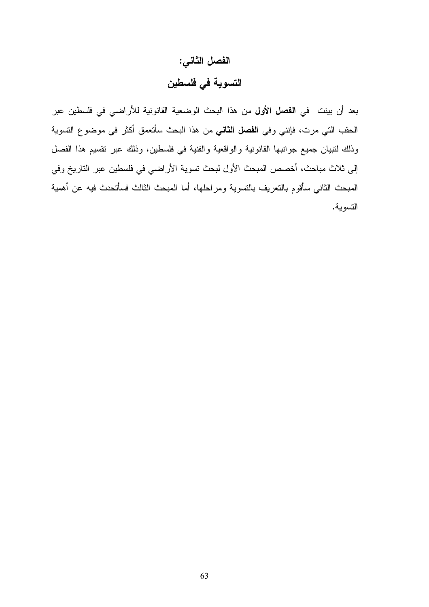# الفصل الثاني : التسوية في فلسطين

بعد أن بينت في ا**لفصل الأول** من هذا البحث الوضعية القانونية للأراضي في فلسطين عبر الحقب التي مرت، فإنني وفي الفصل الثاني من هذا البحث سأتعمق أكثر في موضوع التسوية وذلك لتبيان جميع جوانبها القانونية والواقعية والفنية في فلسطين، وذلك عبر تقسيم هذا الفصل إلى ثلاث مباحث، أخصص المبحث الأول لبحث تسوية الأراضي في فلسطين عبر التاريخ وفي المبحث الثاني سأقوم بالتعريف بالتسوية ومراحلها، أما المبحث الثالث فسأتحدث فيه عن أهمية التسوية .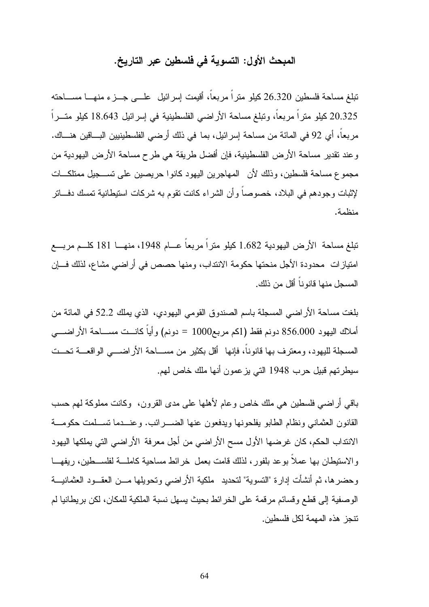### المبحث الأول: التسوية في فلسطين عبر التاريخ .

تبلغ مساحة فلسطين 26.320 كيلو متراً مربعاً، أقيمت إسرائيل علـى جـزء منهـا مسـاحته 20.325 كيلو متراً مربعاً، وتبلغ مساحة الأراضي الفلسطينية في إسرائيل 18.643 كيلو متـراً مربعاً، أي 92 في المائة من مساحة إسرائيل، بما في ذلك أرضي الفلسطينيين البـاقين هنـاك . وعند تقدير مساحة الأرض الفلسطينية، فإن أفضل طريقة هي طرح مساحة الأرض اليهودية من مجموع مساحة فلسطين، وذلك لأن المهاجرين اليهود كانوا حريصين على تسـجيل ممتلكـات لإثبات وجودهم في البلاد، خصوصاً وأن الشراء كانت تقوم به شركات استيطانية تمسك دفـاتر منظمة .

تبلغ مساحة الأرض اليهودية 1.682 كيلو متراً مربعاً عـام ،1948 منهـا 181 كلـم مربـع امتيازات محدودة الأجل منحتها حكومة الانتداب، ومنها حصص في أراضي مشاع، لذلك فـإن المسجل منها قانوناً أقل من ذلك.

بلغت مساحة الأراضي المسجلة باسم الصندوق القومي اليهودي، الذي يملك 52.2 في المائة من أملاك اليهود 856.000 دونم فقط (1كم مربع1000 = دونم) وأياً كانـت مسـاحة الأراضـي المسجلة لليهود، ومعترف بها قانوناً، فإنها أقل بكثير من مسـاحة الأراضـي الواقعـة تحـت سيطرتهم قبيل حرب 1948 التي يزعمون أنها ملك خاص لهم.

باقي أراضي فلسطين هي ملك خاص وعام لأهلها على مدى القرون، وكانت مملوكة لهم حسب القانون العثماني ونظام الطابو يفلحونها ويدفعون عنها الضـرائب . وعنـدما تسـلمت حكومـة الانتداب الحكم، كان غرضها الأول مسح الأراضي من أجل معرفة الأراضي التي يملكها اليهود والاستيطان بها عملاً بوعد بلفور، لذلك قامت بعمل خرائط مساحية كاملـة لفلسـطين، ريفهـا وحضرها، ثم أنشأت إدارة "التسوية" لتحديد ملكية الأراضي وتحويلها مـن العقـود العثمانيـة الوصفية إلى قطع وقسائم مرقمة على الخرائط بحيث يسهل نسبة الملكية للمكان، لكن بريطانيا لم تنجز هذه المهمة لكل فلسطين.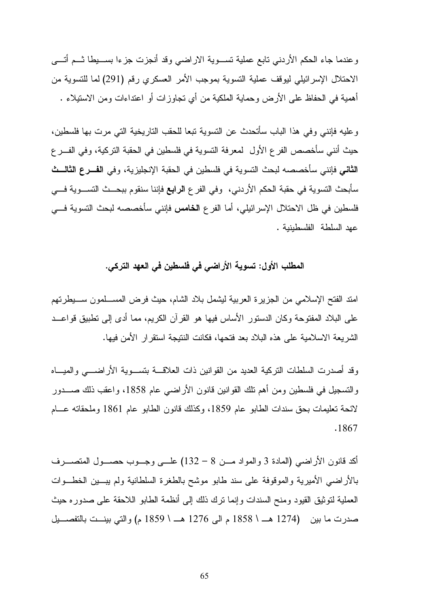وعندما جاء الحكم الأردني تابع عملية تسـوية الاراضي وقد أنجزت جزءا بسـيطا ثـم أتـى الاحتلال الإسرائيلي ليوقف عملية التسوية بموجب الأمر العسكري رقم (291) لما للتسوية من أهمية في الحفاظ على الأرض وحماية الملكية من أي تجاوزات أو اعتداءات ومن الاستيلاء .

وعليه فإنني وفي هذا الباب سأتحدث عن التسوية تبعا للحقب التاريخية التي مرت بها فلسطين، حيث أنني سأخصص الفرع الأول لمعرفة التسوية في فلسطين في الحقبة التركية، وفي الفـرع الثاني فإنني سأخصصه لبحث التسوية في فلسطين في الحقبة الإنجليزية، وفي الفـرع الثالـث سأبحث التسوية في حقبة الحكم الأردني، وفي الفرع الرابع فإننا سنقوم ببحـث التسـوية فـي فلسطين في ظل الاحتلال الإسرائيلي، أما الفرع الخامس فإنني سأخصصه لبحث التسوية فـي عهد السلطة الفلسطينية .

### المطلب الأول: تسوية الأراضي في فلسطين في العهد التركي .

امتد الفتح الإسلامي من الجزيرة العربية ليشمل بلاد الشام، حيث فرض المسـلمون سـيطرتهم على البلاد المفتوحة وكان الدستور الأساس فيها هو القرآن الكريم، مما أدى إلى تطبيق قواعـد الشريعة الاسلامية على هذه البلاد بعد فتحها، فكانت النتيجة استقرار الأمن فيها .

وقد أصدرت السلطات التركية العديد من القوانين ذات العلاقـة بتسـوية الأراضـي والميـاه والتسجيل في فلسطين ومن أهم تلك القوانين قانون الأراضي عام 1858، واعقب ذلك صـــدور لائحة تعليمات بحق سندات الطابو عام 1859، وكذلك قانون الطابو عام 1861 وملحقاته عــام . 1867

أكد قانون الأراضي (المادة 3 والمواد مـن 8 – 132) علـى وجـوب حصـول المتصـرف بالأراضي الأميرية والموقوفة على سند طابو موشح بالطغرة السلطانية ولم يبـين الخطـوات العملية لتوثيق القيود ومنح السندات وإنما ترك ذلك إلى أنظمة الطابو اللاحقة على صدوره حيث صدرت ما بين (1274 هــ \ 1858 م الى 1276 هــ \ 1859 م) والتي بينــت بالتفصــيل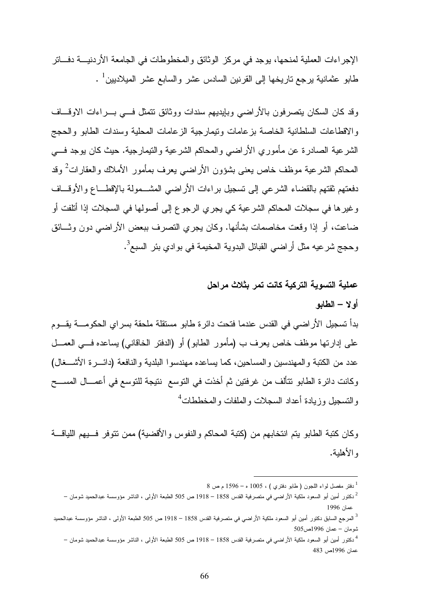الإجراءات العملية لمنحها، يوجد في مركز الوثائق والمخطوطات في الجامعة الأردنيـة دفـاتر طابو عثمانية يرجع تاريخها إلى القرنين السادس عشر والسابع عشر الميلاديين<sup>1</sup> .

وقد كان السكان يتصرفون بالأراضي وبإيديهم سندات ووثائق تتمثل فـي بـ راءات الاوقـاف والاقطاعات السلطانية الخاصة بزعامات وتيمارجية الزعامات المحلية وسندات الطابو والحجج الشرعية الصادرة عن مأموري الأراضي والمحاكم الشرعية والتيمارجية. حيث كان يوجد فـي المحاكم الشرعية موظف خاص يعنى بشؤون الأراضىي يعرف بمأمور الأملاك والعقارات<sup>2</sup> وقد دفعتهم ثقتهم بالقضاء الشرعي إلى تسجيل براءات الأراضي المشـمولة بالإقطـاع والأوقـاف وغيرها في سجلات المحاكم الشرعية كي يجري الرجوع إلى أصولها في السجلات إذا أتلفت أو ضاعت، أو إذا وقعت مخاصمات بشأنها. وكان يجري التصرف ببعض الأراضي دون وثـائق وحجج شرعيه مثل أراضي القبائل البدوية المخيمة في بوادي بئر السبع<sup>3</sup>.

## عملية التسوية التركية كانت تمر بثلاث مراحل أولا – الطابو

بدأ تسجيل الأراضي في القدس عندما فتحت دائرة طابو مستقلة ملحقة بسراي الحكومـة يقـوم على إدارتها موظف خاص يعرف ب (مأمور الطابو) أو (الدفتر الخاقاني) يساعده فـي العمـل عدد من الكتبة والمهندسين والمساحين، كما يساعده مهندسوا البلدية والنافعة (دائـرة الأشـغال ) وكانت دائرة الطابو تتألف من غرفتين ثم أخذت في التوسع نتيجة للتوسع في أعمـال المسـح والتسجيل وزيادة أعداد السجلات والملفات والمخططات<sup>4</sup>

وكان كتبة الطابو يتم انتخابهم من (كتبة المحاكم والنفوس والأقضية) ممن تتوفر فـيهم اللياقـة والأهلية .

 $8$  دفتر مفصل لواء اللجون ( طابو دفتري ) ، 1005 ه $^{-1}$  م ص $^{-1}$ 

<sup>2</sup> دكتور أمين أبو السعود ملكية الأراضي في متصرفية القدس 1858 – 1918 ص 505 الطبعة الأولى ، الناشر مؤوسسة عبدالحميد شومان – عمان 1996

<sup>3</sup> المرجع السابق دكتور أمين أبو السعود ملكية الأراضي في متصرفية القدس 1858 – 1918 ص 505 الطبعة الأولى ، الناشر مؤوسسة عبدالحميد شومان – عمان 1996ص505

<sup>4</sup> دكتور أمين أبو السعود ملكية الأراضي في متصرفية القدس 1858 – 1918 ص 505 الطبعة الأولى ، الناشر مؤوسسة عبدالحميد شومان – عمان 1996ص 483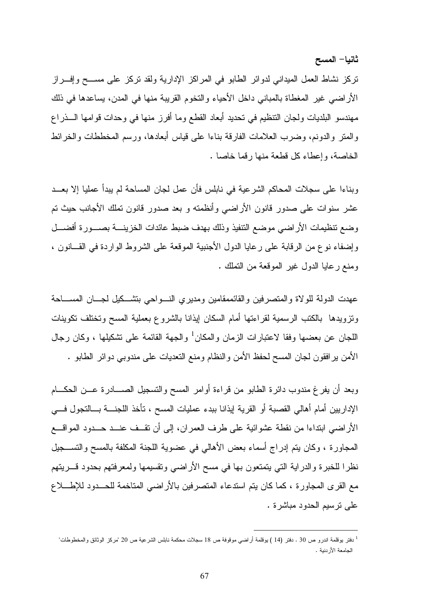ثانيا - المسح

تركز نشاط العمل الميداني لدوائر الطابو في المراكز الإدارية ولقد تركز على مسـح وإفـراز الأراضي غير المغطاة بالمباني داخل الأحياء والتخوم القريبة منها في المدن، يساعدها في ذلك مهندسو البلديات ولجان التنظيم في تحديد أبعاد القطع وما أفرز منها في وحدات قوامها الـذراع والمتر والدونم، وضرب العلامات الفارقة بناءا على قياس أبعادها، ورسم المخططات والخرائط الخاصة، وإعطاء كل قطعة منها رقما خاصا .

وبناءا على سجلات المحاكم الشرعية في نابلس فأن عمل لجان المساحة لم يبدأ عمليا إلا بعـد عشر سنوات على صدور قانون الأراضي وأنظمته و بعد صدور قانون تملك الأجانب حيث تم وضع تنظيمات الأراضي موضع التنفيذ وذلك بهدف ضبط عائدات الخزينـة بصـورة أفضـل وإضفاء نوع من الرقابة على رعايا الدول الأجنبية الموقعة على الشروط الواردة في القـانون ، ومنع رعايا الدول غير الموقعة من التملك .

عهدت الدولة للولاة والمتصرفين والقائممقامين ومديري النـواحي بتشـكيل لجـان المسـاحة وتزويدها بالكتب الرسمية لقراءتها أمام السكان إيذانا بالشروع بعملية المسح وتختلف تكوينات اللجان عن بعضها وفقا لاعتبارات الزمان والمكان<sup>1</sup> والجهة القائمة على نشكيلها ، وكان رجال الأمن يرافقون لجان المسح لحفظ الأمن والنظام ومنع التعديات على مندوبي دوائر الطابو .

وبعد أن يفرغ مندوب دائرة الطابو من قراءة أوامر المسح والتسجيل الصـادرة عـن الحكـام الإداريين أمام أهالي القصبة أو القرية إيذانا ببدء عمليات المسح ، تأخذ اللجنـة بـالتجول فـي الأراضي ابتداءا من نقطة عشوائية على طرف العمران، إلى أن تقـف عنـد حـدود المواقـع المجاورة ، وكان يتم إدراج أسماء بعض الأهالي في عضوية اللجنة المكلفة بالمسح والتسـجيل نظرا للخبرة والدراية التي يتمتعون بها في مسح الأراضي وتقسيمها ولمعرفتهم بحدود قـريتهم مع القرى المجاورة ، كما كان يتم استدعاء المتصرفين بالأراضي المتاخمة للحـدود للإطـلاع على ترسيم الحدود مباشرة .

<sup>1</sup> دفتر يوقلمة اندرو ص 30 . دفتر (14 ) يوقلمة أراضي موقوفة ص 18 سجلات محكمة نابلس الشرعية ص 20 " مركز الوثائق والمخطوطات" الجامعة الأردنية .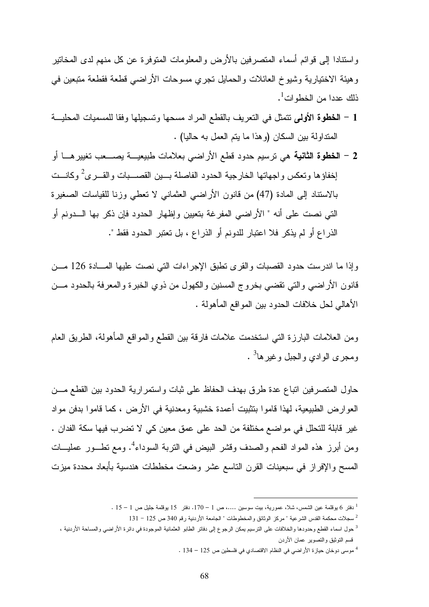واستنادا إلى قوائم أسماء المتصرفين بالأرض والمعلومات المتوفرة عن كل منهم لدى المخاتير وهيئة الاختيارية وشيوخ العائلات والحمايل تجري مسوحات الأراضي قطعة فقطعة متبعين في ذلك عددا من الخطوات<sup>1</sup>.

- 1 الخطوة الأولى تتمثل في التعريف بالقطع المراد مسحها وتسجيلها وفقا للمسميات المحليـة المتداولة بين السكان (وهذا ما يتم العمل به حاليا) .
- 2 الخطوة الثانية هي ترسيم حدود قطع الأراضي بعلامات طبيعيـة يصـعب تغييرهـا أو إخفاؤها وتعكس واجهاتها الخارجية الحدود الفاصلة بــين القصـــبات والقــرى<sup>2</sup> وكانــت بالاستناد إلى المادة (47) من قانون الأراضي العثماني لا تعطي وزنا للقياسات الصغيرة التي نصت على أنه " الأراضي المفرغة بتعيين وإظهار الحدود فإن ذكر بها الـدونم أو الذراع أو لم يذكر فلا اعتبار للدونم أو الذراع ، بل تعتبر الحدود فقط ".

وإذا ما اندرست حدود القصبات والقرى تطبق الإجراءات التي نصت عليها المـادة 126 مـن قانون الأراضي والتي تقضي بخروج المسنين والكهول من ذوي الخبرة والمعرفة بالحدود مـن الأهالي لحل خلافات الحدود بين المواقع المأهولة .

ومن العلامات البارزة التي استخدمت علامات فارقة بين القطع والمواقع المأهولة، الطريق العام ومجرى الوادي والجبل وغيرها<sup>3</sup> .

حاول المتصرفين اتباع عدة طرق بهدف الحفاظ على ثبات واستمرارية الحدود بين القطع مـن العوارض الطبيعية، لهذا قاموا بتثبيت أعمدة خشبية ومعدنية في الأرض ، كما قاموا بدفن مواد غير قابلة للتحلل في مواضع مختلفة من الحد على عمق معين كي لا تضرب فيها سكة الفدان . ومن أبرز هذه المواد الفحم والصدف وقشر البيض في التربة السوداء<sup>4</sup>. ومع تطــور عمليـــات المسح والإفراز في سبعينات القرن التاسع عشر وضعت مخططات هندسية بأبعاد محددة ميزت

 $\overline{a}$ 

4 موسى دوخان حيازة الأراضي في النظام الاقتصادي في فلسطين ص 125 – 134 .

 $^1$ دفتر 6 يوقلمة عين الشمس، شلا، عمورية، بيت سوسين ....، ص 1 – 170. دفتر  $15$  يوقلمة جليل ص 1 – 15 .

<sup>131 –</sup> سجلات محكمة القدس الشرعية " مركز الوثائق والمخطوطات " الجامعة الأردنية رقم 340 ص 125 – 131  $\,$ 

<sup>&</sup>lt;sup>3</sup> حول اسماء القطع وحدودها والخلافات على الترسيم يمكن الرجوع إلى دفاتر الطابو العثمانية الموجودة في دائرة الأراضي والمساحة الأردنية ، قسم التوثيق والتصوير عمان الأردن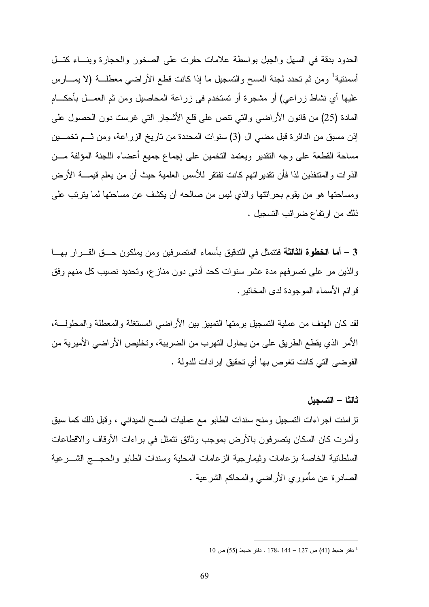الحدود بدقة في السهل والجبل بواسطة علامات حفرت على الصخور والحجارة وبنـاء كتـل أسمنتية<sup>1</sup> ومن ثم تحدد لجنة المسح والتسجيل ما إذا كانت قطع الأراضـي معطلـــة (لا يمــــارس عليها أي نشاط زراعي) أو مشجرة أو تستخدم في زراعة المحاصيل ومن ثم العمـل بأحكـام المادة (25) من قانون الأراضي والتي تنص على قلع الأشجار التي غرست دون الحصول على إذن مسبق من الدائرة قبل مضي ال (3) سنوات المحددة من تاريخ الزراعة، ومن ثـم تخمـين مساحة القطعة على وجه التقدير ويعتمد التخمين على إجماع جميع أعضاء اللجنة المؤلفة مـن الذوات والمتنفذين لذا فأن تقديراتهم كانت تفتقر للأسس العلمية حيث أن من يعلم قيمـة الأرض ومساحتها هو من يقوم بحراثتها والذي ليس من صالحه أن يكشف عن مساحتها لما يترتب على ذلك من ارتفاع ضرائب التسجيل .

3 – أما الخطوة الثالثة فتتمثل في التدقيق بأسماء المتصرفين ومن يملكون حــق القــرار بهــا والذين مر على تصرفهم مدة عشر سنوات كحد أدنى دون منازع، وتحديد نصيب كل منهم وفق قوائم الأسماء الموجودة لدى المخاتير .

لقد كان الهدف من عملية التسجيل برمتها التمييز بين الأراضي المستغلة والمعطلة والمحلولـة، الأمر الذي يقطع الطريق على من يحاول التهرب من الضريبة، وتخليص الأراضي الأميرية من الفوضى التي كانت تغوص بها أي تحقيق ايرادات للدولة .

ثالثا – التسجيل

تزامنت اجراءات التسجيل ومنح سندات الطابو مع عمليات المسح الميداني ، وقبل ذلك كما سبق وأشرت كان السكان يتصرفون بالأرض بموجب وثائق تتمثل في براءات الأوقاف والاقطاعات السلطانية الخاصة بزعامات وثيمارجية الزعامات المحلية وسندات الطابو والحجـج الشـرعية الصادرة عن مأموري الأراضي والمحاكم الشرعية .

<sup>1</sup> دفتر ضبط (41) ص 127 – 144 ، 178 . دفتر ضبط (55) ص 10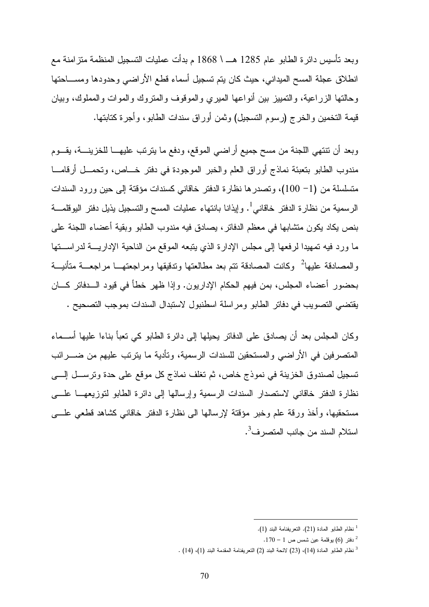وبعد تأسيس دائرة الطابو عام 1285 هـ \ 1868 م بدأت عمليات التسجيل المنظمة متزامنة مع انطلاق عجلة المسح الميداني، حيث كان يتم تسجيل أسماء قطع الأراضي وحدودها ومسـاحتها وحالتها الزراعية، والتمييز بين أنواعها الميري والموقوف والمتروك والموات والمملوك، وبيان قيمة التخمين والخرج (رسوم التسجيل) وثمن أوراق سندات الطابو، وأجرة كتابتها .

وبعد أن تنتهي اللجنة من مسح جميع أراضي الموقع، ودفع ما يترتب عليهـا للخزينـة، يقـوم مندوب الطابو بتعبئة نماذج أوراق العلم والخبر الموجودة في دفتر خـاص، وتحمـل أرقامـا متسلسلة من (1 - 100)، وتصدرها نظارة الدفتر خاقاني كسندات مؤقتة إلى حين ورود السندات الرسمية من نظارة الدفتر خاقاني<sup>1</sup>. وإيذانا بانتهاء عمليات المسح والتسجيل يذيل دفتر اليوقلمـــة بنص يكاد يكون متشابها في معظم الدفاتر، يصادق فيه مندوب الطابو وبقية أعضاء اللجنة على ما ورد فيه تمهيدا لرفعها إلى مجلس الإدارة الذي يتبعه الموقع من الناحية الإداريـة لدراسـتها والمصادقة عليها<sup>2</sup> وكانت المصادقة تتم بعد مطالعتها وتدقيقها ومراجعتهــا مراجعـــة متأنيـــة بحضور أعضاء المجلس، بمن فيهم الحكام الإداريون. وإذا ظهر خطأ في قيود الـدفاتر كـان يقتضي التصويب في دفاتر الطابو ومراسلة اسطنبول لاستبدال السندات بموجب التصحيح .

وكان المجلس بعد أن يصادق على الدفاتر يحيلها إلى دائرة الطابو كي تعبأ بناءا عليها أسـماء المتصرفين في الأراضي والمستحقين للسندات الرسمية، وتأدية ما يترتب عليهم من ضـرائب تسجيل لصندوق الخزينة في نموذج خاص، ثم تغلف نماذج كل موقع على حدة وترسـل إلـى نظارة الدفتر خاقاني لاستصدار السندات الرسمية وإرسالها إلى دائرة الطابو لتوزيعهـا علـى مستحقيها، وأخذ ورقة علم وخبر مؤقتة لإرسالها الى نظارة الدفتر خاقاني كشاهد قطعي علـى استلام السند من جانب المتصرف<sup>3</sup>.

 $^{-1}$ نظام الطابو المادة (21). التعريفنامة البند (1).

 $\cdot$ دفتر (6) يوقلمة عين شمس ص 1 – 170.

<sup>&</sup>lt;sup>3</sup> نظام الطابو المادة (14)، (23) لائحة البند (2) التعريفنامة المقدمة البند (1)، (14) .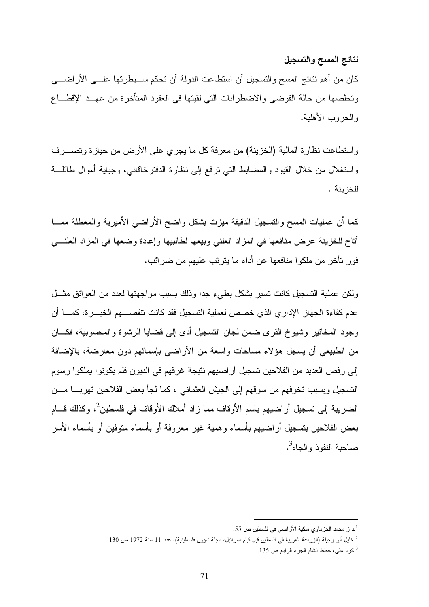نتائج المسح والتسجيل

كان من أهم نتائج المسح والتسجيل أن استطاعت الدولة أن تحكم سـيطرتها علـى الأراضـي وتخلصها من حالة الفوضى والاضطرابات التي لقيتها في العقود المتأخرة من عهـد الإقطـاع والحروب الأهلية .

واستطاعت نظارة المالية (الخزينة) من معرفة كل ما يجري على الأرض من حيازة وتصـرف واستغلال من خلال القيود والمضابط التي ترفع إلى نظارة الدفترخاقاني، وجباية أموال طائلـة للخزينة .

كما أن عمليات المسح والتسجيل الدقيقة ميزت بشكل واضح الأراضي الأميرية والمعطلة ممـا أتاح للخزينة عرض منافعها في المزاد العلني وبيعها لطالبيها وإعادة وضعها في المزاد العلنـي فور تأخر من ملكوا منافعها عن أداء ما يترتب عليهم من ضرائب .

ولكن عملية التسجيل كانت تسير بشكل بطيء جدا وذلك بسبب مواجهتها لعدد من العوائق مثـل عدم كفاءة الجهاز الإداري الذي خصص لعملية التسجيل فقد كانت تنقصـهم الخبـرة، كمـا أن وجود المخاتير وشيوخ القرى ضمن لجان التسجيل أدى إلى قضايا الرشوة والمحسوبية، فكـان من الطبيعي أن يسجل هؤلاء مساحات واسعة من الأراضي بإسمائهم دون معارضة، بالإضافة إلى رفض العديد من الفلاحين تسجيل أراضيهم نتيجة غرقهم في الديون فلم يكونوا يملكوا رسوم التسجيل وبسبب تخوفهم من سوقهم إلى الجيش العثماني<sup>1</sup>، كما لجأ بعض الفلاحين تهربـــا مـــن الضريبة إلى تسجيل أراضيهم باسم الأوقاف مما زاد أملاك الأوقاف في فلسطين<sup>2</sup>، وكذلك قـــام بعض الفلاحين بتسجيل أراضيهم بأسماء وهمية غير معروفة أو بأسماء متوفين أو بأسماء الأسر صاحبة النفوذ والجاه<sup>3</sup>.

د ز محمد الحزماوي ملكية الأراضي في فلسطين ص 55. $^{\mathrm{1}}$ 

<sup>2</sup> خليل أبو رجيلة (الزراعة العربية في فلسطين قبل قيام إسرائيل، مجلة شؤون فلسطينية)، عدد 11 سنة 1972 ص 130 .

<sup>3</sup> كرد علي، خطط الشام الجزء الرابع ص 135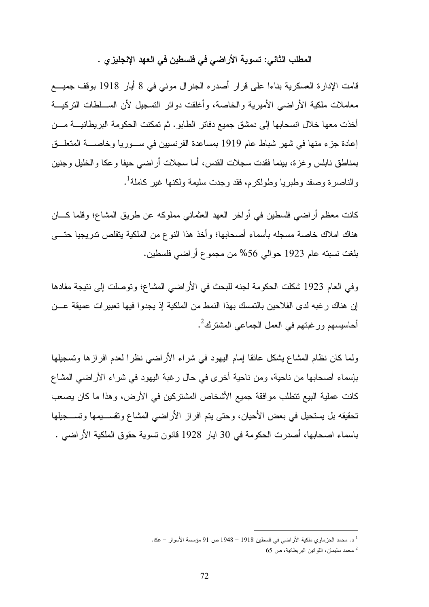المطلب الثاني: تسوية الأراضي في فلسطين في العهد الإنجليزي .

قامت الإدارة العسكرية بناءا على قرار أصدره الجنرال موني في 8 أيار 1918 بوقف جميـع معاملات ملكية الأراضي الأميرية والخاصة، وأغلقت دوائر التسجيل لأن السـلطات التركيـة أخذت معها خلال انسحابها إلى دمشق جميع دفاتر الطابو. ثم تمكنت الحكومة البريطانيـة مـن إعادة جزء منها في شهر شباط عام 1919 بمساعدة الفرنسيين في سـوريا وخاصـة المتعلـق بمناطق نابلس وغزة، بينما فقدت سجلات القدس، أما سجلات أراضي حيفا وعكا والخليل وجنين والناصرة وصفد وطبريا وطولكرم، فقد وجدت سليمة ولكنها غير كاملة<sup>1</sup>.

كانت معظم أراضي فلسطين في أواخر العهد العثماني مملوكه عن طريق المشاع؛ وقلما كـان هناك املاك خاصة مسجله بأسماء أصحابها؛ وأخذ هذا النوع من الملكية يتقلص تدريجيا حتـى بلغت نسبته عام 1923 حوالي %56 من مجموع أراضي فلسطين .

وفي العام 1923 شكلت الحكومة لجنه للبحث في الأراضي المشاع؛ وتوصلت إلى نتيجة مفادها إن هناك رغبه لدى الفلاحين بالتمسك بهذا النمط من الملكية إذ يجدوا فيها تعبيرات عميقة عـن أحاسيسهم ورغبتهم في العمل الجماعي المشترك<sup>2</sup>.

ولما كان نظام المشاع يشكل عائقا إمام اليهود في شراء الأراضي نظرا لعدم افرازها وتسجيلها بإسماء أصحابها من ناحية، ومن ناحية أخرى في حال رغبة اليهود في شراء الأراضي المشاع كانت عملية البيع تتطلب موافقة جميع الأشخاص المشتركين في الأرض، وهذا ما كان يصعب تحقيقه بل يستحيل في بعض الأحيان، وحتى يتم افراز الأراضي المشاع وتقسـيمها وتسـجيلها باسماء اصحابها، أصدرت الحكومة في 30 ايار 1928 قانون تسوية حقوق الملكية الأراضي .

 $\overline{a}$ د. محمد الحزماوي ملكية الأراضي في فلسطين 1918 – 1948 ص 91 مؤسسة الأسوار – عكا.

محمد سليمان، القوانين البريطانية، ص 65  $^{\rm 2}$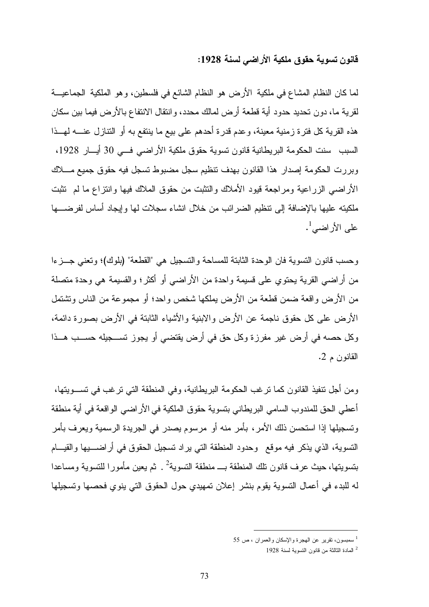#### قانون تسوية حقوق ملكية الأراضي لسنة 1928:

لما كان النظام المشاع في ملكية الأرض هو النظام الشائع في فلسطين، وهو الملكية الجماعيـة لقرية ما، دون تحديد حدود أية قطعة أرض لمالك محدد، وانتقال الانتفاع بالأرض فيما بين سكان هذه القرية كل فترة زمنية معينة، وعدم قدرة أحدهم على بيع ما ينتفع به أو التنازل عنـه لهـذا السبب سنت الحكومة البريطانية قانون تسوية حقوق ملكية الأراضي فـي 30 أيـار ،1928 وبررت الحكومة إصدار هذا القانون بهدف تنظيم سجل مضبوط تسجل فيه حقوق جميع مـلاك الأراضي الزراعية ومراجعة قيود الأملاك والتثبت من حقوق الملاك فيها وانتزاع ما لم تثبت ملكيته عليها بالإضافة إلى تنظيم الضرائب من خلال انشاء سجلات لها وإيجاد أساس لفرضـها على الأراضي<sup>1</sup>.

وحسب قانون التسوية فان الوحدة الثابتة للمساحة والتسجيل هي "القطعة" (بلوك)؛ وتعني جـزءا من أراضي القرية يحتوي على قسيمة واحدة من الأراضي أو أكثر؛ والقسيمة هي وحدة متصلة من الأرض واقعة ضمن قطعة من الأرض يملكها شخص واحد؛ أو مجموعة من الناس وتشتمل الأرض على كل حقوق ناجمة عن الأرض والابنية والأشياء الثابتة في الأرض بصورة دائمة، وكل حصه في أرض غير مفرزة وكل حق في أرض يقتضي أو يجوز تسـجيله حسـب هـذا القانون م 2 .

ومن أجل تنفيذ القانون كما ترغب الحكومة البريطانية، وفي المنطقة التي ترغب في تسـويتها، أعطي الحق للمندوب السامي البريطاني بتسوية حقوق الملكية في الأراضي الواقعة في أية منطقة وتسجيلها إذا استحسن ذلك الأمر، بأمر منه أو مرسوم يصدر في الجريدة الرسمية ويعرف بأمر التسوية، الذي يذكر فيه موقع وحدود المنطقة التي يراد تسجيل الحقوق في أراضـيها والقيـام بتسويتها، حيث عرف قانون نلك المنطقة بـــ منطقة التسوية<sup>2</sup> . ثم يعين مأمورا للتسوية ومساعدا له للبدء في أعمال التسوية يقوم بنشر إعلان تمهيدي حول الحقوق التي ينوي فحصها وتسجيلها

<sup>1</sup> سمبسون، تقرير عن الهجرة والإسكان والعمران ، ص 55

<sup>2</sup> المادة الثالثة من قانون التسوية لسنة 1928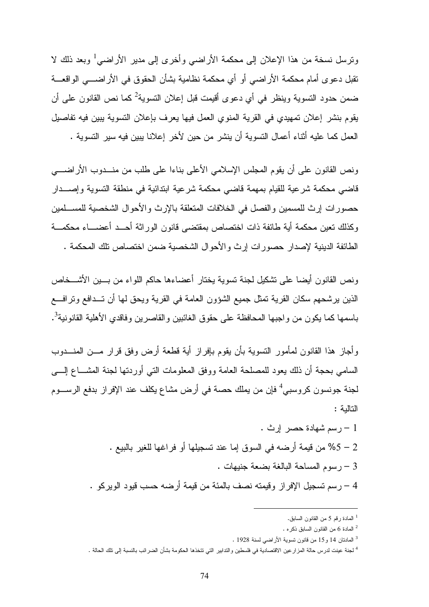ونرسل نسخة من هذا الإعلان إلى محكمة الأراضي وأخرى إلى مدير الأراضي<sup>1</sup> وبعد ذلك لا تقبل دعوى أمام محكمة الأراضي أو أي محكمة نظامية بشأن الحقوق في الأراضـي الواقعـة ضمن حدود التسوية وينظر في أي دعوى أقيمت قبل إعلان التسوية<sup>2</sup> كما نص القانون على أن يقوم بنشر إعلان تمهيدي في القرية المنوي العمل فيها يعرف بإعلان التسوية يبين فيه تفاصيل العمل كما عليه أثناء أعمال التسوية أن ينشر من حين لأخر إعلانا يبين فيه سير التسوية .

ونص القانون على أن يقوم المجلس الإسلامي الأعلى بناءا على طلب من منـدوب الأراضـي قاضي محكمة شرعية للقيام بمهمة قاضي محكمة شرعية ابتدائية في منطقة التسوية وإصـدار حصورات إرث للمسمين والفصل في الخلافات المتعلقة بالإرث والأحوال الشخصية للمسـلمين وكذلك تعين محكمة أية طائفة ذات اختصاص بمقتضى قانون الوراثة أحـد أعضـاء محكمـة الطائفة الدينية لإصدار حصورات إرث والأحوال الشخصية ضمن اختصاص تلك المحكمة .

ونص القانون أيضا على تشكيل لجنة تسوية يختار أعضاءها حاكم اللواء من بـين الأشـخاص الذين يرشحهم سكان القرية تمثل جميع الشؤون العامة في القرية ويحق لها أن تـدافع وترافـع باسمها كما يكون من واجبها المحافظة على حقوق الغائبين والقاصرين وفاقدي الأهلية القانونية<sup>3</sup>.

وأجاز هذا القانون لمأمور التسوية بأن يقوم بإفراز أية قطعة أرض وفق قرار مـن المنـدوب السامي بحجة أن ذلك يعود للمصلحة العامة ووفق المعلومات التي أوردتها لجنة المشـاع إلـى لجنة جونسون كروسبي<sup>4</sup> فإن من يملك حصة في أرض مشاع يكلف عند الإفراز بدفع الرســـوم التالية :

1 – رسم شهادة حصر إرث . 2 – %5 من قيمة أرضه في السوق إما عند تسجيلها أو فراغها للغير بالبيع . 3 – رسوم المساحة البالغة بضعة جنيهات .

4 – رسم تسجيل الإفراز وقيمته نصف بالمئة من قيمة أرضه حسب قيود الويركو .

<sup>1</sup> المادة رقم 5 من القانون السابق .

<sup>2</sup> المادة 6 من القانون السابق ذكره .

<sup>3</sup> المادتان 14 و 15 من قانون تسوية الأراضي لسنة 1928 .

<sup>4</sup> لجنة عينت لدرس حالة المزارعين الاقتصادية في فلسطين والتدابير التي تتخذها الحكومة بشأن الضرائب بالنسبة إلى تلك الحالة .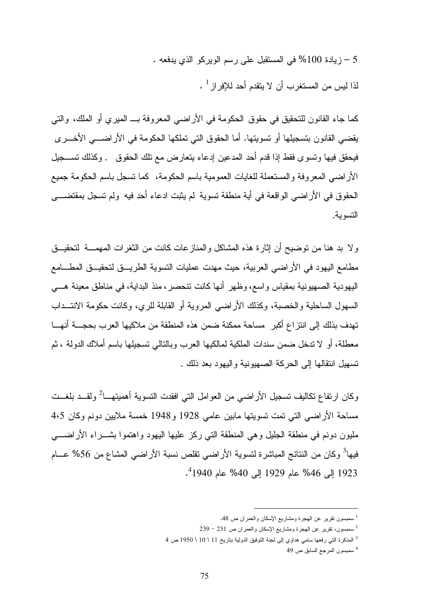5 – زيادة %100 في المستقبل على رسم الويركو الذي يدفعه . لذا ليس من المستغرب أن لا يتقدم أحد للإفراز <sup>1</sup> .

كما جاء القانون للتحقيق في حقوق الحكومة في الأراضي المعروفة بـ الميري أو الملك، والتي يقضي القانون بتسجيلها أو تسويتها. أما الحقوق التي تملكها الحكومة في الأراضـي الأخـرى فيحقق فيها وتسوى فقط إذا قدم أحد المدعين إدعاء يتعارض مع تلك الحقوق . وكذلك تسـجيل الأراضي المعروفة والمستعملة للغايات العمومية باسم الحكومة، كما تسجل باسم الحكومة جميع الحقوق في الأراضي الواقعة في أية منطقة تسوية لم يثبت ادعاء أحد فيه ولم تسجل بمقتضـى التسوية.

ولا بد هنا من توضيح أن إثارة هذه المشاكل والمنازعات كانت من الثغرات المهمـة لتحقيـق مطامع اليهود في الأراضي العربية، حيث مهدت عمليات التسوية الطريـق لتحقيـق المطـامع اليهودية الصهيونية بمقياس واسع، وظهر أنها كانت تنحصر، منذ البداية، في مناطق معينة هـي السهول الساحلية والخصبة، وكذلك الأراضي المروية أو القابلة للري، وكانت حكومة الانتـداب تهدف بذلك إلى انتزاع أكبر مساحة ممكنة ضمن هذه المنطقة من ملاكيها العرب بحجـة أنهـا معطلة، أو لا تدخل ضمن سندات الملكية لمالكيها العرب وبالتالي تسجيلها باسم أملاك الدولة ، ثم تسهيل انتقالها إلى الحركة الصهيونية واليهود بعد ذلك .

وكان ارتفاع تكاليف تسجيل الأراضي من العوامل التي افقدت التسوية أهميتهـــا<sup>2</sup> ولقـــد بلغـــت مساحة الأراضي التي تمت تسويتها مابين عامي 1928 و 1948 خمسة ملايين دونم وكان 4،5 مليون دونم في منطقة الجليل وهي المنطقة التي ركز عليها اليهود واهتموا بشـراء الأراضـي فيها<sup>3</sup> وكان من النتائج المباشرة لتسوية الأراضي تقلص نسبة الأراضي المشاع من 56% عـــام 4 1923 إلى %46 عام 1929 إلى %40 عام 1940 .

<sup>1</sup> سمبسون تقرير عن الهجرة ومشاريع الإسكان والعمران ص 48 .

 $^{-239}$ سمبسون، تقرير عن الـهجرة ومشاريع الإسكان والعمران ص 231 – 239  $\,$ 

<sup>3</sup> المذكرة التي رفعها سامي هداوي إلى لجنة التوفيق الدولية بتاريخ 11 \ 10 \ 1950 ص 4

<sup>4</sup> سمبسون المرجع السابق ص 49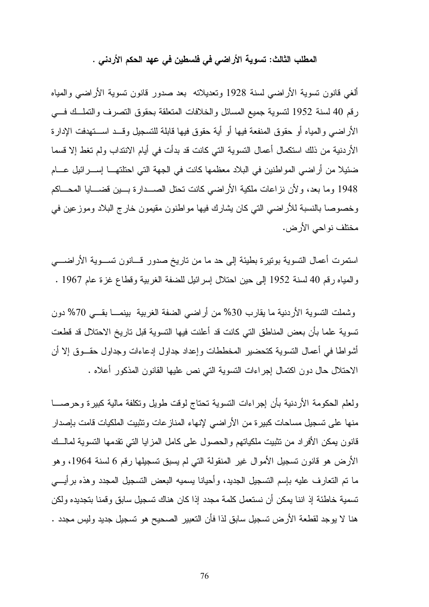المطلب الثالث: تسوية الأراضي في فلسطين في عهد الحكم الأردني .

ألغي قانون تسوية الأراضي لسنة 1928 وتعديلاته بعد صدور قانون تسوية الأراضي والمياه رقم 40 لسنة 1952 لتسوية جميع المسائل والخلافات المتعلقة بحقوق التصرف والتملـك فـي الأراضي والمياه أو حقوق المنفعة فيها أو أية حقوق فيها قابلة للتسجيل وقـد اسـتهدفت الإدار ة الأردنية من ذلك استكمال أعمال التسوية التي كانت قد بدأت في أيام الانتداب ولم تغط إلا قسما ضئيلا من أراضي المواطنين في البلاد معظمها كانت في الجهة التي احتلتهـا إسـرائيل عـام 1948 وما بعد، ولأن نزاعات ملكية الأراضي كانت تحتل الصـدارة بـين قضـايا المحـاكم وخصوصا بالنسبة للأراضي التي كان يشارك فيها مواطنون مقيمون خارج البلاد وموزعين في مختلف نواحي الأرض .

استمرت أعمال التسوية بوتيرة بطيئة إلى حد ما من تاريخ صدور قـانون تسـوية الأراضـي والمياه رقم 40 لسنة 1952 إلى حين احتلال إسرائيل للضفة الغربية وقطاع غزة عام 1967 .

وشملت التسوية الأردنية ما يقارب %30 من أراضي الضفة الغربية بينمـا بقـي %70 دون تسوية علما بأن بعض المناطق التي كانت قد أعلنت فيها التسوية قبل تاريخ الاحتلال قد قطعت أشواطا في أعمال التسوية كتحضير المخططات وإعداد جداول إدعاءات وجداول حقـوق إلا أن الاحتلال حال دون اكتمال إجراءات التسوية التي نص عليها القانون المذكور أعلاه .

ولعلم الحكومة الأردنية بأن إجراءات التسوية تحتاج لوقت طويل وتكلفة مالية كبيرة وحرصـا منها على تسجيل مساحات كبيرة من الأراضي لإنهاء المنازعات وتثبيت الملكيات قامت بإصدار قانون يمكن الأفراد من تثبيت ملكياتهم والحصول على كامل المزايا التي تقدمها التسوية لمالـك الأرض هو قانون تسجيل الأموال غير المنقولة التي لم يسبق تسجيلها رقم 6 لسنة 1964، وهو ما تم التعارف عليه بإسم التسجيل الجديد، وأحيانا يسميه البعض التسجيل المجدد وهذه برأيـي تسمية خاطئة إذ اننا يمكن أن نستعمل كلمة مجدد إذا كان هناك تسجيل سابق وقمنا بتجديده ولكن هنا لا يوجد لقطعة الأرض تسجيل سابق لذا فأن التعبير الصحيح هو تسجيل جديد وليس مجدد .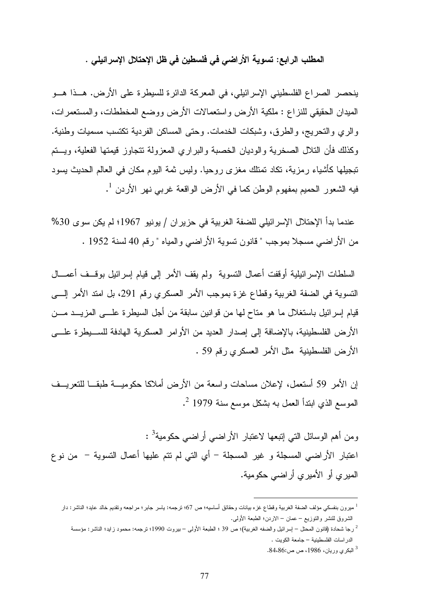المطلب الرابع: تسوية الأراضي في فلسطين في ظل الإحتلال الإسرائيلي .

ينحصر الصراع الفلسطيني الإسرائيلي، في المعركة الدائرة للسيطرة على الأرض. هـذا هـو الميدان الحقيقي للنزاع : ملكية الأرض واستعمالات الأرض ووضع المخططات، والمستعمرات، والري والتحريج، والطرق، وشبكات الخدمات. وحتى المساكن الفردية تكتسب مسميات وطنية. وكذلك فأن التلال الصخرية والوديان الخصبة والبراري المعزولة تتجاوز قيمتها الفعلية، ويـتم تبجيلها كأشياء رمزية، تكاد تمتلك مغزى روحيا. وليس ثمة اليوم مكان في العالم الحديث يسود فيه الشعور الحميم بمفهوم الوطن كما في الأرض الواقعة غربي نهر الأردن <sup>1</sup>.

عندما بدأ الإحتلال الإسرائيلي للضفة الغربية في حزيران / يونيو 1967؛ لم يكن سوى %30 من الأراضي مسجلا بموجب " قانون تسوية الأراضي والمياه " رقم 40 لسنة 1952 .

السلطات الإسرائيلية أوقفت أعمال التسوية ولم يقف الأمر إلى قيام إسرائيل بوقـف أعمـال التسوية في الضفة الغربية وقطاع غزة بموجب الأمر العسكري رقم ،291 بل امتد الأمر إلـى قيام إسرائيل باستغلال ما هو متاح لها من قوانين سابقة من أجل السيطرة علـى المزيـد مـن الأرض الفلسطينية، بالإضافة إلى إصدار العديد من الأوامر العسكرية الهادفة للسـيطرة علـى الأرض الفلسطينية مثل الأمر العسكري رقم 59 .

إن الأمر 59 أستعمل، لإعلان مساحات واسعة من الأرض أملاكا حكوميـة طبقـا للتعريـف 2 الموسع الذي ابتدأ العمل به بشكل موسع سنة 1979 .

ومن أهم الوسائل التي إنبعها لاعتبار الأراضي أراضي حكومية<sup>3</sup> : اعتبار الأراضي المسجلة و غير المسجلة - أي التي لم تتم عليها أعمال التسوية - من نوع الميري أو الأميري أراضي حكومية .

رجا شحادة (قانون المحتل – إسرائيل والضفه الغربية)؛ ص 39 ؛ الطبعة الأولى – بيروت 1990؛ ترجمه: محمود زايد؛ الناشر: مؤسسة الدراسات الفلسطينية – جامعة الكويت .

 $\overline{a}$ 

3 البكري وريان، ،1986 ص ص.84،86:

<sup>1</sup> ميرون بنفسكي مؤلف الضفة الغربية وقطاع غزه بيانات وحقائق أساسيه؛ ص 67؛ ترجمه: ياسر جابر؛ مراجعه وتقديم خالد عايد؛ الناشر: دار الشروق للنشر والتوزيع – عمان – الاردن؛ الطبعة الأولى .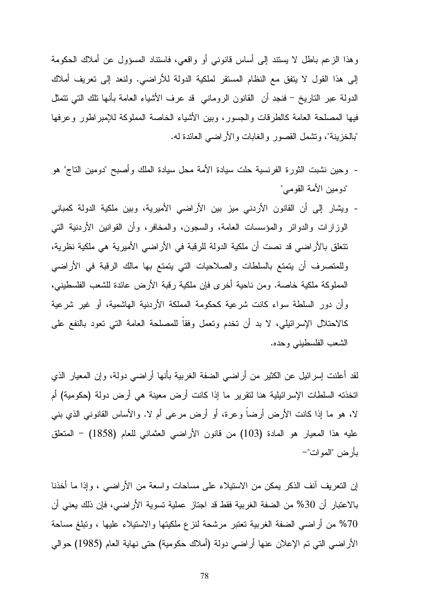وهذا الزعم باطل لا يستند إلى أساس قانوني أو واقعي، فاستناد المسؤول عن أملاك الحكومة إلى هذا القول لا يتفق مع النظام المستقر لملكية الدولة للأراضي. ولنعد إلى تعريف أملاك الدولة عبر التاريخ - فنجد أن القانون الروماني قد عرف الأشياء العامة بأنها تلك التي تتمثل فيها المصلحة العامة كالطرقات والجسور، وبين الأشياء الخاصة المملوكة للإمبراطور وعرفها "بالخزينة"، وتشمل القصور والغابات والأراضي العائدة له .

- وحين نشبت الثورة الفرنسية حلت سيادة الأمة محل سيادة الملك وأصبح "دومين التاج" هو "دومين الأمة القومي "
- ويشار إلى أن القانون الأردني ميز بين الأراضي الأميرية، وبين ملكية الدولة كمباني الوزارات والدوائر والمؤسسات العامة، والسجون، والمخافر، وأن القوانين الأردنية التي تتعلق بالأراضي قد نصت أن ملكية الدولة للرقبة في الأراضي الأميرية هي ملكية نظرية، وللمتصرف أن يتمتع بالسلطات والصلاحيات التي يتمتع بها مالك الرقبة في الأراضي المملوكة ملكية خاصة. ومن ناحية أخرى فإن ملكية رقبة الأرض عائدة للشعب الفلسطيني، وأن دور السلطة سواء كانت شرعية كحكومة المملكة الأردنية الهاشمية، أو غير شرعية كالاحتلال الإسرائيلي، لا بد أن تخدم وتعمل وفقاً للمصلحة العامة التي تعود بالنفع على الشعب الفلسطيني وحده .

لقد أعلنت إسرائيل عن الكثير من أراضي الضفة الغربية بأنها أراضي دولة، وإن المعيار الذي اتخذته السلطات الإسرائيلية هنا لتقرير ما إذا كانت أرض معينة هي أرض دولة (حكومية) أم لا، هو ما إذا كانت الأرض أرضاً وعرة، أو أرض مرعى أم لا. والأساس القانوني الذي بني عليه هذا المعيار هو المادة (103) من قانون الأراضي العثماني للعام (1858) - المتعلق بأرض "الموات - "

إن التعريف آنف الذكر يمكن من الاستيلاء على مساحات واسعة من الأراضي ، وإذا ما أخذنا بالاعتبار أن %30 من الضفة الغربية فقط قد اجتاز عملية تسوية الأراضي، فإن ذلك يعني أن %70 من أراضي الضفة الغربية تعتبر مرشحة لنزع ملكيتها والاستيلاء عليها ، وتبلغ مساحة الأراضي التي تم الإعلان عنها أراضي دولة (أملاك حكومية) حتى نهاية العام (1985) حوالي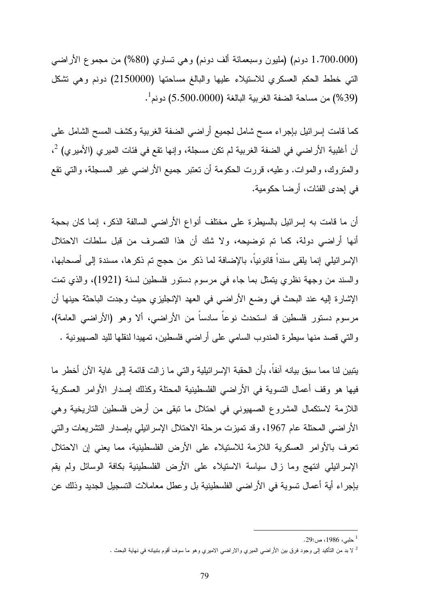(1.700.000 دونم) (مليون وسبعمائة ألف دونم) وهي تساوي (%80) من مجموع الأراضي التي خطط الحكم العسكري للاستيلاء عليها والبالغ مساحتها (2150000) دونم وهي تشكل (%39) من مساحة الضفة الغربية البالغة (5.500.0000) دونم 1 .

كما قامت إسرائيل بإجراء مسح شامل لجميع أراضي الضفة الغربية وكشف المسح الشامل على أن أغلبية الأراضي في الضفة الغربية لم تكن مسجلة، وإنها تقع في فئات الميري (الأميري)  $^2$ ، والمتروك، والموات. وعليه، قررت الحكومة أن تعتبر جميع الأراضي غير المسجلة، والتي تقع في إحدى الفئات، أرضا حكومية .

أن ما قامت به إسرائيل بالسيطرة على مختلف أنواع الأراضي السالفة الذكر، إنما كان بحجة أنها أراضي دولة، كما تم توضيحه، ولا شك أن هذا التصرف من قبل سلطات الاحتلال الإسرائيلي إنما يلقى سنداً قانونياً، بالإضافة لما ذكر من حجج تم ذكرها، مسندة إلى أصحابها، والسند من وجهة نظري يتمثل بما جاء في مرسوم دستور فلسطين لسنة (1921)، والذي تمت الإشارة إليه عند البحث في وضع الأراضي في العهد الإنجليزي حيث وجدت الباحثة حينها أن مرسوم دستور فلسطين قد استحدث نوعاً سادساً من الأراضي، ألا وهو (الأراضي العامة ، ) والتي قصد منها سيطرة المندوب السامي على أراضي فلسطين، تمهيدا لنقلها لليد الصهيونية .

يتبين لنا مما سبق بيانه آنفاً، بأن الحقبة الإسرائيلية والتي ما زالت قائمة إلى غاية الآن أخطر ما فيها هو وقف أعمال التسوية في الأراضي الفلسطينية المحتلة وكذلك إصدار الأوامر العسكرية اللازمة لاستكمال المشروع الصهيوني في احتلال ما تبقى من أرض فلسطين التاريخية وهي الأراضي المحتلة عام 1967، وقد تميزت مرحلة الاحتلال الإسرائيلي بإصدار التشريعات والتي تعرف بالأوامر العسكرية اللازمة للاستيلاء على الأرض الفلسطينية، مما يعني إن الاحتلال الإسرائيلي انتهج وما زال سياسة الاستيلاء على الأرض الفلسطينية بكافة الوسائل ولم يقم بإجراء أية أعمال تسوية في الأراضي الفلسطينية بل وعطل معاملات التسجيل الجديد وذلك عن

<sup>1</sup> حلبي، ،1986 ص: 29.

<sup>2</sup> لا بد من التأكيد إلى وجود فرق بين الأراضي الميري والاراضي الاميري وهو ما سوف أقوم بتبيانه في نهاية البحث .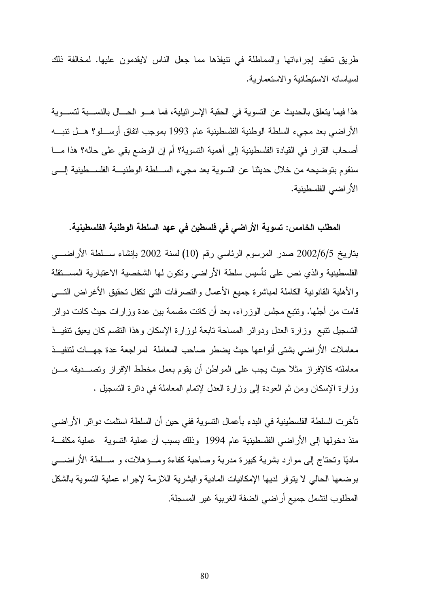طريق تعقيد إجراءاتها والمماطلة في تنيفذها مما جعل الناس لايقدمون عليها. لمخالفة ذلك لسياساته الاستيطانية والاستعمارية .

 هذا فيما يتعلق بالحديث عن التسوية في الحقبة الإسرائيلية، فما هـو الحـال بالنسـبة لتسـوية الأراضي بعد مجيء السلطة الوطنية الفلسطينية عام 1993 بموجب اتفاق أوسـلو؟ هـل تنبـه أصحاب القرار في القيادة الفلسطينية إلى أهمية التسوية؟ أم إن الوضع بقي على حاله؟ هذا مـا سنقوم بتوضيحه من خلال حديثنا عن التسوية بعد مجيء السـلطة الوطنيـة الفلسـطينية إلـى الأراضي الفلسطينية .

المطلب الخامس: تسوية الأراضي في فلسطين في عهد السلطة الوطنية الفلسطينية.

بتاريخ 2002/6/5 صدر المرسوم الرئاسي رقم (10) لسنة 2002 بإنشاء سـلطة الأراضـي الفلسطينية والذي نص على تأسيس سلطة الأراضي وتكون لها الشخصية الاعتبارية المسـتقلة والأهلية القانونية الكاملة لمباشرة جميع الأعمال والتصرفات التي تكفل تحقيق الأغراض التـي قامت من أجلها. وتتبع مجلس الوزراء، بعد أن كانت مقسمة بين عدة وزارات حيث كانت دوائر التسجيل تتبع وزارة العدل ودوائر المساحة تابعة لوزارة الإسكان وهذا التقسم كان يعيق تنفيـذ معاملات الأراضي بشتى أنواعها حيث يضطر صاحب المعاملة لمراجعة عدة جهـات لتنفيـذ معاملته كالإفراز مثلا حيث يجب على المواطن أن يقوم بعمل مخطط الإفراز وتصـديقه مـن وزارة الإسكان ومن ثم العودة إلى وزارة العدل لإتمام المعاملة في دائرة التسجيل .

تأخرت السلطة الفلسطينية في البدء بأعمال التسوية ففي حين أن السلطة استلمت دوائر الأراضي منذ دخولها إلى الأراضي الفلسطينية عام 1994 وذلك بسبب أن عملية التسوية عملية مكلفــة ماديا وتحتاج إلى موارد بشرية كبيرة مدربة وصاحبة كفاءة ومـؤهلات، و سـلطة الأراضـي بوضعها الحالي لا يتوفر لديها الإمكانيات المادية والبشرية اللازمة لإجراء عملية التسوية بالشكل المطلوب لتشمل جميع أراضي الضفة الغربية غير المسجلة.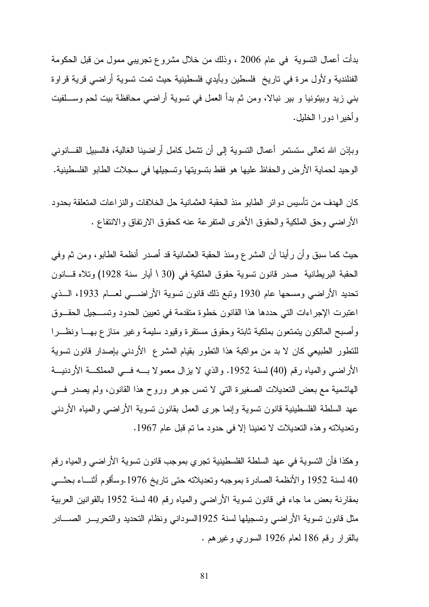بدأت أعمال التسوية في عام 2006 ، وذلك من خلال مشروع تجريبي ممول من قبل الحكومة الفنلندية ولأول مرة في تاريخ فلسطين وبأيدي فلسطينية حيث تمت تسوية أراضي قرية قراوة بني زيد وبيتونيا و بير نبالا، ومن ثم بدأ العمل في تسوية أراضي محافظة بيت لحم وسـلفيت وأخيرا دورا الخليل .

وبإذن االله تعالى ستستمر أعمال التسوية إلى أن تشمل كامل أراضينا الغالية، فالسبيل القـانوني الوحيد لحماية الأرض والحفاظ عليها هو فقط بتسويتها وتسجيلها في سجلات الطابو الفلسطينية .

كان الهدف من تأسيس دوائر الطابو منذ الحقبة العثمانية حل الخلافات والنزاعات المتعلقة بحدود الأراضي وحق الملكية والحقوق الأخرى المتفرعة عنه كحقوق الارتفاق والانتفاع .

حيث كما سبق وأن رأينا أن المشرع ومنذ الحقبة العثمانية قد أصدر أنظمة الطابو، ومن ثم وفي الحقبة البريطانية صدر قانون تسوية حقوق الملكية في (30 \ أيار سنة 1928) وتلاه قـانون تحديد الأراضي ومسحها عام 1930 وتبع ذلك قانون تسوية الأراضـي لعـام ،1933 الـذي اعتبرت الإجراءات التي حددها هذا القانون خطوة متقدمة في تعيين الحدود وتسـجيل الحقـوق وأصبح المالكون يتمتعون بملكية ثابتة وحقوق مستقرة وقيود سليمة وغير منازع بهـا ونظـرا للتطور الطبيعي كان لا بد من مواكبة هذا التطور بقيام المشرع الأردني بإصدار قانون تسوية الأراضي والمياه رقم (40) لسنة 1952. والذي لا يزال معمولا بــه فــي المملكــة الأردنيـــة الهاشمية مع بعض التعديلات الصغيرة التي لا تمس جوهر وروح هذا القانون، ولم يصدر فـي عهد السلطة الفلسطينية قانون تسوية وإنما جرى العمل بقانون تسوية الأراضي والمياه الأردني وتعديلاته وهذه التعديلات لا تعنينا إلا في حدود ما تم قبل عام 1967 .

وهكذا فأن التسوية في عهد السلطة الفلسطينية تجري بموجب قانون تسوية الأراضي والمياه رقم 40 لسنة 1952 والأنظمة الصادرة بموجبه وتعديلاته حتى تاريخ 1976.وسأقوم أثنـــاء بحثـــي بمقارنة بعض ما جاء في قانون تسوية الأراضي والمياه رقم 40 لسنة 1952 بالقوانين العربية مثل قانون تسوية الأراضي وتسجيلها لسنة 1925السوداني ونظام التحديد والتحريـر الصـادر بالقرار رقم 186 لعام 1926 السوري وغيرهم .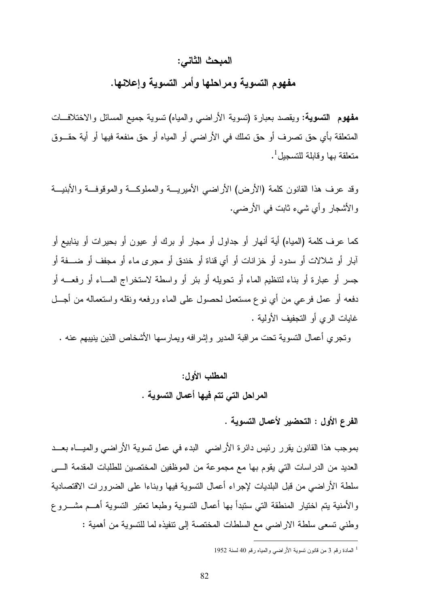#### المبحث الثاني :

مفهوم التسوية ومراحلها وأمر التسوية وإعلانها .

مفهوم التسوية: ويقصد بعبارة (تسوية الأراضي والمياه) تسوية جميع المسائل والاختلافـات المتعلقة بأي حق تصرف أو حق تملك في الأراضي أو المياه أو حق منفعة فيها أو أية حقـوق متعلقة بها وقابلة للتسجيل  $^{\rm l}$  .

وقد عرف هذا القانون كلمة (الأرض) الأراضي الأميريـة والمملوكـة والموقوفـة والأبنيـة والأشجار وأي شيء ثابت في الأرضي .

كما عرف كلمة (المياه) أية أنهار أو جداول أو مجار أو برك أو عيون أو بحيرات أو ينابيع أو آبار أو شلالات أو سدود أو خزانات أو أي قناة أو خندق أو مجرى ماء أو مجفف أو ضـفة أو جسر أو عبارة أو بناء لتنظيم الماء أو تحويله أو بئر أو واسطة لاستخراج المـاء أو رفعـه أو دفعه أو عمل فرعي من أي نوع مستعمل لحصول على الماء ورفعه ونقله واستعماله من أجـل غايات الري أو التجفيف الأولية .

وتجري أعمال التسوية تحت مراقبة المدير وإشرافه ويمارسها الأشخاص الذين ينيبهم عنه .

المطلب الأول: المراحل التي تتم فيها أعمال التسوية .

الفرع الأول : التحضير لأعمال التسوية .

بموجب هذا القانون يقرر رئيس دائرة الأراضي البدء في عمل تسوية الأراضي والميـاه بعـد العديد من الدراسات التي يقوم بها مع مجموعة من الموظفين المختصين للطلبات المقدمة الـى سلطة الأراضي من قبل البلديات لإجراء أعمال التسوية فيها وبناءا على الضرورات الاقتصادية والأمنية يتم اختيار المنطقة التي ستبدأ بها أعمال التسوية وطبعا تعتبر التسوية أهـم مشـروع وطني تسعى سلطة الاراضي مع السلطات المختصة إلى تنفيذه لما للتسوية من أهمية :

<sup>1</sup> المادة رقم 3 من قانون تسوية الأراضي والمياه رقم 40 لسنة 1952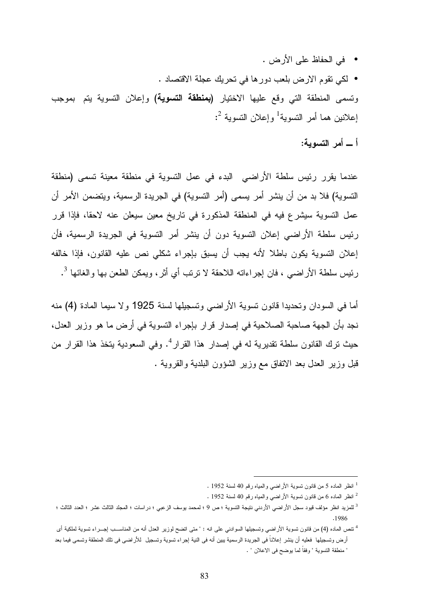- في الحفاظ على الأرض .
- لكي تقوم الارض بلعب دورها في تحريك عجلة الاقتصاد .

وتسمى المنطقة التي وقع عليها الاختيار (بمنطقة التسوية) وإعلان التسوية يتم بموجب إعلانين هما أمر التسوية<sup>1</sup> وإعلان التسوية <sup>2</sup>:

أ ـ أمر التسوية :

عندما يقرر رئيس سلطة الأراضي البدء في عمل التسوية في منطقة معينة تسمى (منطقة التسوية) فلا بد من أن ينشر أمر يسمى (أمر التسوية) في الجريدة الرسمية، ويتضمن الأمر أن عمل التسوية سيشرع فيه في المنطقة المذكورة في تاريخ معين سيعلن عنه لاحقا، فإذا قرر رئيس سلطة الأراضي إعلان التسوية دون أن ينشر أمر التسوية في الجريدة الرسمية، فأن إعلان التسوية يكون باطلا لأنه يجب أن يسبق بإجراء شكلي نص عليه القانون، فإذا خالفه رئيس سلطة الأراضي ، فان إجراءاته اللاحقة لا نرتب أي أثر، ويمكن الطعن بها والغائها <sup>3</sup>.

أما في السودان وتحديدا قانون تسوية الأراضي وتسجيلها لسنة 1925 ولا سيما المادة (4) منه نجد بأن الجهة صاحبة الصلاحية في إصدار قرار بإجراء التسوية في أرض ما هو وزير العدل، حيث نرك القانون سلطة نقديرية له في إصدار هذا القرار<sup>4</sup>. وفي السعودية يتخذ هذا القرار من قبل وزير العدل بعد الاتفاق مع وزير الشؤون البلدية والقروية .

<sup>1</sup> انظر الماده 5 من قانون تسوية الأراضي والمياه رقم 40 لسنة 1952 .

<sup>2</sup> انظر الماده 6 من قانون تسوية الأراضي والمياه رقم 40 لسنة 1952 .

<sup>3</sup> للمزيد انظر مؤلف قيود سجل الأراضي الأردني نتيجة التسوية ؛ ص 9 ؛ لمحمد يوسف الزعبي ؛ دراسات ؛ المجلد الثالث عشر ؛ العدد الثالث ؛ . 1986

<sup>4</sup> تنص الماده (4) من قانون تسوية الأراضي وتسجيلها السوادني على انه : " متى اتضح لوزير العدل أنه من المناسـب إجـراء تسوية لملكية أى أرض وتسجيلها فعليه أن ينشر إعلاناً فى الجريدة الرسمية يبين أنه فى النية إجراء تسوية وتسجيل للأراضى فى تلك المنطقة وتسمى فيما بعد " منطقة التسوية " وفقاً لما يوضح فى الاعلان " .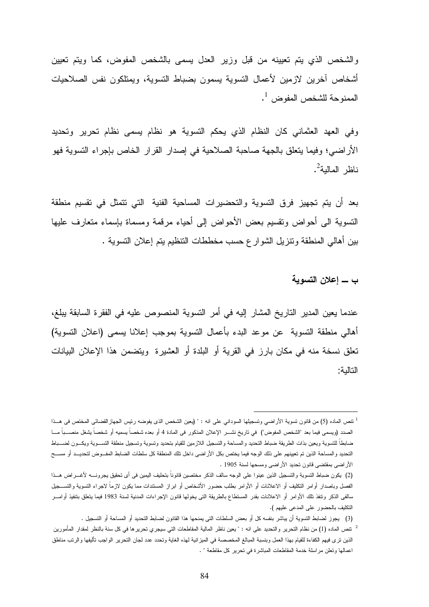والشخص الذي يتم تعيينه من قبل وزير العدل يسمى بالشخص المفوض، كما ويتم تعيين أشخاص آخرين لازمين لأعمال التسوية يسمون بضباط التسوية، ويمتلكون نفس الصلاحيات الممنوحة للشخص المفوض  $^{\rm 1}$  .

وفي العهد العثماني كان النظام الذي يحكم التسوية هو نظام يسمى نظام تحرير وتحديد الأراضي؛ وفيما يتعلق بالجهة صاحبة الصلاحية في إصدار القرار الخاص بإجراء التسوية فهو ناظر المالية<sup>2</sup>.

بعد أن يتم تجهيز فرق التسوية والتحضيرات المساحية الفنية التي تتمثل في تقسيم منطقة التسوية الى أحواض وتقسيم بعض الأحواض إلى أحياء مرقمة ومسماة بإسماء متعارف عليها بين أهالي المنطقة وتنزيل الشوارع حسب مخططات التنظيم يتم إعلان التسوية .

ب ـ إعلان التسوية

عندما يعين المدير التاريخ المشار إليه في أمر التسوية المنصوص عليه في الفقرة السابقة يبلغ، أهالي منطقة التسوية عن موعد البدء بأعمال التسوية بموجب إعلانا يسمى (اعلان التسوية) تعلق نسخة منه في مكان بارز في القرية أو البلدة أو العشيرة ويتضمن هذا الإعلان البيانات التالية:

<sup>1</sup> تنص الماده (5) من قانون تسوية الأراضي وتسجيلها السوداني على انه : " (يعين الشخص الذى يفوضه رئيس الجهازالقضائى المختص فى هـذا الصدد (ويسمى فيما بعد "الشخص المفوض ") في تاريخ نشـر الإعلان المذكور فى المادة 4 أو بعده شخصاً يسميه أو شخصاً يشغل منصـباً مـا ضابطاً للتسوية ويعين بذات الطريقة ضباط التحديد والمساحة والتسجيل اللازمين للقيام بتحديد وتسوية وتسجيل منطقة التســوية ويكــون لضـــباط التحديد والمساحة الذين تم تعيينهم على ذلك الوجه فيما يختص بكل الأراضى داخل تلك المنطقة كل سلطات الضابط المفـوض لتحديـد أو مسـح الأراضى بمقتضى قانون تحديد الأراضى ومسحها لسنة 1905 .

<sup>(</sup>2 ) يكون ضباط التسوية والتسجيل الذين عينوا على الوجه سالف الذكر مختصين قانوناً بتحليف اليمين فى أى تحقيق يجرونـه لأغـراض هـذا الفصل وباصدار أوامر التكليف أو الاعلانات أو الأوامر بطلب حضور الأشخاص أو ابراز المستندات مما يكون لازماً لاجراء التسوية والتسـجيل سالفى الذكر وتنفذ تلك الأوامر أو الاعلانات بقدر المستطاع بالطريقة التى يخولها قانون الإجراءات المدنية لسنة 1983 فيما يتعلق بتنفيذ أوامـر التكليف بالحضور على المدعى عليهم ).

<sup>(</sup>3 ) يجوز لضابط التسوية أن يباشر بنفسه كل أو بعض السلطات التى يمنحها هذا القانون لضابط التحديد أو المساحة أو التسجيل .

<sup>2</sup> تنص الماده (1) من نظام التحرير والتحديد على انه : " يعين ناظر المالية المقاطعات التي سيجري تحريرها في كل سنة بالنظر لمقدار المأمورين الذين ترى فيهم الكفاءة للقيام بهذا العمل وبنسبة المبالغ المخصصة في الميزانية لهذه الغاية وتحدد عدد لجان التحرير الواجب تأليفها والرتب مناطق اعمالها وتعلن مراسلة خدمة المقاطعات المباشرة في تحرير كل مقاطعة " .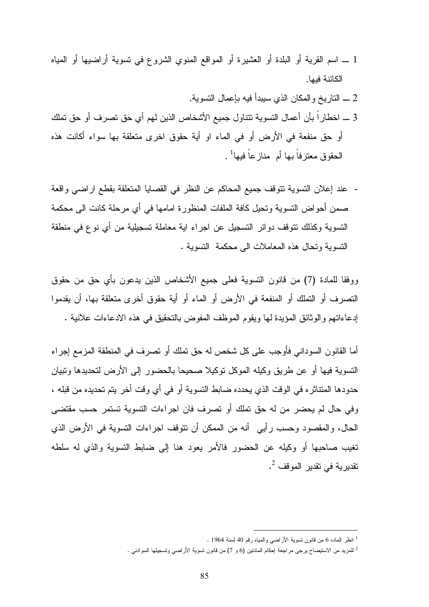- 1 ـ اسم القرية أو البلدة أو العشيرة أو المواقع المنوي الشروع في تسوية أراضيها أو المياه الكائنة فيها.
- 2 ـ التاريخ والمكان الذي سيبدأ فيه بإعمال التسوية. 3 ـ اخطاراً بأن أعمال التسوية تتناول جميع الأشخاص الذين لهم أي حق تصرف أو حق تملك أو حق منفعة في الأرض أو في الماء او أية حقوق اخرى متعلقة بها سواء أكانت هذه الحقوق معترفاً بها أم منازعاً فيها<sup>1</sup> .
- عند إعلان التسوية تتوقف جميع المحاكم عن النظر في القصايا المتعلقة بقطع اراضي واقعة صمن أحواض التسوية وتحيل كافة الملفات المنظورة امامها في أي مرحلة كانت الى محكمة التسوية وكذلك تتوقف دوائر التسجيل عن اجراء اية معاملة تسجيلية من أي نوع في منطقة التسوية وتحال هذه المعاملات الى محكمة التسوية .

ووفقا للمادة (7) من قانون التسوية فعلى جميع الأشخاص الذين يدعون بأي حق من حقوق التصرف أو التملك أو المنفعة في الأرض أو الماء أو أية حقوق أخرى متعلقة بها، أن يقدموا إدعاءاتهم والوثائق المؤيدة لها ويقوم الموظف المفوض بالتحقيق في هذه الادعاءات علانية .

أما القانون السوداني فأوجب على كل شخص له حق تملك أو تصرف في المنطقة المزمع إجراء التسوية فيها أو عن طريق وكيله الموكل توكيلا صحيحا بالحضور إلى الأرض لتحديدها وتبيان حدودها المتناثره في الوقت الذي يحدده ضابط التسوية أو في أي وقت أخر يتم تحديده من قبله ، وفي حال لم يحضر من له حق تملك أو تصرف فان اجراءات التسوية تستمر حسب مقتضى الحال، والمقصود وحسب رأيي أنه من الممكن أن تتوقف اجراءات التسوية في الأرض الذي تغيب صاحبها أو وكيله عن الحضور فالأمر يعود هنا إلى ضابط التسوية والذي له سلطه تقديرية في تقدير الموقف <sup>2</sup>.

<sup>1</sup> انظر الماده 6 من قانون تسوية الأراضي والمياه رقم 40 لسنة 1964 .

<sup>2</sup> للمزيد من الاستيضاح يرجى مراجعة إحكام المادتين (6 و 7) من قانون تسوية الأراضي وتسجيلها السوادني .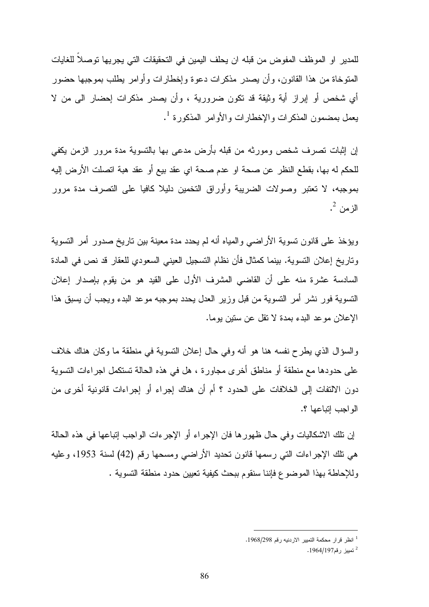للمدير او الموظف المفوض من قبله ان يحلف اليمين في التحقيقات التي يجريها توصلاً للغايات المتوخاة من هذا القانون، وأن يصدر مذكرات دعوة وإخطارات وأوامر يطلب بموجبها حضور أي شخص أو إبراز أية وثيقة قد تكون ضرورية ، وأن يصدر مذكرات إحضار الى من لا يعمل بمضمون المذكرات والإخطارات والأوامر المذكورة <sup>1</sup>.

إن إثبات تصرف شخص ومورثه من قبله بأرض مدعى بها بالتسوية مدة مرور الزمن يكفي للحكم له بها، بقطع النظر عن صحة او عدم صحة اي عقد بيع أو عقد هبة اتصلت الأرض إليه بموجبه، لا تعتبر وصولات الضريبة وأوراق التخمين دليلا كافيا على التصرف مدة مرور الزمن <sup>2</sup>.

ويؤخذ على قانون تسوية الأراضي والمياه أنه لم يحدد مدة معينة بين تاريخ صدور أمر التسوية وتاريخ إعلان التسوية. بينما كمثال فأن نظام التسجيل العيني السعودي للعقار قد نص في المادة السادسة عشرة منه على أن القاضي المشرف الأول على القيد هو من يقوم بإصدار إعلان التسوية فور نشر أمر التسوية من قبل وزير العدل يحدد بموجبه موعد البدء ويجب أن يسبق هذا الإعلان موعد البدء بمدة لا تقل عن ستين يوما .

والسؤال الذي يطرح نفسه هنا هو أنه وفي حال إعلان التسوية في منطقة ما وكان هناك خلاف على حدودها مع منطقة أو مناطق أخرى مجاورة ، هل في هذه الحالة تستكمل اجراءات التسوية دون الالتفات إلى الخلافات على الحدود ؟ أم أن هناك إجراء أو إجراءات قانونية أخرى من الواجب إتباعها ؟ .

إن تلك الاشكاليات وفي حال ظهورها فان الإجراء أو الإجرءات الواجب إتباعها في هذه الحالة هي تلك الإجراءات التي رسمها قانون تحديد الأراضي ومسحها رقم (42) لسنة ،1953 وعليه وللإحاطة بهذا الموضوع فإننا سنقوم ببحث كيفية تعيين حدود منطقة التسوية .

<sup>1</sup> انظر قرار محكمة التميير الاردنيه رقم .1968/298

<sup>&</sup>lt;sup>2</sup> تمبيز رقم1964/197.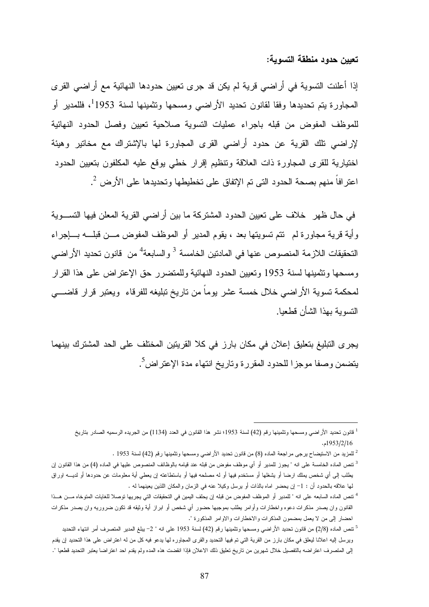تعيين حدود منطقة التسوية:

إذا أعلنت التسوية في أراضي قرية لم يكن قد جرى تعيين حدودها النهائية مع أراضي القرى المجاورة يتم تحديدها وفقا لقانون تحديد الأراضي ومسحها وتثمينها لسنة 1953 1 ، فللمدير أو للموظف المفوض من قبله باجراء عمليات التسوية صلاحية تعيين وفصل الحدود النهائية لإراضي تلك القرية عن حدود أراضي القرى المجاورة لها بالإشتراك مع مخاتير وهيئة اختيارية للقرى المجاورة ذات العلاقة وتنظيم إقرار خطي يوقع عليه المكلفون بتعيين الحدود اعترافاً منهم بصحة الحدود التي تم الإتفاق على تخطيطها وتحديدها على الأرض <sup>2</sup>.

في حال ظهر خلاف على تعيين الحدود المشتركة ما بين أراضي القرية المعلن فيها التسـوية وأية قرية مجاورة لم تتم تسويتها بعد ، يقوم المدير أو الموظف المفوض مـن قبلـه بـإجراء التحقيقات اللازمة المنصوص عنها في المادتين الخامسة <sup>3</sup> والسابعة<sup>4</sup> من قانون تحديد الأراضي ومسحها وتثمينها لسنة 1953 وتعيين الحدود النهائية وللمتضرر حق الإعتراض على هذا القرار لمحكمة تسوية الأراضي خلال خمسة عشر يوماً من تاريخ تبليغه للفرقاء ويعتبر قرار قاضـي التسوية بهذا الشأن قطعيا.

يجرى التبليغ بتعليق إعلان في مكان بارز في كلا القريتين المختلف على الحد المشترك بينهما يتضمن وصفا موجزا للحدود المقررة وتاريخ انتهاء مدة الإعتراض<sup>5</sup>.

<sup>1</sup> قانون تحديد الأراضي ومسحها وتثمينها رقم (42) لسنة 1953؛ نشر هذا القانون في العدد (1134) من الجريده الرسميه الصادر بتاريخ 1953/2/16 . م

<sup>2</sup> للمزيد من الاستيضاح يرجى مراجعة الماده (8) من قانون تحديد الأراضي ومسحها وتثمينها رقم (42) لسنة 1953 .

<sup>&</sup>lt;sup>3</sup> تنص الماده الخامسة على انه " يجوز للمدير أو أي موظف مفوض من قبله عند قيامه بالوظائف المنصوص عليها في الماده (4) من هذا القانون إن يطلب إلى أي شخص يملك ارضا أو يشغلها أو مستخدم فيها أو له مصلحه فيها أو باستطاعته إن يعطي أية معلومات عن حدودها أو لديـه اوراق لها علاقه بالحدود أن : 1 - إن يحضر اماه بالذات أو يرسل وكيلا عنه في الزمان والمكان اللذين يعينهما له .

<sup>&</sup>lt;sup>4</sup> تنص الماده السابعه على انه " للمدير أو الموظف المفوض من قبله إن يحلف اليمين في التحقيقات التي يجريها توصلا للغايات المتوخاه مـــن هـــذا القانون وان يصدر مذكرات دعوه واخطارات وأوامر يطلب بموجبها حضور أي شخص أو ابراز أية وثيقه قد تكون ضروريه وان يصدر مذكرات احضار إلى من لا يعمل بمضمون المذكرات والاخطارات والاوامر المذكورة ".

<sup>5</sup> تنص الماده (2/8) من قانون تحديد الأراضي ومسحها وتثمينها رقم (42) لسنة 1953 على انه " 2 - يبلغ المدير المتصرف أمر انتهاء التحديد ويرسل إليه اعلانا ليعلق في مكان بارز من القرية التي تم فيها التحديد والقرى المجاوره لها يدعو فيه كل من له اعتراض على هذا التحديد إن يقدم إلى المتصرف اعتراضه بالتفصيل خلال شهرين من تاريخ تعليق ذلك الاعلان فإذا انقضت هذه المده ولم يقدم احد اعتراضا يعتبر التحديد قطعيا ".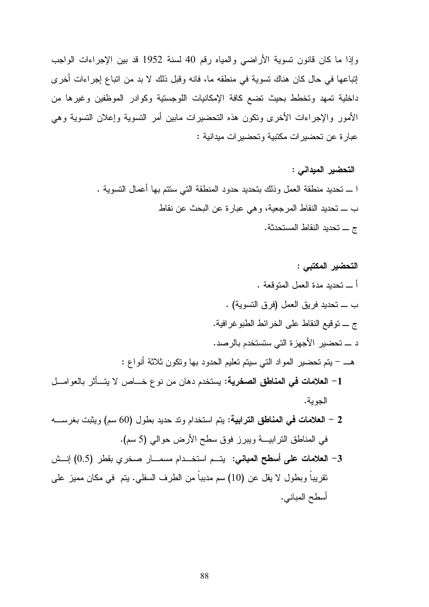وإذا ما كان قانون تسوية الأراضي والمياه رقم 40 لسنة 1952 قد بين الإجراءات الواجب إتباعها في حال كان هناك تسوية في منطقه ما، فانه وقبل ذلك لا بد من اتباع إجراءات أخرى داخلية تمهد وتخطط بحيث تضع كافة الإمكانيات اللوجستية وكوادر الموظفين وغيرها من الأمور والإجراءات الأخرى وتكون هذه التحضيرات مابين أمر التسوية وإعلان التسوية وهي عبارة عن تحضيرات مكتبية وتحضيرات ميدانية :

> التحضير الميداني : ا ـ تحديد منطقة العمل وذلك بتحديد حدود المنطقة التي ستتم بها أعمال التسوية . ب ـ تحديد النقاط المرجعية، وهي عبارة عن البحث عن نقاط ج ـ تحديد النقاط المستحدثة .

التحضير المكتبي : أ ـ تحديد مدة العمل المتوقعة . ب ـ تحديد فريق العمل (فرق التسوية) . ج ـ توقيع النقاط على الخرائط الطبوغرافية . د ـ تحضير الأجهزة التي ستستخدم بالرصد . هـ - يتم تحضير المواد التي سيتم تعليم الحدود بها وتكون ثلاثة أنواع : 1 - العلامات في المناطق الصخرية: يستخدم دهان من نوع خـاص لا يتـأثر بالعوامـل الجوية . 2 - العلامات في المناطق الترابية: يتم استخدام وتد حديد بطول (60 ) سم ويثبت بغرسـه في المناطق الترابيـة ويبرز فوق سطح الأرض حوالي (5 ).سم 3 - العلامات على أسطح المباني: يتـم استخـدام مسمـار صخري بقطر (0.5) إنـش تقريباً وبطول لا يقل عن (10) سم مدبباً من الطرف السفلي. يتم في مكان مميز على

أسطح المباني .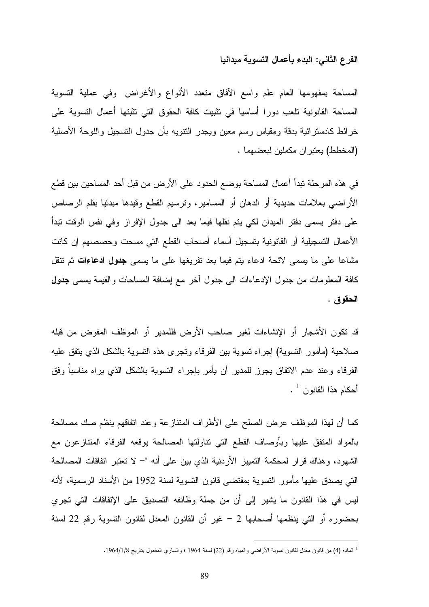#### الفرع الثاني: البدء بأعمال التسوية ميدانيا

المساحة بمفهومها العام علم واسع الآفاق متعدد الأنواع والأغراض وفي عملية التسوية المساحة القانونية تلعب دورا أساسيا في تثبيت كافة الحقوق التي تثبتها أعمال التسوية على خرائط كادسترائية بدقة ومقياس رسم معين ويجدر التنويه بأن جدول التسجيل واللوحة الأصلية (المخطط) يعتبران مكملين لبعضهما .

في هذه المرحلة تبدأ أعمال المساحة بوضع الحدود على الأرض من قبل أحد المساحين بين قطع الأراضي بعلامات حديدية أو الدهان أو المسامير، وترسيم القطع وقيدها مبدئيا بقلم الرصاص على دفتر يسمى دفتر الميدان لكي يتم نقلها فيما بعد الى جدول الإفراز وفي نفس الوقت تبدأ الأعمال التسجيلية أو القانونية بتسجيل أسماء أصحاب القطع التي مسحت وحصصهم إن كانت مشاعا على ما يسمى لائحة ادعاء يتم فيما بعد تفريغها على ما يسمى **جدول ادعاءات** ثم تنقل كافة المعلومات من جدول الإدعاءات الى جدول آخر مع إضافة المساحات والقيمة يسمى جدول الحقوق .

قد تكون الأشجار أو الإنشاءات لغير صاحب الأرض فللمدير أو الموظف المفوض من قبله صلاحية (مأمور التسوية) إجراء تسوية بين الفرقاء وتجرى هذه التسوية بالشكل الذي يتفق عليه الفرقاء وعند عدم الاتفاق يجوز للمدير أن يأمر بإجراء التسوية بالشكل الذي يراه مناسباً وفق أحكام هذا القانون <sup>1</sup> .

كما أن لهذا الموظف عرض الصلح على الأطراف المتنازعة وعند اتفاقهم ينظم صك مصالحة بالمواد المتفق عليها وبأوصاف القطع التي تناولتها المصالحة يوقعه الفرقاء المتنازعون مع الشهود، وهناك قرار لمحكمة التمييز الأردنية الذي بين على أنه - " لا تعتبر اتفاقات المصالحة التي يصدق عليها مأمور التسوية بمقتضى قانون التسوية لسنة 1952 من الأسناد الرسمية، لأنه ليس في هذا القانون ما يشير إلى أن من جملة وظائفه التصديق على الإتفاقات التي تجري بحضوره أو التي ينظمها أصحابها 2 - غير أن القانون المعدل لقانون التسوية رقم 22 لسنة

<sup>1</sup> الماده (4) من قانون معدل لقانون تسوية الأراضي والمياه رقم (22) لسنة 1964 ؛ والساري المفعول بتاريخ 1964/1/8 .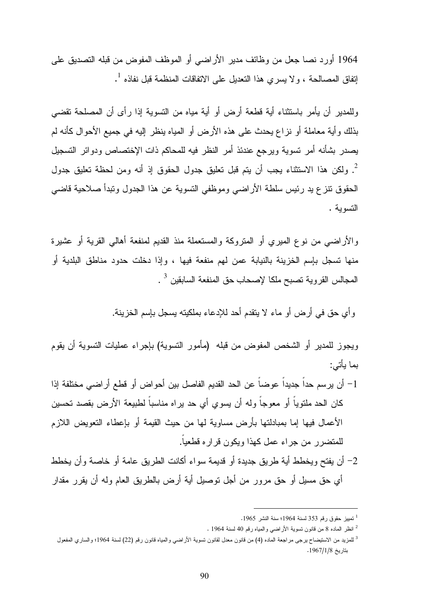1964 أورد نصا جعل من وظائف مدير الأراضي أو الموظف المفوض من قبله التصديق على 1 إتفاق المصالحة ، ولا يسري هذا التعديل على الاتفاقات المنظمة قبل نفاذه .

وللمدير أن يأمر باستثناء أية قطعة أرض أو أية مياه من التسوية إذا رأى أن المصلحة تقضي بذلك وأية معاملة أو نزاع يحدث على هذه الأرض أو المياه ينظر إليه في جميع الأحوال كأنه لم يصدر بشأنه أمر تسوية ويرجع عندئذ أمر النظر فيه للمحاكم ذات الإختصاص ودوائر التسجيل 2 . ولكن هذا الاستثناء يجب أن يتم قبل تعليق جدول الحقوق إذ أنه ومن لحظة تعليق جدول الحقوق تنزع يد رئيس سلطة الأراضي وموظفي التسوية عن هذا الجدول وتبدأ صلاحية قاضي التسوية .

والأراضي من نوع الميري أو المتروكة والمستعملة منذ القديم لمنفعة أهالي القرية أو عشيرة منها تسجل بإسم الخزينة بالنيابة عمن لهم منفعة فيها ، وإذا دخلت حدود مناطق البلدية أو المجالس القروية تصبح ملكا لإصحاب حق المنفعة السابقين <sup>3</sup> .

وأي حق في أرض أو ماء لا يتقدم أحد للإدعاء بملكيته يسجل بإسم الخزينة.

ويجوز للمدير أو الشخص المفوض من قبله ( مأمور التسوية) بإجراء عمليات التسوية أن يقوم بما يأتي:

- 1 أن يرسم حداً جديداً عوضاً عن الحد القديم الفاصل بين أحواض أو قطع أراضي مختلفة إذا كان الحد ملتوياً أو معوجاً وله أن يسوي أي حد يراه مناسباً لطبيعة الأرض بقصد تحسين الأعمال فيها إما بمبادلتها بأرض مساوية لها من حيث القيمة أو بإعطاء التعويض اللازم للمتضرر من جراء عمل كهذا ويكون قراره قطعياً.
- 2 أن يفتح ويخطط أية طريق جديدة أو قديمة سواء أكانت الطريق عامة أو خاصة وأن يخطط أي حق مسيل أو حق مرور من أجل توصيل أية أرض بالطريق العام وله أن يقرر مقدار

<sup>1</sup> تمييز حقوق رقم 353 لسنة 1964؛ سنة النشر 1965 .

<sup>2</sup> انظر الماده 8 من قانون تسوية الأراضي والمياه رقم 40 لسنة 1964 .

<sup>&</sup>lt;sup>3</sup> للمزيد من الاستيضاح يرجى مراجعة الماده (4) من قانون معدل لقانون تسوية الأراضي والمياه قانون رقم (22) لسنة 1964؛ والساري المفعول بتاريخ 1967/1/8 .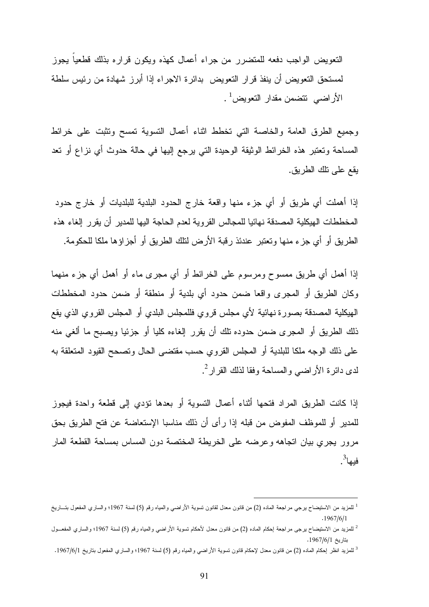التعويض الواجب دفعه للمتضرر من جراء أعمال كهذه ويكون قراره بذلك قطعياً يجوز لمستحق التعويض أن ينفذ قرار التعويض بدائرة الاجراء إذا أبرز شهادة من رئيس سلطة الأراضي تتضمن مقدار التعويض<sup>1</sup> .

وجميع الطرق العامة والخاصة التي تخطط اثناء أعمال التسوية تمسح وتثبت على خرائط المساحة وتعتبر هذه الخرائط الوثيقة الوحيدة التي يرجع إليها في حالة حدوث أي نزاع أو تعد يقع على تلك الطريق.

إذا أهملت أي طريق أو أي جزء منها واقعة خارج الحدود البلدية للبلديات أو خارج حدود المخططات الهيكلية المصدقة نهائيا للمجالس القروية لعدم الحاجة اليها للمدير أن يقرر إلغاء هذه الطريق أو أي جزء منها وتعتبر عندئذ رقبة الأرض لتلك الطريق أو أجزاؤها ملكا للحكومة.

إذا أهمل أي طريق ممسوح ومرسوم على الخرائط أو أي مجرى ماء أو أهمل أي جزء منهما وكان الطريق أو المجرى واقعا ضمن حدود أي بلدية أو منطقة أو ضمن حدود المخططات الهيكلية المصدقة بصورة نهائية لأي مجلس قروي فللمجلس البلدي أو المجلس القروي الذي يقع ذلك الطريق أو المجرى ضمن حدوده تلك أن يقرر إلغاءه كليا أو جزئيا ويصبح ما ألغي منه على ذلك الوجه ملكا للبلدية أو المجلس القروي حسب مقتضى الحال وتصحح القيود المتعلقة به لدى دائرة الأراضـي والمساحة وفقا لذلك القرار<sup>2</sup>.

إذا كانت الطريق المراد فتحها أثناء أعمال التسوية أو بعدها تؤدي إلى قطعة واحدة فيجوز للمدير أو للموظف المفوض من قبله إذا رأى أن ذلك مناسبا الإستعاضة عن فتح الطريق بحق مرور يجري بيان اتجاهه وعرضه على الخريطة المختصة دون المساس بمساحة القطعة المار فيها<sup>3</sup>.

<sup>1</sup> للمزيد من الاستيضاح يرجي مراجعة الماده (2) من قانون معدل لقانون تسوية الأراضي والمياه رقم (5) لسنة 1967؛ والساري المفعول بتـاريخ . 1967/6/1

<sup>2</sup> للمزيد من الاستيضاح يرجى مراجعة إحكام الماده (2) من قانون معدل لأحكام تسوية الأراضي والمياه رقم (5) لسنة 1967؛ والساري المفعـول بتاريخ 1967/6/1 .

<sup>3</sup> للمزيد انظر إحكام الماده (2) من قانون معدل لإحكام قانون تسوية الأراضي والمياه رقم (5) لسنة 1967؛ والساري المفعول بتاريخ 1967/6/1 .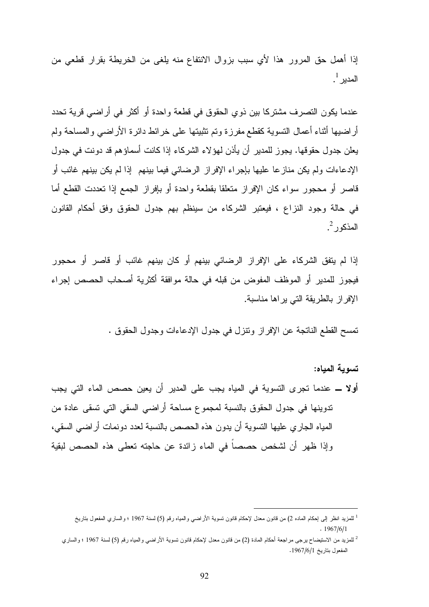إذا أهمل حق المرور هذا لأي سبب بزوال الانتفاع منه يلغى من الخريطة بقرار قطعي من المدير <sup>1</sup>.

عندما يكون التصرف مشتركا بين ذوي الحقوق في قطعة واحدة أو أكثر في أراضي قرية تحدد أراضيها أثناء أعمال التسوية كقطع مفرزة وتم تثبيتها على خرائط دائرة الأراضي والمساحة ولم يعلن جدول حقوقها. يجوز للمدير أن يأذن لهؤلاء الشركاء إذا كانت أسماؤهم قد دونت في جدول الإدعاءات ولم يكن منازعا عليها بإجراء الإفراز الرضائي فيما بينهم إذا لم يكن بينهم غائب أو قاصر أو محجور سواء كان الإفراز متعلقا بقطعة واحدة أو بإفراز الجمع إذا تعددت القطع أما في حالة وجود النزاع ، فيعتبر الشركاء من سينظم بهم جدول الحقوق وفق أحكام القانون المذكور<sup>2</sup>.

إذا لم يتفق الشركاء على الإفراز الرضائي بينهم أو كان بينهم غائب أو قاصر أو محجور فيجوز للمدير أو الموظف المفوض من قبله في حالة موافقة أكثرية أصحاب الحصص إجراء الإفراز بالطريقة التي يراها مناسبة.

تمسح القطع الناتجة عن الإفراز وتنزل في جدول الإدعاءات وجدول الحقوق .

تسوية المياه: أولا ـ عندما تجرى التسوية في المياه يجب على المدير أن يعين حصص الماء التي يجب تدوينها في جدول الحقوق بالنسبة لمجموع مساحة أراضي السقي التي تسقى عادة من المياه الجاري عليها التسوية أن يدون هذه الحصص بالنسبة لعدد دونمات أراضي السقي، وإذا ظهر أن لشخص حصصاً في الماء زائدة عن حاجته تعطى هذه الحصص لبقية

<sup>&</sup>lt;sup>1</sup> للمزيد انظر إلى إحكام الماده 2) من قانون معدل لإحكام قانون تسوية الأراضـي والمياه رقم (5) لسنة 1967 ؛ والساري المفعول بتاريخ . 1967/6/1

<sup>2</sup> للمزيد من الاستيضاح يرجى مراجعة أحكام المادة ( 2) من قانون معدل لإحكام قانون تسوية الأراضي والمياه رقم (5) لسنة 1967 ؛ والساري المفعول بتاريخ 1967/6/1 .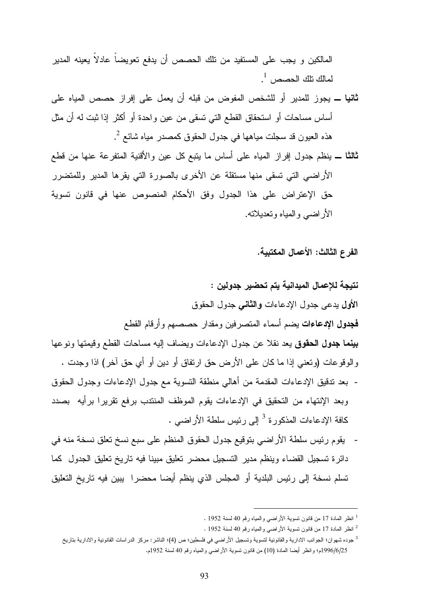المالكين و يجب على المستفيد من تلك الحصص أن يدفع تعويضاً عادلاً يعينه المدير لمالك نلك الحصص $^{-1}$  .

- ثانيا ـ يجوز للمدير أو للشخص المفوض من قبله أن يعمل على إفراز حصص المياه على أساس مساحات أو استحقاق القطع التي تسقى من عين واحدة أو أكثر إذا ثبت له أن مثل هذه العيون قد سجلت مياهها في جدول الحقوق كمصدر مياه شائع <sup>2</sup>.
- ثالثا ـ ينظم جدول إفراز المياه على أساس ما يتبع كل عين والأقنية المتفرعة عنها من قطع الأراضي التي تسقى منها مستقلة عن الأخرى بالصورة التي يقرها المدير وللمتضرر حق الإعتراض على هذا الجدول وفق الأحكام المنصوص عنها في قانون تسوية الأراضي والمياه وتعديلاته.

الفرع الثالث: الأعمال المكتبية .

نتيجة للإعمال الميدانية يتم تحضير جدولين : الأول يدعى جدول الإدعاءات والثاني جدول الحقوق فجدول الإدعاءات يضم أسماء المتصرفين ومقدار حصصهم وأرقام القطع بينما جدول الحقوق يعد نقلا عن جدول الإدعاءات ويضاف إليه مساحات القطع وقيمتها ونوعها والوقوعات (وتعني إذا ما كان على الأرض حق ارتفاق أو دين أو أي حق آخر) اذا وجدت . - بعد تدقيق الإدعاءات المقدمة من أهالي منطقة التسوية مع جدول الإدعاءات وجدول الحقوق

- وبعد الإنتهاء من التحقيق في الإدعاءات يقوم الموظف المنتدب برفع تقريرا برأيه بصدد كافة الإدعاءات المذكورة <sup>3</sup> إلى رئيس سلطة الأراضي .
- يقوم رئيس سلطة الأراضي بتوقيع جدول الحقوق المنظم على سبع نسخ تعلق نسخة منه في دائرة تسجيل القضاء وينظم مدير التسجيل محضر تعليق مبينا فيه تاريخ تعليق الجدول كما تسلم نسخة إلى رئيس البلدية أو المجلس الذي ينظم أيضا محضرا يبين فيه تاريخ التعليق

<sup>1</sup> انظر المادة 17 من قانون تسوية الأراضي والمياه رقم 40 لسنة 1952 .

<sup>2</sup> انظر المادة 17 من قانون تسوية الأراضي والمياه رقم 40 لسنة 1952 .

<sup>3</sup> جوده شهوان؛ الجوانب الادارية والقانونية لتسوية وتسجيل الأراضي في فلسطين؛ ص (4)؛ الناشر م: ركز الدراسات القانونية والادارية بتاريخ 1996/6/25م؛ وانظر أيضا المادة (10) من قانون تسوية الأراضـي والمياه رقم 40 لسنة 1952م.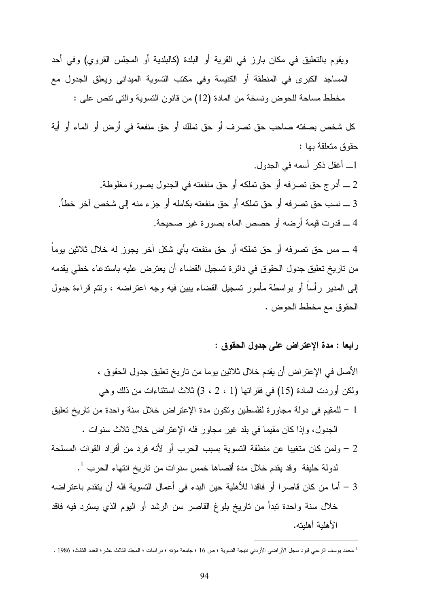ويقوم بالتعليق في مكان بارز في القرية أو البلدة (كالبلدية أو المجلس القروي) وفي أحد المساجد الكبرى في المنطقة أو الكنيسة وفي مكتب التسوية الميداني ويعلق الجدول مع مخطط مساحة للحوض ونسخة من المادة (12) من قانون التسوية والتي تنص على :

كل شخص بصفته صاحب حق تصرف أو حق تملك أو حق منفعة في أرض أو الماء أو أية حقوق متعلقة بها :

ـ أغفل ذكر أسمه في الجدول. ـ أدرج حق تصرفه أو حق تملكه أو حق منفعته في الجدول بصورة مغلوطة. ـ نسب حق تصرفه أو حق تملكه أو حق منفعته بكامله أو جزء منه إلى شخص آخر خطأ. ـ قدرت قيمة أرضه أو حصص الماء بصورة غير صحيحة.

4 ـ مس حق تصرفه أو حق تملكه أو حق منفعته بأي شكل آخر يجوز له خلال ثلاثين يوماً من تاريخ تعليق جدول الحقوق في دائرة تسجيل القضاء أن يعترض عليه باستدعاء خطي يقدمه إلى المدير رأساً أو بواسطة مأمور تسجيل القضاء يبين فيه وجه اعتراضه ، وتتم قراءة جدول الحقوق مع مخطط الحوض .

## رابعا : مدة الإعتراض على جدول الحقوق :

الأصل في الإعتراض أن يقدم خلال ثلاثين يوما من تاريخ تعليق جدول الحقوق ، ولكن أوردت المادة (15) في فقراتها (1 ، 2 ، 3) ثلاث استثناءات من ذلك وهي 1 - للمقيم في دولة مجاورة لفلسطين وتكون مدة الإعتراض خلال سنة واحدة من تاريخ تعليق الجدول، وإذا كان مقيما في بلد غير مجاور فله الإعتراض خلال ثلاث سنوات . 2 – ولمن كان متغيبا عن منطقة التسوية بسبب الحرب أو لأنه فرد من أفراد القوات المسلحة

 $^{-1}$  لدولة حليفة وقد يقدم خلال مدة أقصـاها خمس سنوات من تاريخ انتهاء الحرب

3 – أما من كان قاصرا أو فاقدا للأهلية حين البدء في أعمال التسوية فله أن يتقدم باعتراضه خلال سنة واحدة تبدأ من تاريخ بلوغ القاصر سن الرشد أو اليوم الذي يسترد فيه فاقد الأهلية أهليته .

<sup>1</sup> محمد يوسف الزعبي قيود سجل الأراضي الأردني نتيجة التسوية ؛ ص 16 ؛ جامعة مؤته ؛ دراسات ؛ المجلد الثالث عشر؛ العدد الثالث؛ 1986 .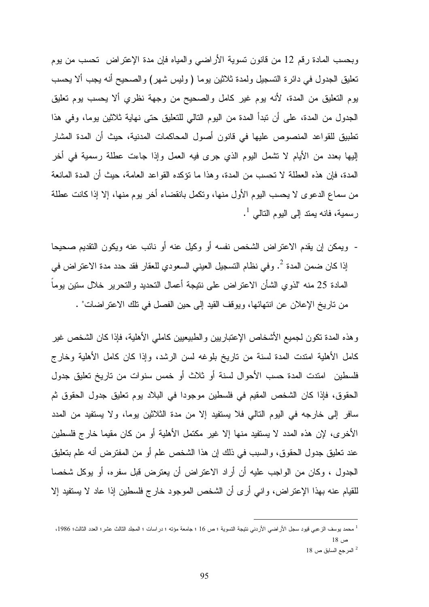وبحسب المادة رقم 12 من قانون تسوية الأراضي والمياه فإن مدة الإعتراض تحسب من يوم تعليق الجدول في دائرة التسجيل ولمدة ثلاثين يوما ( وليس شهر) والصحيح أنه يجب ألا يحسب يوم التعليق من المدة، لأنه يوم غير كامل والصحيح من وجهة نظري ألا يحسب يوم تعليق الجدول من المدة، على أن تبدأ المدة من اليوم التالي للتعليق حتى نهاية ثلاثين يوما، وفي هذا تطبيق للقواعد المنصوص عليها في قانون أصول المحاكمات المدنية، حيث أن المدة المشار إليها بعدد من الأيام لا تشمل اليوم الذي جرى فيه العمل وإذا جاءت عطلة رسمية في أخر المدة، فإن هذه العطلة لا تحسب من المدة، وهذا ما تؤكده القواعد العامة، حيث أن المدة المانعة من سماع الدعوى لا يحسب اليوم الأول منها، وتكمل بانقضاء أخر يوم منها، إلا إذا كانت عطلة رسمية، فانه يمتد إلى اليوم التالي <sup>1</sup>.

- ويمكن إن يقدم الاعتراض الشخص نفسه أو وكيل عنه أو نائب عنه ويكون التقديم صحيحا 2 إذا كان ضمن المدة . وفي نظام التسجيل العيني السعودي للعقار فقد حدد مدة الاعتراض في المادة 25 منه "لذوي الشأن الاعتراض على نتيجة أعمال التحديد والتحرير خلال ستين يوماً من تاريخ الإعلان عن انتهائها، ويوقف القيد إلى حين الفصل في تلك الاعتراضات" .

وهذه المدة تكون لجميع الأشخاص الإعتباريين والطبيعيين كاملي الأهلية، فإذا كان الشخص غير كامل الأهلية امتدت المدة لسنة من تاريخ بلوغه لسن الرشد، وإذا كان كامل الأهلية وخارج فلسطين امتدت المدة حسب الأحوال لسنة أو ثلاث أو خمس سنوات من تاريخ تعليق جدول الحقوق، فإذا كان الشخص المقيم في فلسطين موجودا في البلاد يوم تعليق جدول الحقوق ثم سافر إلى خارجه في اليوم التالي فلا يستفيد إلا من مدة الثلاثين يوما، ولا يستفيد من المدد الأخرى، لإن هذه المدد لا يستفيد منها إلا غير مكتمل الأهلية أو من كان مقيما خارج فلسطين عند تعليق جدول الحقوق، والسبب في ذلك إن هذا الشخص علم أو من المفترض أنه علم بتعليق الجدول ، وكان من الواجب عليه أن أراد الاعتراض أن يعترض قبل سفره، أو يوكل شخصا للقيام عنه بهذا الإعتراض، واني أرى أن الشخص الموجود خارج فلسطين إذا عاد لا يستفيد إلا

<sup>1</sup> محمد يوسف الزعبي قيود سجل الأراضي الأردني نتيجة التسوية ؛ ص 16 ؛ جامعة مؤته ؛ دراسات ؛ المجلد الثالث عشر؛ العدد الثالث؛ ،1986 ص 18 <sup>2</sup> المرجع السابق ص 18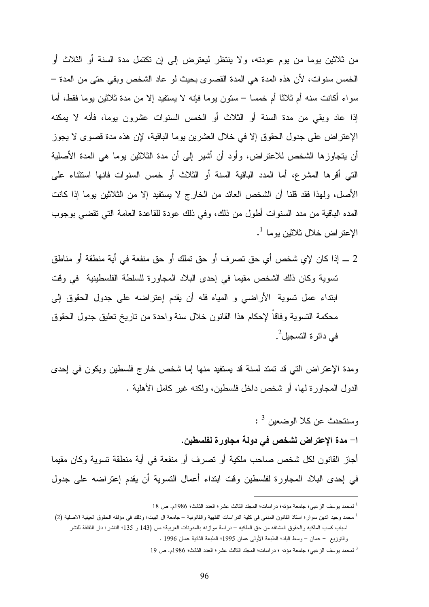من ثلاثين يوما من يوم عودته، ولا ينتظر ليعترض إلى إن تكتمل مدة السنة أو الثلاث أو الخمس سنوات، لأن هذه المدة هي المدة القصوى بحيث لو عاد الشخص وبقي حتى من المدة – سواء أكانت سنه أم ثلاثا أم خمسا – ستون يوما فإنه لا يستفيد إلا من مدة ثلاثين يوما فقط، أما إذا عاد وبقي من مدة السنة أو الثلاث أو الخمس السنوات عشرون يوما، فأنه لا يمكنه الإعتراض على جدول الحقوق إلا في خلال العشرين يوما الباقية، لإن هذه مدة قصوى لا يجوز أن يتجاوزها الشخص للاعتراض، وأود أن أشير إلى أن مدة الثلاثين يوما هي المدة الأصلية التي أقرها المشرع، أما المدد الباقية السنة أو الثلاث أو خمس السنوات فانها استثناء على الأصل، ولهذا فقد قلنا أن الشخص العائد من الخارج لا يستفيد إلا من الثلاثين يوما إذا كانت المده الباقية من مدد السنوات أطول من ذلك، وفي ذلك عودة للقاعدة العامة التي تقضي بوجوب الإعتراض خلال ثلاثين بوما <sup>1</sup>.

2 ـ إذا كان لإي شخص أي حق تصرف أو حق تملك أو حق منفعة في أية منطقة أو مناطق تسوية وكان ذلك الشخص مقيما في إحدى البلاد المجاورة للسلطة الفلسطينية في وقت ابتداء عمل تسوية الأراضي و المياه فله أن يقدم إعتراضه على جدول الحقوق إلى محكمة التسوية وفاقاً لإحكام هذا القانون خلال سنة واحدة من تاريخ تعليق جدول الحقوق في دائر ة التسجيل $^2$ .

ومدة الإعتراض التي قد تمتد لسنة قد يستفيد منها إما شخص خارج فلسطين ويكون في إحدى الدول المجاورة لها، أو شخص داخل فلسطين، ولكنه غير كامل الأهلية .

3 وسنتحدث عن كلا الوضعين : -ا مدة الإعتراض لشخص في دولة مجاورة لفلسطين . أجاز القانون لكل شخص صاحب ملكية أو تصرف أو منفعة في أية منطقة تسوية وكان مقيما في إحدى البلاد المجاورة لفلسطين وقت ابتداء أعمال التسوية أن يقدم إعتراضه على جدول

 $\overline{a}$ <sup>1</sup> لمحمد يوسف الزعبي؛ جامعة مؤته؛ دراسات؛ المجلد الثالث عشر؛ العدد الثالث؛ 1986م. ص 18

<sup>1</sup> محمد وحيد الدين سوار؛ استاذ القانون المدني في كلية الدراسات الفقهية والقانونية – جامعة ال البيت؛ وذلك في مؤلفه الحقوق العينية الاصلية ( 2) اسباب كسب الملكيه والحقوق المشتقه من حق الملكيه – دراسة موازنه بالمدونات العربية؛ ص (143 و 135؛ الناشر: دار الثقافة للنشر والتوزيع - عمان – وسط البلد؛ الطبعة الأولى عمان 1995؛ الطبعة الثانية عمان 1996 .

<sup>&</sup>lt;sup>3</sup> لمحمد يوسف الزعبي؛ جامعة مؤته ؛ دراسات؛ المجلد الثالث عشر ؛ العدد الثالث؛ 1986م. ص 19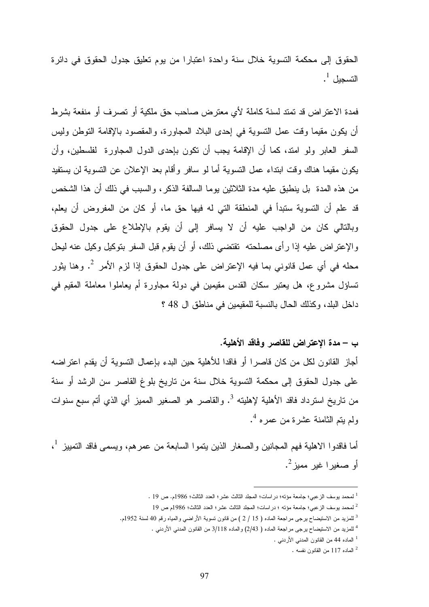الحقوق إلى محكمة التسوية خلال سنة واحدة اعتبارا من يوم تعليق جدول الحقوق في دائرة التسجيل <sup>1</sup>.

فمدة الاعتراض قد تمتد لسنة كاملة لأي معترض صاحب حق ملكية أو تصرف أو منفعة بشرط أن يكون مقيما وقت عمل التسوية في إحدى البلاد المجاورة، والمقصود بالإقامة التوطن وليس السفر العابر ولو امتد، كما أن الإقامة يجب أن تكون بإحدى الدول المجاورة لفلسطين، وأن يكون مقيما هناك وقت ابتداء عمل التسوية أما لو سافر وأقام بعد الإعلان عن التسوية لن يستفيد من هذه المدة بل ينطبق عليه مدة الثلاثين يوما السالفة الذكر، والسبب في ذلك أن هذا الشخص قد علم أن التسوية ستبدأ في المنطقة التي له فيها حق ما، أو كان من المفروض أن يعلم، وبالتالي كان من الواجب عليه أن لا يسافر إلى أن يقوم بالإطلاع على جدول الحقوق والإعتراض عليه إذا رأى مصلحته تقتضي ذلك، أو أن يقوم قبل السفر بتوكيل وكيل عنه ليحل 2 محله في أي عمل قانوني بما فيه الإعتراض على جدول الحقوق إذا لزم الأمر . وهنا يثور تساؤل مشروع، هل يعتبر سكان القدس مقيمين في دولة مجاورة أم يعاملوا معاملة المقيم في داخل البلد، وكذلك الحال بالنسبة للمقيمين في مناطق ال 48 ؟

#### –ب مدة الإعتراض للقاصر وفاقد الأهلية .

أجاز القانون لكل من كان قاصرا أو فاقدا للأهلية حين البدء بإعمال التسوية أن يقدم اعتراضه على جدول الحقوق إلى محكمة التسوية خلال سنة من تاريخ بلوغ القاصر سن الرشد أو سنة من تاريخ استرداد فاقد الأهلية لإهليته <sup>3</sup>. والقاصر هو الصغير المميز أي الذي أتم سبع سنوات 4 ولم يتم الثامنة عشرة من عمره .

أما فاقدوا الاهلية فهم المجانين والصغار الذين يتموا السابعة من عمرهم، ويسمى فاقد التمييز <sup>1</sup>، أو صغيرا غير مميز<sup>2</sup>.

2 لمحمد يوسف الزعبي؛ جامعة مؤته ؛ دراسات؛ المجلد الثالث عشر؛ العدد الثالث؛ 1986م ص 19

1 الماده 44 من القانون المدني الأردني .

 $\overline{a}$ <sup>1</sup> لمحمد يوسف الزعبي؛ جامعة مؤته؛ در اسات؛ المجلد الثالث عشر؛ العدد الثالث؛ 1986م. ص 19 .

<sup>&</sup>lt;sup>3</sup> للمزيد من الاستيضاح يرجى مراجعة الماده ( 15 / 2 ) من قانون تسوية الأراضي والمياه رقم 40 لسنة 1952م.

<sup>4</sup> للمزيد من الاستيضاح يرجى مراجعة الماده ( 2/43) والماده 3/118 من القانون المدني الأردني .

<sup>2</sup> الماده 117 من القانون نفسه .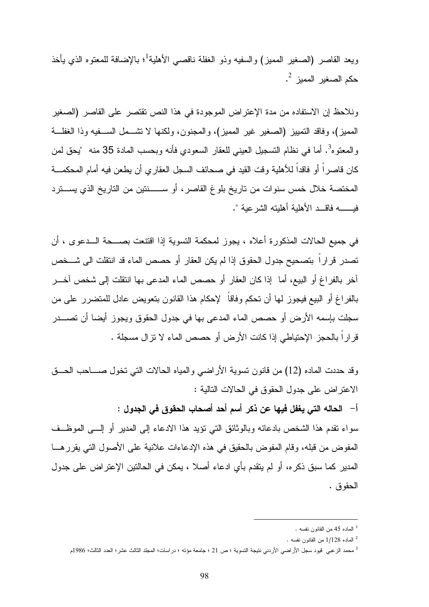ويعد القاصـر (الصـغير المميز) والسفيه وذو الـغفلة نـاقصـي الأهلية<sup>1</sup>؛ بـالإضـافة للمعتوه الذي يأخذ حكم الصغير المميز <sup>2</sup>.

ونلاحظ إن الاستفاده من مدة الإعتراض الموجودة في هذا النص تقتصر على القاصر (الصغير المميز)، وفاقد التمييز (الصغير غير المميز)، والمجنون، ولكنها لا تشـمل ا لسـفيه وذا الغفلـة والمعتوه<sup>3</sup>. أما في نظام التسجيل العيني للعقار السعودي فأنه وبحسب المادة 35 منه "يحق لمن كان قاصراً أو فاقداً للأهلية وقت القيد في صحائف السجل العقاري أن يطعن فيه أمام المحكمـة المختصة خلال خمس سنوات من تاريخ بلوغ القاصر، أو ســنتين من التاريخ الذي يسـترد فيــه فاقـد الأهلية أهليته الشرعية ."

في جميع الحالات المذكورة أعلاه ، يجوز لمحكمة التسوية إذا اقتنعت بصـحة الـدعوى ، أن تصدر قراراً بتصحيح جدول الحقوق إذا لم يكن العقار أو حصص الماء قد انتقلت الى شـخص آخر بالفراغ أو البيع، أما إذا كان العقار أو حصص الماء المدعى بها انتقلت إلى شخص آخـر بالفراغ أو البيع فيجوز لها أن تحكم وفاقاً لإحكام هذا القانون بتعويض عادل للمتضرر على من سجلت بإسمه الأرض أو حصص الماء المدعى بها في جدول الحقوق ويجوز أيضا أن تصـدر قراراً بالحجز الإحتياطي إذا كانت الأرض أو حصص الماء لا تزال مسجلة .

وقد حددت الماده (12) من قانون تسوية الأراضي والمياه الحالات التي تخول صـاحب الحـق الاعتراض على جدول الحقوق في الحالات التالية : - أ الحاله التي يغفل فيها عن ذكر أسم أحد أصحاب الحقوق في الجدول :

سواء تقدم هذا الشخص بادعائه وبالوثائق التي تؤيد هذا الادعاء إلى المدير أو إلـى الموظـف المفوض من قبله، وقام المفوض بالحقيق في هذه الإدعاءات علانية على الأصول التي يقررهـا المدير كما سبق ذكره، أو لم يتقدم بأي ادعاء أصلا ، يمكن في الحالتين الإعتراض على جدول الحقوق .

<sup>1</sup> الماده 45 من القانون نفسه .

<sup>2</sup> الماده 1/128 من القانون نفسه .

<sup>3</sup> محمد الزعبي قيود سجل الأراضي الأردني نتيجة التسوية ؛ ص 21 ؛ جامعة مؤته ؛ دراسات؛ المجلد الثالث عشر؛ العدد الثالث؛ 1986 م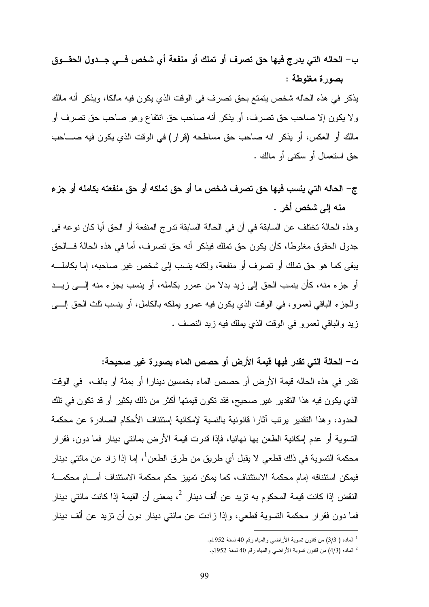# - ب الحاله التي يدرج فيها حق تصرف أو تملك أو منفعة أي شخص فـي جـدول الحقـوق بصورة مغلوطة :

يذكر في هذه الحاله شخص يتمتع بحق تصرف في الوقت الذي يكون فيه مالكا، ويذكر أنه مالك ولا يكون إلا صاحب حق تصرف، أو يذكر أنه صاحب حق انتفاع وهو صاحب حق تصرف أو مالك أو العكس، أو يذكر انه صاحب حق مساطحه (قرار) في الوقت الذي يكون فيه صـاحب حق استعمال أو سكنى أو مالك .

ج - الحاله التي ينسب فيها حق تصرف شخص ما أو حق تملكه أو حق منفعته بكامله أو جزء منه إلى شخص أخر .

وهذه الحالة تختلف عن السابقة في أن في الحالة السابقة تدرج المنفعة أو الحق أيا كان نوعه في جدول الحقوق مغلوطا، كأن يكون حق تملك فيذكر أنه حق تصرف، أما في هذه الحالة فـالحق يبقى كما هو حق تملك أو تصرف أو منفعة، ولكنه ينسب إلى شخص غير صاحبه، إما بكاملـه أو جزء منه، كأن ينسب الحق إلى زيد بدلا من عمرو بكامله، أو ينسب بجزء منه إلـى زيـد والجزء الباقي لعمرو، في الوقت الذي يكون فيه عمرو يملكه بالكامل، أو ينسب ثلث الحق إلـى زيد والباقي لعمرو في الوقت الذي يملك فيه زيد النصف .

- ت الحالة التي تقدر فيها قيمة الأرض أو حصص الماء بصورة غير صحيحة: تقدر في هذه الحاله قيمة الأرض أو حصص الماء بخمسين دينارا أو بمئة أو بالف، في الوقت الذي يكون فيه هذا التقدير غير صحيح، فقد تكون قيمتها أكثر من ذلك بكثير أو قد تكون في تلك الحدود، وهذا التقدير يرتب آثارا قانونية بالنسبة لإمكانية إستئناف الأحكام الصادرة عن محكمة التسوية أو عدم إمكانية الطعن بها نهائيا، فإذا قدرت قيمة الأرض بمائتي دينار فما دون، فقرار محكمة التسوية في ذلك قطعي لا يقبل أي طريق من طرق الطعن<sup>1</sup>، إما إذا زاد عن مائتي دينار فيمكن استئنافه إمام محكمة الاستئناف، كما يمكن تمييز حكم محكمة الاستئناف أمـام محكمـة النقض إذا كانت قيمة المحكوم به تزيد عن ألف دينار <sup>2</sup>، بمعنى أن القيمة إذا كانت مائتي دينار فما دون فقرار محكمة التسوية قطعي، وإذا زادت عن مائتي دينار دون أن تزيد عن ألف دينار  $\overline{a}$ 

<sup>1</sup> الماده ( 3/3) من قانون تسوية الأراضي والمياه رقم 40 لسنة 1952 . م

<sup>2</sup> الماده (4/3) من قانون تسوية الأراضي والمياه رقم 40 لسنة 1952 . م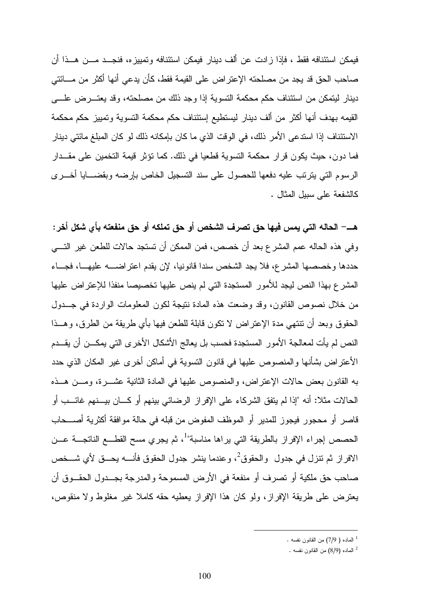فيمكن استئنافه فقط ، فإذا زادت عن ألف دينار فيمكن استئنافه وتمييزه، فنجـد مـن هـذا أن صاحب الحق قد يجد من مصلحته الإعتراض على القيمة فقط، كأن يدعي أنها أكثر من مـائتي دينار ليتمكن من استئناف حكم محكمة التسوية إذا وجد ذلك من مصلحته، وقد يعتـرض علـى القيمه بهدف أنها أكثر من ألف دينار ليستطيع إستئناف حكم محكمة التسوية وتمييز حكم محكمة الاستئناف إذا استدعى الأمر ذلك، في الوقت الذي ما كان بإمكانه ذلك لو كان المبلغ مائتي دينار فما دون، حيث يكون قرار محكمة التسوية قطعيا في ذلك. كما تؤثر قيمة التخمين على مقـدار الرسوم التي يترتب عليه دفعها للحصول على سند التسجيل الخاص بإرضه وبقضـايا أخـرى كالشفعة على سبيل المثال .

هـ - الحاله التي يمس فيها حق تصرف الشخص أو حق تملكه أو حق منفعته بأي شكل أخر : وفي هذه الحاله عمم المشرع بعد أن خصص، فمن الممكن أن تستجد حالات للطعن غير التـي حددها وخصصها المشرع، فلا يجد الشخص سندا قانونيا، لإن يقدم اعتراضـه عليهـا، فجـاء المشرع بهذا النص ليجد للأمور المستجدة التي لم ينص عليها تخصيصا منفذا للإعتراض عليها من خلال نصوص القانون، وقد وضعت هذه المادة نتيجة لكون المعلومات الواردة في جـدول الحقوق وبعد أن تنتهي مدة الإعتراض لا تكون قابلة للطعن فيها بأي طريقة من الطرق، وهـذا النص لم يأت لمعالجة الأمور المستجدة فحسب بل يعالج الأشكال الأخرى التي يمكـن أن يقـدم الأعتراض بشأنها والمنصوص عليها في قانون التسوية في أماكن أخرى غير المكان الذي حدد به القانون بعض حالات الإعتراض، والمنصوص عليها في المادة الثانية عشـرة، ومـن هـذه الحالات مثلا: أنه "إذا لم يتفق الشركاء على الإفراز الرضائي بينهم أو كـان بيـنهم غائـب أو قاصر أو محجور فيجوز للمدير أو الموظف المفوض من قبله في حالة موافقة أكثرية أصـــحاب الحصص إجراء الإفراز بالطريقة التي يراها مناسبة"<sup>1</sup>، ثم يجري مسح القطــع الناتجـــة عـــن الافراز ثم تنزل في جدول والحقوق<sup>2</sup>، وعندما ينشر جدول الحقوق فأنــــه يحـــق لأي شـــخص صاحب حق ملكية أو تصرف أو منفعة في الأرض المسموحة والمدرجة بجـدول الحقـوق أن يعترض على طريقة الإفراز، ولو كان هذا الإفراز يعطيه حقه كاملا غير مغلوط ولا منقوص،

<sup>1</sup> الماده ( 7/9) من القانون نفسه .

 $^{\circ}$  الماده (8/9) من القانون نفسه  $^{\circ}$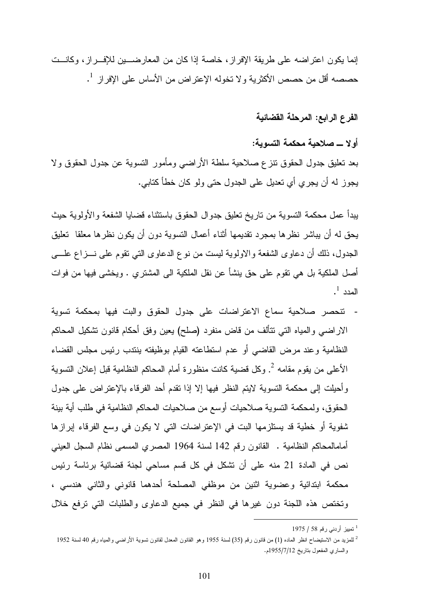إنما يكون اعتراضه على طريقة الإفراز، خاصة إذا كان من المعارضـين للإفـراز، وكانـت حصصه أقل من حصص الأكثرية ولا تخوله الإعتراض من الأساس على الإفراز <sup>1</sup>.

الفرع الرابع: المرحلة القضائية

أولا ـ صلاحية محكمة التسوية :

بعد تعليق جدول الحقوق تنزع صلاحية سلطة الأراضي ومأمور التسوية عن جدول الحقوق ولا يجوز له أن يجري أي تعديل على الجدول حتى ولو كان خطأ كتابي .

يبدأ عمل محكمة التسوية من تاريخ تعليق جدوال الحقوق باستثناء قضايا الشفعة والأولوية حيث يحق له أن يباشر نظرها بمجرد تقديمها أثناء أعمال التسوية دون أن يكون نظرها معلقا تعليق الجدول، ذلك أن دعاوى الشفعة والاولوية ليست من نوع الدعاوى التي تقوم على نـزاع علـى أصل الملكية بل هي تقوم على حق ينشأ عن نقل الملكية الى المشتري . ويخشى فيها من فوات  $^{-1}$  المدد

- تنحصر صلاحية سماع الاعتراضات على جدول الحقوق والبت فيها بمحكمة تسوية الاراضي والمياه التي تتألف من قاض منفرد (صلح) يعين وفق أحكام قانون تشكيل المحاكم النظامية وعند مرض القاضي أو عدم استطاعته القيام بوظيفته ينتدب رئيس مجلس القضاء الأعلى من يقوم مقامه <sup>2</sup>. وكل قضية كانت منظورة أمام المحاكم النظامية قبل إعلان التسوية وأحيلت إلى محكمة التسوية لايتم النظر فيها إلا إذا تقدم أحد الفرقاء بالإعتراض على جدول الحقوق، ولمحكمة التسوية صلاحيات أوسع من صلاحيات المحاكم النظامية في طلب أية بينة شفوية أو خطية قد يستلزمها البت في الإعتراضات التي لا يكون في وسع الفرقاء إبرازها أمامالمحاكم النظامية . القانون رقم 142 لسنة 1964 المصري المسمى نظام السجل العيني نص في المادة 21 منه على أن تشكل في كل قسم مساحي لجنة قضائية برئاسة رئيس محكمة ابتدائية وعضوية اثنين من موظفي المصلحة أحدهما قانوني والثاني هندسي ، وتختص هذه اللجنة دون غيرها في النظر في جميع الدعاوى والطلبات التي ترفع خلال

<sup>1</sup> تمييز أردني رقم 58 / 1975

 $^2$  للمزيد من الاستيضاح انظر الماده (1) من قانون رقم (35) لسنة 1955 وهو القانون المعدل لقانون تسوية الأراضـي والمياه رقم 40 لسنة 1952 والساري المفعول بتاريخ 1955/7/12 .م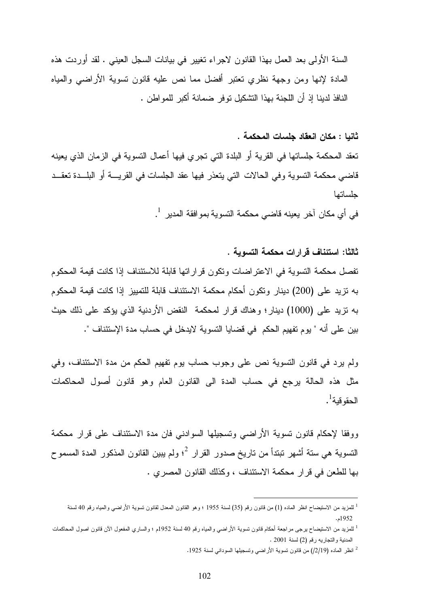السنة الأولى بعد العمل بهذا القانون لاجراء تغيير في بيانات السجل العيني . لقد أوردت هذه المادة لإنها ومن وجهة نظري تعتبر أفضل مما نص عليه قانون تسوية الأراضي والمياه النافذ لدينا إذ أن اللجنة بهذا التشكيل توفر ضمانة أكبر للمواطن .

ثانيا : مكان انعقاد جلسات المحكمة .

تعقد المحكمة جلساتها في القرية أو البلدة التي تجري فيها أعمال التسوية في الزمان الذي يعينه قاضي محكمة التسوية وفي الحالات التي يتعذر فيها عقد الجلسات في القريـة أو البلـدة تعقـد جلساتها

في أي مكان آخر يعينه قاضي محكمة التسوية بموافقة المدير <sup>1</sup> .

ثالثا: استئناف قرارات محكمة التسوية .

تفصل محكمة التسوية في الاعتراضات وتكون قراراتها قابلة للاستئناف إذا كانت قيمة المحكوم به تزيد على (200) دينار وتكون أحكام محكمة الاستئناف قابلة للتمييز إذا كانت قيمة المحكوم به تزيد على (1000) دينار؛ وهناك قرار لمحكمة النقض الأردنية الذي يؤكد على ذلك حيث بين على أنه " يوم تفهيم الحكم في قضايا التسوية لايدخل في حساب مدة الإستئناف ".

ولم يرد في قانون التسوية نص على وجوب حساب يوم تفهيم الحكم من مدة الاستئناف، وفي مثل هذه الحالة يرجع في حساب المدة الى القانون العام وهو قانون أصول المحاكمات الحقو قية<sup>1</sup>.

ووفقا لإحكام قانون تسوية الأراضي وتسجيلها السوادني فان مدة الاستئناف على قرار محكمة التسوية هي ستة أشهر تبتدأ من تاريخ صدور القرار <sup>2</sup>؛ ولم يبين القانون المذكور المدة المسموح بها للطعن في قرار محكمة الاستئناف ، وكذلك القانون المصري .

2 انظر الماده (/2/19) من قانون تسوية الأراضي وتسجيلها السوداني لسنة 1925 .

<sup>&</sup>lt;sup>1</sup> للمزيد من الاستيضاح انظر الماده (1) من قانون رقم (35) لسنة 1955 ؛ وهو القانون المعدل لقانون تسوية الأراضـي والمياه رقم 40 لسنة 1952 . م

<sup>1</sup> للمزيد من الاستيضاح يرجى مراجعة أحكام قانون تسوية الأراضي والمياه رقم 40 لسنة 1952م ؛ والساري المفعول الآن قانون اصول المحاكمات المدنية والتجاريه رقم (2) لسنة 2001 .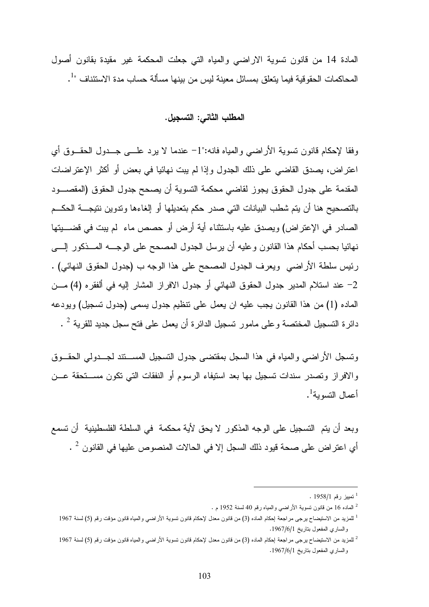المادة 14 من قانون تسوية الاراضي والمياه التي جعلت المحكمة غير مقيدة بقانون أصول المحاكمات الحقوقية فيما يتعلق بمسائل معينة ليس من بينها مسألة حساب مدة الاستئناف "<sup>1</sup>.

#### المطلب الثاني: التسجيل .

وفقا لإحكام قانون تسوية الأراضي والمياه فانه:"1 - عندما لا يرد علـى جـدول الحقـوق أي اعتراض، يصدق القاضي على ذلك الجدول وإذا لم يبت نهائيا في بعض أو أكثر الإعتراضات المقدمة على جدول الحقوق يجوز لقاضي محكمة التسوية أن يصحح جدول الحقوق (المقصـود بالتصحيح هنا أن يتم شطب البيانات التي صدر حكم بتعديلها أو إلغاءها وتدوين نتيجـة الحكـم الصادر في الإعتراض) ويصدق عليه باستثناء أية أرض أو حصص ماء لم يبت في قضـيتها نهائيا بحسب أحكام هذا القانون وعليه أن يرسل الجدول المصحح على الوجـه المـذكور إلـى رئيس سلطة الأراضي ويعرف الجدول المصحح على هذا الوجه ب (جدول الحقوق النهائي) . 2 - عند استلام المدير جدول الحقوق النهائي أو جدول الافراز المشار إليه في ألفقره (4) مـن الماده (1) من هذا القانون يجب عليه ان يعمل على تنظيم جدول يسمى (جدول تسجيل) ويودعه دائرة التسجيل المختصة وعلى مامور تسجيل الدائرة أن يعمل على فتح سجل جديد للقرية  $^2$  .

وتسجل الأراضي والمياه في هذا السجل بمقتضى جدول التسجيل المسـتند لجـدولي الحقـوق والافراز وتصدر سندات تسجيل بها بعد استيفاء الرسوم أو النفقات التي تكون مسـتحقة عـن أعمال النسوية<sup>1</sup>.

وبعد أن يتم التسجيل على الوجه المذكور لا يحق لأية محكمة في السلطة الفلسطينية أن تسمع أي اعتراض على صحة قيود ذلك السجل إلا في الحالات المنصوص عليها في القانون  $^2$  .

<sup>1</sup> تمييز رقم 1958/1 .

<sup>.</sup> الماده 16 من قانون تسوية الأراضي والمياه رقم 40 لسنة 1952 م $^2$ 

<sup>1</sup> للمزيد من الاستيضاح يرجى مراجعة إحكام الماده (3) من قانون معدل لإحكام قانون تسوية الأراضي والمياه قانون مؤقت رقم (5) لسنة 1967 والساري المفعول بتاريخ 1967/6/1 .

 $^2$  للمزيد من الاستيضاح يرجى مراجعة إحكام الماده (3) من قانون معدل لإحكام قانون تسوية الأراضـي والمياه قانون مؤقت رقم (5) لسنة 1967  $^2$ والساري المفعول بتاريخ 1967/6/1 .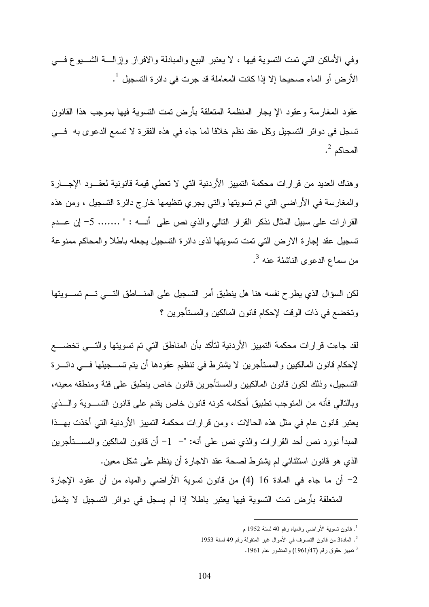وفي الأماكن التي تمت التسوية فيها ، لا يعتبر البيع والمبادلة والافراز وإزالـة الشـيوع فـي  $^{-1}$  الأرض أو الماء صحيحا إلا إذا كانت المعاملة قد جرت في دائرة التسجيل  $^{-1}$  .

عقود المغارسة وعقود الإ يجار المنظمة المتعلقة بأرض تمت التسوية فيها بموجب هذا القانون تسجل في دوائر التسجيل وكل عقد نظم خلافا لما جاء في هذه الفقرة لا تسمع الدعوى به فـي  $^2$  المحاكم  $^2$  .

وهناك العديد من قرارات محكمة التمييز الأردنية التي لا تعطي قيمة قانونية لعقـود الإجـارة والمغارسة في الأراضي التي تم تسويتها والتي يجري تنظيمها خارج دائرة التسجيل ، ومن هذه القرارات على سبيل المثال نذكر القرار التالي والذي نص على أنـه : " ....... 5 - إن عـدم تسجيل عقد إجارة الارض التي تمت تسويتها لذى دائرة التسجيل يجعله باطلا والمحاكم ممنوعة من سماع الدعوى الناشئة عنه <sup>3</sup>.

لكن السؤال الذي يطرح نفسه هنا هل ينطبق أمر التسجيل على المنـاطق التـي تـم تسـويتها وتخضع في ذات الوقت لإحكام قانون المالكين والمستأجرين ؟

لقد جاءت قرارات محكمة التمييز الأردنية لتأكد بأن المناطق التي تم تسويتها والتـي تخضـع لإحكام قانون المالكيين والمستأجرين لا يشترط في تنظيم عقودها أن يتم تسـجيلها فـي دائـرة التسجيل، وذلك لكون قانون المالكيين والمستأجرين قانون خاص ينطبق على فئة ومنطقه معينه، وبالتالي فأنه من المتوجب تطبيق أحكامه كونه قانون خاص يقدم على قانون التسـوية والـذي يعتبر قانون عام في مثل هذه الحالات ، ومن قرارات محكمة التمييز الأردنية التي أخذت بهـذا المبدأ نورد نص أحد القرارات والذي نص على أنه: "– 1- أن قانون المالكين والمســتأجرين الذي هو قانون استثنائي لم يشترط لصحة عقد الاجارة أن ينظم على شكل معين .

2 - أن ما جاء في المادة 16 ( 4) من قانون تسوية الأراضي والمياه من أن عقود الإجارة المتعلقة بأرض تمت التسوية فيها يعتبر باطلا إذا لم يسجل في دوائر التسجيل لا يشمل

<sup>1</sup> . قانون تسوية الأراضي والمياه رقم 40 لسنة 1952 م

<sup>2</sup> . المادة3 من قانون التصرف في الأموال غير المنقولة رقم 49 لسنة 1953

<sup>3</sup> تمييز حقوق رقم (1961/47) والمنشور عام 1961 .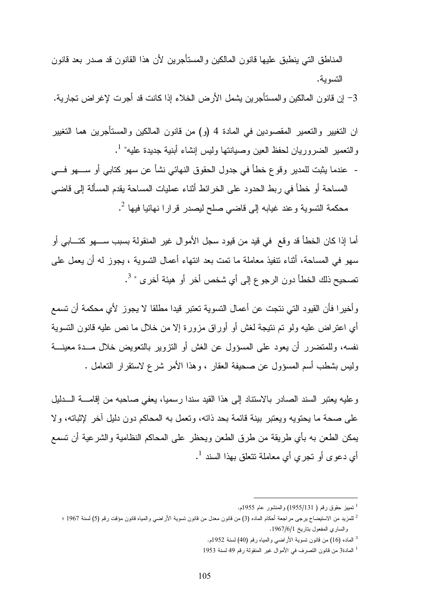المناطق التي ينطبق عليها قانون المالكين والمستأجرين لأن هذا القانون قد صدر بعد قانون التسوية .

3 - إن قانون المالكين والمستأجرين يشمل الأرض الخلاء إذا كانت قد أجرت لإغراض تجارية .

ان التغيير والتعمير المقصودين في المادة 4 و( ) من قانون المالكين والمستأجرين هما التغيير والتعمير الضروريان لحفظ العين وصيانتها وليس إنشاء أبنية جديدة عليه" <sup>1</sup>.

- عندما يثبت للمدير وقوع خطأ في جدول الحقوق النهائي نشأ عن سهو كتابي أو سـهو فـي المساحة أو خطأ في ربط الحدود على الخرائط أثناء عمليات المساحة يقدم المسألة إلى قاضي محكمة التسوية وعند غيابه إلى قاضي صلح ليصدر قرارا نهائيا فيها <sup>2</sup>.

أما إذا كان الخطأ قد وقع في قيد من قيود سجل الأموال غير المنقولة بسبب سـهو كتـابي أو سهو في المساحة، أثناء تنفيذ معاملة ما تمت بعد انتهاء أعمال التسوية ، يجوز له أن يعمل على تصحيح ذلك الخطأ دون الرجوع إلى أي شخص أخر أو هيئة أخرى " <sup>3</sup>.

وأخيرا فأن القيود التي نتجت عن أعمال التسوية تعتبر قيدا مطلقا لا يجوز لأي محكمة أن تسمع أي اعتراض عليه ولو تم نتيجة لغش أو أوراق مزورة إلا من خلال ما نص عليه قانون التسوية نفسه، وللمتضرر أن يعود على المسؤول عن الغش أو التزوير بالتعويض خلال مـدة معينـة وليس بشطب أسم المسؤول عن صحيفة العقار ، وهذا الأمر شرع لاستقرار التعامل .

وعليه يعتبر السند الصادر بالاستناد إلى هذا القيد سندا رسميا، يعفي صاحبه من إقامـة الـدليل على صحة ما يحتويه ويعتبر بينة قائمة بحد ذاته، وتعمل به المحاكم دون دليل آخر لإثباته، ولا يمكن الطعن به بأي طريقة من طرق الطعن ويحظر على المحاكم النظامية والشرعية أن تسمع أي دعوى أو تجري أي معاملة تتعلق بهذا السند <sup>1</sup>.

<sup>&</sup>lt;sup>1</sup> تمييز حقوق رقم ( 1955/131) والمنشور عام 1955م.

<sup>.&</sup>lt;br>للمزيد من الاستيضاح يرجى مراجعة أحكام الماده (3) من قانون معدل من قانون تسوية الأراضي والمياه قانون مؤقت رقم (5) لسنة 1967 ؛ والساري المفعول بتاريخ 1967/6/1 .

<sup>&</sup>lt;sup>3</sup> الماده (16) من قانون تسوية الأراضـي والمياه رقم (40) لسنة 1952م.

<sup>1</sup> المادة3 من قانون التصرف في الأموال غير المنقولة رقم 49 لسنة 1953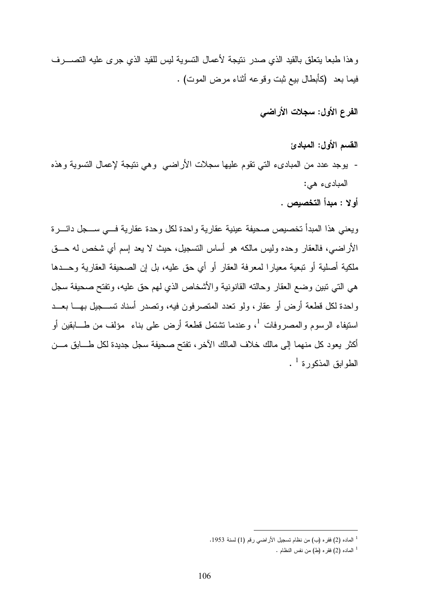وهذا طبعا يتعلق بالقيد الذي صدر نتيجة لأعمال التسوية ليس للقيد الذي جرى عليه التصـرف فيما بعد (كأبطال بيع ثبت وقوعه أثناء مرض الموت) .

الفرع الأول: سجلات الأراضي

القسم الأول: المبادئ

- يوجد عدد من المبادىء التي تقوم عليها سجلات الأراضي وهي نتيجة لإعمال التسوية وهذه المبادىء هي :

أولا : مبدأ التخصيص .

ويعني هذا المبدأ تخصيص صحيفة عينية عقارية واحدة لكل وحدة عقارية فـي سـجل دائـرة الأراضي، فالعقار وحده وليس مالكه هو أساس التسجيل، حيث لا يعد إسم أي شخص له حـق ملكية أصلية أو تبعية معيارا لمعرفة العقار أو أي حق عليه، بل إن الصحيفة العقارية وحـدها هي التي تبين وضع العقار وحالته القانونية والأشخاص الذي لهم حق عليه، وتفتح صحيفة سجل واحدة لكل قطعة أرض أو عقار، ولو تعدد المتصرفون فيه، وتصدر أسناد تسـجيل بهـا بعـد استيفاء الرسوم والمصروفات <sup>1</sup>، وعندما تشتمل قطعة أرض على بناء مؤلف من طـــابقين أو أكثر يعود كل منهما إلى مالك خلاف المالك الآخر، تفتح صحيفة سجل جديدة لكل طـابق مـن الطوابق المذكورة <sup>1</sup> .

<sup>1</sup> الماده (2) فقره (ب) من نظام تسجيل الأراضي رقم (1) لسنة 1953 .

 $^1$  الماده (2) فقره (ط) من نفس النظام  $^1$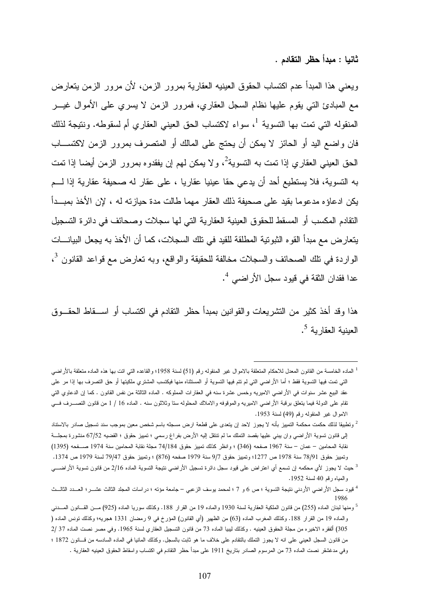ثانيا : مبدأ حظر التقادم .

ويعني هذا المبدأ عدم اكتساب الحقوق العينيه العقارية بمرور الزمن، لأن مرور الزمن يتعارض مع المبادئ التي يقوم عليها نظام السجل العقاري، فمرور الزمن لا يسري على الأموال غيـر المنقوله التي تمت بها التسوية <sup>1</sup>، سواء لاكتساب الحق العيني العقاري أم لسقوطه. ونتيجة لذلك فان واضع اليد أو الحائز لا يمكن أن يحتج على المالك أو المتصرف بمرور الزمن لاكتسـاب الحق العيني العقاري إذا تمت به التسوية<sup>2</sup>، و لا يمكن لمهم إن يفقدوه بمرور الزمن أيضا إذا تمت به التسوية، فلا يستطيع أحد أن يدعي حقا عينيا عقاريا ، على عقار له صحيفة عقارية إذا لـم يكن ادعاؤه مدعوما بقيد على صحيفة ذلك العقار مهما طالت مدة حيازته له ، لإن الأخذ بمبـدأ التقادم المكسب أو المسقط للحقوق العينية العقارية التي لها سجلات وصحائف في دائرة التسجيل يتعارض مع مبدأ القوه الثبوتية المطلقة للقيد في تلك السجلات، كما أن الأخذ به يجعل البيانـات الواردة في تلك الصحائف والسجلات مخالفة للحقيقة والواقع، وبه تعارض مع قواعد القانون <sup>3</sup>، 4 عدا فقدان الثقة في قيود سجل الأراضي .

هذا وقد أخذ كثير من التشريعات والقوانين بمبدأ حظر التقادم في اكتساب أو اسـ قاط الحقـوق العينية العقارية <sup>5</sup>.

<sup>1</sup> الماده الخامسة من القانون المعدل للاحكام المتعلقة بالاموال غير المنقوله رقم (51) لسنة 1958؛ والقاعده التي اتت بها هذه الماده متعلقة بالأراضي التي تمت فيها التسوية فقط ؛ أما الأراضي التي لم تتم فيها التسوية أو المستثناه منها فيكتسب المشتري ملكيتها أو حق التصرف بها إذا مر على عقد البيع عشر سنوات في الأراضي الاميريه وخمس عشرة سنه في العقارات المملوكه . الماده الثالثة من نفس القانون . كما إن الدعاوي التي تقام على الدولة فيما يتعلق برقبة الأراضي الاميريه والموقوفه والاملاك المحلوله ستا وثلاثون سنه . الماده 16 / 1 من قانون التصـرف فـي الاموال غير المنقوله رقم (49) لسنة 1953 .

وتطبيقا لذلك حكمت محكمة التمييز بأنه لا يجوز لاحد إن يتعدى على قطعة ارض مسجله باسم شخص معين بموجب سند تسجيل صادر بالاستناد إلى قانون تسوية الأراضي وان يبني عليها بقصد التملك ما لم تنتقل إليه الأرض بفراغ رسمي ؛ تمييز حقوق ؛ القضيه 67/52 منشورة بمجلـة نقابة المحامين – عمان – سنة 1967 صفحه (346) ؛ وانظر كذلك تمييز حقوق 74/184 مجلة نقابة المحامين سنة 1974 صـفحه (1395) وتمييز حقوق 78/91 سنة 1978 ص 1277؛ وتمييز حقوق 9/7 سنة 1979 صفحه (876) ؛ وتمييز حقوق 79/47 لسنة 1979 ص 1374 .

<sup>3</sup> حيث لا يجوز لأي محكمه إن تسمع أي اعتراض على قيود سجل دائرة تسجيل الأراضي نتيجة التسوية الماده 2/16 من قانون تسوية الأراضـي والمياه رقم 40 لسنة 1952 .

<sup>4</sup> قيود سجل الأراضي الأردني نتيجة التسوية ؛ ص 6 و 7 ؛ لمحمد يوسف الزعبي – جامعة مؤته ؛ دراسات المجلد الثالث عشـر ؛ العـدد الثالـث 1986

<sup>5</sup> ومنها لبنان الماده (255) من قانون الملكية العقارية لسنة 1930 والماده 19 من القرار .188 وكذلك سوريا الماده (925) مـن القـانون المـدني والماده 19 من القرار .188 وكذلك المغرب الماده (63) من الظهير (أي القانون) المؤرخ في 9 رمضان 1331 هجريه؛ وكذلك تونس الماده ( 305) ألفقره الاخيره من مجلة الحقوق العينيه . وكذلك ليبيا الماده 73 من قانون التسجيل العقاري لسنة 1965. وفي مصر نصت الماده 37 /2 من قانون السجل العيني على انه لا يجوز التملك بالتقادم على خلاف ما هو ثابت بالسجل. وكذلك المانيا في الماده السادسه من قـانون 1872 ؛ وفي مدغشقر نصت الماده 73 من المرسوم الصادر بتاريخ 1911 على مبدأ حظر التقادم في اكتساب واسقاط الحقوق العينيه العقارية .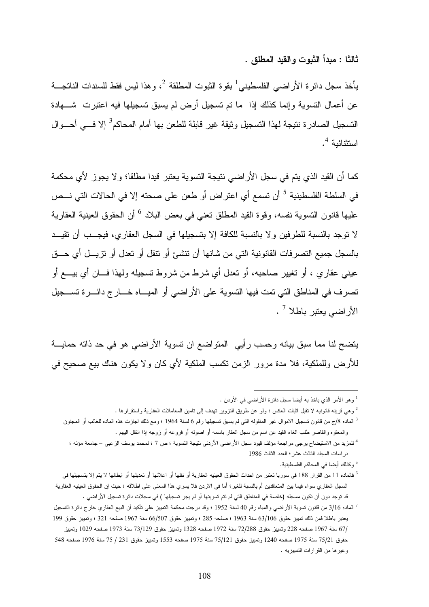ثالثا : مبدأ الثبوت والقيد المطلق .

يأخذ سجل دائرة الأراضي الفلسطيني<sup>1</sup> بقوة الثبوت المطلقة <sup>2</sup>، وهذا ليس فقط للسندات الناتجـــة عن أعمال التسوية وإنما كذلك إذا ما تم تسجيل أرض لم يسبق تسجيلها فيه اعتبرت شـهادة التسجيل الصـادرة نتيجة لـهذا التسجيل وثيقة غير قابلة للطـعن بـها أمـام المحاكم<sup>3</sup> إلا فـــي أحـــوال استثنائية <sup>4</sup>.

كما أن القيد الذي يتم في سجل الأراضي نتيجة التسوية يعتبر قيدا مطلقا؛ ولا يجوز لأي محكمة في السلطة الفلسطينية <sup>5</sup> أن تسمع أي اعتراض أو طعن على صحته إلا في الحالات التي نـــص عليها قانون التسوية نفسه، وقوة القيد المطلق تعني في بعض البلاد <sup>6</sup> أن الحقوق العينية العقارية لا توجد بالنسبة للطرفين ولا بالنسبة للكافة إلا بتسجيلها في السجل العقاري، فيجـب أن تقيـد بالسجل جميع التصرفات القانونية التي من شانها أن تنشئ أو تنقل أو تعدل أو تزيـل أي حـق عيني عقاري ، أو تغيير صاحبه، أو تعدل أي شرط من شروط تسجيله ولهذا فـان أي بيـع أو تصرف في المناطق التي تمت فيها التسوية على الأراضي أو الميـاه خـارج دائـرة تسـجيل الأراضي يعتبر باطلا <sup>7</sup> .

يتضح لنا مما سبق بيانه وحسب رأيي المتواضع ان تسوية الأراضي هو في حد ذاته حمايـة للأرض وللملكية، فلا مدة مرور الزمن تكسب الملكية لأي كان ولا يكون هناك بيع صحيح في

 $\overline{a}$ 

5 و كذلك أيضا في المحاكم الفلسطينية .

<sup>1</sup> وهو الأمر الذي ياخذ به أيضا سجل دائرة الأراضي في الأردن .

<sup>2</sup> وهي قرينه قانونيه لا تقبل اثبات العكس ؛ ولو عن طريق التزوير تهدف إلى تامين المعاملات العقارية واستقرارها .

<sup>&</sup>lt;sup>3</sup> الماده 8/ج من قانون تسجيل الاموال غير المنقوله التي لم يسبق تسجيلها رقم 6 لسنة 1964 ؛ ومع ذلك اجازت هذه الماده للغائب أو المجنون والمعتوه والقاصر طلب الغاء القيد عن اسم من سجل العقار باسمه أو اصوله أو فروعه أو زوجه إذا انتقل اليهم .

<sup>4</sup> للمزيد من الاستيضاح يرجى مراجعة مؤلف قيود سجل الأراضي الأردني نتيجة التسوية ؛ ص 7 ؛ لمحمد يوسف الزعبي – جامعة مؤته ؛ دراسات المجلد الثالث عشر؛ العدد الثالث 1986

<sup>&</sup>lt;sup>6</sup> فالماده 11 من القرار 188 في سوريا تعتبر من احداث الحقوق العينيه العقارية أو نقلها أو اعلانها أو تعديلها أو ابطالها لا يتم إلا بتسجيلها في السجل العقاري سواء فيما بين المتعاقدين أم بالنسبة للغير؛ أما في الاردن فلا يسري هذا المعنى على اطلاقه ؛ حيث إن الحقوق العينيه العقارية قد توجد دون أن تكون مسجله (خاصة في المناطق التي لم تتم تسويتها أو لم يجر تسجيلها ) في سجلات دائرة تسجيل الأراضي .

<sup>7</sup> الماده 3/16 من قانون تسوية الأراضي والمياه رقم 40 لسنة 1952 ؛ وقد درجت محكمة التمييز على تأكيد أن البيع العقاري خارج دائرة التسجيل يعتبر باطلا فمن ذلك تمييز حقوق 63/106 سنة 1963 ؛ صفحه 285 ؛ وتمييز حقوق 66/507 سنة 1967 صفحه 321 ؛ وتمييز حقوق 199 67/ سنة 1967 صفحه 228 وتمييز حقوق 72/288 سنة 1972 صفحه 1328 وتمييز حقوق 73/129 سنة 1973 صفحه 1029 وتمييز حقوق 75/21 سنة 1975 صفحه 1240 وتمييز حقوق 75/121 سنة 1975 صفحه 1553 وتمييز حقوق 231 / 75 سنة 1976 صفحه 548 وغيرها من القرارات التمييزيه .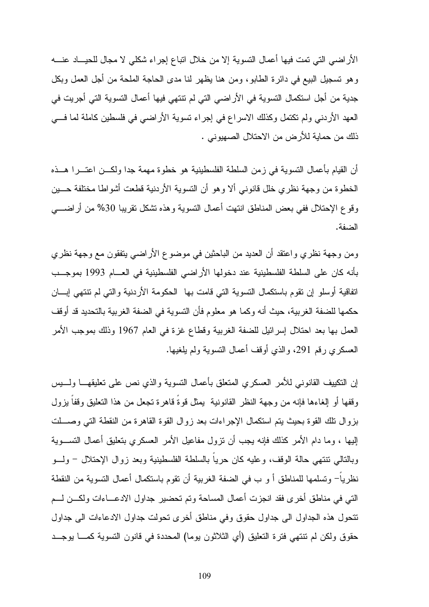الأراضي التي تمت فيها أعمال التسوية إلا من خلال اتباع إجراء شكلي لا مجال للحيـاد عنـه وهو تسجيل البيع في دائرة الطابو، ومن هنا يظهر لنا مدى الحاجة الملحة من أجل العمل وبكل جدية من أجل استكمال التسوية في الأراضي التي لم تنتهي فيها أعمال التسوية التي أجريت في العهد الأردني ولم تكتمل وكذلك الاسراع في إجراء تسوية الأراضي في فلسطين كاملة لما فـي ذلك من حماية للأرض من الاحتلال الصهيوني .

أن القيام بأعمال التسوية في زمن السلطة الفلسطينية هو خطوة مهمة جدا ولكـن اعتـرا هـذه الخطوة من وجهة نظري خلل قانوني ألا وهو أن التسوية الأردنية قطعت أشواطا مختلفة حـين وقوع الإحتلال ففي بعض المناطق انتهت أعمال التسوية وهذه تشكل تقريبا %30 من أراضـي الضفة .

ومن وجهة نظري واعتقد أن العديد من الباحثين في موضوع الأراضي يتفقون مع وجهة نظري بأنه كان على السلطة الفلسطينية عند دخولها الأراضي الفلسطينية في العـام 1993 بموجـب اتفاقية أوسلو إن تقوم باستكمال التسوية التي قامت بها الحكومة الأردنية والتي لم تنتهي إبـان حكمها للضفة الغربية، حيث أنه وكما هو معلوم فأن التسوية في الضفة الغربية بالتحديد قد أوقف العمل بها بعد احتلال إسرائيل للضفة الغربية وقطاع غزة في العام 1967 وذلك بموجب الأمر العسكري رقم 291، والذي أوقف أعمال النسوية ولم يلغيها.

إن التكييف القانوني للأمر العسكري المتعلق بأعمال التسوية والذي نص على تعليقهـا ولـيس وقفها أو إلغاءها فإنه من وجهة النظر القانونية يمثل قوةً قاهرة تجعل من هذا التعليق وقفاً يزول بزوال تلك القوة بحيث يتم استكمال الإجراءات بعد زوال القوة القاهرة من النقطة التي وصـلت إليها ، وما دام الأمر كذلك فإنه يجب أن تزول مفاعيل الأمر العسكري بتعليق أعمال التسـوية وبالتالي تنتهي حالة الوقف، وعليه كان حرياً بالسلطة الفلسطينية وبعد زوال الإحتلال - ولـو نظرياً - وتسلمها للمناطق أ و ب في الضفة الغربية أن تقوم باستكمال أعمال التسوية من النقطة التي في مناطق أخرى فقد انجزت أعمال المساحة وتم تحضير جداول الادعـاءات ولكـن لـم تتحول هذه الجداول الى جداول حقوق وفي مناطق أخرى تحولت جداول الادعاءات الى جداول حقوق ولكن لم تنتهي فترة التعليق (أي الثلاثون يوما) المحددة في قانون التسوية كمـا يوجـد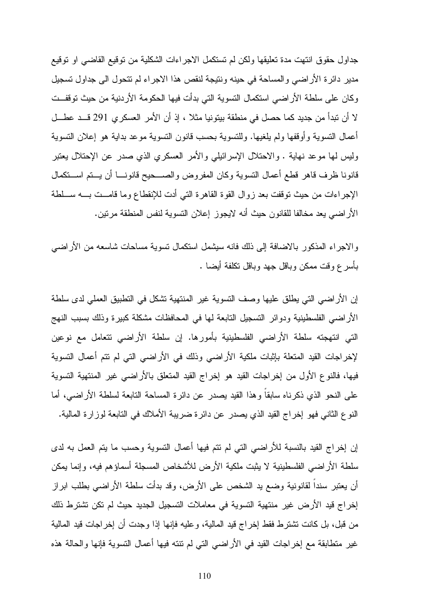جداول حقوق انتهت مدة تعليقها ولكن لم تستكمل الاجراءات الشكلية من توقيع القاضي او توقيع مدير دائرة الأراضي والمساحة في حينه ونتيجة لنقص هذا الاجراء لم تتحول الى جداول تسجيل وكان على سلطة الأراضي استكمال التسوية التي بدأت فيها الحكومة الأردنية من حيث توقفـت لا أن تبدأ من جديد كما حصل في منطقة بيتونيا مثلا ، إذ أن الأمر العسكري 291 قـد عطـل أعمال التسوية وأوقفها ولم يلغيها. وللتسوية بحسب قانون التسوية موعد بداية هو إعلان التسوية وليس لها موعد نهاية . والاحتلال الإسرائيلي والأمر العسكري الذي صدر عن الإحتلال يعتبر قانونا ظرف قاهر قطع أعمال التسوية وكان المفروض والصـحيح قانونـا أن يـتم اسـتكم ال الإجراءات من حيث توقفت بعد زوال القوة القاهرة التي أدت للإنقطاع وما قامـت بـه سـلطة الأراضي يعد مخالفا للقانون حيث أنه لايجوز إعلان التسوية لنفس المنطقة مرتين .

والاجراء المذكور بالاضافة إلى ذلك فانه سيشمل استكمال تسوية مساحات شاسعه من الأراضي بأسرع وقت ممكن وباقل جهد وباقل تكلفة أيضا .

إن الأراضي التي يطلق عليها وصف التسوية غير المنتهية تشكل في التطبيق العملي لدى سلطة الأراضي الفلسطينية ودوائر التسجيل التابعة لها في المحافظات مشكلة كبيرة وذلك بسبب النهج التي انتهجته سلطة الأراضي الفلسطينية بأمورها. إن سلطة الأراضي تتعامل مع نوعين لإخراجات القيد المتعلة بإثبات ملكية الأراضي وذلك في الأراضي التي لم تتم أعمال التسوية فيها، فالنوع الأول من إخراجات القيد هو إخراج القيد المتعلق بالأراضي غير المنتهية التسوية على النحو الذي ذكرناه سابقاً وهذا القيد يصدر عن دائرة المساحة التابعة لسلطة الأراضي، أما النوع الثاني فهو إخراج القيد الذي يصدر عن دائرة ضريبة الأملاك في التابعة لوزارة المالية .

إن إخراج القيد بالنسبة للأراضي التي لم تتم فيها أعمال التسوية وحسب ما يتم العمل به لدى سلطة الأراضي الفلسطينية لا يثبت ملكية الأرض للأشخاص المسجلة أسماؤهم فيه، وإنما يمكن أن يعتبر سنداً لقانونية وضع يد الشخص على الأرض، وقد بدأت سلطة الأراضي بطلب ابراز إخراج قيد الأرض غير منتهية التسوية في معاملات التسجيل الجديد حيث لم تكن تشترط ذلك من قبل، بل كانت تشترط فقط إخراج قيد المالية، وعليه فإنها إذا وجدت أن إخراجات قيد المالية غير متطابقة مع إخراجات القيد في الأراضي التي لم تنته فيها أعمال التسوية فإنها والحالة هذه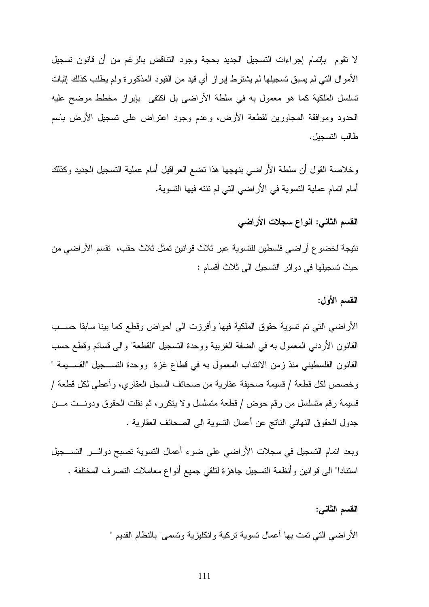لا تقوم بإتمام إجراءات التسجيل الجديد بحجة وجود التناقض بالرغم من أن قانون تسجيل الأموال التي لم يسبق تسجيلها لم يشترط إبراز أي قيد من القيود المذكورة ولم يطلب كذلك إثبات تسلسل الملكية كما هو معمول به في سلطة الأراضي بل اكتفى بإبراز مخطط موضح عليه الحدود وموافقة المجاورين لقطعة الأرض، وعدم وجود اعتراض على تسجيل الأرض باسم طالب التسجيل .

وخلاصة القول أن سلطة الأراضي بنهجها هذا تضع العراقيل أمام عملية التسجيل الجديد وكذلك أمام اتمام عملية التسوية في الأراضي التي لم تنته فيها التسوية .

#### القسم الثاني: انواع سجلات الأراضي

نتيجة لخضوع أراضي فلسطين للتسوية عبر ثلاث قوانين تمثل ثلاث حقب، تقسم الأراضي من حيث تسجيلها في دوائر التسجيل الى ثلاث أقسام :

#### القسم الأول:

الأراضي التي تم تسوية حقوق الملكية فيها وأفرزت الى أحواض وقطع كما بينا سابقا حسـب القانون الأردني المعمول به في الضفة الغربية ووحدة التسجيل "القطعة" والى قسائم وقطع حسب القانون الفلسطيني منذ زمن الانتداب المعمول به في قطاع غزة ووحدة التسـجيل "القسـيمة " وخصص لكل قطعة / قسيمة صحيفة عقارية من صحائف السجل العقاري، وأعطي لكل قطعة / قسيمة رقم متسلسل من رقم حوض / قطعة متسلسل ولا يتكرر، ثم نقلت الحقوق ودونـت مـن جدول الحقوق النهائي الناتج عن أعمال التسوية الى الصحائف العقارية .

وبعد اتمام التسجيل في سجلات الأراضي على ضوء أعمال التسوية تصبح دوائـر التسـجيل استنادا" الى قوانين وأنظمة التسجيل جاهزة لتلقي جميع أنواع معاملات التصرف المختلفة .

#### القسم الثاني :

الأراضي التي تمت بها أعمال تسوية تركية وانكليزية وتسمى" بالنظام القديم "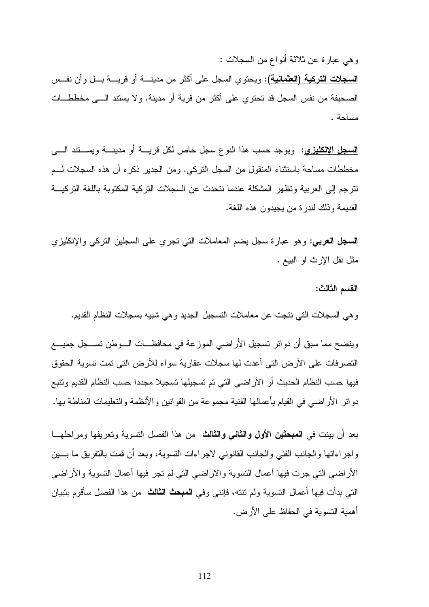وهي عبارة عن ثلاثة أنواع من السجلات :

السجلات التركية (العثمانية): ويحتوي السجل على أكثر من مدينـة أو قريـة بـل وأن نفـس الصحيفة من نفس السجل قد تحتوي على أكثر من قرية أو مدينة. ولا يستند الـى مخططـات مساحة .

السجل الإنكليزي: ويوجد حسب هذا النوع سجل خاص لكل قريـة أو مدينـة ويسـ تند الـى مخططات مساحة باستثناء المنقول من السجل التركي. ومن الجدير ذكره أن هذه السجلات لـم تترجم إلى العربية وتظهر المشكلة عندما نتحدث عن السجلات التركية المكتوبة باللغة التركيـة القديمة وذلك لندرة من يجيدون هذه اللغة .

<mark>السجل العربيي:</mark> وهو عبارة سجل يضم المعاملات التي تجري على السجلين التركي والإنكليزي مثل نقل الإرث او البيع .

القسم الثالث:

وهي السجلات التي نتجت عن معاملات التسجيل الجديد وهي شبيه بسجلات النظام القديم.

ويتضح مما سبق أن دوائر تسجيل الأراضي الموزعة في محافظـات الـوطن تسـجل جميـع التصرفات على الأرض التي أعدت لها سجلات عقارية سواء للأرض التي تمت تسوية الحقوق فيها حسب النظام الحديث أو الأراضي التي تم تسجيلها تسجيلا مجددا حسب النظام القديم وتتبع دوائر الأراضي في القيام بأعمالها الفنية مجموعة من القوانين والأنظمة والتعليمات المناطة بها .

بعد أن بينت في المبحثين الأول والثاني والثالث من هذا الفصل التسوية وتعريفها ومراحلهـا واجراءاتها والجانب الفني والجانب القانوني لاجراءات التسوية، وبعد أن قمت بالتفريق ما بـين الأراضي التي جرت فيها أعمال التسوية والاراضي التي لم تجر فيها أعمال التسوية والأراضي التي بدأت فيها أعمال التسوية ولم تنته، فإنني وفي المبحث الثالث من هذا الفصل سأقوم بتبيان أهمية التسوية في الحفاظ على الأرض .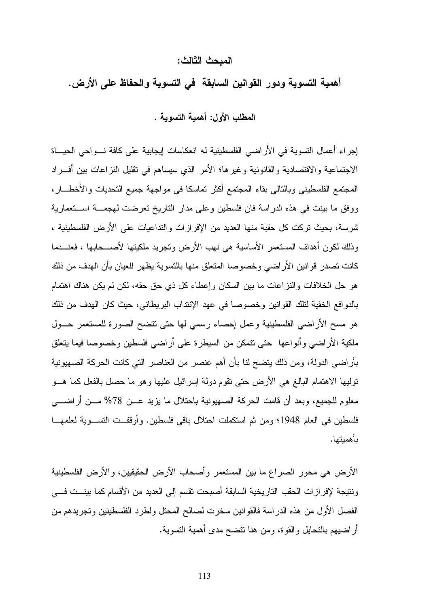#### المبحث الثالث :

أهمية التسوية ودور القوانين السابقة في التسوية والحفاظ على الأرض.

المطلب الأول: أهمية التسوية .

إجراء أعمال التسوية في الأراضي الفلسطينية له انعكاسات إيجابية على كافة نـواحي الحيـاة الاجتماعية والاقتصادية والقانونية وغيرها؛ الأمر الذي سيساهم في تقليل النزاعات بين أفـراد المجتمع الفلسطيني وبالتالي بقاء المجتمع أكثر تماسكا في مواجهة جميع التحديات والأخطـار، ووفق ما بينت في هذه الدراسة فان فلسطين وعلى مدار التاريخ تعرضت لهجمـة اسـتعمارية شرسة، بحيث تركت كل حقبة منها العديد من الإفرازات والتداعيات على الأرض الفلسطينية ، وذلك لكون أهداف المستعمر الأساسية هي نهب الأرض وتجريد ملكيتها لأصـحابها ، فعنـدما كانت تصدر قوانين الأراضي وخصوصا المتعلق منها بالتسوية يظهر للعيان بأن الهدف من ذلك هو حل الخلافات والنزاعات ما بين السكان وإعطاء كل ذي حق حقه، لكن لم يكن هناك اهتمام بالدوافع الخفية لتلك القوانين وخصوصا في عهد الإنتداب البريطاني، حيث كان الهدف من ذلك هو مسح الأراضي الفلسطينية وعمل إحصاء رسمي لها حتى تتضح الصورة للمستعمر حـول ملكية الأراضي وأنواعها حتى تتمكن من السيطرة على أراضي فلسطين وخصوصا فيما يتعلق بأراضي الدولة، ومن ذلك يتضح لنا بأن أهم عنصر من العناصر التي كانت الحركة الصهيونية توليها الاهتمام البالغ هي الأرض حتى تقوم دولة إسرائيل عليها وهو ما حصل بالفعل كما هـو معلوم للجميع، وبعد أن قامت الحركة الصهيونية باحتلال ما يزيد عـن %78 مـن أراضـي فلسطين في العام 1948؛ ومن ثم استكملت احتلال باقي فلسطين. وأوقفـت التسـوية لعلمهـا بأهميتها .

الأرض هي محور الصراع ما بين المستعمر وأصحاب الأرض الحقيقيين، والأرض الفلسطينية ونتيجة لإفرازات الحقب التاريخية السابقة أصبحت تقسم إلى العديد من الأقسام كما بينـ ت فـي الفصل الأول من هذه الدراسة فالقوانين سخرت لصالح المحتل ولطرد الفلسطينين وتجريدهم من أراضيهم بالتحايل والقوة، ومن هنا تتضح مدى أهمية التسوية .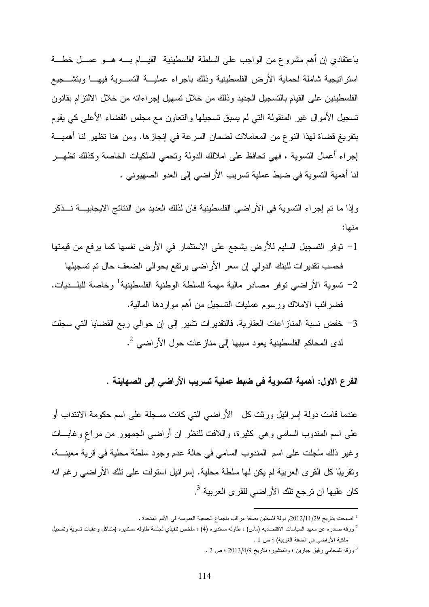باعتقادي إن أهم مشروع من الواجب على السلطة الفلسطينية القيـام بـه هـو عمـل خطـة استراتيجية شاملة لحماية الأرض الفلسطينية وذلك باجراء عمليـة التسـوية فيهـا وبتشـجيع الفلسطينين على القيام بالتسجيل الجديد وذلك من خلال تسهيل إجراءاته من خلال الالتزام بقانون تسجيل الأموال غير المنقولة التي لم يسبق تسجيلها والتعاون مع مجلس القضاء الأعلى كي يقوم بتفريغ قضاة لهذا النوع من المعاملات لضمان السرعة في إنجازها. ومن هنا تظهر لنا أهميـة إجراء أعمال التسوية ، فهي تحافظ على املالك الدولة وتحمي الملكيات الخاصة وكذلك تظهـر لنا أهمية التسوية في ضبط عملية تسريب الأراضي إلى العدو الصهيوني .

وإذا ما تم إجراء التسوية في الأراضي الفلسطينية فان لذلك العديد من النتائج الايجابيـة نـذكر منها :

- -1 توفر التسجيل السليم للأرض يشجع على الاستثمار في الأرض نفسها كما يرفع من قيمتها فحسب تقديرات للبنك الدولي إن سعر الأراضي يرتفع بحوالي الضعف حال تم تسجيلها
- -2 تسوية الأراضي توفر مصادر مالية مهمة للسلطة الوطنية الفلسطينية 1 وخاصة للبلـديات . فضرائب الاملاك ورسوم عمليات التسجيل من أهم مواردها المالية .
- -3 خفض نسبة المنازاعات العقارية. فالتقديرات تشير إلى إن حوالي ربع القضايا التي سجلت 2 لدى المحاكم الفلسطينية يعود سببها إلى منازعات حول الأراضي .

الفرع الاول: أهمية التسوية في ضبط عملية تسريب الأراضي إلى الصهاينة .

عندما قامت دولة إسرائيل ورثت كل الأراضي التي كانت مسجلة على اسم حكومة الانتداب أو على اسم المندوب السامي وهي كثيرة، واللافت للنظر ان أراضي الجمهور من مراعٍ وغابـات وغير ذلك سجلت على اسم المندوب السامي في حالة عدم وجود سلطة محلية في قرية معينـة، وتقريبا كل القرى العربية لم يكن لها سلطة محلية. إسرائيل استولت على تلك الأراضي رغم انه كان عليها ان ترجع تلك الأراضي للقرى العربية <sup>3</sup>.

<sup>1</sup> اصبحت بتاريخ 2012/11/29م دولة فلسطين بصفة مراقب باجماع الجمعية العموميه في الأمم المتحدة .

ورقه صادره عن معهد السياسات الاقتصاديه (ماس) ؛ طاوله مستديره (4) ؛ ملخص تنفيذي لجلسة طاوله مستديره (مشاكل وعقبات تسوية وتسجيل  $^2$ ملكية الأراضي في الضفة الغربية) ؛ ص 1 .

<sup>3</sup> ورقه للمحامي رفيق جبارين ؛ والمنشوره بتاريخ 2013/4/9 ؛ ص 2 .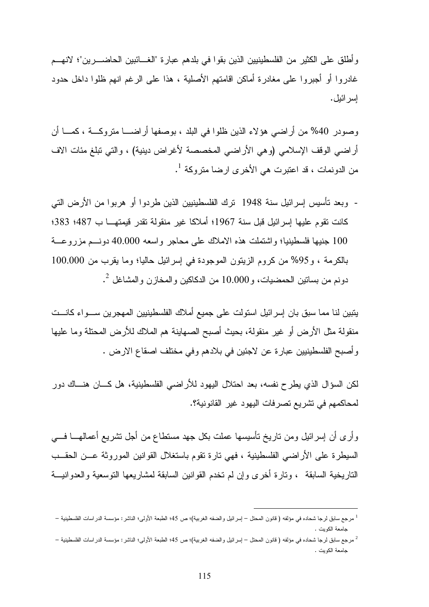وأطلق على الكثير من الفلسطينيين الذين بقوا في بلدهم عبارة "الغـائبين الحاضـرين "؛ لانهـم غادروا أو أجبروا على مغادرة أماكن اقامتهم الأصلية ، هذا على الرغم انهم ظلوا داخل حدود إسرائيل .

وصودر 40% من أراضي هؤلاء الذين ظلوا في البلد ، بوصفها أراضـــا متروكـــة ، كمــــا أن أراضي الوقف الإسلامي (وهي الأراضي المخصصة لأغراض دينية) ، والتي تبلغ مئات الاف من الدونمات ، قد اعتبرت هي الأخرى ارضا متروكة <sup>1</sup>.

- وبعد تأسيس إسرائيل سنة 1948 ترك الفلسطينيين الذين طردوا أو هربوا من الأرض التي كانت تقوم عليها إسرائيل قبل سنة 1967؛ أملاكا غير منقولة تقدر قيمتهـا ب 487؛ 383؛ 100 جنيها فلسطينيا؛ واشتملت هذه الاملاك على محاجر واسعه 40.000 دونـم مزروعـة بالكرمة ، و%95 من كروم الزيتون الموجودة في إسرائيل حاليا؛ وما يقرب من 100.000 دونم من بساتين الحمضيات، و $10.000$  من الدكاكين والمخازن والمشاغل  $^2$ .

يتبين لنا مما سبق بان إسرائيل استولت على جميع أملاك الفلسطينيين المهجرين سـواء كانـت منقولة مثل الأرض أو غير منقولة، بحيث أصبح الصهاينة هم الملاك للأرض المحتلة وما عليها وأصبح الفلسطينيين عبارة عن لاجئين في بلادهم وفي مختلف اصقاع الارض .

لكن السؤال الذي يطرح نفسه، بعد احتلال اليهود للأراضي الفلسطينية، هل كـان هنـاك دور لمحاكمهم في تشريع تصرفات اليهود غير القانونية؟ .

وأرى أن إسرائيل ومن تاريخ تأسيسها عملت بكل جهد مستطاع من أجل تشريع أعمالهـا فـي السيطرة على الأراضي الفلسطينية ، فهي تارة تقوم باستغلال القوانين الموروثة عـن الحقـب التاريخية السابقة ، وتارة أخرى وإن لم تخدم القوانين السابقة لمشاريعها التوسعية والعدوانيـة

<sup>1</sup> مرجع سابق لرجا شحاده في مؤلفه ( قانون المحتل – إسرائيل والضفه الغربية)؛ ص 45؛ الطبعة الأولى؛ الناشر: مؤسسة الدراسات الفلسطينية – جامعة الكويت .

<sup>2</sup> مرجع سابق لرجا شحاده في مؤلفه ( قانون المحتل – إسرائيل والضفه الغربية)؛ ص 45؛ الطبعة الأولى؛ الناشر: مؤسسة الدراسات الفلسطينية – جامعة الكويت .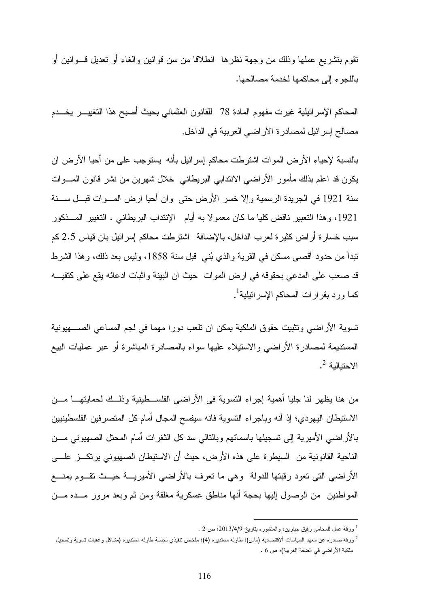تقوم بتشريع عملها وذلك من وجهة نظرها انطلاقا من سن قوانين والغاء أو تعديل قـوانين أو باللجوء إلى محاكمها لخدمة مصالحها .

المحاكم الإسرائيلية غيرت مفهوم المادة 78 للقانون العثماني بحيث أصبح هذا التغييـر يخـدم مصالح إسرائيل لمصادرة الأراضي العربية في الداخل.

بالنسبة لإحياء الأرض الموات اشترطت محاكم إسرائيل بأنه يستوجب على من أحيا الأرض ان يكون قد اعلم بذلك مأمور الأراضي الانتدابي البريطاني خلال شهرين من نشر قانون المـوات سنة 1921 في الجريدة الرسمية وإلا خسر الأرض حتى وان أحيا ارض المـوات قبـل سـنة ،1921 وهذا التعبير ناقض كليا ما كان معمولا به أيام الإنتداب البريطاني . التغيير المـذكور سبب خسارة أراض كثيرة لعرب الداخل، بالإضافة اشترطت محاكم إسرائيل بان قياس 2.5 كم تبدأ من حدود أقصى مسكن في القرية والذي بُني قبل سنة 1858، وليس بعد ذلك، وهذا الشرط قد صعب على المدعي بحقوقه في ارض الموات حيث ان البينة واثبات ادعائه يقع على كتفيـه كما ورد بقرارات المحاكم الإسرائيلية<sup>1</sup>.

تسوية الأراضي وتثبيت حقوق الملكية يمكن ان تلعب دورا مهما في لجم المساعي الصـهيونية المستديمة لمصادرة الأراضي والاستيلاء عليها سواء بالمصادرة المباشرة أو عبر عمليات البيع  $^2$  الاحتيالية  $^2$  .

من هنا يظهر لنا جليا أهمية إجراء التسوية في الأراضي الفلسـطينية وذلـك لحمايتهـا مـن الاستيطان اليهودي؛ إذ أنه وباجراء التسوية فانه سيفسح المجال أمام كل المتصرفين الفلسطينيين بالأراضي الأميرية إلى تسجيلها باسمائهم وبالتالي سد كل الثغرات أمام المحتل الصهيوني مـن الناحية القانونية من السيطرة على هذه الأرض، حيث أن الاستيطان الصهيوني يرتكـز علـى الأراضي التي تعود رقبتها للدولة وهي ما تعرف بالأراضي الأميريـة حيـث تقـوم بمنـع المواطنين من الوصول إليها بحجة أنها مناطق عسكرية مغلقة ومن ثم وبعد مرور مـده مـن

 $1$  ورقة عمل للمحامي رفيق جبارين؛ والمنشوره بتاريخ 2013/4/9؛ ص 2 .

<sup>2</sup> ورقه صادره عن معهد السياسات ألاقتصاديه (ماس)؛ طاوله مستديره (4)؛ ملخص تنفيذي لجلسة طاوله مستديره (مشاكل وعقبات تسوية وتسجيل ملكية الأراضي في الضفة الغربية)؛ ص 6 .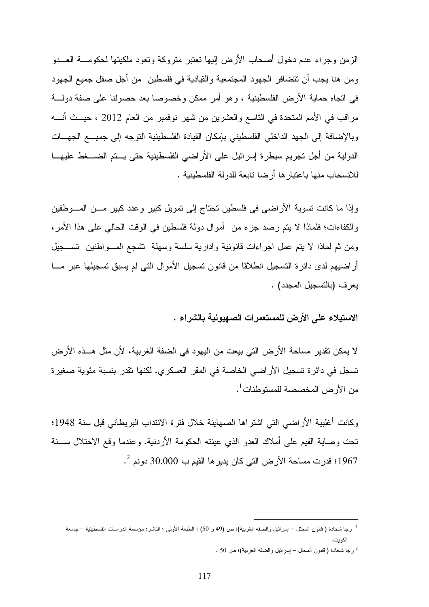الزمن وجراء عدم دخول أصحاب الأرض إليها تعتبر متروكة وتعود ملكيتها لحكومـة العـدو ومن هنا يجب أن تتضافر الجهود المجتمعية والقيادية في فلسطين من أجل صقل جميع الجهود في اتجاه حماية الأرض الفلسطينية ، وهو أمر ممكن وخصوصا بعد حصولنا على صفة دولـة مراقب في الأمم المتحدة في التاسع والعشرين من شهر نوفمبر من العام 2012 ، حيـث أنـه وبالإضافة إلى الجهد الداخلي الفلسطيني بإمكان القيادة الفلسطينية التوجه إلى جميـع الجهـات الدولية من أجل تجريم سيطرة إسرائيل على الأراضي الفلسطينية حتى يـتم الضـغط عليهـا للانسحاب منها باعتبارها أرضا تابعة للدولة الفلسطينية .

وإذا ما كانت تسوية الأراضي في فلسطين تحتاج إلى تمويل كبير وعدد كبير مـن المـوظفين والكفاءات؛ فلماذا لا يتم رصد جزء من أموال دولة فلسطين في الوقت الحالي على هذا الأمر، ومن ثم لماذا لا يتم عمل اجراءات قانونية وادارية سلسة وسهلة تشجع المـواطنين تسـجيل أراضيهم لدى دائرة التسجيل انطلاقا من قانون تسجيل الأموال التي لم يسبق تسجيلها عبر مـا يعرف (بالتسجيل المجدد) .

الاستيلاء على الأرض للمستعمرات الصهيونية بالشراء .

لا يمكن تقدير مساحة الأرض التي بيعت من اليهود في الضفة الغربية، لأن مثل هـذه الأرض تسجل في دائرة تسجيل الأراضي الخاصة في المقر العسكري. لكنها تقدر بنسبة مئوية صغيرة من الأرض المخصصة للمستوطنات<sup>1</sup>.

وكانت أغلبية الأراضي التي اشتراها الصهاينة خلال فترة الانتداب البريطاني قبل سنة 1948؛ تحت وصاية القيم على أملاك العدو الذي عينته الحكومة الأردنية. وعندما وقع الاحتلال سـنة 2 1967؛ قدرت مساحة الأرض التي كان يديرها القيم ب 30.000 دونم .

<sup>1</sup> رجا شحادة ( قانون المحتل – إسرائيل والضفه الغربية)؛ ص (49 و 50) ؛ الطبعة الأولى ؛ الناشر: مؤسسة الدراسات الفلسطينية – جامعة الكويت .

<sup>.</sup> رجا شحادة ( قانون المحتل – إسرائيل والضفه الغربية)؛ ص 50 .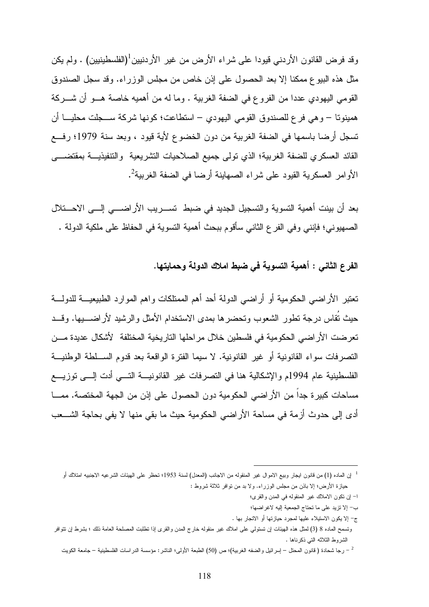وقد فرض القانون الأردني قيودا على شراء الأرض من غير الأردنبين<sup>1</sup>(الفلسطينيين) . ولم يكن مثل هذه البيوع ممكنا إلا بعد الحصول على إذن خاص من مجلس الوزراء. وقد سجل الصندوق القومي اليهودي عددا من الفروع في الضفة الغربية . وما له من أهميه خاصة هـو أن شـركة همينوتا – وهي فرع للصندوق القومي اليهودي – استطاعت؛ كونها شركة سـجلت محليـا أن تسجل أرضا باسمها في الضفة الغربية من دون الخضوع لأية قيود ، وبعد سنة 1979؛ رفـع القائد العسكري للضفة الغربية؛ الذي تولى جميع الصلاحيات التشريعية والتنفيذيـة بمقتضـى الأوامر العسكرية القيود على شراء الصهاينة أرضا في الضفة الغربية<sup>2</sup>.

بعد أن بينت أهمية التسوية والتسجيل الجديد في ضبط تسـريب الأراضـي إلـى الاحـتلال الصهيوني؛ فإنني وفي الفرع الثاني سأقوم ببحث أهمية التسوية في الحفاظ على ملكية الدولة .

الفرع الثاني : أهمية التسوية في ضبط املاك الدولة وحمايتها .

 $\overline{a}$ 

تعتبر الأراضي الحكومية أو أراضي الدولة أحد أهم الممتلكات واهم الموارد الطبيعيـة للدولـة حيث تُقاس درجة تطور الشعوب وتحضرها بمدى الاستخدام الأمثل والرشيد لأراضـيها . وقـد تعرضت الأراضي الحكومية في فلسطين خلال مراحلها التاريخية المختلفة لأشكال عديدة مـن التصرفات سواء القانونية أو غير القانونية. لا سيما الفترة الواقعة بعد قدوم السـلطة الوطنيـة الفلسطينية عام 1994م والإشكالية هنا في التصرفات غير القانونيـة التـي أدت إلـى توزيـع مساحات كبيرة جداً من الأراضي الحكومية دون الحصول على إذن من الجهة المختصة. ممـا أدى إلى حدوث أزمة في مساحة الأراضي الحكومية حيث ما بقي منها لا يفي بحاجة الشـعب

- -ا إن تكون الاملاك غير المنقوله في المدن والقرى؛
- ب إلا تزيد على ما تحتاج الجمعية إليه لاغراضها ؛

<sup>1</sup> إن الماده (1) من قانون ايجار وبيع الاموال غير المنقوله من الاجانب (المعدل) لسنة 1953؛ تحظر على الهيئات الشرعيه الاجنبيه امتلاك أو حيازة الأرض؛ إلا باذن من مجلس الوزراء. ولا بد من توافر ثلاثة شروط :

ج- إلا يكون الاستيلاء عليها لمجرد حيازتها أو الاتجار بها .

وتسمح الماده 8 ( 3) لمثل هذه الهيئات إن تستولي على املاك غير منقوله خارج المدن والقرى إذا تطلبت المصلحة العامة ذلك ؛ بشرط إن تتوافر الشروط الثلاثه التي ذكرناها .

رجا شحادة ( قانون المحتل – إسرائيل والضفه الغربية)؛ ص (50) الطبعة الأولى؛ الناشر : مؤسسة الدراسات الفلسطينية – جامعة الكويت -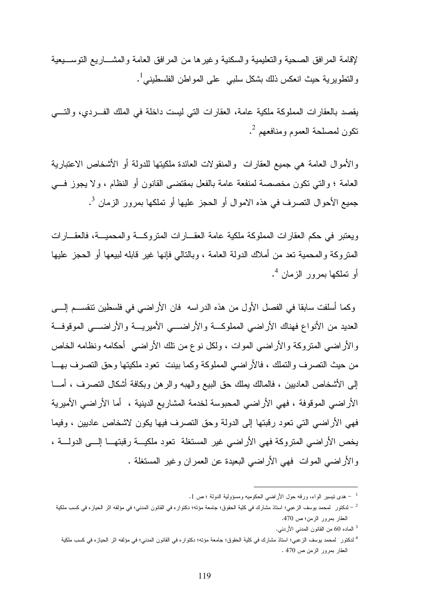لإقامة المرافق الصحية والتعليمية والسكنية وغيرها من المرافق العامة والمشـاريع التوسـيعية والنطويرية حيث انعكس ذلك بشكل سلبي على المواطن الفلسطيني<sup>1</sup>.

يقصد بالعقارات المملوكة ملكية عامة، العقارات التي ليست داخلة في الملك الفـردي ، والتـي 2 تكون لمصلحة العموم ومنافعهم .

والأموال العامة هي جميع العقارات والمنقولات العائدة ملكيتها للدولة أو الأشخاص الاعتبارية العامة ؛ والتي تكون مخصصة لمنفعة عامة بالفعل بمقتضى القانون أو النظام ، ولا يجوز فـي جميع الأحوال التصرف في هذه الاموال أو الحجز عليها أو تملكها بمرور الزمان <sup>3</sup>.

ويعتبر في حكم العقارات المملوكة ملكية عامة العقـارات المتروكـة والمحميـة ، فالعقـارات المتروكة والمحمية تعد من أملاك الدولة العامة ، وبالتالي فإنها غير قابله لبيعها أو الحجز عليها أو نملكها بمرور الزمان <sup>4</sup>.

وكما أسلفت سابقا في الفصل الأول من هذه الدراسه فان الأراضي في فلسطين تنقسـم إلـى العديد من الأنواع فهناك الأراضي المملوكـة والأراضـي الأميريـة والأراضـي الموقوفـة والأراضي المتروكة والأراضي الموات ، ولكل نوع من تلك الأراضي أحكامه ونظامه الخاص من حيث التصرف والتملك ، فالأراضي المملوكة وكما بينت تعود ملكيتها وحق التصرف بهـا إلى الأشخاص العاديين ، فالمالك يملك حق البيع والهبه والرهن وبكافة أشكال التصرف ، أمـا الأراضي الموقوفة ، فهي الأراضي المحبوسة لخدمة المشاريع الدينية ، أما الأراضي الأميرية فهي الأراضي التي تعود رقبتها إلى الدولة وحق التصرف فيها يكون لاشخاص عاديين ، وفيما يخص الأراضي المتروكة فهي الأراضي غير المستغلة تعود ملكيـة رقبتهـا إلـى الدولـة ، والأراضي الموات فهي الأراضي البعيدة عن العمران وغير المستغلة .

هدى نيسير الواء، ورقه حول الأراضي الحكوميه ومسؤولية الدولة ؛ ص 1.  $\,$ 

لدكتور لمحمد يوسف الزعبي؛ استاذ مشارك في كلية الحقوق؛ جامعة مؤته؛ دكتواره في القانون المدني؛ في مؤلفه اثر الحيازه في كسب ملكية – العقار بمرور الزمن؛ ص 470 .

<sup>3</sup> الماده 60 من القانون المدني الأردني .

<sup>&</sup>lt;sup>4</sup> لدكتور لمحمد يوسف الزعبي؛ استاذ مشارك في كلية الحقوق؛ جامعة مؤته؛ دكتواره في القانون المدني؛ في مؤلفه اثر الحيازه في كسب ملكية العقار بمرور الزمن ص 470 .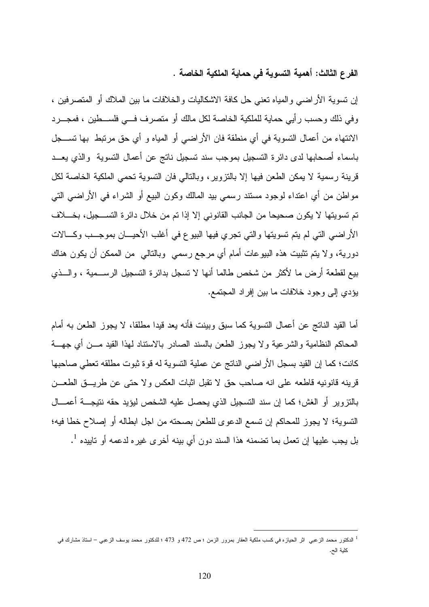الفرع الثالث: أهمية التسوية في حماية الملكية الخاصة .

 إن تسوية الأراضي والمياه تعني حل كافة الاشكاليات والخلافات ما بين الملاك أو المتصرفين ، وفي ذلك وحسب رأيي حماية للملكية الخاصة لكل مالك أو متصرف فـي فلسـطين ، فمجـرد الانتهاء من أعمال التسوية في أي منطقة فان الأراضي أو المياه و أي حق مرتبط بها تسـجل باسماء أصحابها لدى دائرة التسجيل بموجب سند تسجيل ناتج عن أعمال التسوية والذي يعـد قرينة رسمية لا يمكن الطعن فيها إلا بالتزوير، وبالتالي فان التسوية تحمي الملكية الخاصة لكل مواطن من أي اعتداء لوجود مستند رسمي بيد المالك وكون البيع أو الشراء في الأراضي التي تم تسويتها لا يكون صحيحا من الجانب القانوني إلا إذا تم من خلال دائرة التسـجيل ، بخـلاف الأراضي التي لم يتم تسويتها والتي تجري فيها البيوع في أغلب الأحيـان بموجـب وكـالات دورية، ولا يتم تثبيت هذه البيوعات أمام أي مرجع رسمي وبالتالي من الممكن أن يكون هناك بيع لقطعة أرض ما لأكثر من شخص طالما أنها لا تسجل بدائرة التسجيل الرسـمية ، والـذي يؤدي إلى وجود خلافات ما بين إفراد المجتمع .

أما القيد الناتج عن أعمال التسوية كما سبق وبينت فأنه يعد قيدا مطلقا، لا يجوز الطعن به أمام المحاكم النظامية والشرعية ولا يجوز الطعن بالسند الصادر بالاستناد لهذا القيد مـن أي جهـة كانت؛ كما إن القيد بسجل الأراضي الناتج عن عملية التسوية له قوة ثبوت مطلقه تعطي صاحبها قرينه قانونيه قاطعه على انه صاحب حق لا تقبل اثبات العكس ولا حتى عن طريـق الطعـن بالتزوير أو الغش؛ كما إن سند التسجيل الذي يحصل عليه الشخص ليؤيد حقه نتيجـة أعمـال التسوية؛ لا يجوز للمحاكم إن تسمع الدعوى للطعن بصحته من اجل ابطاله أو إصلاح خطا فيه؛ بل يجب عليها إن تعمل بما تضمنه هذا السند دون أي بينه أخرى غيره لدعمه أو تابيده <sup>1</sup>.

<sup>1</sup> الدكتور محمد الزعبي اثر الحيازه في كسب ملكية العقار بمرور الزمن ؛ ص 472 و 473 ؛ للدكتور محمد يوسف الزعبي – استاذ مشارك في كلية الح .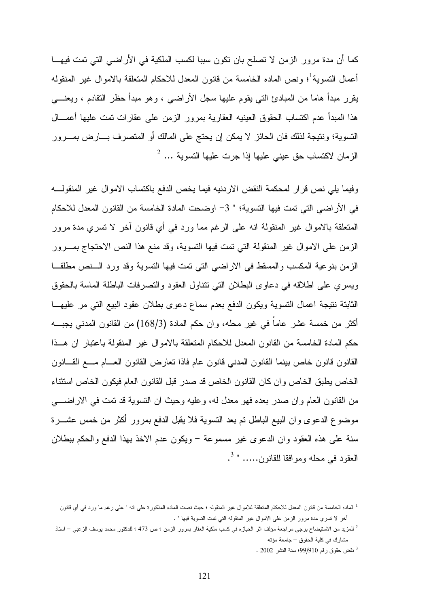كما أن مدة مرور الزمن لا تصلح بان تكون سببا لكسب الملكية في الأراضي التي تمت فيهـا أعمال التسوية<sup>1</sup>؛ ونص الماده الخامسة من قانون المعدل للاحكام المتعلقة بالاموال غير المنقوله يقرر مبدأ هاما من المبادئ التي يقوم عليها سجل الأراضي ، وهو مبدأ حظر التقادم ، ويعنـي هذا المبدأ عدم اكتساب الحقوق العينيه العقارية بمرور الزمن على عقارات تمت عليها أعمـال التسوية؛ ونتيجة لذلك فان الحائز لا يمكن إن يحتج على المالك أو المتصرف بـارض بمـرور  $^2$  ... الزمان لاكتساب حق عيني عليها إذا جرت عليها التسوية

وفيما يلي نص قرار لمحكمة النقض الاردنيه فيما يخص الدفع باكتساب الاموال غير المنقولـه في الأراضي التي تمت فيها التسوية؛ " 3 - اوضحت المادة الخامسة من القانون المعدل للاحكام المتعلقة بالاموال غير المنقولة انه على الرغم مما ورد في أي قانون آخر لا تسري مدة مرور الزمن على الاموال غير المنقولة التي تمت فيها التسوية، وقد منع هذا النص الاحتجاج بمـرور الزمن بنوعية المكسب والمسقط في الاراضي التي تمت فيها التسوية وقد ورد الـنص مطلقـا ويسري على اطلاقه في دعاوى البطلان التي تتناول العقود والتصرفات الباطلة الماسة بالحقوق الثابتة نتيجة اعمال التسوية ويكون الدفع بعدم سماع دعوى بطلان عقود البيع التي مر عليهـا أكثر من خمسة عشر عاماً في غير محله، وان حكم المادة (168/3) من القانون المدني يجبـه حكم المادة الخامسة من القانون المعدل للاحكام المتعلقة بالاموال غير المنقولة باعتبار ان هـذا القانون قانون خاص بينما القانون المدني قانون عام فاذا تعارض القانون العـام مـع القـانون الخاص يطبق الخاص وان كان القانون الخاص قد صدر قبل القانون العام فيكون الخاص استثناء من القانون العام وان صدر بعده فهو معدل له، وعليه وحيث ان التسوية قد تمت في الاراضـي موضوع الدعوى وان البيع الباطل تم بعد التسوية فلا يقبل الدفع بمرور أكثر من خمس عشـرة سنة على هذه العقود وان الدعوى غير مسموعة - ويكون عدم الاخذ بهذا الدفع والحكم ببطلان العقود في محله وموافقا للقانون..... " <sup>3</sup>.

<sup>1</sup> الماده الخامسة من قانون المعدل للاحكام المتعلقة للاموال غير المنقوله ؛ حيث نصت الماده المذكورة على انه " على رغم ما ورد في أي قانون أخر لا تسري مدة مرور الزمن على الاموال غير المنقوله التي تمت التسوية فيها " .

<sup>2</sup> للمزيد من الاستيضاح يرجى مراجعة مؤلف اثر الحيازه في كسب ملكية العقار بمرور الزمن ؛ ص 473 ؛ للدكتور محمد يوسف الزعبي – استاذ مشارك في كلية الحقوق – جامعة مؤته

<sup>3</sup> نقض حقوق رقم 99/910؛ سنة النشر 2002 .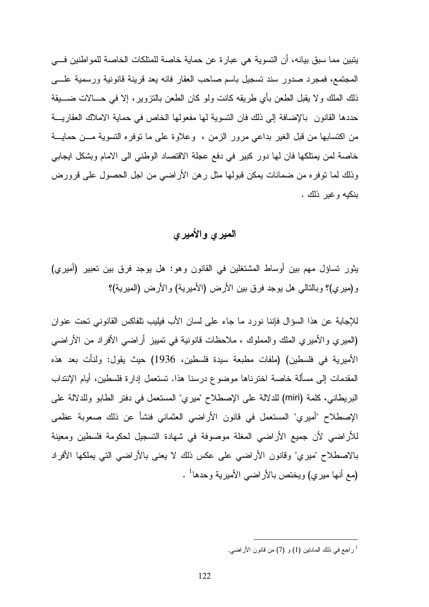يتبين مما سبق بيانه، أن التسوية هي عبارة عن حماية خاصة للمتلكات الخاصة للمواطنين فـي المجتمع، فمجرد صدور سند تسجيل باسم صاحب العقار فانه يعد قرينة قانونية ورسمية علـــى ذلك الملك ولا يقبل الطعن بأي طريقه كانت ولو كان الطعن بالتزوير، إلا في حـالات ضـيقة حددها القانون بالإضافة إلى ذلك فان النسوية لها مفعولها الخاص في حماية الاملاك العقاريـــة من اكتسابها من قبل الغير بداعي مرور الزمن ، وعلاوة على ما توفره التسوية مـن حمايـة خاصة لمن يمتلكها فان لها دور كبير في دفع عجلة الاقتصاد الوطني الى الامام وبشكل ايجابي وذلك لما توفره من ضمانات يمكن قبولها مثل رهن الأراضي من اجل الحصول على قرورض بنكيه وغير ذلك .

### الميري والأميري

يثور تساؤل مهم بين أوساط المشتغلين في القانون وهو: هل يوجد فرق بين تعبير (أميري) (و ميري)؟ وبالتالي هل يوجد فرق بين الأرض (الأميرية) والأرض (الميرية ؟)

للإجابة عن هذا السؤال فإننا نورد ما جاء على لسان الأب فيليب تلفاكس القانوني تحت عنوان (الميري والأميري الملك والمملوك ، ملاحظات قانونية في تمييز أراضي الأفراد من الأراضي الأميرية في فلسطين) (ملفات مطبعة سيدة فلسطين، 1936) حيث يقول: ولنأت بعد هذه المقدمات إلى مسألة خاصة اخترناها موضوع درسنا هذا. تستعمل إدارة فلسطين، أيام الإنتداب البريطاني، كلمة (miri (للدلالة على الإصطلاح "ميري" المستعمل في دفتر الطابو وللدلالة على الإصطلاح "أميري" المستعمل في قانون الأراضي العثماني فنشأ عن ذلك صعوبة عظمى للأراضي لأن جميع الأراضي المغلة موصوفة في شهادة التسجيل لحكومة فلسطين ومعينة بالاصطلاح "ميري" وقانون الأراضي على عكس ذلك لا يعنى بالأراضي التي يملكها الأفراد (مع أنها ميري) ويختص بالأراضي الأميرية وحدها 1 .

راجع في ذلك المادنين (1) و (7) من قانون الأراضـي.  $^1$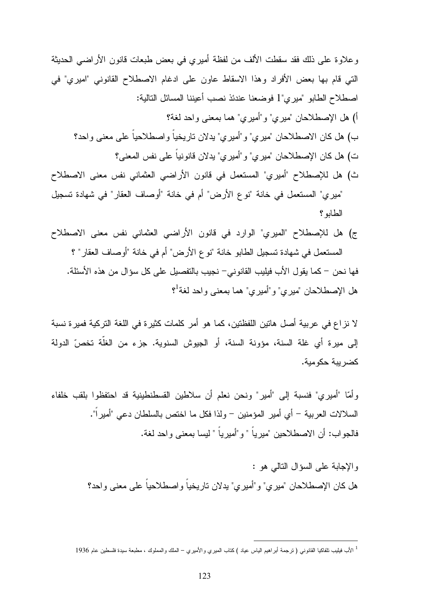وعلاوة على ذلك فقد سقطت الألف من لفظة أميري في بعض طبعات قانون الأراضي الحديثة التي قام بها بعض الأفراد وهذا الاسقاط عاون على ادغام الاصطلاح القانوني "اميري" في اصطلاح الطابو "مير ي"1 فوضعنا عندئذ نصب أعيننا المسائل التالية: ) أ هل الإصطلاحان "ميري "و" أميري" هما بمعنى واحد لغة؟ ب) هل كان الاصطلاحان "ميري "و" أميري" يدلان تاريخياً واصطلاحياً على معنى واحد؟ ت) هل كان الإصطلاحان "ميري "و" أميري" يدلان قانونياً على نفس المعنى؟ ث) هل للإصطلاح "أميري" المستعمل في قانون الأراضي العثماني نفس معنى الاصطلاح

"ميري" المستعمل في خانة "نوع الأرض" أم في خانة "أوصاف العقار" في شهادة تسجيل الطابو؟

ج) هل للإصطلاح "الميري" الوارد في قانون الأراضي العثماني نفس معنى الاصطلاح المستعمل في شهادة تسجيل الطابو خانة "نوع الأرض" أم في خانة "أوصاف العقار ؟" فها نحن - كما يقول الأب فيليب القانوني - نجيب بالتفصيل على كل سؤال من هذه الأسئلة . هل الإصطلاحان "ميري" و"أميري" هما بمعنى واحد لغة<sup>1</sup>؟

لا نزاع في عربية أصل هاتين اللفظتين، كما هو أمر كلمات كثيرة في اللغة التركية فميرة نسبة إلى ميرة أي غلة السنة، مؤونة السنة، أو الجيوش السنوية. جزء من الغلّة تخص الدولة كضريبة حكومية .

وأما "أميري" فنسبة إلى "أمير" ونحن نعلم أن سلاطين القسطنطينية قد احتفظوا بلقب خلفاء السلالات العربية - أي أمير المؤمنين - ولذا فكل ما اختص بالسلطان دعي "أميراً ". فالجو اب: أن الاصطلاحين "مير ياً " و "أمير ياً " ليسا بمعنى و احد لغة.

> والإجابة على السؤال التالي هو : هل كان الإصطلاحان "ميري "و" أميري" يدلان تاريخياً واصطلاحياً على معنى واحد؟

<sup>1</sup> الأب فيليب تلفاكيا القانوني ( ترجمة أبراهيم الياس عياد ) كتاب الميري والأميري – الملك والمملوك ، مطبعة سيدة فلسطين عام 1936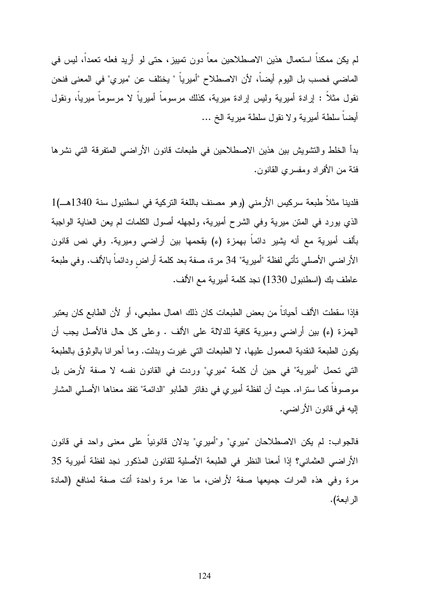لم يكن ممكناً استعمال هذين الاصطلاحين معاً دون تمييز، حتى لو أريد فعله تعمداً، ليس في الماضي فحسب بل اليوم أيضاً، لأن الاصطلاح "أميرياً " يختلف عن "ميري" في المعنى فنحن نقول مثلاً : إرادة أميرية وليس إرادة ميرية، كذلك مرسوماً أميرياً لا مرسوماً ميرياً، ونقول أيضاً سلطة أميرية ولا نقول سلطة ميرية الخ ...

بدأ الخلط والتشويش بين هذين الاصطلاحين في طبعات قانون الأراضي المتفرقة التي نشرها فئة من الأفراد ومفسري القانون .

فلدينا مثلاً طبعة سركيس الأرمني (وهو مصنف باللغة التركية في اسطنبول سنة 1340 1)هـ الذي يورد في المتن ميرية وفي الشرح أميرية، ولجهله أصول الكلمات لم يعن العناية الواجبة بألف أميرية مع أنه يشير دائماً بهمزة ء( ) يقحمها بين أراضي وميرية. وفي نص قانون الأراضي الأصلي تأتي لفظة "أميرية" 34 مرة، صفة بعد كلمة أراضٍ ودائماً بالألف. وفي طبعة عاطف بك (اسطنبول 1330) نجد كلمة أميرية مع الألف .

فإذا سقطت الألف أحياناً من بعض الطبعات كان ذلك اهمال مطبعي، أو لأن الطابع كان يعتبر الهمزة (ء) بين أراضي وميرية كافية للدلالة على الألف . وعلى كل حال فالأصل يجب أن يكون الطبعة النقدية المعمول عليها، لا الطبعات التي غيرت وبدلت. وما أحرانا بالوثوق بالطبعة التي تحمل "أميرية" في حين أن كلمة "ميري" وردت في القانون نفسه لا صفة لأرض بل موصوفاً كما ستراه. حيث أن لفظة أميري في دفاتر الطابو "الدائمة" تفقد معناها الأصلي المشار إليه في قانون الأراضي .

فالجواب: لم يكن الاصطلاحان "ميري "و" أميري" يدلان قانونياً على معنى واحد في قانون الأراضي العثماني؟ إذا أمعنا النظر في الطبعة الأصلية للقانون المذكور نجد لفظة أميرية 35 مرة وفي هذه المرات جميعها صفة لأراض، ما عدا مرة واحدة أتت صفة لمنافع (المادة الرابعة ).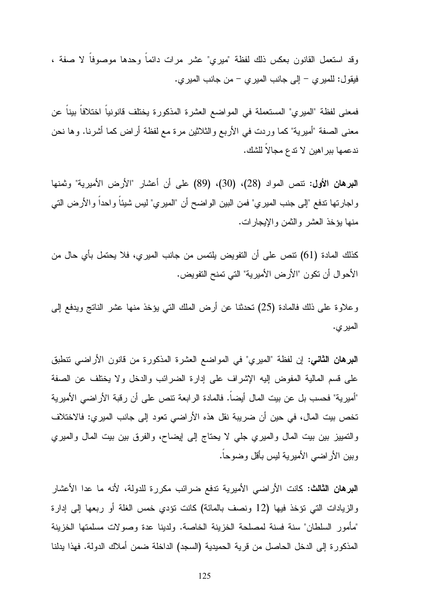وقد استعمل القانون بعكس ذلك لفظة "ميري" عشر مرات دائماً وحدها موصوفاً لا صفة ، فيقول: للميري - إلى جانب الميري - من جانب الميري .

فمعنى لفظة "الميري" المستعملة في المواضع العشرة المذكورة يختلف قانونياً اختلافاً بيناً عن معنى الصفة "أميرية" كما وردت في الأربع والثلاثين مرة مع لفظة أراض كما أشرنا. وها نحن ندعمها ببراهين لا تدع مجالاً للشك .

البرهان الأول: تنص المواد (28)، (30)، (89) على أن أعشار "الأرض الأميرية" وثمنها واجارتها تدفع "إلى جنب الميري" فمن البين الواضح أن "الميري" ليس شيئاً واحداً والأرض التي منها يؤخذ العشر والثمن والإيجارات .

كذلك المادة (61) تنص على أن التفويض يلتمس من جانب الميري، فلا يحتمل بأي حال من الأحوال أن تكون "الأرض الأميرية" التي تمنح التفويض .

وعلاوة على ذلك فالمادة (25) تحدثنا عن أرض الملك التي يؤخذ منها عشر الناتج ويدفع إلى الميري .

البرهان الثاني: إن لفظة "الميري" في المواضع العشرة المذكورة من قانون الأراضي تنطبق على قسم المالية المفوض إليه الإشراف على إدارة الضرائب والدخل ولا يختلف عن الصفة "أميرية" فحسب بل عن بيت المال أيضاً. فالمادة الرابعة تنص على أن رقبة الأراضي الأميرية تخص بيت المال، في حين أن ضريبة نقل هذه الأراضي تعود إلى جانب الميري: فالاختلاف والتمييز بين بيت المال والميري جلي لا يحتاج إلى إيضاح، والفرق بين بيت المال والميري وبين الأراضي الأميرية ليس بأقل وضوحاً .

البرهان الثالث: كانت الأراضي الأميرية تدفع ضرائب مكررة للدولة، لأنه ما عدا الأعشار والزيادات التي تؤخذ فيها ( 12 ونصف بالمائة) كانت تؤدي خمس الغلة أو ربعها إلى إدارة "مأمور السلطان" سنة فسنة لمصلحة الخزينة الخاصة. ولدينا عدة وصولات مسلمتها الخزينة المذكورة إلى الدخل الحاصل من قرية الحميدية (السجد) الداخلة ضمن أملاك الدولة. فهذا يدلنا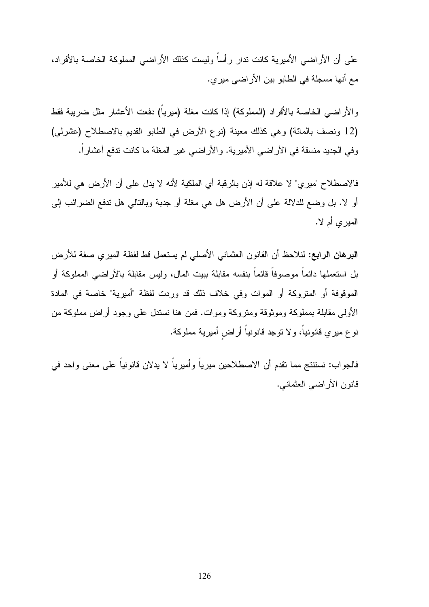على أن الأراضي الأميرية كانت تدار رأساً وليست كذلك الأراضي المملوكة الخاصة بالأفراد، مع أنها مسجلة في الطابو بين الأراضي ميري .

والأراضي الخاصة بالأفراد (المملوكة) إذا كانت مغلة (ميرياً) دفعت الأعشار مثل ضريبة فقط ( 12 ونصف بالمائة) وهي كذلك معينة (نوع الأرض في الطابو القديم بالاصطلاح (عشرلي) وفي الجديد منسقة في الأراضي الأميرية. والأراضي غير المغلة ما كانت تدفع أعشاراً .

فالاصطلاح "ميري" لا علاقة له إذن بالرقبة أي الملكية لأنه لا يدل على أن الأرض هي للأمير أو لا. بل وضع للدلالة على أن الأرض هل هي مغلة أو جدبة وبالتالي هل تدفع الضرائب إلى الميري أم لا .

البرهان الرابع: لنلاحظ أن القانون العثماني الأصلي لم يستعمل قط لفظة الميري صفة للأرض بل استعملها دائماً موصوفاً قائماً بنفسه مقابلة ببيت المال، وليس مقابلة بالأراضي المملوكة أو الموقوفة أو المتروكة أو الموات وفي خلاف ذلك قد وردت لفظة "أميرية" خاصة في المادة الأولى مقابلة بمملوكة وموثوقة ومتروكة وموات. فمن هنا نستدل على وجود أراض مملوكة من نوع ميري قانونياً، ولا توجد قانونياً أراضٍ أميرية مملوكة .

فالجواب: نستنتج مما تقدم أن الاصطلاحين ميرياً وأميرياً لا يدلان قانونياً على معنى واحد في قانون الأراضي العثماني .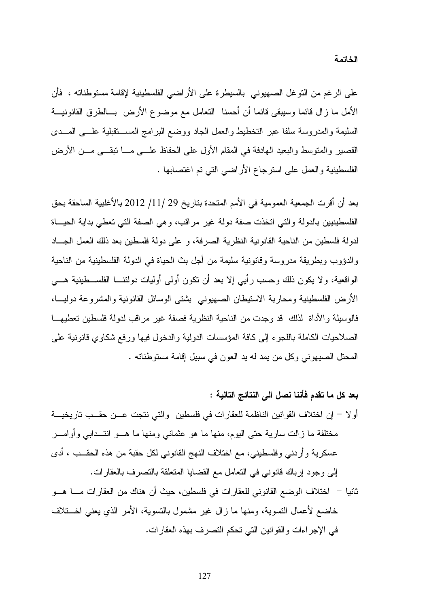على الرغم من التوغل الصهيوني بالسيطرة على الأراضي الفلسطينية لإقامة مستوطناته ، فأن الأمل ما زال قائما وسيبقى قائما أن أحسنا التعامل مع موضوع الأرض بـالطرق القانونيـة السليمة والمدروسة سلفا عبر التخطيط والعمل الجاد ووضع البرامج المسـتقبلية علـى المـدى القصير والمتوسط والبعيد الهادفة في المقام الأول على الحفاظ علـى مـا تبقـى مـن الأرض الفلسطينية والعمل على استرجاع الأراضي التي تم اغتصابها .

بعد أن أقرت الجمعية العمومية في الأمم المتحدة بتاريخ 29 / /11 2012 بالأغلبية الساحقة بحق الفلسطينيين بالدولة والتي اتخذت صفة دولة غير مراقب، وهي الصفة التي تعطي بداية الحيـاة لدولة فلسطين من الناحية القانونية النظرية الصرفة، و على دولة فلسطين بعد ذلك العمل الجـاد والدؤوب وبطريقة مدروسة وقانونية سليمة من أجل بث الحياة في الدولة الفلسطينية من الناحية الواقعية، ولا يكون ذلك وحسب رأيي إلا بعد أن تكون أولى أوليات دولتنـا الفلسـطينية هـي الأرض الفلسطينية ومحاربة الاستيطان الصهيوني بشتى الوسائل القانونية والمشروعة دوليـا، فالوسيلة والأداة لذلك قد وجدت من الناحية النظرية فصفة غير مراقب لدولة فلسطين تعطيهـا الصلاحيات الكاملة باللجوء إلى كافة المؤسسات الدولية والدخول فيها ورفع شكاوي قانونية على المحتل الصيهوني وكل من يمد له يد العون في سبيل إقامة مستوطناته .

بعد كل ما تقدم فأننا نصل الى النتائج التالية : أو لا – إن اختلاف القوانين الناظمة للعقارات في فلسطين والتي نتجت عــن حقــب تاريخيـــة مختلفة ما زالت سارية حتى اليوم، منها ما هو عثماني ومنها ما هـو انتـدابي وأوامـر عسكرية وأردني وفلسطيني، مع اختلاف النهج القانوني لكل حقبة من هذه الحقـب ، أدى إلى وجود إرباك قانوني في التعامل مع القضايا المتعلقة بالتصرف بالعقارات . ثانيا - اختلاف الوضع القانوني للعقارات في فلسطين، حيث أن هناك من العقارات مـا هـو خاضع لأعمال التسوية، ومنها ما زال غير مشمول بالتسوية، الأمر الذي يعني اخـتلاف في الإجراءات والقوانين التي تحكم التصرف بهذه العقارات .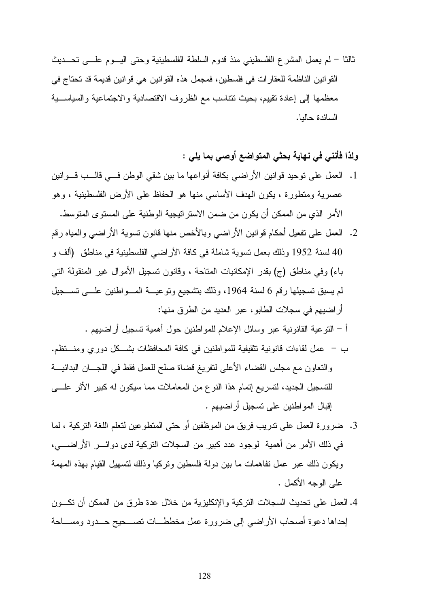ثالثا - لم يعمل المشرع الفلسطيني منذ قدوم السلطة الفلسطينية وحتى اليـوم علـى تحـديث القوانين الناظمة للعقارات في فلسطين، فمجمل هذه القوانين هي قوانين قديمة قد تحتاج في معظمها إلى إعادة تقييم، بحيث تتناسب مع الظروف الاقتصادية والاجتماعية والسياسـية السائدة حاليا .

## ولذا فأنني في نهاية بحثي المتواضع أوصي بما يلي :

- .1 العمل على توحيد قوانين الأراضي بكافة أنواعها ما بين شقي الوطن فـي قالـب قـوانين عصرية ومتطورة ، يكون الهدف الأساسي منها هو الحفاظ على الأرض الفلسطينية ، وهو الأمر الذي من الممكن أن يكون من ضمن الاستراتيجية الوطنية على المستوى المتوسط.
- .2 العمل على تفعيل أحكام قوانين الأراضي وبالأخص منها قانون تسوية الأراضي والمياه رقم 40 لسنة 1952 وذلك بعمل تسوية شاملة في كافة الأراضي الفلسطينية في مناطق (ألف و باء) وفي مناطق ج( ) بقدر الإمكانيات المتاحة ، وقانون تسجيل الأموال غير المنقولة التي لم يسبق تسجيلها رقم 6 لسنة 1964، وذلك بتشجيع وتوعيـــة المـــواطنين علـــي تســـجيل أراضيهم في سجلات الطابو، عبر العديد من الطرق منها:

-أ التوعية القانونية عبر وسائل الإعلام للمواطنين حول أهمية تسجيل أراضيهم .

- -ب عمل لقاءات قانونية تثقيفية للمواطنين في كافة المحافظات بشـكل دوري ومنـتظم . والتعاون مع مجلس القضاء الأعلى لتفريغ قضاة صلح للعمل فقط في اللجـان البدائيـة للتسجيل الجديد، لتسريع إتمام هذا النوع من المعاملات مما سيكون له كبير الأثر علـى إقبال المواطنين على تسجيل أراضيهم .
- .3 ضرورة العمل على تدريب فريق من الموظفين أو حتى المتطوعين لتعلم اللغة التركية ، لما في ذلك الأمر من أهمية لوجود عدد كبير من السجلات التركية لدى دوائـر الأرا ضـي ، ويكون ذلك عبر عمل تفاهمات ما بين دولة فلسطين وتركيا وذلك لتسهيل القيام بهذه المهمة على الوجه الأكمل .
- .4 العمل على تحديث السجلات التركية والإنكليزية من خلال عدة طرق من الممكن أن تكـون إحداها دعوة أصحاب الأراضي إلى ضرورة عمل مخططـات تصـحيح حـدود ومسـاحة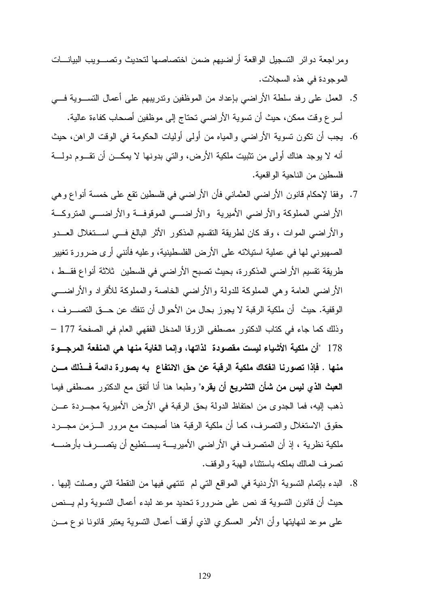ومراجعة دوائر التسجيل الواقعة أراضيهم ضمن اختصاصها لتحديث وتصـويب البيانـات الموجودة في هذه السجلات.

- .5 العمل على رفد سلطة الأراضي بإعداد من الموظفين وتدريبهم على أعمال التسـوية فـي أسرع وقت ممكن، حيث أن تسوية الأراضي تحتاج إلى موظفين أصحاب كفاءة عالية.
- .6 يجب أن تكون تسوية الأراضي والمياه من أولى أوليات الحكومة في الوقت الراهن، حيث أنه لا يوجد هناك أولى من تثبيت ملكية الأرض، والتي بدونها لا يمكـن أن تقـوم دولـة فلسطين من الناحية الواقعية.
- .7 وفقا لإحكام قانون الأراضي العثماني فأن الأراضي في فلسطين تقع على خمسة أنواع وهي الأراضي المملوكة والأراضي الأميرية والأراضـي الموقوفـة والأراضـي المتروكـة والأراضي الموات ، وقد كان لطريقة التقسيم المذكور الأثر البالغ فـي اسـتغلال العـدو الصهيوني لها في عملية استيلائه على الأرض الفلسطينية، وعليه فأنني أرى ضرورة تغيير طريقة تقسيم الأراضي المذكورة، بحيث تصبح الأراضي في فلسطين ثلاثة أنواع فقـط ، الأراضي العامة وهي المملوكة للدولة والأراضي الخاصة والمملوكة للأفراد والأراضـي الوقفية. حيث أن ملكية الرقبة لا يجوز بحال من الأحوال أن تنفك عن حـق التصـرف ، وذلك كما جاء في كتاب الدكتور مصطفى الزرقا المدخل الفقهي العام في الصفحة 177 – 178 "أن ملكية الأشياء ليست مقصودة لذاتها، وإنما الغاية منها هي المنفعة المرجـوة منها . فإذا تصورنا انفكاك ملكية الرقبة عن حق الانتفاع به بصورة دائمة فـذلك مـن العبث الذي ليس من شأن التشريع أن يقره" وطبعا هنا أنا أتفق مع الدكتور مصطفى فيما ذهب إليه، فما الجدوى من احتفاظ الدولة بحق الرقبة في الأرض الأميرية مجـردة عـن حقوق الاستغلال والتصرف، كما أن ملكية الرقبة هنا أصبحت مع مرور الـزمن مجـرد ملكية نظرية ، إذ أن المتصرف في الأراضي الأميريـة يسـتطيع أن يتصـرف بأرضـه تصرف المالك بملكه باستثناء الهبة والوقف.
- .8 البدء بإتمام التسوية الأردنية في المواقع التي لم تنتهي فيها من النقطة التي وصلت إليها . حيث أن قانون التسوية قد نص على ضرورة تحديد موعد لبدء أعمال التسوية ولم يـنص على موعد لنهايتها وأن الأمر العسكري الذي أوقف أعمال التسوية يعتبر قانونا نوع مـن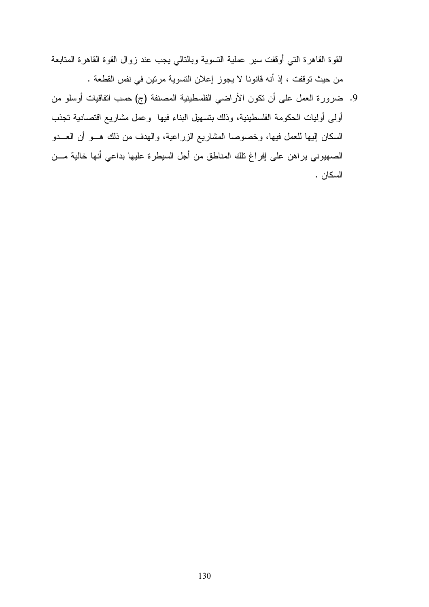القوة القاهرة التي أوقفت سير عملية التسوية وبالتالي يجب عند زوال القوة القاهرة المتابعة من حيث توقفت ، إذ أنه قانونا لا يجوز إعلان التسوية مرتين في نفس القطعة .

9. ضرورة العمل على أن تكون الأراضي الفلسطينية المصنفة (ج) حسب اتفاقيات أوسلو من أولى أوليات الحكومة الفلسطينية، وذلك بتسهيل البناء فيها وعمل مشاريع اقتصادية تجذب السكان إليها للعمل فيها، وخصوصا المشاريع الزراعية، والهدف من ذلك هـو أن العـدو الصهيوني يراهن على إفراغ تلك المناطق من أجل السيطرة عليها بداعي أنها خالية مـن السكان .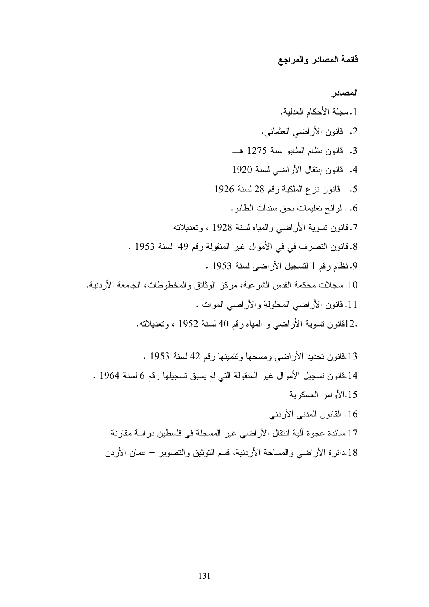قائمة المصادر والمراجع

المصادر

.1مجلة الأحكام العدلية. .2 قانون الأراضي العثماني. .3 قانون نظام الطابو سنة 1275 هـ .4 قانون إنتقال الأراضي لسنة 1920 .5 قانون نزع الملكية رقم 28 لسنة 1926 .6 . لوائح تعليمات بحق سندات الطابو. .7 قانون تسوية الأراضي والمياه لسنة 1928 ، وتعديلاته .8 قانون التصرف في في الأموال غير المنقولة رقم 49 لسنة 1953 . .9 نظام رقم 1 لتسجيل الأراضي لسنة 1953 . .10 سجلات محكمة القدس الشرعية، مركز الوثائق والمخطوطات، الجامعة الأردنية. .11 قانون الأراضي المحلولة والأراضي الموات . .12قانون تسوية الأراضي و المياه رقم 40 لسنة 1952 ، وتعديلاته. .13قانون تحديد الأراضي ومسحها وتثمينها رقم 42 لسنة 1953 .

.14قانون تسجيل الأموال غير المنقولة التي لم يسبق تسجيلها رقم 6 لسنة 1964 . .15الأوامر العسكرية

- .16 القانون المدني الأردني
- .17سائدة عجوة آلية انتقال الأراضي غير المسجلة في فلسطين دراسة مقارنة .18دائرة الأراضي والمساحة الأردنية، قسم التوثيق والتصوير – عمان الأردن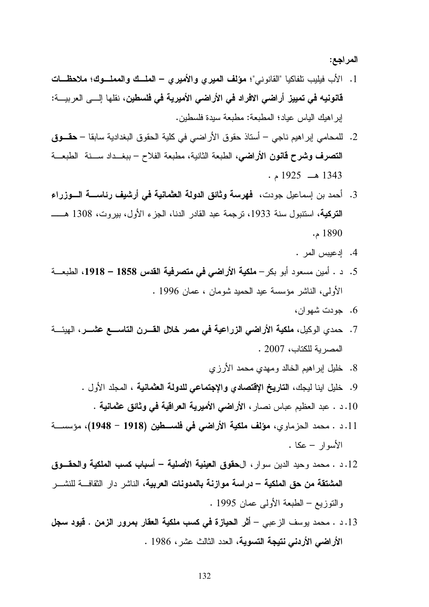المراجع :

- 1. الأب فيليب تلفاكيا "القانوني"؛ مؤلف الميري والأميري الملك والمملـوك؛ ملاحظـات قانونيه في تمييز أراضي الافراد في الأراضي الأميرية في فلسطين، نقلها إلـى العربيـة : إبراهيك الياس عياد؛ المطبعة: مطبعة سيدة فلسطين.
- .2 للمحامي إبراهيم ناجي أستاذ حقوق الأراضي في كلية الحقوق البغدادية سابقا حقـوق التصرف وشرح قانون الأراضي، الطبعة الثانية، مطبعة الفلاح – ببغـداد سـنة الطبعـة  $.1925 = 1343$  مـ
- .3 أحمد بن إسماعيل جودت، فهرسة وثائق الدولة العثمانية في أرشيف رئاسـة الـوزراء ا**لتركية**، استنبول سنة 1933، ترجمة عبد القادر الدنا، الجزء الأول، بيروت، 1308 هـــــــــــــــــــــــــــــــــ 1890 .م
	- .4 إدعيبس المر .
- 5. د . أمين مسعود أبو بكر **ملكية الأراضي في متصرفية القدس 1858 1918**، الطبعــة الأولى، الناشر مؤسسة عيد الحميد شومان ، عمان 1996 .
	- .6 جودت شهوان،
- .7 حمدي الوكيل، ملكية الأراضي الزراعية في مصر خلال القـرن التاسـع عشـر ، الهيئـة المصرية للكتاب، 2007 .
	- .8 خليل إبراهيم الخالد ومهدي محمد الأرزي
	- .9 خليل اينا ليجك، التاريخ الإقتصادي والإجتماعي للدولة العثمانية ، المجلد الأول .
		- .10 . د عبد العظيم عباس نصار، الأراضي الأميرية العراقية في وثائق عثمانية .
- .11 د . محمد الحزماوي، مؤلف ملكية الأراضي في فلسـطين (1918 1948)، مؤسسـة الأسوار – عكا .
- .12 د . محمد وحيد الدين سوار، الحقوق العينية الأصلية أسباب كسب الملكية والحقـوق المشتقة من حق الملكية – دراسة موازنة بالمدونات العربية، الناشر دار الثقافـة للنشـر والتوزيع – الطبعة الأولى عمان 1995 .
- .13 . د محمد يوسف الزعبي أثر الحيازة في كسب ملكية العقار بمرور الزمن . قيود سجل الأراضي الأردني نتيجة التسوية، العدد الثالث عشر، 1986 .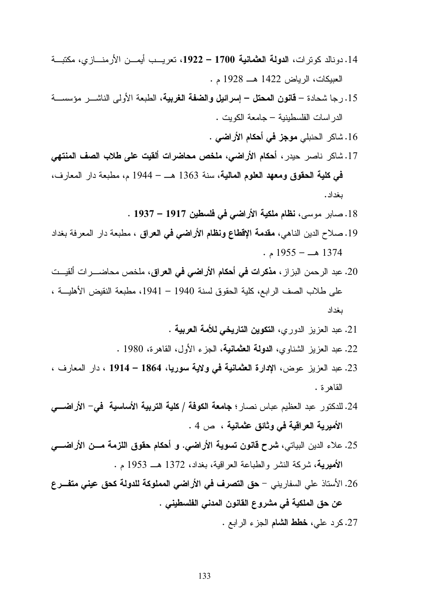- .14 دونالد كوترات، الدولة العثمانية 1700 ،1922 تعريـب أيمـن الأرمنـازي، مكتبـة العبيكات، الرياض 1422 هـ 1928 .م
- .15 رجا شحادة قانون المحتل إسرائيل والضفة الغربية، الطبعة الأولى الناشـر مؤسسـة الدراسات الفلسطينية – جامعة الكويت .

.16 شاكر الحنبلي موجز في أحكام الأراضي .

- .17 شاكر ناصر حيدر، أحكام الأراضي، ملخص محاضرات ألقيت على طلاب الصف المنتهي في كلية الحقوق ومعهد العلوم المالية، سنة 1363 هـ – 1944 م، مطبعة دار المعارف، بغداد .
	- .18 صابر موسى، نظام ملكية الأراضي في فلسطين 1917 1937 .
- .19 صلاح الدين الناهي، مقدمة الإقطاع ونظام الأراضي في العراق ، مطبعة دار المعرفة بغداد  $. 1955 - 1374$
- .20 عبد الرحمن البزاز، مذكرات في أحكام الأراضي في العراق، ملخص محاضـرات ألقيـت على طلاب الصف الرابع، كلية الحقوق لسنة 1940 – ،1941 مطبعة النقيض الأهليـة ، بغداد
	- .21 عبد العزيز الدوري، التكوين التاريخي للأمة العربية .
	- .22 عبد العزيز الشناوي، الدولة العثمانية، الجزء الأول، القاهرة، 1980 .
- .23 عبد العزيز عوض، الإدارة العثمانية في ولاية سوريا، 1864 1914 ، دار المعارف ، القاهرة .
- .24 للدكتور عبد العظيم عباس نصار؛ جامعة الكوفة / كلية التربية الأساسية في الأراضـي الأميرية العراقية في وثائق عثمانية ، ص 4 .
- .25 علاء الدين البياتي، شرح قانون تسوية الأراضي. و أحكام حقوق اللزمة مـن الأراضـي الأميرية، شركة النشر والطباعة العراقية، بغداد، 1372 هـ 1953 .م
- .26 الأستاذ علي السفاريني حق التصرف في الأراضي المملوكة للدولة كحق عيني متفـرع عن حق الملكية في مشروع القانون المدني الفلسطيني .

.27 كرد علي، خطط الشام الجزء الرابع .